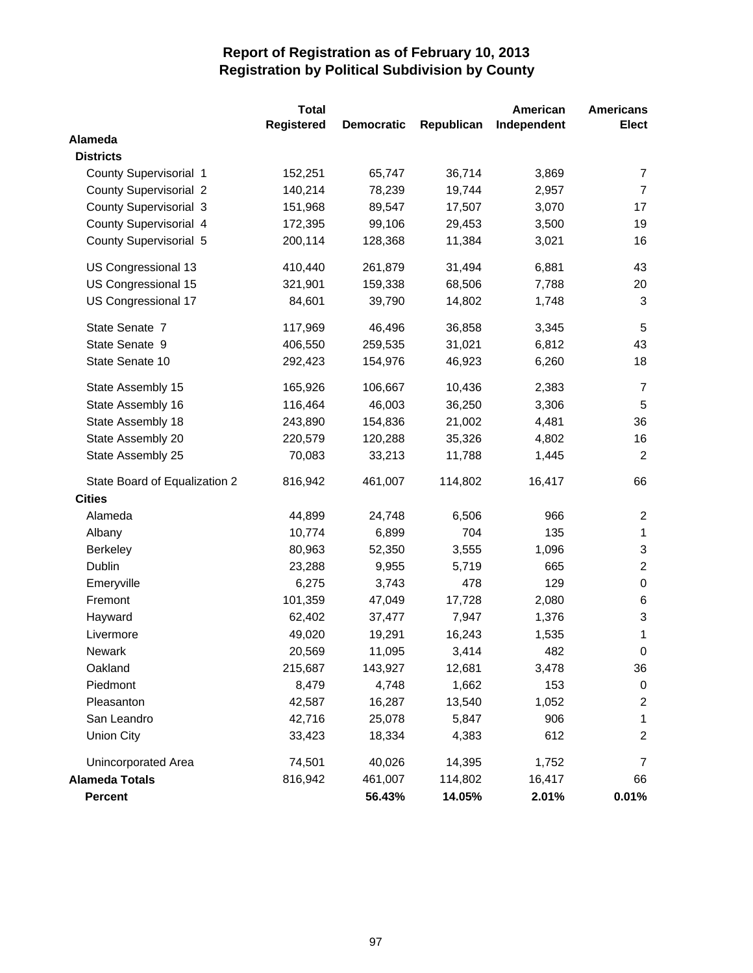|                               | <b>Total</b>      |                   |            | American    | <b>Americans</b> |
|-------------------------------|-------------------|-------------------|------------|-------------|------------------|
|                               | <b>Registered</b> | <b>Democratic</b> | Republican | Independent | <b>Elect</b>     |
| Alameda                       |                   |                   |            |             |                  |
| <b>Districts</b>              |                   |                   |            |             |                  |
| County Supervisorial 1        | 152,251           | 65,747            | 36,714     | 3,869       | $\overline{7}$   |
| <b>County Supervisorial 2</b> | 140,214           | 78,239            | 19,744     | 2,957       | $\overline{7}$   |
| <b>County Supervisorial 3</b> | 151,968           | 89,547            | 17,507     | 3,070       | 17               |
| County Supervisorial 4        | 172,395           | 99,106            | 29,453     | 3,500       | 19               |
| County Supervisorial 5        | 200,114           | 128,368           | 11,384     | 3,021       | 16               |
| US Congressional 13           | 410,440           | 261,879           | 31,494     | 6,881       | 43               |
| US Congressional 15           | 321,901           | 159,338           | 68,506     | 7,788       | 20               |
| US Congressional 17           | 84,601            | 39,790            | 14,802     | 1,748       | $\mathbf{3}$     |
| State Senate 7                | 117,969           | 46,496            | 36,858     | 3,345       | $\sqrt{5}$       |
| State Senate 9                | 406,550           | 259,535           | 31,021     | 6,812       | 43               |
| State Senate 10               | 292,423           | 154,976           | 46,923     | 6,260       | 18               |
| State Assembly 15             | 165,926           | 106,667           | 10,436     | 2,383       | $\overline{7}$   |
| State Assembly 16             | 116,464           | 46,003            | 36,250     | 3,306       | 5                |
| State Assembly 18             | 243,890           | 154,836           | 21,002     | 4,481       | 36               |
| State Assembly 20             | 220,579           | 120,288           | 35,326     | 4,802       | 16               |
| State Assembly 25             | 70,083            | 33,213            | 11,788     | 1,445       | $\overline{2}$   |
| State Board of Equalization 2 | 816,942           | 461,007           | 114,802    | 16,417      | 66               |
| <b>Cities</b>                 |                   |                   |            |             |                  |
| Alameda                       | 44,899            | 24,748            | 6,506      | 966         | $\overline{c}$   |
| Albany                        | 10,774            | 6,899             | 704        | 135         | 1                |
| <b>Berkeley</b>               | 80,963            | 52,350            | 3,555      | 1,096       | $\sqrt{3}$       |
| Dublin                        | 23,288            | 9,955             | 5,719      | 665         | $\overline{2}$   |
| Emeryville                    | 6,275             | 3,743             | 478        | 129         | $\pmb{0}$        |
| Fremont                       | 101,359           | 47,049            | 17,728     | 2,080       | 6                |
| Hayward                       | 62,402            | 37,477            | 7,947      | 1,376       | $\sqrt{3}$       |
| Livermore                     | 49,020            | 19,291            | 16,243     | 1,535       | 1                |
| Newark                        | 20,569            | 11,095            | 3,414      | 482         | 0                |
| Oakland                       | 215,687           | 143,927           | 12,681     | 3,478       | 36               |
| Piedmont                      | 8,479             | 4,748             | 1,662      | 153         | 0                |
| Pleasanton                    | 42,587            | 16,287            | 13,540     | 1,052       | 2                |
| San Leandro                   | 42,716            | 25,078            | 5,847      | 906         | 1                |
| <b>Union City</b>             | 33,423            | 18,334            | 4,383      | 612         | 2                |
| Unincorporated Area           | 74,501            | 40,026            | 14,395     | 1,752       | 7                |
| <b>Alameda Totals</b>         | 816,942           | 461,007           | 114,802    | 16,417      | 66               |
| <b>Percent</b>                |                   | 56.43%            | 14.05%     | 2.01%       | 0.01%            |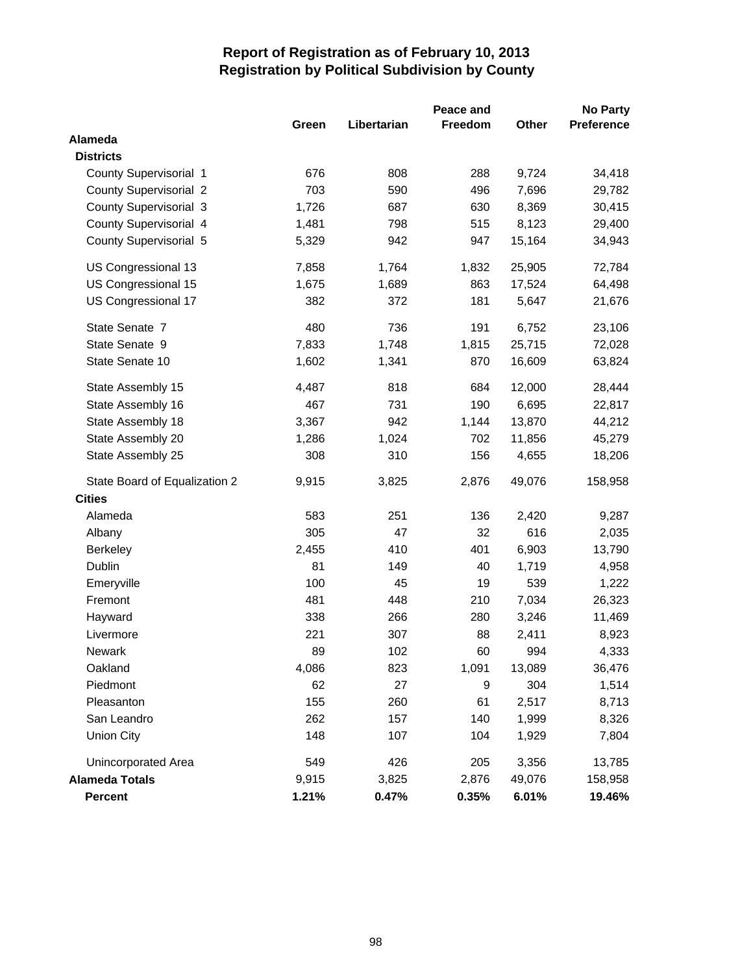|                               |       |             | Peace and      |        | <b>No Party</b>   |
|-------------------------------|-------|-------------|----------------|--------|-------------------|
|                               | Green | Libertarian | <b>Freedom</b> | Other  | <b>Preference</b> |
| Alameda                       |       |             |                |        |                   |
| <b>Districts</b>              |       |             |                |        |                   |
| County Supervisorial 1        | 676   | 808         | 288            | 9,724  | 34,418            |
| <b>County Supervisorial 2</b> | 703   | 590         | 496            | 7,696  | 29,782            |
| County Supervisorial 3        | 1,726 | 687         | 630            | 8,369  | 30,415            |
| County Supervisorial 4        | 1,481 | 798         | 515            | 8,123  | 29,400            |
| County Supervisorial 5        | 5,329 | 942         | 947            | 15,164 | 34,943            |
| US Congressional 13           | 7,858 | 1,764       | 1,832          | 25,905 | 72,784            |
| US Congressional 15           | 1,675 | 1,689       | 863            | 17,524 | 64,498            |
| US Congressional 17           | 382   | 372         | 181            | 5,647  | 21,676            |
| State Senate 7                | 480   | 736         | 191            | 6,752  | 23,106            |
| State Senate 9                | 7,833 | 1,748       | 1,815          | 25,715 | 72,028            |
| State Senate 10               | 1,602 | 1,341       | 870            | 16,609 | 63,824            |
| State Assembly 15             | 4,487 | 818         | 684            | 12,000 | 28,444            |
| State Assembly 16             | 467   | 731         | 190            | 6,695  | 22,817            |
| State Assembly 18             | 3,367 | 942         | 1,144          | 13,870 | 44,212            |
| State Assembly 20             | 1,286 | 1,024       | 702            | 11,856 | 45,279            |
| State Assembly 25             | 308   | 310         | 156            | 4,655  | 18,206            |
| State Board of Equalization 2 | 9,915 | 3,825       | 2,876          | 49,076 | 158,958           |
| <b>Cities</b>                 |       |             |                |        |                   |
| Alameda                       | 583   | 251         | 136            | 2,420  | 9,287             |
| Albany                        | 305   | 47          | 32             | 616    | 2,035             |
| <b>Berkeley</b>               | 2,455 | 410         | 401            | 6,903  | 13,790            |
| Dublin                        | 81    | 149         | 40             | 1,719  | 4,958             |
| Emeryville                    | 100   | 45          | 19             | 539    | 1,222             |
| Fremont                       | 481   | 448         | 210            | 7,034  | 26,323            |
| Hayward                       | 338   | 266         | 280            | 3,246  | 11,469            |
| Livermore                     | 221   | 307         | 88             | 2,411  | 8,923             |
| Newark                        | 89    | 102         | 60             | 994    | 4,333             |
| Oakland                       | 4,086 | 823         | 1,091          | 13,089 | 36,476            |
| Piedmont                      | 62    | 27          | 9              | 304    | 1,514             |
| Pleasanton                    | 155   | 260         | 61             | 2,517  | 8,713             |
| San Leandro                   | 262   | 157         | 140            | 1,999  | 8,326             |
| <b>Union City</b>             | 148   | 107         | 104            | 1,929  | 7,804             |
| Unincorporated Area           | 549   | 426         | 205            | 3,356  | 13,785            |
| <b>Alameda Totals</b>         | 9,915 | 3,825       | 2,876          | 49,076 | 158,958           |
| Percent                       | 1.21% | 0.47%       | 0.35%          | 6.01%  | 19.46%            |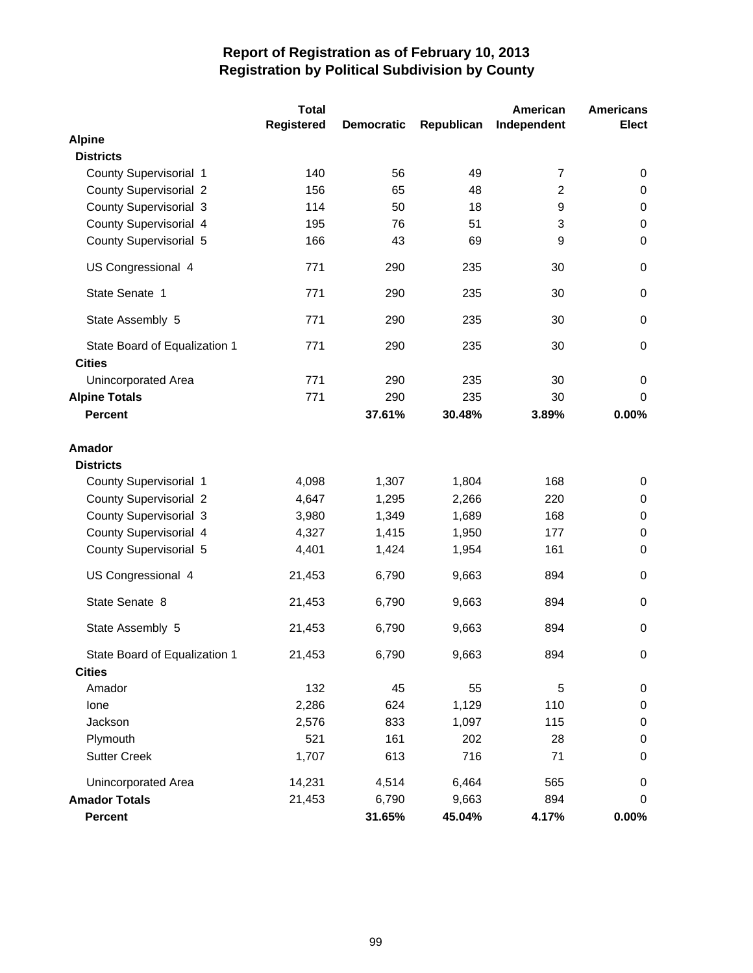|                                                | <b>Total</b>      |                   |            | American       | <b>Americans</b> |
|------------------------------------------------|-------------------|-------------------|------------|----------------|------------------|
|                                                | <b>Registered</b> | <b>Democratic</b> | Republican | Independent    | <b>Elect</b>     |
| <b>Alpine</b>                                  |                   |                   |            |                |                  |
| <b>Districts</b>                               |                   |                   |            |                |                  |
| County Supervisorial 1                         | 140               | 56                | 49         | $\overline{7}$ | 0                |
| <b>County Supervisorial 2</b>                  | 156               | 65                | 48         | $\overline{2}$ | 0                |
| <b>County Supervisorial 3</b>                  | 114               | 50                | 18         | 9              | $\pmb{0}$        |
| County Supervisorial 4                         | 195               | 76                | 51         | 3              | 0                |
| County Supervisorial 5                         | 166               | 43                | 69         | 9              | 0                |
| US Congressional 4                             | 771               | 290               | 235        | 30             | 0                |
| State Senate 1                                 | 771               | 290               | 235        | 30             | 0                |
| State Assembly 5                               | 771               | 290               | 235        | 30             | 0                |
| State Board of Equalization 1<br><b>Cities</b> | 771               | 290               | 235        | 30             | 0                |
| <b>Unincorporated Area</b>                     | 771               | 290               | 235        | 30             | 0                |
| <b>Alpine Totals</b>                           | 771               | 290               | 235        | 30             | 0                |
| <b>Percent</b>                                 |                   | 37.61%            | 30.48%     | 3.89%          | 0.00%            |
| Amador                                         |                   |                   |            |                |                  |
| <b>Districts</b>                               |                   |                   |            |                |                  |
| County Supervisorial 1                         | 4,098             | 1,307             | 1,804      | 168            | 0                |
| <b>County Supervisorial 2</b>                  | 4,647             | 1,295             | 2,266      | 220            | 0                |
| <b>County Supervisorial 3</b>                  | 3,980             | 1,349             | 1,689      | 168            | $\,0\,$          |
| County Supervisorial 4                         | 4,327             | 1,415             | 1,950      | 177            | 0                |
| County Supervisorial 5                         | 4,401             | 1,424             | 1,954      | 161            | 0                |
| US Congressional 4                             | 21,453            | 6,790             | 9,663      | 894            | 0                |
| State Senate 8                                 | 21,453            | 6,790             | 9,663      | 894            | 0                |
| State Assembly 5                               | 21,453            | 6,790             | 9,663      | 894            | 0                |
| State Board of Equalization 1                  | 21,453            | 6,790             | 9,663      | 894            | 0                |
| <b>Cities</b>                                  |                   |                   |            |                |                  |
| Amador                                         | 132               | 45                | 55         | 5              | 0                |
| Ione                                           | 2,286             | 624               | 1,129      | 110            | $\pmb{0}$        |
| Jackson                                        | 2,576             | 833               | 1,097      | 115            | 0                |
| Plymouth                                       | 521               | 161               | 202        | 28             | 0                |
| <b>Sutter Creek</b>                            | 1,707             | 613               | 716        | 71             | 0                |
| Unincorporated Area                            | 14,231            | 4,514             | 6,464      | 565            | 0                |
| <b>Amador Totals</b>                           | 21,453            | 6,790             | 9,663      | 894            | 0                |
| Percent                                        |                   | 31.65%            | 45.04%     | 4.17%          | $0.00\%$         |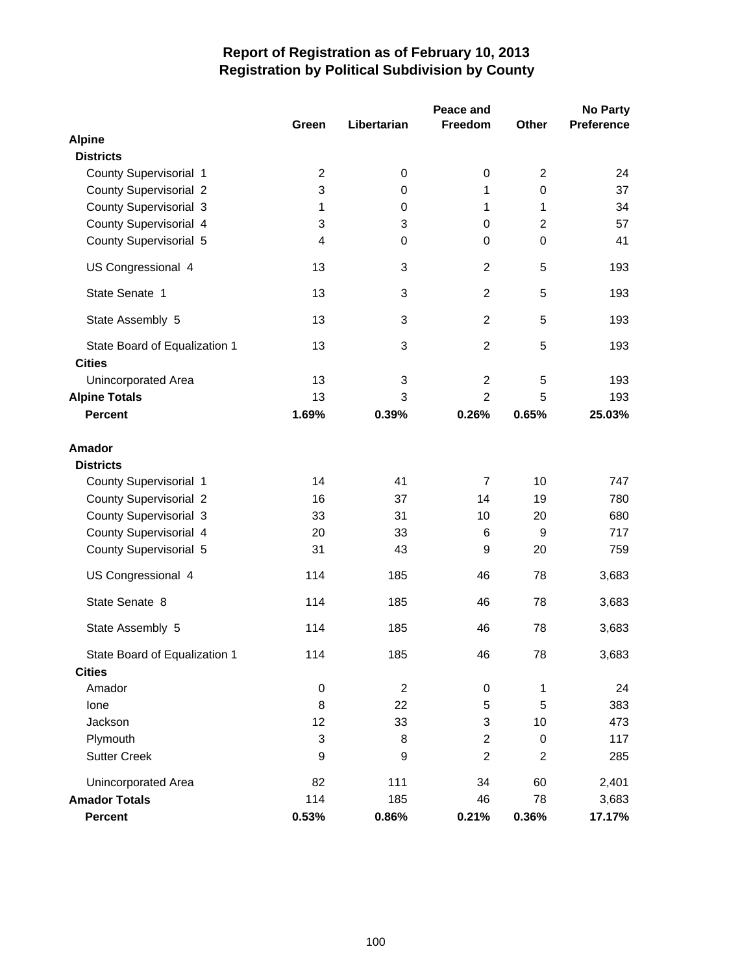|                                                |                |             | Peace and      |                | <b>No Party</b> |
|------------------------------------------------|----------------|-------------|----------------|----------------|-----------------|
|                                                | Green          | Libertarian | Freedom        | Other          | Preference      |
| <b>Alpine</b>                                  |                |             |                |                |                 |
| <b>Districts</b>                               |                |             |                |                |                 |
| County Supervisorial 1                         | $\overline{2}$ | 0           | 0              | $\overline{2}$ | 24              |
| <b>County Supervisorial 2</b>                  | 3              | 0           | 1              | $\mathbf 0$    | 37              |
| County Supervisorial 3                         | 1              | 0           | 1              | 1              | 34              |
| County Supervisorial 4                         | 3              | 3           | 0              | $\overline{2}$ | 57              |
| County Supervisorial 5                         | $\overline{4}$ | 0           | 0              | $\mathbf 0$    | 41              |
| US Congressional 4                             | 13             | 3           | $\overline{2}$ | 5              | 193             |
| State Senate 1                                 | 13             | 3           | $\overline{2}$ | 5              | 193             |
| State Assembly 5                               | 13             | 3           | $\overline{2}$ | 5              | 193             |
| State Board of Equalization 1<br><b>Cities</b> | 13             | 3           | $\overline{2}$ | 5              | 193             |
| Unincorporated Area                            | 13             | 3           | $\overline{c}$ | 5              | 193             |
| <b>Alpine Totals</b>                           | 13             | 3           | $\overline{2}$ | 5              | 193             |
| <b>Percent</b>                                 | 1.69%          | 0.39%       | 0.26%          | 0.65%          | 25.03%          |
| <b>Amador</b><br><b>Districts</b>              |                |             |                |                |                 |
| County Supervisorial 1                         | 14             | 41          | $\overline{7}$ | 10             | 747             |
| <b>County Supervisorial 2</b>                  | 16             | 37          | 14             | 19             | 780             |
| County Supervisorial 3                         | 33             | 31          | 10             | 20             | 680             |
| County Supervisorial 4                         | 20             | 33          | 6              | 9              | 717             |
| County Supervisorial 5                         | 31             | 43          | 9              | 20             | 759             |
| US Congressional 4                             | 114            | 185         | 46             | 78             | 3,683           |
| State Senate 8                                 | 114            | 185         | 46             | 78             | 3,683           |
| State Assembly 5                               | 114            | 185         | 46             | 78             | 3,683           |
| State Board of Equalization 1                  | 114            | 185         | 46             | 78             | 3,683           |
| <b>Cities</b>                                  |                |             |                |                |                 |
| Amador                                         | $\pmb{0}$      | $\sqrt{2}$  | $\pmb{0}$      | $\mathbf{1}$   | 24              |
| lone                                           | 8              | 22          | 5              | 5              | 383             |
| Jackson                                        | 12             | 33          | 3              | 10             | 473             |
| Plymouth                                       | 3              | 8           | $\overline{c}$ | 0              | 117             |
| <b>Sutter Creek</b>                            | 9              | 9           | $\overline{c}$ | $\overline{2}$ | 285             |
| Unincorporated Area                            | 82             | 111         | 34             | 60             | 2,401           |
| <b>Amador Totals</b>                           | 114            | 185         | 46             | 78             | 3,683           |
| Percent                                        | 0.53%          | 0.86%       | 0.21%          | 0.36%          | 17.17%          |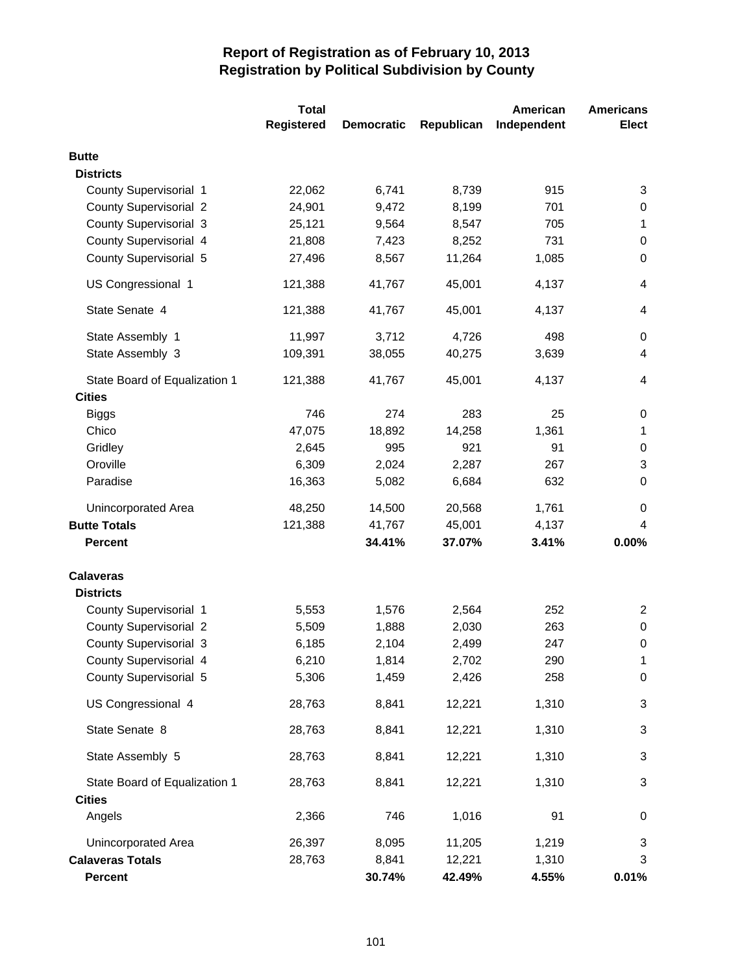|                               | <b>Total</b>      |                   |            | American    | <b>Americans</b> |
|-------------------------------|-------------------|-------------------|------------|-------------|------------------|
|                               | <b>Registered</b> | <b>Democratic</b> | Republican | Independent | <b>Elect</b>     |
| <b>Butte</b>                  |                   |                   |            |             |                  |
| <b>Districts</b>              |                   |                   |            |             |                  |
| County Supervisorial 1        | 22,062            | 6,741             | 8,739      | 915         | 3                |
| <b>County Supervisorial 2</b> | 24,901            | 9,472             | 8,199      | 701         | 0                |
| <b>County Supervisorial 3</b> | 25,121            | 9,564             | 8,547      | 705         | 1                |
| County Supervisorial 4        | 21,808            | 7,423             | 8,252      | 731         | 0                |
| County Supervisorial 5        | 27,496            | 8,567             | 11,264     | 1,085       | 0                |
| US Congressional 1            | 121,388           | 41,767            | 45,001     | 4,137       | 4                |
| State Senate 4                | 121,388           | 41,767            | 45,001     | 4,137       | 4                |
| State Assembly 1              | 11,997            | 3,712             | 4,726      | 498         | 0                |
| State Assembly 3              | 109,391           | 38,055            | 40,275     | 3,639       | 4                |
| State Board of Equalization 1 | 121,388           | 41,767            | 45,001     | 4,137       | 4                |
| <b>Cities</b>                 |                   |                   |            |             |                  |
| <b>Biggs</b>                  | 746               | 274               | 283        | 25          | 0                |
| Chico                         | 47,075            | 18,892            | 14,258     | 1,361       | 1                |
| Gridley                       | 2,645             | 995               | 921        | 91          | 0                |
| Oroville                      | 6,309             | 2,024             | 2,287      | 267         | 3                |
| Paradise                      | 16,363            | 5,082             | 6,684      | 632         | 0                |
| Unincorporated Area           | 48,250            | 14,500            | 20,568     | 1,761       | 0                |
| <b>Butte Totals</b>           | 121,388           | 41,767            | 45,001     | 4,137       | 4                |
| <b>Percent</b>                |                   | 34.41%            | 37.07%     | 3.41%       | 0.00%            |
| <b>Calaveras</b>              |                   |                   |            |             |                  |
| <b>Districts</b>              |                   |                   |            |             |                  |
| County Supervisorial 1        | 5,553             | 1,576             | 2,564      | 252         | 2                |
| <b>County Supervisorial 2</b> | 5,509             | 1,888             | 2,030      | 263         | 0                |
| <b>County Supervisorial 3</b> | 6,185             | 2,104             | 2,499      | 247         | $\boldsymbol{0}$ |
| County Supervisorial 4        | 6,210             | 1,814             | 2,702      | 290         | 1                |
| County Supervisorial 5        | 5,306             | 1,459             | 2,426      | 258         | 0                |
| US Congressional 4            | 28,763            | 8,841             | 12,221     | 1,310       | 3                |
| State Senate 8                | 28,763            | 8,841             | 12,221     | 1,310       | 3                |
| State Assembly 5              | 28,763            | 8,841             | 12,221     | 1,310       | 3                |
| State Board of Equalization 1 | 28,763            | 8,841             | 12,221     | 1,310       | 3                |
| <b>Cities</b>                 |                   |                   |            |             |                  |
| Angels                        | 2,366             | 746               | 1,016      | 91          | 0                |
| Unincorporated Area           | 26,397            | 8,095             | 11,205     | 1,219       | 3                |
| <b>Calaveras Totals</b>       | 28,763            | 8,841             | 12,221     | 1,310       | 3                |
| <b>Percent</b>                |                   | 30.74%            | 42.49%     | 4.55%       | 0.01%            |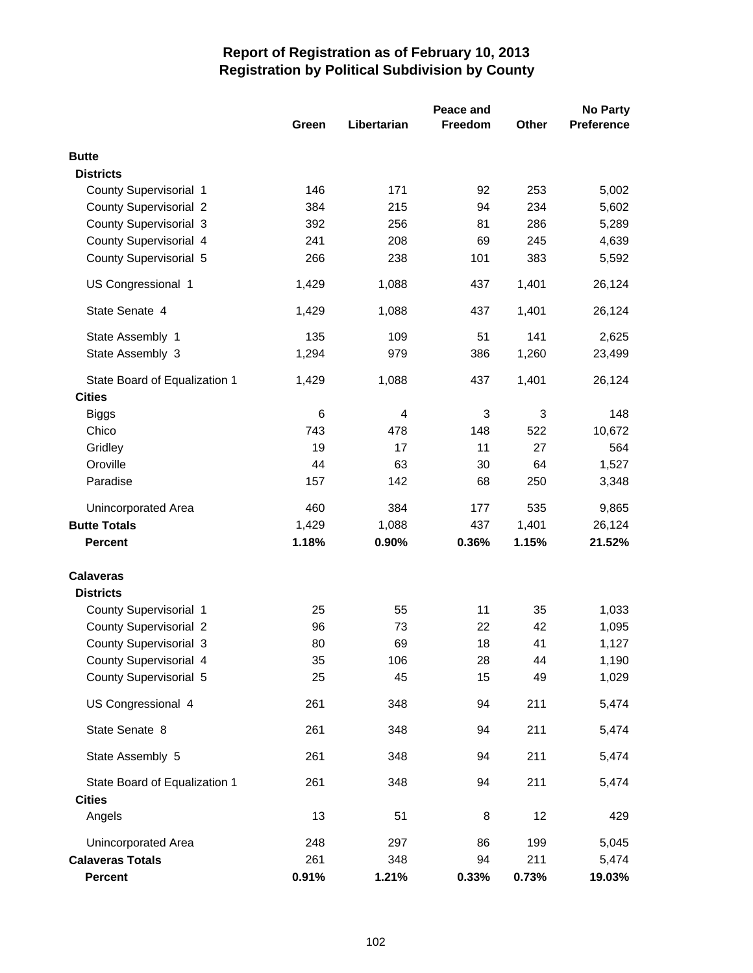|                               | Peace and |             |                           |       | <b>No Party</b>   |  |
|-------------------------------|-----------|-------------|---------------------------|-------|-------------------|--|
|                               | Green     | Libertarian | <b>Freedom</b>            | Other | <b>Preference</b> |  |
| <b>Butte</b>                  |           |             |                           |       |                   |  |
| <b>Districts</b>              |           |             |                           |       |                   |  |
| County Supervisorial 1        | 146       | 171         | 92                        | 253   | 5,002             |  |
| <b>County Supervisorial 2</b> | 384       | 215         | 94                        | 234   | 5,602             |  |
| County Supervisorial 3        | 392       | 256         | 81                        | 286   | 5,289             |  |
| County Supervisorial 4        | 241       | 208         | 69                        | 245   | 4,639             |  |
| County Supervisorial 5        | 266       | 238         | 101                       | 383   | 5,592             |  |
| US Congressional 1            | 1,429     | 1,088       | 437                       | 1,401 | 26,124            |  |
| State Senate 4                | 1,429     | 1,088       | 437                       | 1,401 | 26,124            |  |
| State Assembly 1              | 135       | 109         | 51                        | 141   | 2,625             |  |
| State Assembly 3              | 1,294     | 979         | 386                       | 1,260 | 23,499            |  |
| State Board of Equalization 1 | 1,429     | 1,088       | 437                       | 1,401 | 26,124            |  |
| <b>Cities</b>                 |           |             |                           |       |                   |  |
| <b>Biggs</b>                  | 6         | 4           | $\ensuremath{\mathsf{3}}$ | 3     | 148               |  |
| Chico                         | 743       | 478         | 148                       | 522   | 10,672            |  |
| Gridley                       | 19        | 17          | 11                        | 27    | 564               |  |
| Oroville                      | 44        | 63          | 30                        | 64    | 1,527             |  |
| Paradise                      | 157       | 142         | 68                        | 250   | 3,348             |  |
| <b>Unincorporated Area</b>    | 460       | 384         | 177                       | 535   | 9,865             |  |
| <b>Butte Totals</b>           | 1,429     | 1,088       | 437                       | 1,401 | 26,124            |  |
| <b>Percent</b>                | 1.18%     | 0.90%       | 0.36%                     | 1.15% | 21.52%            |  |
| <b>Calaveras</b>              |           |             |                           |       |                   |  |
| <b>Districts</b>              |           |             |                           |       |                   |  |
| County Supervisorial 1        | 25        | 55          | 11                        | 35    | 1,033             |  |
| <b>County Supervisorial 2</b> | 96        | 73          | 22                        | 42    | 1,095             |  |
| <b>County Supervisorial 3</b> | 80        | 69          | 18                        | 41    | 1,127             |  |
| County Supervisorial 4        | 35        | 106         | 28                        | 44    | 1,190             |  |
| County Supervisorial 5        | 25        | 45          | 15                        | 49    | 1,029             |  |
| US Congressional 4            | 261       | 348         | 94                        | 211   | 5,474             |  |
| State Senate 8                | 261       | 348         | 94                        | 211   | 5,474             |  |
| State Assembly 5              | 261       | 348         | 94                        | 211   | 5,474             |  |
| State Board of Equalization 1 | 261       | 348         | 94                        | 211   | 5,474             |  |
| <b>Cities</b>                 |           |             |                           |       |                   |  |
| Angels                        | 13        | 51          | 8                         | 12    | 429               |  |
| Unincorporated Area           | 248       | 297         | 86                        | 199   | 5,045             |  |
| <b>Calaveras Totals</b>       | 261       | 348         | 94                        | 211   | 5,474             |  |
| Percent                       | 0.91%     | 1.21%       | 0.33%                     | 0.73% | 19.03%            |  |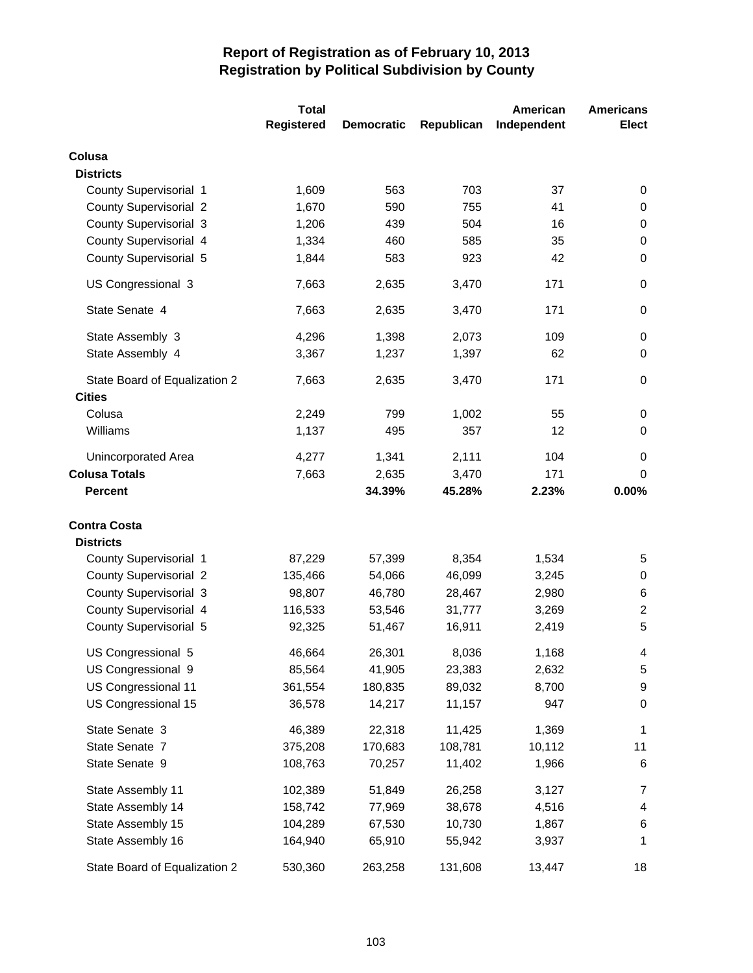|                               | <b>Total</b> |                   |            | American    | <b>Americans</b> |
|-------------------------------|--------------|-------------------|------------|-------------|------------------|
|                               | Registered   | <b>Democratic</b> | Republican | Independent | <b>Elect</b>     |
| Colusa                        |              |                   |            |             |                  |
| <b>Districts</b>              |              |                   |            |             |                  |
| County Supervisorial 1        | 1,609        | 563               | 703        | 37          | 0                |
| <b>County Supervisorial 2</b> | 1,670        | 590               | 755        | 41          | 0                |
| <b>County Supervisorial 3</b> | 1,206        | 439               | 504        | 16          | 0                |
| County Supervisorial 4        | 1,334        | 460               | 585        | 35          | 0                |
| County Supervisorial 5        | 1,844        | 583               | 923        | 42          | 0                |
| US Congressional 3            | 7,663        | 2,635             | 3,470      | 171         | 0                |
| State Senate 4                | 7,663        | 2,635             | 3,470      | 171         | 0                |
| State Assembly 3              | 4,296        | 1,398             | 2,073      | 109         | 0                |
| State Assembly 4              | 3,367        | 1,237             | 1,397      | 62          | 0                |
| State Board of Equalization 2 | 7,663        | 2,635             | 3,470      | 171         | 0                |
| <b>Cities</b><br>Colusa       |              |                   |            |             |                  |
| Williams                      | 2,249        | 799               | 1,002      | 55<br>12    | 0<br>0           |
|                               | 1,137        | 495               | 357        |             |                  |
| Unincorporated Area           | 4,277        | 1,341             | 2,111      | 104         | 0                |
| <b>Colusa Totals</b>          | 7,663        | 2,635             | 3,470      | 171         | 0                |
| <b>Percent</b>                |              | 34.39%            | 45.28%     | 2.23%       | 0.00%            |
| <b>Contra Costa</b>           |              |                   |            |             |                  |
| <b>Districts</b>              |              |                   |            |             |                  |
| County Supervisorial 1        | 87,229       | 57,399            | 8,354      | 1,534       | 5                |
| <b>County Supervisorial 2</b> | 135,466      | 54,066            | 46,099     | 3,245       | 0                |
| <b>County Supervisorial 3</b> | 98,807       | 46,780            | 28,467     | 2,980       | 6                |
| County Supervisorial 4        | 116,533      | 53,546            | 31,777     | 3,269       | $\overline{2}$   |
| County Supervisorial 5        | 92,325       | 51,467            | 16,911     | 2,419       | 5                |
| US Congressional 5            | 46,664       | 26,301            | 8,036      | 1,168       | 4                |
| US Congressional 9            | 85,564       | 41,905            | 23,383     | 2,632       | 5                |
| US Congressional 11           | 361,554      | 180,835           | 89,032     | 8,700       | 9                |
| US Congressional 15           | 36,578       | 14,217            | 11,157     | 947         | 0                |
| State Senate 3                | 46,389       | 22,318            | 11,425     | 1,369       | $\mathbf 1$      |
| State Senate 7                | 375,208      | 170,683           | 108,781    | 10,112      | 11               |
| State Senate 9                | 108,763      | 70,257            | 11,402     | 1,966       | 6                |
| State Assembly 11             | 102,389      | 51,849            | 26,258     | 3,127       | 7                |
| State Assembly 14             | 158,742      | 77,969            | 38,678     | 4,516       | 4                |
| State Assembly 15             | 104,289      | 67,530            | 10,730     | 1,867       | 6                |
| State Assembly 16             | 164,940      | 65,910            | 55,942     | 3,937       | 1                |
| State Board of Equalization 2 | 530,360      | 263,258           | 131,608    | 13,447      | 18               |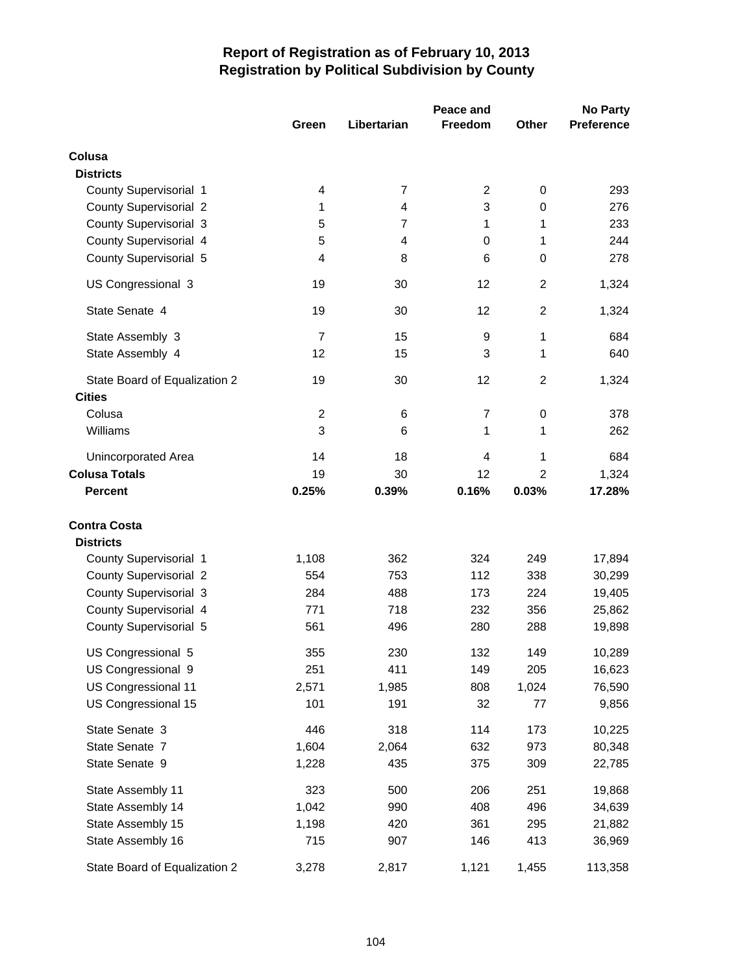|                               | Peace and      |                |                |                | <b>No Party</b>   |  |  |
|-------------------------------|----------------|----------------|----------------|----------------|-------------------|--|--|
|                               | Green          | Libertarian    | <b>Freedom</b> | Other          | <b>Preference</b> |  |  |
| Colusa                        |                |                |                |                |                   |  |  |
| <b>Districts</b>              |                |                |                |                |                   |  |  |
| County Supervisorial 1        | 4              | $\overline{7}$ | 2              | 0              | 293               |  |  |
| <b>County Supervisorial 2</b> | 1              | 4              | 3              | 0              | 276               |  |  |
| County Supervisorial 3        | 5              | $\overline{7}$ | 1              | 1              | 233               |  |  |
| County Supervisorial 4        | 5              | $\overline{4}$ | 0              | 1              | 244               |  |  |
| County Supervisorial 5        | 4              | 8              | 6              | $\mathbf 0$    | 278               |  |  |
| US Congressional 3            | 19             | 30             | 12             | $\overline{2}$ | 1,324             |  |  |
| State Senate 4                | 19             | 30             | 12             | $\overline{2}$ | 1,324             |  |  |
| State Assembly 3              | $\overline{7}$ | 15             | 9              | 1              | 684               |  |  |
| State Assembly 4              | 12             | 15             | 3              | 1              | 640               |  |  |
| State Board of Equalization 2 | 19             | 30             | 12             | $\overline{2}$ | 1,324             |  |  |
| <b>Cities</b>                 |                |                |                |                |                   |  |  |
| Colusa                        | $\overline{c}$ | 6              | $\overline{7}$ | 0              | 378               |  |  |
| Williams                      | 3              | 6              | 1              | 1              | 262               |  |  |
| Unincorporated Area           | 14             | 18             | 4              | 1              | 684               |  |  |
| <b>Colusa Totals</b>          | 19             | 30             | 12             | 2              | 1,324             |  |  |
| <b>Percent</b>                | 0.25%          | 0.39%          | 0.16%          | 0.03%          | 17.28%            |  |  |
| <b>Contra Costa</b>           |                |                |                |                |                   |  |  |
| <b>Districts</b>              |                |                |                |                |                   |  |  |
| County Supervisorial 1        | 1,108          | 362            | 324            | 249            | 17,894            |  |  |
| <b>County Supervisorial 2</b> | 554            | 753            | 112            | 338            | 30,299            |  |  |
| County Supervisorial 3        | 284            | 488            | 173            | 224            | 19,405            |  |  |
| County Supervisorial 4        | 771            | 718            | 232            | 356            | 25,862            |  |  |
| County Supervisorial 5        | 561            | 496            | 280            | 288            | 19,898            |  |  |
| US Congressional 5            | 355            | 230            | 132            | 149            | 10,289            |  |  |
| US Congressional 9            | 251            | 411            | 149            | 205            | 16,623            |  |  |
| US Congressional 11           | 2,571          | 1,985          | 808            | 1,024          | 76,590            |  |  |
| US Congressional 15           | 101            | 191            | 32             | 77             | 9,856             |  |  |
| State Senate 3                | 446            | 318            | 114            | 173            | 10,225            |  |  |
| State Senate 7                | 1,604          | 2,064          | 632            | 973            | 80,348            |  |  |
| State Senate 9                | 1,228          | 435            | 375            | 309            | 22,785            |  |  |
| State Assembly 11             | 323            | 500            | 206            | 251            | 19,868            |  |  |
| State Assembly 14             | 1,042          | 990            | 408            | 496            | 34,639            |  |  |
| State Assembly 15             | 1,198          | 420            | 361            | 295            | 21,882            |  |  |
| State Assembly 16             | 715            | 907            | 146            | 413            | 36,969            |  |  |
| State Board of Equalization 2 | 3,278          | 2,817          | 1,121          | 1,455          | 113,358           |  |  |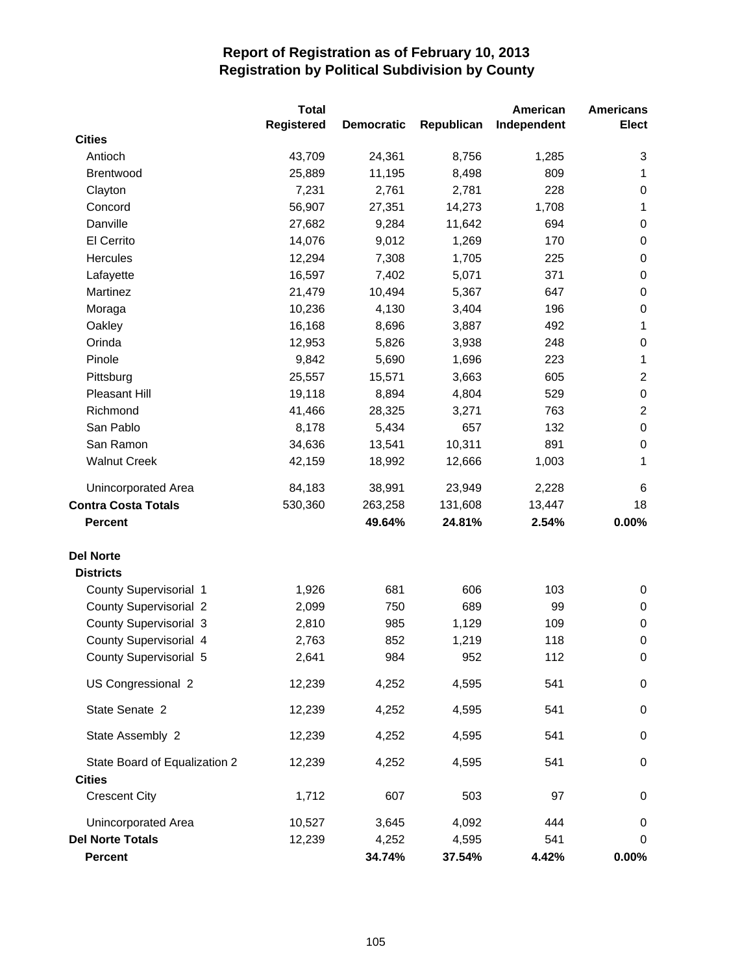|                               | <b>Total</b>      |                   |            | American    | <b>Americans</b> |
|-------------------------------|-------------------|-------------------|------------|-------------|------------------|
|                               | <b>Registered</b> | <b>Democratic</b> | Republican | Independent | <b>Elect</b>     |
| <b>Cities</b>                 |                   |                   |            |             |                  |
| Antioch                       | 43,709            | 24,361            | 8,756      | 1,285       | 3                |
| <b>Brentwood</b>              | 25,889            | 11,195            | 8,498      | 809         | 1                |
| Clayton                       | 7,231             | 2,761             | 2,781      | 228         | 0                |
| Concord                       | 56,907            | 27,351            | 14,273     | 1,708       | $\mathbf 1$      |
| Danville                      | 27,682            | 9,284             | 11,642     | 694         | 0                |
| El Cerrito                    | 14,076            | 9,012             | 1,269      | 170         | $\pmb{0}$        |
| Hercules                      | 12,294            | 7,308             | 1,705      | 225         | 0                |
| Lafayette                     | 16,597            | 7,402             | 5,071      | 371         | 0                |
| Martinez                      | 21,479            | 10,494            | 5,367      | 647         | $\pmb{0}$        |
| Moraga                        | 10,236            | 4,130             | 3,404      | 196         | $\pmb{0}$        |
| Oakley                        | 16,168            | 8,696             | 3,887      | 492         | $\mathbf{1}$     |
| Orinda                        | 12,953            | 5,826             | 3,938      | 248         | $\pmb{0}$        |
| Pinole                        | 9,842             | 5,690             | 1,696      | 223         | $\mathbf{1}$     |
| Pittsburg                     | 25,557            | 15,571            | 3,663      | 605         | $\overline{2}$   |
| Pleasant Hill                 | 19,118            | 8,894             | 4,804      | 529         | $\pmb{0}$        |
| Richmond                      | 41,466            | 28,325            | 3,271      | 763         | $\boldsymbol{2}$ |
| San Pablo                     | 8,178             | 5,434             | 657        | 132         | $\pmb{0}$        |
| San Ramon                     | 34,636            | 13,541            | 10,311     | 891         | 0                |
| <b>Walnut Creek</b>           | 42,159            | 18,992            | 12,666     | 1,003       | 1                |
| Unincorporated Area           | 84,183            | 38,991            | 23,949     | 2,228       | 6                |
| <b>Contra Costa Totals</b>    | 530,360           | 263,258           | 131,608    | 13,447      | 18               |
| <b>Percent</b>                |                   | 49.64%            | 24.81%     | 2.54%       | 0.00%            |
| <b>Del Norte</b>              |                   |                   |            |             |                  |
| <b>Districts</b>              |                   |                   |            |             |                  |
| County Supervisorial 1        | 1,926             | 681               | 606        | 103         | 0                |
| <b>County Supervisorial 2</b> | 2,099             | 750               | 689        | 99          | 0                |
| <b>County Supervisorial 3</b> | 2,810             | 985               | 1,129      | 109         | 0                |
| County Supervisorial 4        | 2,763             | 852               | 1,219      | 118         | $\pmb{0}$        |
| County Supervisorial 5        | 2,641             | 984               | 952        | 112         | $\pmb{0}$        |
| US Congressional 2            | 12,239            | 4,252             | 4,595      | 541         | $\pmb{0}$        |
| State Senate 2                | 12,239            | 4,252             | 4,595      | 541         | 0                |
| State Assembly 2              | 12,239            | 4,252             | 4,595      | 541         | 0                |
| State Board of Equalization 2 | 12,239            | 4,252             | 4,595      | 541         | 0                |
| <b>Cities</b>                 |                   |                   |            |             |                  |
| <b>Crescent City</b>          | 1,712             | 607               | 503        | 97          | 0                |
| Unincorporated Area           | 10,527            | 3,645             | 4,092      | 444         | 0                |
| <b>Del Norte Totals</b>       | 12,239            | 4,252             | 4,595      | 541         | 0                |
| <b>Percent</b>                |                   | 34.74%            | 37.54%     | 4.42%       | $0.00\%$         |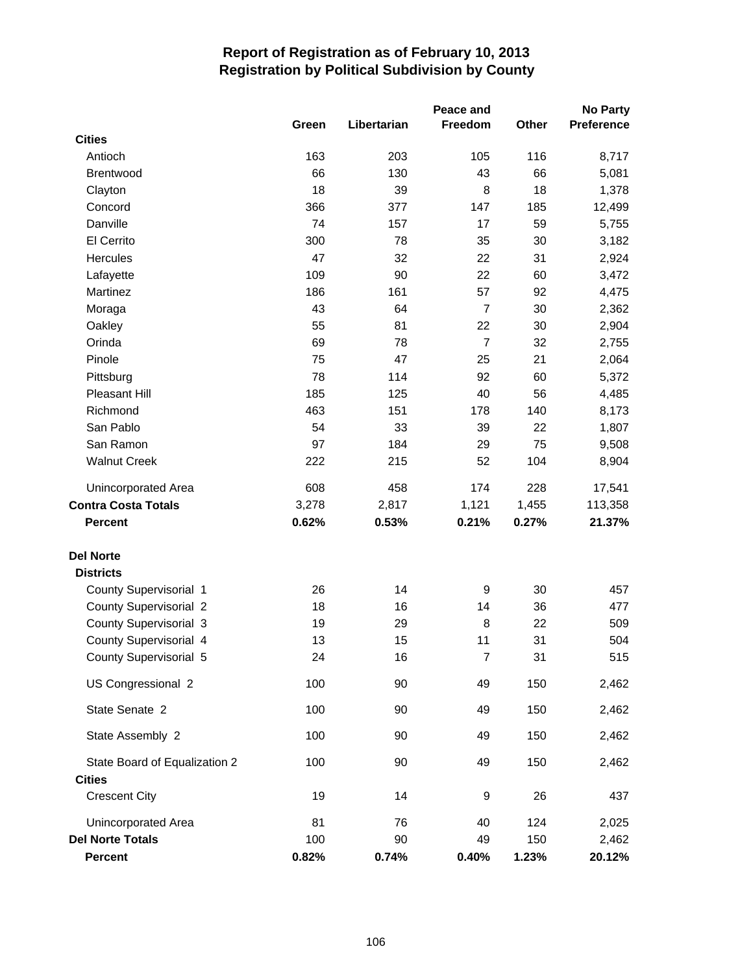|                               |       |             | Peace and      |       | <b>No Party</b> |
|-------------------------------|-------|-------------|----------------|-------|-----------------|
|                               | Green | Libertarian | Freedom        | Other | Preference      |
| <b>Cities</b>                 |       |             |                |       |                 |
| Antioch                       | 163   | 203         | 105            | 116   | 8,717           |
| <b>Brentwood</b>              | 66    | 130         | 43             | 66    | 5,081           |
| Clayton                       | 18    | 39          | 8              | 18    | 1,378           |
| Concord                       | 366   | 377         | 147            | 185   | 12,499          |
| Danville                      | 74    | 157         | 17             | 59    | 5,755           |
| El Cerrito                    | 300   | 78          | 35             | 30    | 3,182           |
| Hercules                      | 47    | 32          | 22             | 31    | 2,924           |
| Lafayette                     | 109   | 90          | 22             | 60    | 3,472           |
| Martinez                      | 186   | 161         | 57             | 92    | 4,475           |
| Moraga                        | 43    | 64          | $\overline{7}$ | 30    | 2,362           |
| Oakley                        | 55    | 81          | 22             | 30    | 2,904           |
| Orinda                        | 69    | 78          | $\overline{7}$ | 32    | 2,755           |
| Pinole                        | 75    | 47          | 25             | 21    | 2,064           |
| Pittsburg                     | 78    | 114         | 92             | 60    | 5,372           |
| Pleasant Hill                 | 185   | 125         | 40             | 56    | 4,485           |
| Richmond                      | 463   | 151         | 178            | 140   | 8,173           |
| San Pablo                     | 54    | 33          | 39             | 22    | 1,807           |
| San Ramon                     | 97    | 184         | 29             | 75    | 9,508           |
| <b>Walnut Creek</b>           | 222   | 215         | 52             | 104   | 8,904           |
| Unincorporated Area           | 608   | 458         | 174            | 228   | 17,541          |
| <b>Contra Costa Totals</b>    | 3,278 | 2,817       | 1,121          | 1,455 | 113,358         |
| <b>Percent</b>                | 0.62% | 0.53%       | 0.21%          | 0.27% | 21.37%          |
| <b>Del Norte</b>              |       |             |                |       |                 |
| <b>Districts</b>              |       |             |                |       |                 |
| County Supervisorial 1        | 26    | 14          | 9              | 30    | 457             |
| County Supervisorial 2        | 18    | 16          | 14             | 36    | 477             |
| <b>County Supervisorial 3</b> | 19    | 29          | 8              | 22    | 509             |
| County Supervisorial 4        | 13    | 15          | 11             | 31    | 504             |
| County Supervisorial 5        | 24    | 16          | $\overline{7}$ | 31    | 515             |
| US Congressional 2            | 100   | 90          | 49             | 150   | 2,462           |
| State Senate 2                | 100   | 90          | 49             | 150   | 2,462           |
| State Assembly 2              | 100   | 90          | 49             | 150   | 2,462           |
| State Board of Equalization 2 | 100   | 90          | 49             | 150   | 2,462           |
| <b>Cities</b>                 |       |             |                |       |                 |
| <b>Crescent City</b>          | 19    | 14          | 9              | 26    | 437             |
| Unincorporated Area           | 81    | 76          | 40             | 124   | 2,025           |
| <b>Del Norte Totals</b>       | 100   | 90          | 49             | 150   | 2,462           |
| <b>Percent</b>                | 0.82% | 0.74%       | 0.40%          | 1.23% | 20.12%          |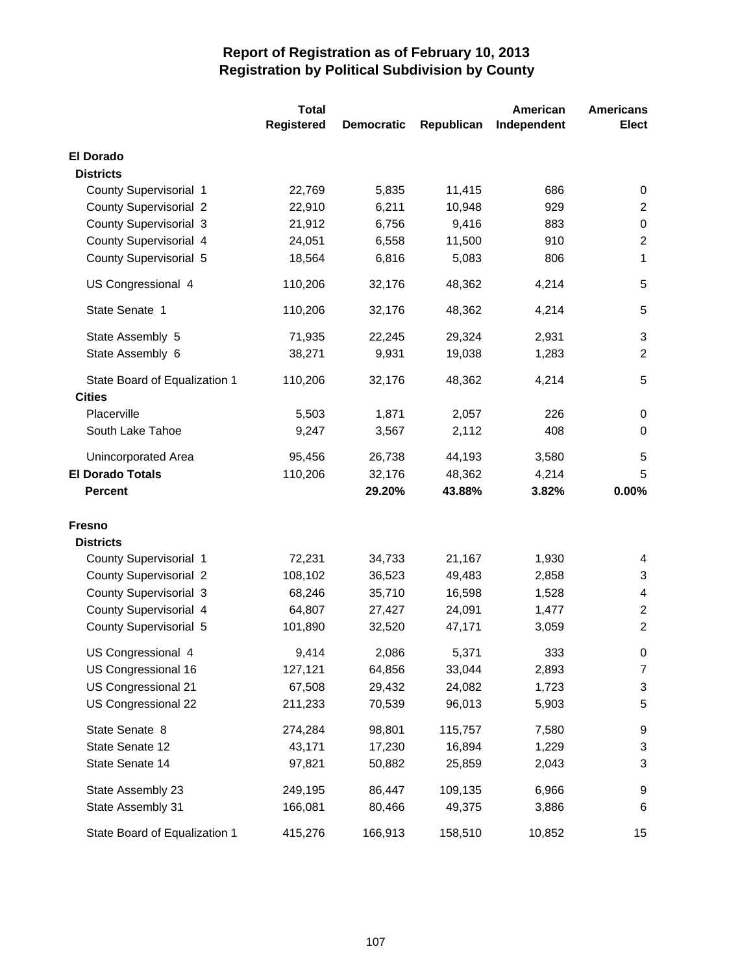|                                                | <b>Total</b> |                   |            | American    | <b>Americans</b> |
|------------------------------------------------|--------------|-------------------|------------|-------------|------------------|
|                                                | Registered   | <b>Democratic</b> | Republican | Independent | <b>Elect</b>     |
| <b>El Dorado</b>                               |              |                   |            |             |                  |
| <b>Districts</b>                               |              |                   |            |             |                  |
| County Supervisorial 1                         | 22,769       | 5,835             | 11,415     | 686         | 0                |
| <b>County Supervisorial 2</b>                  | 22,910       | 6,211             | 10,948     | 929         | $\overline{c}$   |
| <b>County Supervisorial 3</b>                  | 21,912       | 6,756             | 9,416      | 883         | 0                |
| County Supervisorial 4                         | 24,051       | 6,558             | 11,500     | 910         | $\overline{2}$   |
| County Supervisorial 5                         | 18,564       | 6,816             | 5,083      | 806         | 1                |
| US Congressional 4                             | 110,206      | 32,176            | 48,362     | 4,214       | 5                |
| State Senate 1                                 | 110,206      | 32,176            | 48,362     | 4,214       | 5                |
| State Assembly 5                               | 71,935       | 22,245            | 29,324     | 2,931       | 3                |
| State Assembly 6                               | 38,271       | 9,931             | 19,038     | 1,283       | $\overline{2}$   |
| State Board of Equalization 1<br><b>Cities</b> | 110,206      | 32,176            | 48,362     | 4,214       | 5                |
| Placerville                                    | 5,503        | 1,871             | 2,057      | 226         | 0                |
| South Lake Tahoe                               | 9,247        | 3,567             | 2,112      | 408         | 0                |
|                                                |              |                   |            |             |                  |
| Unincorporated Area                            | 95,456       | 26,738            | 44,193     | 3,580       | 5                |
| <b>El Dorado Totals</b>                        | 110,206      | 32,176            | 48,362     | 4,214       | 5                |
| <b>Percent</b>                                 |              | 29.20%            | 43.88%     | 3.82%       | 0.00%            |
| <b>Fresno</b>                                  |              |                   |            |             |                  |
| <b>Districts</b>                               |              |                   |            |             |                  |
| County Supervisorial 1                         | 72,231       | 34,733            | 21,167     | 1,930       | 4                |
| <b>County Supervisorial 2</b>                  | 108,102      | 36,523            | 49,483     | 2,858       | 3                |
| <b>County Supervisorial 3</b>                  | 68,246       | 35,710            | 16,598     | 1,528       | 4                |
| County Supervisorial 4                         | 64,807       | 27,427            | 24,091     | 1,477       | $\overline{2}$   |
| County Supervisorial 5                         | 101,890      | 32,520            | 47,171     | 3,059       | $\overline{2}$   |
| US Congressional 4                             | 9,414        | 2,086             | 5,371      | 333         | 0                |
| US Congressional 16                            | 127,121      | 64,856            | 33,044     | 2,893       | 7                |
| US Congressional 21                            | 67,508       | 29,432            | 24,082     | 1,723       | 3                |
| US Congressional 22                            | 211,233      | 70,539            | 96,013     | 5,903       | 5                |
| State Senate 8                                 | 274,284      | 98,801            | 115,757    | 7,580       | 9                |
| State Senate 12                                | 43,171       | 17,230            | 16,894     | 1,229       | 3                |
| State Senate 14                                | 97,821       | 50,882            | 25,859     | 2,043       | 3                |
| State Assembly 23                              | 249,195      | 86,447            | 109,135    | 6,966       | 9                |
| State Assembly 31                              | 166,081      | 80,466            | 49,375     | 3,886       | 6                |
| State Board of Equalization 1                  | 415,276      | 166,913           | 158,510    | 10,852      | 15               |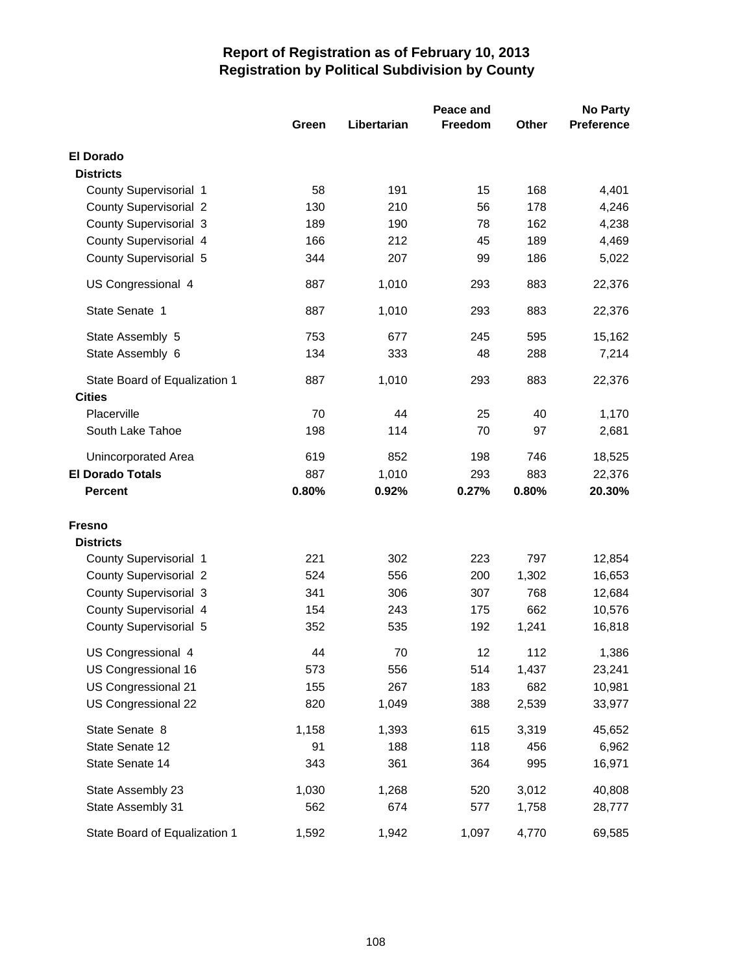|                                                | Peace and |             |         |       | <b>No Party</b>   |  |  |
|------------------------------------------------|-----------|-------------|---------|-------|-------------------|--|--|
|                                                | Green     | Libertarian | Freedom | Other | <b>Preference</b> |  |  |
| <b>El Dorado</b>                               |           |             |         |       |                   |  |  |
| <b>Districts</b>                               |           |             |         |       |                   |  |  |
| County Supervisorial 1                         | 58        | 191         | 15      | 168   | 4,401             |  |  |
| <b>County Supervisorial 2</b>                  | 130       | 210         | 56      | 178   | 4,246             |  |  |
| County Supervisorial 3                         | 189       | 190         | 78      | 162   | 4,238             |  |  |
| County Supervisorial 4                         | 166       | 212         | 45      | 189   | 4,469             |  |  |
| County Supervisorial 5                         | 344       | 207         | 99      | 186   | 5,022             |  |  |
| US Congressional 4                             | 887       | 1,010       | 293     | 883   | 22,376            |  |  |
| State Senate 1                                 | 887       | 1,010       | 293     | 883   | 22,376            |  |  |
| State Assembly 5                               | 753       | 677         | 245     | 595   | 15,162            |  |  |
| State Assembly 6                               | 134       | 333         | 48      | 288   | 7,214             |  |  |
| State Board of Equalization 1<br><b>Cities</b> | 887       | 1,010       | 293     | 883   | 22,376            |  |  |
| Placerville                                    | 70        | 44          | 25      | 40    | 1,170             |  |  |
| South Lake Tahoe                               | 198       | 114         | 70      | 97    | 2,681             |  |  |
| Unincorporated Area                            | 619       | 852         | 198     | 746   | 18,525            |  |  |
| <b>El Dorado Totals</b>                        | 887       | 1,010       | 293     | 883   | 22,376            |  |  |
| <b>Percent</b>                                 | 0.80%     | 0.92%       | 0.27%   | 0.80% | 20.30%            |  |  |
| <b>Fresno</b>                                  |           |             |         |       |                   |  |  |
| <b>Districts</b>                               |           |             |         |       |                   |  |  |
| County Supervisorial 1                         | 221       | 302         | 223     | 797   | 12,854            |  |  |
| <b>County Supervisorial 2</b>                  | 524       | 556         | 200     | 1,302 | 16,653            |  |  |
| County Supervisorial 3                         | 341       | 306         | 307     | 768   | 12,684            |  |  |
| County Supervisorial 4                         | 154       | 243         | 175     | 662   | 10,576            |  |  |
| County Supervisorial 5                         | 352       | 535         | 192     | 1,241 | 16,818            |  |  |
| US Congressional 4                             | 44        | 70          | 12      | 112   | 1,386             |  |  |
| US Congressional 16                            | 573       | 556         | 514     | 1,437 | 23,241            |  |  |
| US Congressional 21                            | 155       | 267         | 183     | 682   | 10,981            |  |  |
| US Congressional 22                            | 820       | 1,049       | 388     | 2,539 | 33,977            |  |  |
| State Senate 8                                 | 1,158     | 1,393       | 615     | 3,319 | 45,652            |  |  |
| State Senate 12                                | 91        | 188         | 118     | 456   | 6,962             |  |  |
| State Senate 14                                | 343       | 361         | 364     | 995   | 16,971            |  |  |
| State Assembly 23                              | 1,030     | 1,268       | 520     | 3,012 | 40,808            |  |  |
| State Assembly 31                              | 562       | 674         | 577     | 1,758 | 28,777            |  |  |
| State Board of Equalization 1                  | 1,592     | 1,942       | 1,097   | 4,770 | 69,585            |  |  |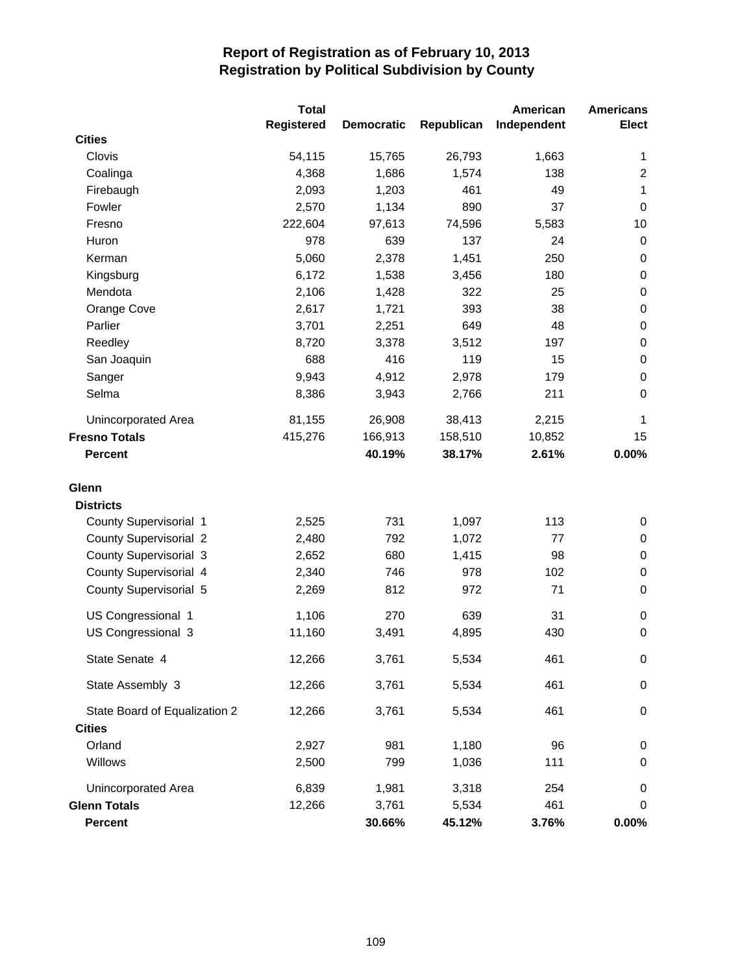|                               | <b>Total</b> |                   |            | American    | <b>Americans</b> |
|-------------------------------|--------------|-------------------|------------|-------------|------------------|
|                               | Registered   | <b>Democratic</b> | Republican | Independent | <b>Elect</b>     |
| <b>Cities</b>                 |              |                   |            |             |                  |
| Clovis                        | 54,115       | 15,765            | 26,793     | 1,663       | $\mathbf 1$      |
| Coalinga                      | 4,368        | 1,686             | 1,574      | 138         | $\overline{2}$   |
| Firebaugh                     | 2,093        | 1,203             | 461        | 49          | 1                |
| Fowler                        | 2,570        | 1,134             | 890        | 37          | $\pmb{0}$        |
| Fresno                        | 222,604      | 97,613            | 74,596     | 5,583       | 10               |
| Huron                         | 978          | 639               | 137        | 24          | 0                |
| Kerman                        | 5,060        | 2,378             | 1,451      | 250         | 0                |
| Kingsburg                     | 6,172        | 1,538             | 3,456      | 180         | $\pmb{0}$        |
| Mendota                       | 2,106        | 1,428             | 322        | 25          | $\pmb{0}$        |
| Orange Cove                   | 2,617        | 1,721             | 393        | 38          | $\pmb{0}$        |
| Parlier                       | 3,701        | 2,251             | 649        | 48          | $\pmb{0}$        |
| Reedley                       | 8,720        | 3,378             | 3,512      | 197         | $\pmb{0}$        |
| San Joaquin                   | 688          | 416               | 119        | 15          | $\pmb{0}$        |
| Sanger                        | 9,943        | 4,912             | 2,978      | 179         | $\pmb{0}$        |
| Selma                         | 8,386        | 3,943             | 2,766      | 211         | $\boldsymbol{0}$ |
| Unincorporated Area           | 81,155       | 26,908            | 38,413     | 2,215       | 1                |
| <b>Fresno Totals</b>          | 415,276      | 166,913           | 158,510    | 10,852      | 15               |
| <b>Percent</b>                |              | 40.19%            | 38.17%     | 2.61%       | 0.00%            |
| Glenn                         |              |                   |            |             |                  |
| <b>Districts</b>              |              |                   |            |             |                  |
| County Supervisorial 1        | 2,525        | 731               | 1,097      | 113         | 0                |
| <b>County Supervisorial 2</b> | 2,480        | 792               | 1,072      | 77          | $\pmb{0}$        |
| <b>County Supervisorial 3</b> | 2,652        | 680               | 1,415      | 98          | $\pmb{0}$        |
| County Supervisorial 4        | 2,340        | 746               | 978        | 102         | $\pmb{0}$        |
| County Supervisorial 5        | 2,269        | 812               | 972        | 71          | $\pmb{0}$        |
| US Congressional 1            | 1,106        | 270               | 639        | 31          | 0                |
| US Congressional 3            | 11,160       | 3,491             | 4,895      | 430         | $\boldsymbol{0}$ |
| State Senate 4                | 12,266       | 3,761             | 5,534      | 461         | 0                |
| State Assembly 3              | 12,266       | 3,761             | 5,534      | 461         | $\pmb{0}$        |
| State Board of Equalization 2 | 12,266       | 3,761             | 5,534      | 461         | 0                |
| <b>Cities</b>                 |              |                   |            |             |                  |
| Orland                        | 2,927        | 981               | 1,180      | 96          | $\pmb{0}$        |
| Willows                       | 2,500        | 799               | 1,036      | 111         | 0                |
| Unincorporated Area           | 6,839        | 1,981             | 3,318      | 254         | 0                |
| <b>Glenn Totals</b>           | 12,266       | 3,761             | 5,534      | 461         | 0                |
| <b>Percent</b>                |              | 30.66%            | 45.12%     | 3.76%       | $0.00\%$         |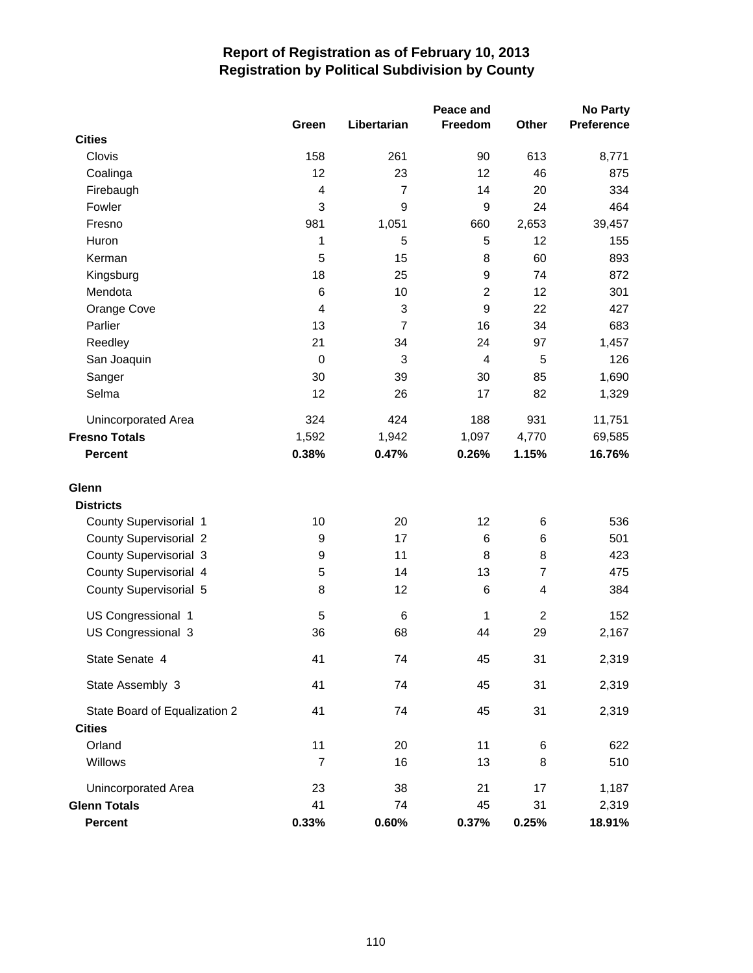|                               | Peace and        |                |             |                         |            |
|-------------------------------|------------------|----------------|-------------|-------------------------|------------|
|                               | Green            | Libertarian    | Freedom     | Other                   | Preference |
| <b>Cities</b>                 |                  |                |             |                         |            |
| Clovis                        | 158              | 261            | 90          | 613                     | 8,771      |
| Coalinga                      | 12               | 23             | 12          | 46                      | 875        |
| Firebaugh                     | 4                | $\overline{7}$ | 14          | 20                      | 334        |
| Fowler                        | 3                | 9              | 9           | 24                      | 464        |
| Fresno                        | 981              | 1,051          | 660         | 2,653                   | 39,457     |
| Huron                         | 1                | 5              | 5           | 12                      | 155        |
| Kerman                        | 5                | 15             | 8           | 60                      | 893        |
| Kingsburg                     | 18               | 25             | 9           | 74                      | 872        |
| Mendota                       | 6                | 10             | $\mathbf 2$ | 12                      | 301        |
| Orange Cove                   | 4                | 3              | 9           | 22                      | 427        |
| Parlier                       | 13               | $\overline{7}$ | 16          | 34                      | 683        |
| Reedley                       | 21               | 34             | 24          | 97                      | 1,457      |
| San Joaquin                   | $\pmb{0}$        | 3              | 4           | 5                       | 126        |
| Sanger                        | 30               | 39             | 30          | 85                      | 1,690      |
| Selma                         | 12               | 26             | 17          | 82                      | 1,329      |
| Unincorporated Area           | 324              | 424            | 188         | 931                     | 11,751     |
| <b>Fresno Totals</b>          | 1,592            | 1,942          | 1,097       | 4,770                   | 69,585     |
| <b>Percent</b>                | 0.38%            | 0.47%          | 0.26%       | 1.15%                   | 16.76%     |
| Glenn                         |                  |                |             |                         |            |
| <b>Districts</b>              |                  |                |             |                         |            |
| County Supervisorial 1        | 10               | 20             | 12          | 6                       | 536        |
| <b>County Supervisorial 2</b> | 9                | 17             | 6           | 6                       | 501        |
| <b>County Supervisorial 3</b> | $\boldsymbol{9}$ | 11             | 8           | 8                       | 423        |
| County Supervisorial 4        | 5                | 14             | 13          | 7                       | 475        |
| County Supervisorial 5        | 8                | 12             | 6           | $\overline{\mathbf{4}}$ | 384        |
| US Congressional 1            | $\sqrt{5}$       | 6              | 1           | $\overline{c}$          | 152        |
| US Congressional 3            | 36               | 68             | 44          | 29                      | 2,167      |
| State Senate 4                | 41               | 74             | 45          | 31                      | 2,319      |
| State Assembly 3              | 41               | 74             | 45          | 31                      | 2,319      |
| State Board of Equalization 2 | 41               | 74             | 45          | 31                      | 2,319      |
| <b>Cities</b>                 |                  |                |             |                         |            |
| Orland                        | 11               | 20             | 11          | 6                       | 622        |
| Willows                       | $\overline{7}$   | 16             | 13          | 8                       | 510        |
| <b>Unincorporated Area</b>    | 23               | 38             | 21          | 17                      | 1,187      |
| <b>Glenn Totals</b>           | 41               | 74             | 45          | 31                      | 2,319      |
| Percent                       | 0.33%            | 0.60%          | 0.37%       | 0.25%                   | 18.91%     |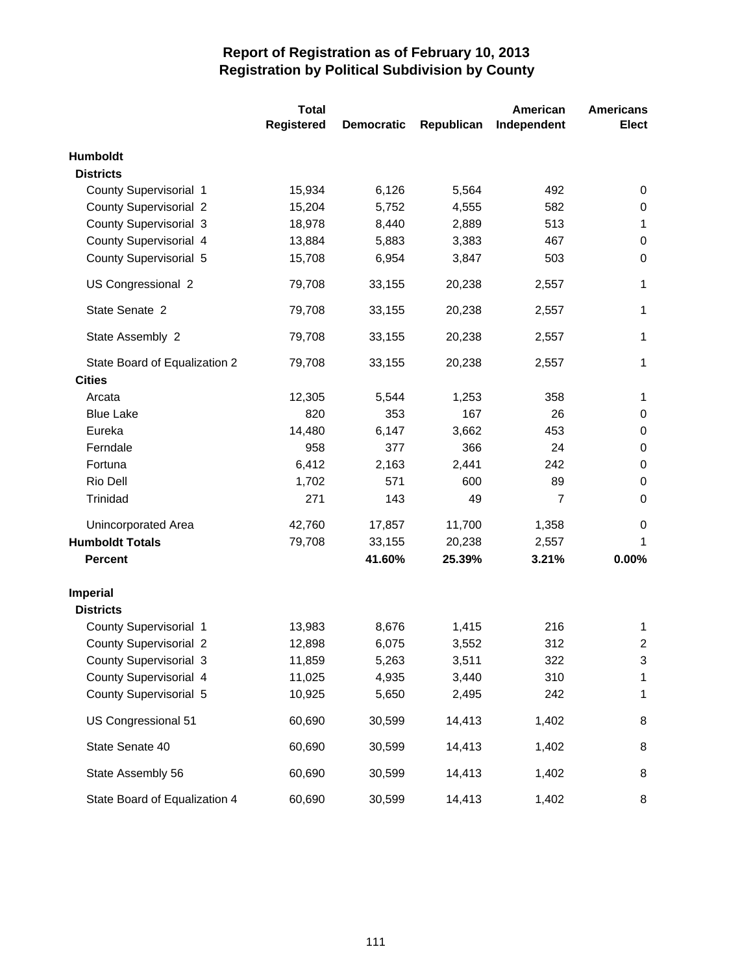|                               | <b>Total</b>      |                   |            | American       | <b>Americans</b> |
|-------------------------------|-------------------|-------------------|------------|----------------|------------------|
|                               | <b>Registered</b> | <b>Democratic</b> | Republican | Independent    | <b>Elect</b>     |
| <b>Humboldt</b>               |                   |                   |            |                |                  |
| <b>Districts</b>              |                   |                   |            |                |                  |
| County Supervisorial 1        | 15,934            | 6,126             | 5,564      | 492            | 0                |
| <b>County Supervisorial 2</b> | 15,204            | 5,752             | 4,555      | 582            | 0                |
| <b>County Supervisorial 3</b> | 18,978            | 8,440             | 2,889      | 513            | $\mathbf{1}$     |
| County Supervisorial 4        | 13,884            | 5,883             | 3,383      | 467            | 0                |
| County Supervisorial 5        | 15,708            | 6,954             | 3,847      | 503            | 0                |
| US Congressional 2            | 79,708            | 33,155            | 20,238     | 2,557          | $\mathbf{1}$     |
| State Senate 2                | 79,708            | 33,155            | 20,238     | 2,557          | $\mathbf{1}$     |
| State Assembly 2              | 79,708            | 33,155            | 20,238     | 2,557          | $\mathbf{1}$     |
| State Board of Equalization 2 | 79,708            | 33,155            | 20,238     | 2,557          | 1                |
| <b>Cities</b>                 |                   |                   |            |                |                  |
| Arcata                        | 12,305            | 5,544             | 1,253      | 358            | $\mathbf{1}$     |
| <b>Blue Lake</b>              | 820               | 353               | 167        | 26             | 0                |
| Eureka                        | 14,480            | 6,147             | 3,662      | 453            | 0                |
| Ferndale                      | 958               | 377               | 366        | 24             | 0                |
| Fortuna                       | 6,412             | 2,163             | 2,441      | 242            | 0                |
| Rio Dell                      | 1,702             | 571               | 600        | 89             | 0                |
| Trinidad                      | 271               | 143               | 49         | $\overline{7}$ | 0                |
| <b>Unincorporated Area</b>    | 42,760            | 17,857            | 11,700     | 1,358          | 0                |
| <b>Humboldt Totals</b>        | 79,708            | 33,155            | 20,238     | 2,557          | 1                |
| <b>Percent</b>                |                   | 41.60%            | 25.39%     | 3.21%          | 0.00%            |
| <b>Imperial</b>               |                   |                   |            |                |                  |
| <b>Districts</b>              |                   |                   |            |                |                  |
| County Supervisorial 1        | 13,983            | 8,676             | 1,415      | 216            | $\mathbf 1$      |
| <b>County Supervisorial 2</b> | 12,898            | 6,075             | 3,552      | 312            | $\overline{2}$   |
| County Supervisorial 3        | 11,859            | 5,263             | 3,511      | 322            | 3                |
| County Supervisorial 4        | 11,025            | 4,935             | 3,440      | 310            | 1                |
| County Supervisorial 5        | 10,925            | 5,650             | 2,495      | 242            | 1                |
| US Congressional 51           | 60,690            | 30,599            | 14,413     | 1,402          | 8                |
| State Senate 40               | 60,690            | 30,599            | 14,413     | 1,402          | 8                |
| State Assembly 56             | 60,690            | 30,599            | 14,413     | 1,402          | 8                |
| State Board of Equalization 4 | 60,690            | 30,599            | 14,413     | 1,402          | 8                |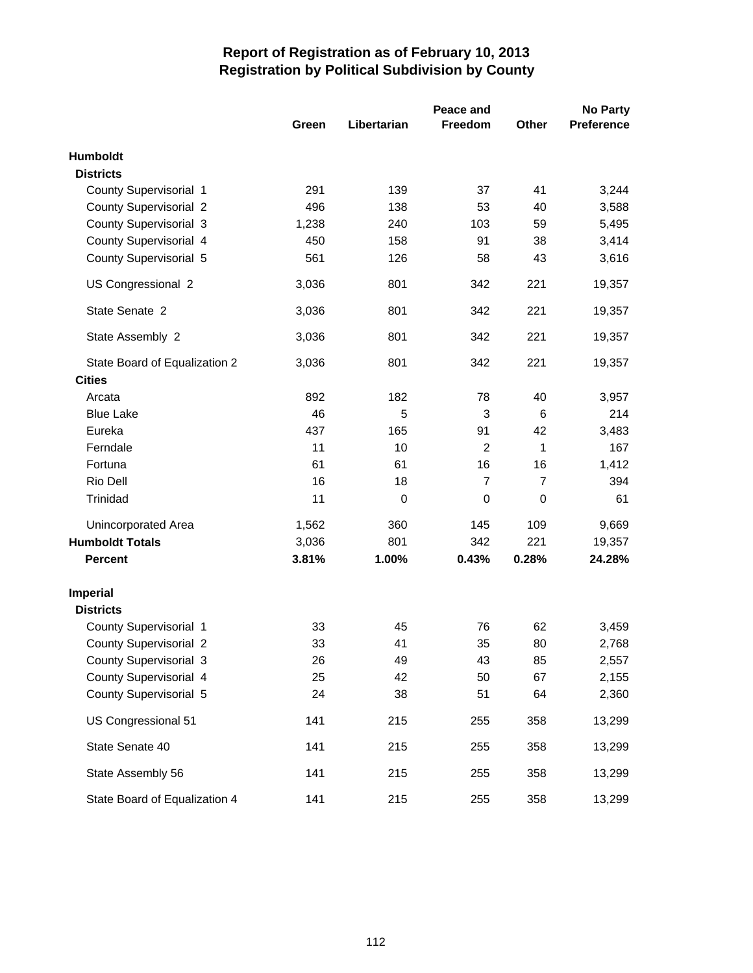|                               | Peace and |             |                |                | <b>No Party</b>   |  |
|-------------------------------|-----------|-------------|----------------|----------------|-------------------|--|
|                               | Green     | Libertarian | Freedom        | Other          | <b>Preference</b> |  |
| Humboldt                      |           |             |                |                |                   |  |
| <b>Districts</b>              |           |             |                |                |                   |  |
| County Supervisorial 1        | 291       | 139         | 37             | 41             | 3,244             |  |
| <b>County Supervisorial 2</b> | 496       | 138         | 53             | 40             | 3,588             |  |
| <b>County Supervisorial 3</b> | 1,238     | 240         | 103            | 59             | 5,495             |  |
| County Supervisorial 4        | 450       | 158         | 91             | 38             | 3,414             |  |
| County Supervisorial 5        | 561       | 126         | 58             | 43             | 3,616             |  |
| US Congressional 2            | 3,036     | 801         | 342            | 221            | 19,357            |  |
| State Senate 2                | 3,036     | 801         | 342            | 221            | 19,357            |  |
| State Assembly 2              | 3,036     | 801         | 342            | 221            | 19,357            |  |
| State Board of Equalization 2 | 3,036     | 801         | 342            | 221            | 19,357            |  |
| <b>Cities</b>                 |           |             |                |                |                   |  |
| Arcata                        | 892       | 182         | 78             | 40             | 3,957             |  |
| <b>Blue Lake</b>              | 46        | 5           | 3              | 6              | 214               |  |
| Eureka                        | 437       | 165         | 91             | 42             | 3,483             |  |
| Ferndale                      | 11        | 10          | $\overline{2}$ | 1              | 167               |  |
| Fortuna                       | 61        | 61          | 16             | 16             | 1,412             |  |
| Rio Dell                      | 16        | 18          | $\overline{7}$ | $\overline{7}$ | 394               |  |
| Trinidad                      | 11        | 0           | 0              | $\mathbf 0$    | 61                |  |
| <b>Unincorporated Area</b>    | 1,562     | 360         | 145            | 109            | 9,669             |  |
| <b>Humboldt Totals</b>        | 3,036     | 801         | 342            | 221            | 19,357            |  |
| <b>Percent</b>                | 3.81%     | 1.00%       | 0.43%          | 0.28%          | 24.28%            |  |
| <b>Imperial</b>               |           |             |                |                |                   |  |
| <b>Districts</b>              |           |             |                |                |                   |  |
| County Supervisorial 1        | 33        | 45          | 76             | 62             | 3,459             |  |
| <b>County Supervisorial 2</b> | 33        | 41          | 35             | 80             | 2,768             |  |
| <b>County Supervisorial 3</b> | 26        | 49          | 43             | 85             | 2,557             |  |
| County Supervisorial 4        | 25        | 42          | 50             | 67             | 2,155             |  |
| County Supervisorial 5        | 24        | 38          | 51             | 64             | 2,360             |  |
| US Congressional 51           | 141       | 215         | 255            | 358            | 13,299            |  |
| State Senate 40               | 141       | 215         | 255            | 358            | 13,299            |  |
| State Assembly 56             | 141       | 215         | 255            | 358            | 13,299            |  |
| State Board of Equalization 4 | 141       | 215         | 255            | 358            | 13,299            |  |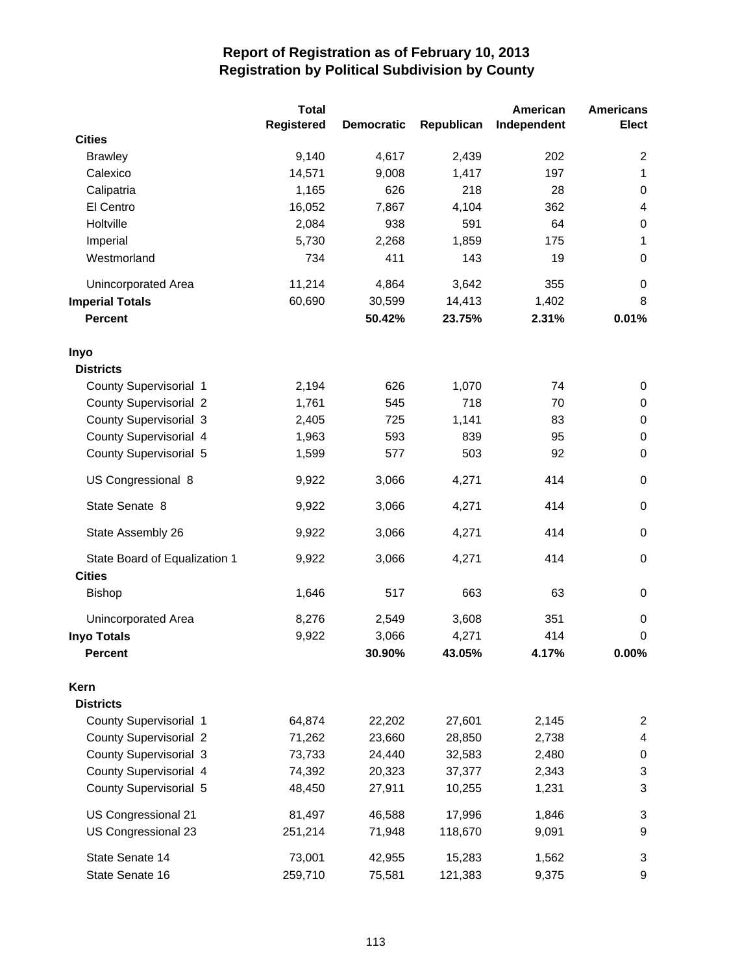|                               | <b>Total</b>      |                   |            | American    | <b>Americans</b>        |
|-------------------------------|-------------------|-------------------|------------|-------------|-------------------------|
|                               | <b>Registered</b> | <b>Democratic</b> | Republican | Independent | <b>Elect</b>            |
| <b>Cities</b>                 |                   |                   |            |             |                         |
| <b>Brawley</b>                | 9,140             | 4,617             | 2,439      | 202         | $\overline{c}$          |
| Calexico                      | 14,571            | 9,008             | 1,417      | 197         | 1                       |
| Calipatria                    | 1,165             | 626               | 218        | 28          | $\pmb{0}$               |
| El Centro                     | 16,052            | 7,867             | 4,104      | 362         | $\overline{\mathbf{4}}$ |
| Holtville                     | 2,084             | 938               | 591        | 64          | $\boldsymbol{0}$        |
| Imperial                      | 5,730             | 2,268             | 1,859      | 175         | 1                       |
| Westmorland                   | 734               | 411               | 143        | 19          | 0                       |
| Unincorporated Area           | 11,214            | 4,864             | 3,642      | 355         | 0                       |
| <b>Imperial Totals</b>        | 60,690            | 30,599            | 14,413     | 1,402       | 8                       |
| <b>Percent</b>                |                   | 50.42%            | 23.75%     | 2.31%       | 0.01%                   |
| Inyo                          |                   |                   |            |             |                         |
| <b>Districts</b>              |                   |                   |            |             |                         |
| County Supervisorial 1        | 2,194             | 626               | 1,070      | 74          | 0                       |
| <b>County Supervisorial 2</b> | 1,761             | 545               | 718        | 70          | $\pmb{0}$               |
| County Supervisorial 3        | 2,405             | 725               | 1,141      | 83          | $\pmb{0}$               |
| County Supervisorial 4        | 1,963             | 593               | 839        | 95          | $\pmb{0}$               |
| County Supervisorial 5        | 1,599             | 577               | 503        | 92          | $\pmb{0}$               |
| US Congressional 8            | 9,922             | 3,066             | 4,271      | 414         | $\mathbf 0$             |
| State Senate 8                | 9,922             | 3,066             | 4,271      | 414         | $\mathbf 0$             |
| State Assembly 26             | 9,922             | 3,066             | 4,271      | 414         | $\mathbf 0$             |
| State Board of Equalization 1 | 9,922             | 3,066             | 4,271      | 414         | $\pmb{0}$               |
| <b>Cities</b>                 |                   |                   |            |             |                         |
| <b>Bishop</b>                 | 1,646             | 517               | 663        | 63          | 0                       |
| Unincorporated Area           | 8,276             | 2,549             | 3,608      | 351         | 0                       |
| <b>Inyo Totals</b>            | 9,922             | 3,066             | 4,271      | 414         | 0                       |
| <b>Percent</b>                |                   | 30.90%            | 43.05%     | 4.17%       | 0.00%                   |
| Kern                          |                   |                   |            |             |                         |
| <b>Districts</b>              |                   |                   |            |             |                         |
| County Supervisorial 1        | 64,874            | 22,202            | 27,601     | 2,145       | 2                       |
| <b>County Supervisorial 2</b> | 71,262            | 23,660            | 28,850     | 2,738       | 4                       |
| County Supervisorial 3        | 73,733            | 24,440            | 32,583     | 2,480       | 0                       |
| County Supervisorial 4        | 74,392            | 20,323            | 37,377     | 2,343       | 3                       |
| County Supervisorial 5        | 48,450            | 27,911            | 10,255     | 1,231       | 3                       |
| US Congressional 21           | 81,497            | 46,588            | 17,996     | 1,846       | 3                       |
| US Congressional 23           | 251,214           | 71,948            | 118,670    | 9,091       | $\boldsymbol{9}$        |
| State Senate 14               | 73,001            | 42,955            | 15,283     | 1,562       | 3                       |
| State Senate 16               | 259,710           | 75,581            | 121,383    | 9,375       | 9                       |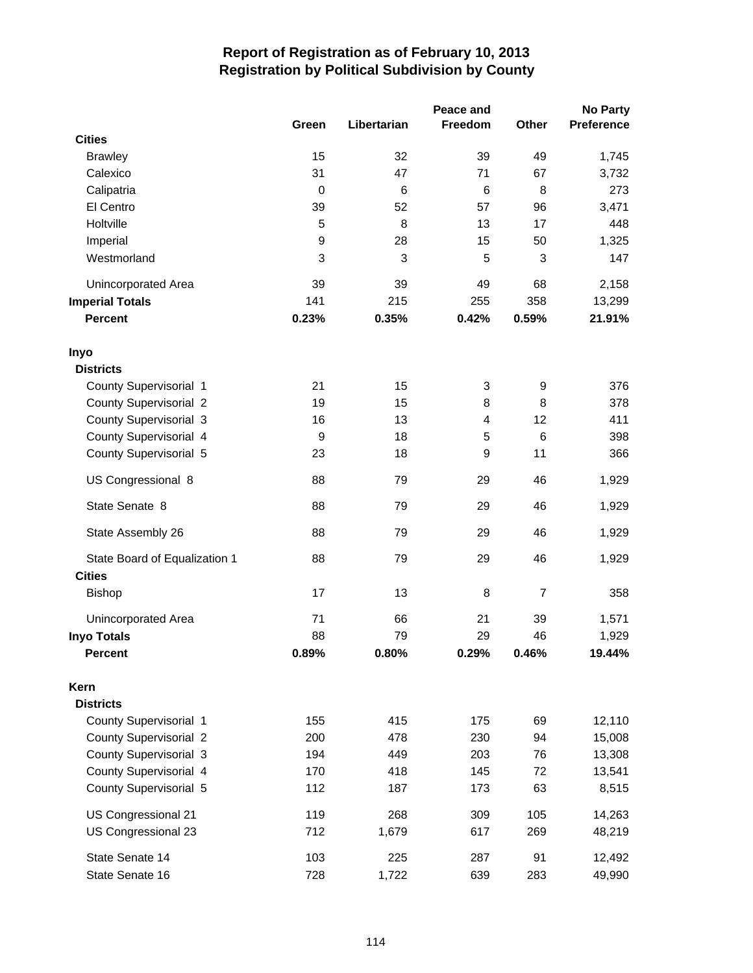|                               |                  |             | Peace and |                | <b>No Party</b>   |
|-------------------------------|------------------|-------------|-----------|----------------|-------------------|
|                               | Green            | Libertarian | Freedom   | Other          | <b>Preference</b> |
| <b>Cities</b>                 |                  |             |           |                |                   |
| <b>Brawley</b>                | 15               | 32          | 39        | 49             | 1,745             |
| Calexico                      | 31               | 47          | 71        | 67             | 3,732             |
| Calipatria                    | $\mathbf 0$      | 6           | 6         | 8              | 273               |
| El Centro                     | 39               | 52          | 57        | 96             | 3,471             |
| Holtville                     | 5                | 8           | 13        | 17             | 448               |
| Imperial                      | 9                | 28          | 15        | 50             | 1,325             |
| Westmorland                   | 3                | 3           | 5         | 3              | 147               |
| Unincorporated Area           | 39               | 39          | 49        | 68             | 2,158             |
| <b>Imperial Totals</b>        | 141              | 215         | 255       | 358            | 13,299            |
| <b>Percent</b>                | 0.23%            | 0.35%       | 0.42%     | 0.59%          | 21.91%            |
| Inyo                          |                  |             |           |                |                   |
| <b>Districts</b>              |                  |             |           |                |                   |
| County Supervisorial 1        | 21               | 15          | 3         | 9              | 376               |
| <b>County Supervisorial 2</b> | 19               | 15          | 8         | 8              | 378               |
| <b>County Supervisorial 3</b> | 16               | 13          | 4         | 12             | 411               |
| County Supervisorial 4        | $\boldsymbol{9}$ | 18          | 5         | 6              | 398               |
| County Supervisorial 5        | 23               | 18          | 9         | 11             | 366               |
| US Congressional 8            | 88               | 79          | 29        | 46             | 1,929             |
| State Senate 8                | 88               | 79          | 29        | 46             | 1,929             |
| State Assembly 26             | 88               | 79          | 29        | 46             | 1,929             |
| State Board of Equalization 1 | 88               | 79          | 29        | 46             | 1,929             |
| <b>Cities</b>                 |                  |             |           |                |                   |
| <b>Bishop</b>                 | 17               | 13          | 8         | $\overline{7}$ | 358               |
| Unincorporated Area           | 71               | 66          | 21        | 39             | 1,571             |
| <b>Inyo Totals</b>            | 88               | 79          | 29        | 46             | 1,929             |
| <b>Percent</b>                | 0.89%            | 0.80%       | 0.29%     | 0.46%          | 19.44%            |
| Kern                          |                  |             |           |                |                   |
| <b>Districts</b>              |                  |             |           |                |                   |
| County Supervisorial 1        | 155              | 415         | 175       | 69             | 12,110            |
| <b>County Supervisorial 2</b> | 200              | 478         | 230       | 94             | 15,008            |
| County Supervisorial 3        | 194              | 449         | 203       | 76             | 13,308            |
| County Supervisorial 4        | 170              | 418         | 145       | 72             | 13,541            |
| County Supervisorial 5        | 112              | 187         | 173       | 63             | 8,515             |
| US Congressional 21           | 119              | 268         | 309       | 105            | 14,263            |
| US Congressional 23           | 712              | 1,679       | 617       | 269            | 48,219            |
| State Senate 14               | 103              | 225         | 287       | 91             | 12,492            |
| State Senate 16               | 728              | 1,722       | 639       | 283            | 49,990            |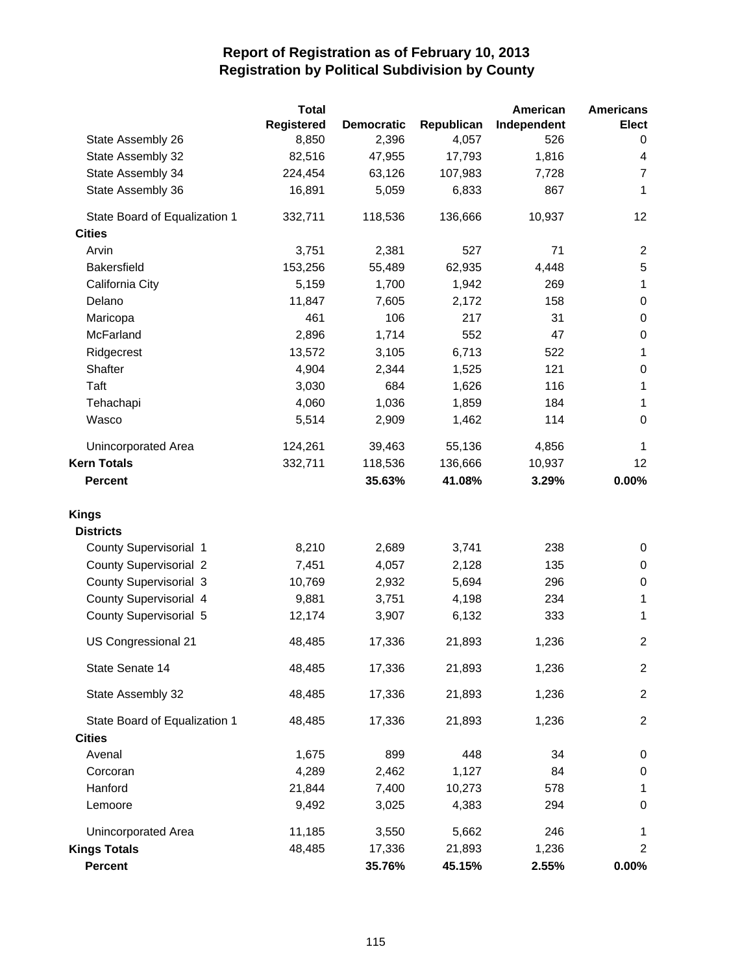|                               | <b>Total</b> |                   |            | American    | <b>Americans</b>         |
|-------------------------------|--------------|-------------------|------------|-------------|--------------------------|
|                               | Registered   | <b>Democratic</b> | Republican | Independent | <b>Elect</b>             |
| State Assembly 26             | 8,850        | 2,396             | 4,057      | 526         | 0                        |
| State Assembly 32             | 82,516       | 47,955            | 17,793     | 1,816       | $\overline{\mathcal{A}}$ |
| State Assembly 34             | 224,454      | 63,126            | 107,983    | 7,728       | $\overline{7}$           |
| State Assembly 36             | 16,891       | 5,059             | 6,833      | 867         | 1                        |
| State Board of Equalization 1 | 332,711      | 118,536           | 136,666    | 10,937      | 12                       |
| <b>Cities</b>                 |              |                   |            |             |                          |
| Arvin                         | 3,751        | 2,381             | 527        | 71          | $\overline{c}$           |
| <b>Bakersfield</b>            | 153,256      | 55,489            | 62,935     | 4,448       | $\sqrt{5}$               |
| California City               | 5,159        | 1,700             | 1,942      | 269         | $\mathbf 1$              |
| Delano                        | 11,847       | 7,605             | 2,172      | 158         | $\boldsymbol{0}$         |
| Maricopa                      | 461          | 106               | 217        | 31          | 0                        |
| McFarland                     | 2,896        | 1,714             | 552        | 47          | 0                        |
| Ridgecrest                    | 13,572       | 3,105             | 6,713      | 522         | 1                        |
| Shafter                       | 4,904        | 2,344             | 1,525      | 121         | $\boldsymbol{0}$         |
| Taft                          | 3,030        | 684               | 1,626      | 116         | 1                        |
| Tehachapi                     | 4,060        | 1,036             | 1,859      | 184         | 1                        |
| Wasco                         | 5,514        | 2,909             | 1,462      | 114         | $\mathbf 0$              |
| Unincorporated Area           | 124,261      | 39,463            | 55,136     | 4,856       | 1                        |
| <b>Kern Totals</b>            | 332,711      | 118,536           | 136,666    | 10,937      | 12                       |
| <b>Percent</b>                |              | 35.63%            | 41.08%     | 3.29%       | $0.00\%$                 |
| <b>Kings</b>                  |              |                   |            |             |                          |
| <b>Districts</b>              |              |                   |            |             |                          |
| County Supervisorial 1        | 8,210        | 2,689             | 3,741      | 238         | 0                        |
| <b>County Supervisorial 2</b> | 7,451        | 4,057             | 2,128      | 135         | 0                        |
| <b>County Supervisorial 3</b> | 10,769       | 2,932             | 5,694      | 296         | 0                        |
| County Supervisorial 4        | 9,881        | 3,751             | 4,198      | 234         | 1                        |
| County Supervisorial 5        | 12,174       | 3,907             | 6,132      | 333         | 1                        |
| US Congressional 21           | 48,485       | 17,336            | 21,893     | 1,236       | $\overline{2}$           |
| State Senate 14               | 48,485       | 17,336            | 21,893     | 1,236       | $\overline{c}$           |
| State Assembly 32             | 48,485       | 17,336            | 21,893     | 1,236       | $\overline{2}$           |
| State Board of Equalization 1 | 48,485       | 17,336            | 21,893     | 1,236       | $\overline{2}$           |
| <b>Cities</b>                 |              |                   |            |             |                          |
| Avenal                        | 1,675        | 899               | 448        | 34          | 0                        |
| Corcoran                      | 4,289        | 2,462             | 1,127      | 84          | 0                        |
| Hanford                       | 21,844       | 7,400             | 10,273     | 578         | 1                        |
| Lemoore                       | 9,492        | 3,025             | 4,383      | 294         | $\pmb{0}$                |
| Unincorporated Area           | 11,185       | 3,550             | 5,662      | 246         | 1                        |
| <b>Kings Totals</b>           | 48,485       | 17,336            | 21,893     | 1,236       | $\overline{c}$           |
| <b>Percent</b>                |              | 35.76%            | 45.15%     | 2.55%       | $0.00\%$                 |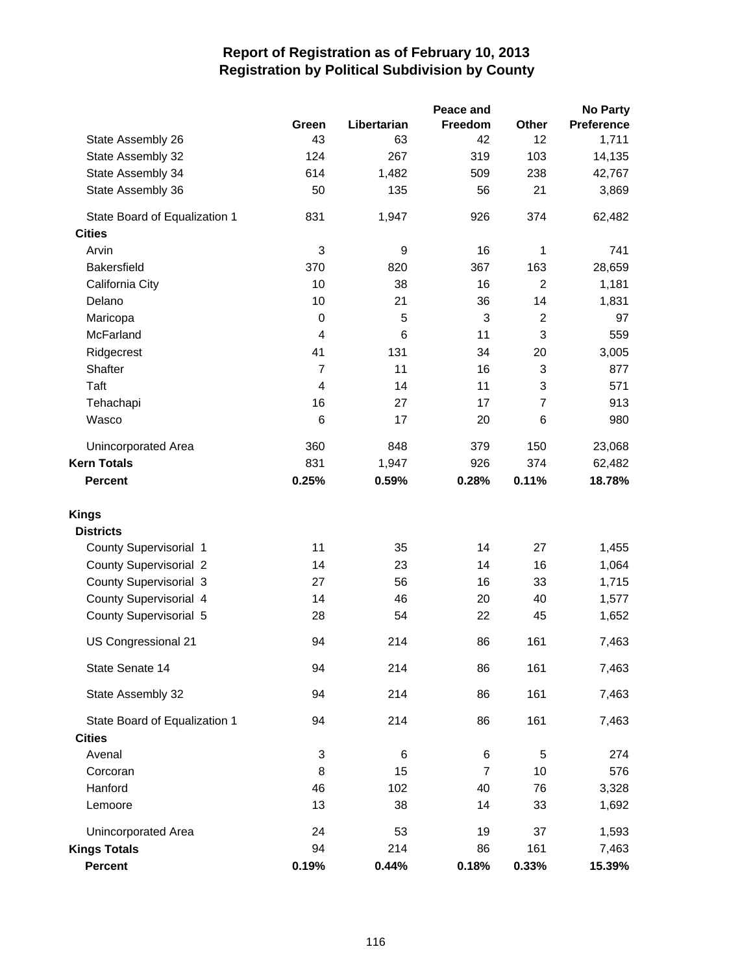|                               |                  |             | Peace and |                | <b>No Party</b>   |
|-------------------------------|------------------|-------------|-----------|----------------|-------------------|
|                               | Green            | Libertarian | Freedom   | Other          | <b>Preference</b> |
| State Assembly 26             | 43               | 63          | 42        | 12             | 1,711             |
| State Assembly 32             | 124              | 267         | 319       | 103            | 14,135            |
| State Assembly 34             | 614              | 1,482       | 509       | 238            | 42,767            |
| State Assembly 36             | 50               | 135         | 56        | 21             | 3,869             |
| State Board of Equalization 1 | 831              | 1,947       | 926       | 374            | 62,482            |
| <b>Cities</b>                 |                  |             |           |                |                   |
| Arvin                         | 3                | 9           | 16        | 1              | 741               |
| <b>Bakersfield</b>            | 370              | 820         | 367       | 163            | 28,659            |
| California City               | 10               | 38          | 16        | $\overline{2}$ | 1,181             |
| Delano                        | 10               | 21          | 36        | 14             | 1,831             |
| Maricopa                      | $\boldsymbol{0}$ | 5           | 3         | $\overline{c}$ | 97                |
| McFarland                     | $\overline{4}$   | 6           | 11        | 3              | 559               |
| Ridgecrest                    | 41               | 131         | 34        | 20             | 3,005             |
| Shafter                       | $\overline{7}$   | 11          | 16        | 3              | 877               |
| Taft                          | $\overline{4}$   | 14          | 11        | 3              | 571               |
| Tehachapi                     | 16               | 27          | 17        | $\overline{7}$ | 913               |
| Wasco                         | 6                | 17          | 20        | 6              | 980               |
| <b>Unincorporated Area</b>    | 360              | 848         | 379       | 150            | 23,068            |
| <b>Kern Totals</b>            | 831              | 1,947       | 926       | 374            | 62,482            |
| <b>Percent</b>                | 0.25%            | 0.59%       | 0.28%     | 0.11%          | 18.78%            |
| <b>Kings</b>                  |                  |             |           |                |                   |
| <b>Districts</b>              |                  |             |           |                |                   |
| County Supervisorial 1        | 11               | 35          | 14        | 27             | 1,455             |
| <b>County Supervisorial 2</b> | 14               | 23          | 14        | 16             | 1,064             |
| <b>County Supervisorial 3</b> | 27               | 56          | 16        | 33             | 1,715             |
| County Supervisorial 4        | 14               | 46          | 20        | 40             | 1,577             |
| County Supervisorial 5        | 28               | 54          | 22        | 45             | 1,652             |
| US Congressional 21           | 94               | 214         | 86        | 161            | 7,463             |
| State Senate 14               | 94               | 214         | 86        | 161            | 7,463             |
| State Assembly 32             | 94               | 214         | 86        | 161            | 7,463             |
| State Board of Equalization 1 | 94               | 214         | 86        | 161            | 7,463             |
| <b>Cities</b>                 |                  |             |           |                |                   |
| Avenal                        | 3                | 6           | 6         | 5              | 274               |
| Corcoran                      | 8                | 15          | 7         | 10             | 576               |
| Hanford                       | 46               | 102         | 40        | 76             | 3,328             |
| Lemoore                       | 13               | 38          | 14        | 33             | 1,692             |
| Unincorporated Area           | 24               | 53          | 19        | 37             | 1,593             |
| <b>Kings Totals</b>           | 94               | 214         | 86        | 161            | 7,463             |
| Percent                       | 0.19%            | 0.44%       | 0.18%     | 0.33%          | 15.39%            |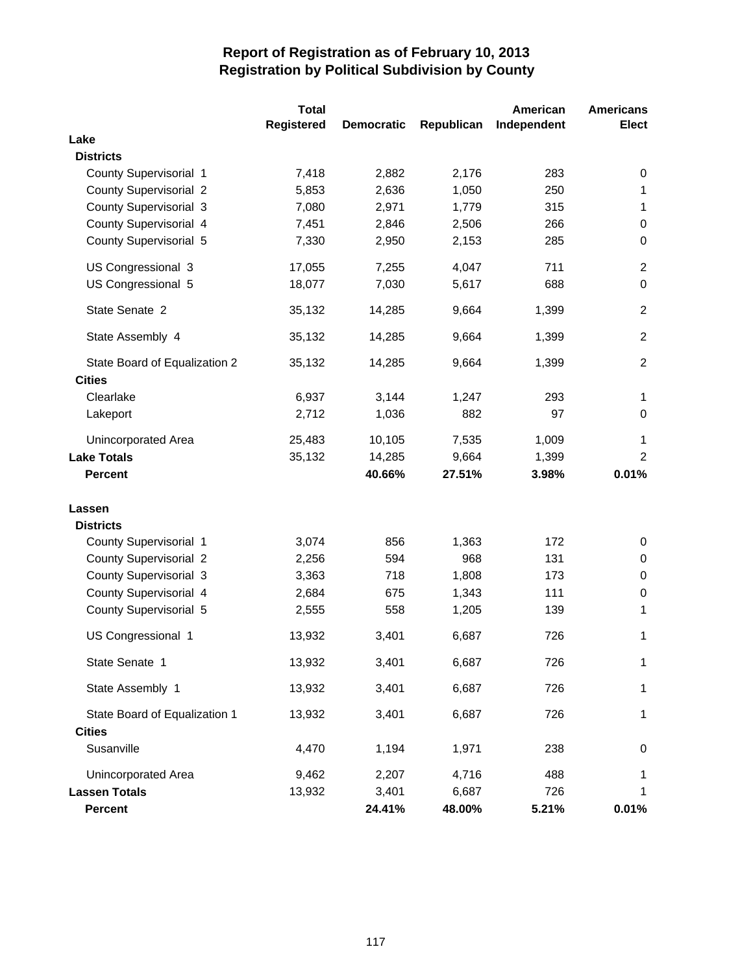|                               | <b>Total</b>      |                   |            | American    | <b>Americans</b> |
|-------------------------------|-------------------|-------------------|------------|-------------|------------------|
|                               | <b>Registered</b> | <b>Democratic</b> | Republican | Independent | <b>Elect</b>     |
| Lake                          |                   |                   |            |             |                  |
| <b>Districts</b>              |                   |                   |            |             |                  |
| County Supervisorial 1        | 7,418             | 2,882             | 2,176      | 283         | 0                |
| <b>County Supervisorial 2</b> | 5,853             | 2,636             | 1,050      | 250         | 1                |
| <b>County Supervisorial 3</b> | 7,080             | 2,971             | 1,779      | 315         | $\mathbf 1$      |
| County Supervisorial 4        | 7,451             | 2,846             | 2,506      | 266         | 0                |
| County Supervisorial 5        | 7,330             | 2,950             | 2,153      | 285         | 0                |
| US Congressional 3            | 17,055            | 7,255             | 4,047      | 711         | $\overline{2}$   |
| US Congressional 5            | 18,077            | 7,030             | 5,617      | 688         | $\Omega$         |
| State Senate 2                | 35,132            | 14,285            | 9,664      | 1,399       | $\overline{2}$   |
| State Assembly 4              | 35,132            | 14,285            | 9,664      | 1,399       | $\overline{2}$   |
| State Board of Equalization 2 | 35,132            | 14,285            | 9,664      | 1,399       | $\overline{2}$   |
| <b>Cities</b>                 |                   |                   |            |             |                  |
| Clearlake                     | 6,937             | 3,144             | 1,247      | 293         | $\mathbf{1}$     |
| Lakeport                      | 2,712             | 1,036             | 882        | 97          | 0                |
| Unincorporated Area           | 25,483            | 10,105            | 7,535      | 1,009       | $\mathbf{1}$     |
| <b>Lake Totals</b>            | 35,132            | 14,285            | 9,664      | 1,399       | $\overline{2}$   |
| <b>Percent</b>                |                   | 40.66%            | 27.51%     | 3.98%       | 0.01%            |
| Lassen                        |                   |                   |            |             |                  |
| <b>Districts</b>              |                   |                   |            |             |                  |
| County Supervisorial 1        | 3,074             | 856               | 1,363      | 172         | 0                |
| <b>County Supervisorial 2</b> | 2,256             | 594               | 968        | 131         | 0                |
| <b>County Supervisorial 3</b> | 3,363             | 718               | 1,808      | 173         | 0                |
| County Supervisorial 4        | 2,684             | 675               | 1,343      | 111         | 0                |
| County Supervisorial 5        | 2,555             | 558               | 1,205      | 139         | 1                |
| US Congressional 1            | 13,932            | 3,401             | 6,687      | 726         | 1                |
| State Senate 1                | 13,932            | 3,401             | 6,687      | 726         | 1                |
| State Assembly 1              | 13,932            | 3,401             | 6,687      | 726         | 1                |
| State Board of Equalization 1 | 13,932            | 3,401             | 6,687      | 726         | 1                |
| <b>Cities</b>                 |                   |                   |            |             |                  |
| Susanville                    | 4,470             | 1,194             | 1,971      | 238         | 0                |
| Unincorporated Area           | 9,462             | 2,207             | 4,716      | 488         | 1                |
| <b>Lassen Totals</b>          | 13,932            | 3,401             | 6,687      | 726         | 1                |
| <b>Percent</b>                |                   | 24.41%            | 48.00%     | 5.21%       | 0.01%            |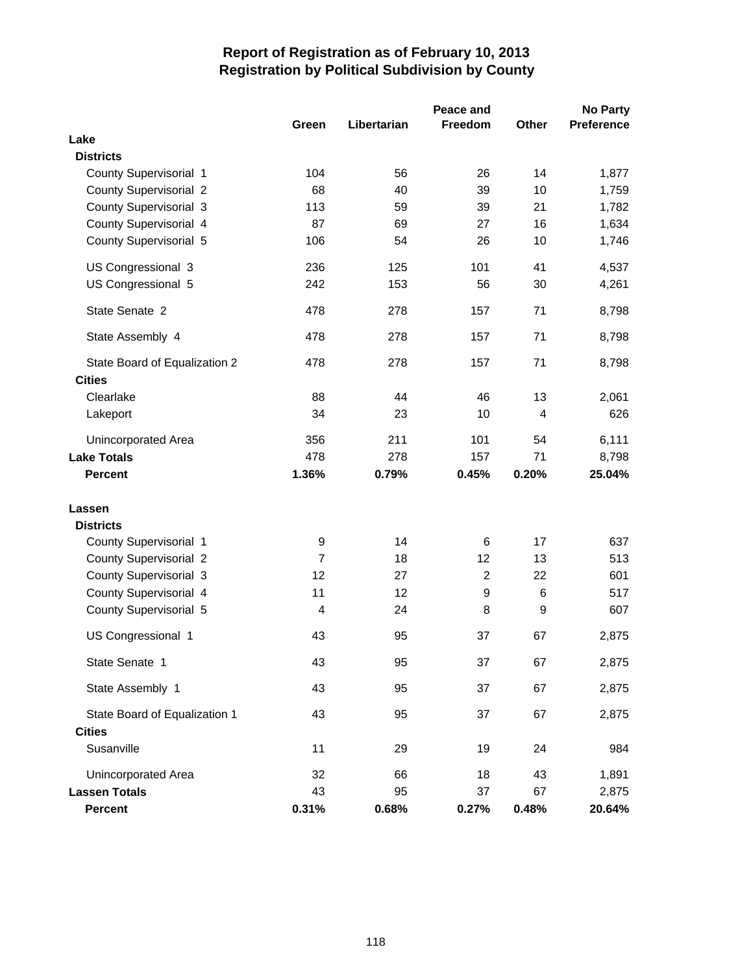|                               | Green          | Libertarian | Peace and<br>Freedom | Other | <b>No Party</b><br><b>Preference</b> |
|-------------------------------|----------------|-------------|----------------------|-------|--------------------------------------|
| Lake                          |                |             |                      |       |                                      |
| <b>Districts</b>              |                |             |                      |       |                                      |
| County Supervisorial 1        | 104            | 56          | 26                   | 14    | 1,877                                |
| <b>County Supervisorial 2</b> | 68             | 40          | 39                   | 10    | 1,759                                |
| County Supervisorial 3        | 113            | 59          | 39                   | 21    | 1,782                                |
| County Supervisorial 4        | 87             | 69          | 27                   | 16    | 1,634                                |
| County Supervisorial 5        | 106            | 54          | 26                   | 10    | 1,746                                |
| US Congressional 3            | 236            | 125         | 101                  | 41    | 4,537                                |
| US Congressional 5            | 242            | 153         | 56                   | 30    | 4,261                                |
| State Senate 2                | 478            | 278         | 157                  | 71    | 8,798                                |
| State Assembly 4              | 478            | 278         | 157                  | 71    | 8,798                                |
| State Board of Equalization 2 | 478            | 278         | 157                  | 71    | 8,798                                |
| <b>Cities</b><br>Clearlake    | 88             | 44          | 46                   | 13    | 2,061                                |
| Lakeport                      | 34             | 23          | 10                   | 4     | 626                                  |
|                               |                |             |                      |       |                                      |
| <b>Unincorporated Area</b>    | 356            | 211         | 101                  | 54    | 6,111                                |
| <b>Lake Totals</b>            | 478            | 278         | 157                  | 71    | 8,798                                |
| <b>Percent</b>                | 1.36%          | 0.79%       | 0.45%                | 0.20% | 25.04%                               |
| Lassen                        |                |             |                      |       |                                      |
| <b>Districts</b>              |                |             |                      |       |                                      |
| County Supervisorial 1        | 9              | 14          | 6                    | 17    | 637                                  |
| <b>County Supervisorial 2</b> | $\overline{7}$ | 18          | 12                   | 13    | 513                                  |
| <b>County Supervisorial 3</b> | 12             | 27          | $\overline{c}$       | 22    | 601                                  |
| County Supervisorial 4        | 11             | 12          | $\boldsymbol{9}$     | 6     | 517                                  |
| County Supervisorial 5        | 4              | 24          | 8                    | 9     | 607                                  |
| US Congressional 1            | 43             | 95          | 37                   | 67    | 2,875                                |
| State Senate 1                | 43             | 95          | 37                   | 67    | 2,875                                |
| State Assembly 1              | 43             | 95          | 37                   | 67    | 2,875                                |
| State Board of Equalization 1 | 43             | 95          | 37                   | 67    | 2,875                                |
| <b>Cities</b><br>Susanville   | 11             | 29          | 19                   | 24    | 984                                  |
| Unincorporated Area           | 32             | 66          | 18                   | 43    | 1,891                                |
| <b>Lassen Totals</b>          | 43             | 95          | 37                   | 67    | 2,875                                |
| <b>Percent</b>                | 0.31%          | 0.68%       | 0.27%                | 0.48% | 20.64%                               |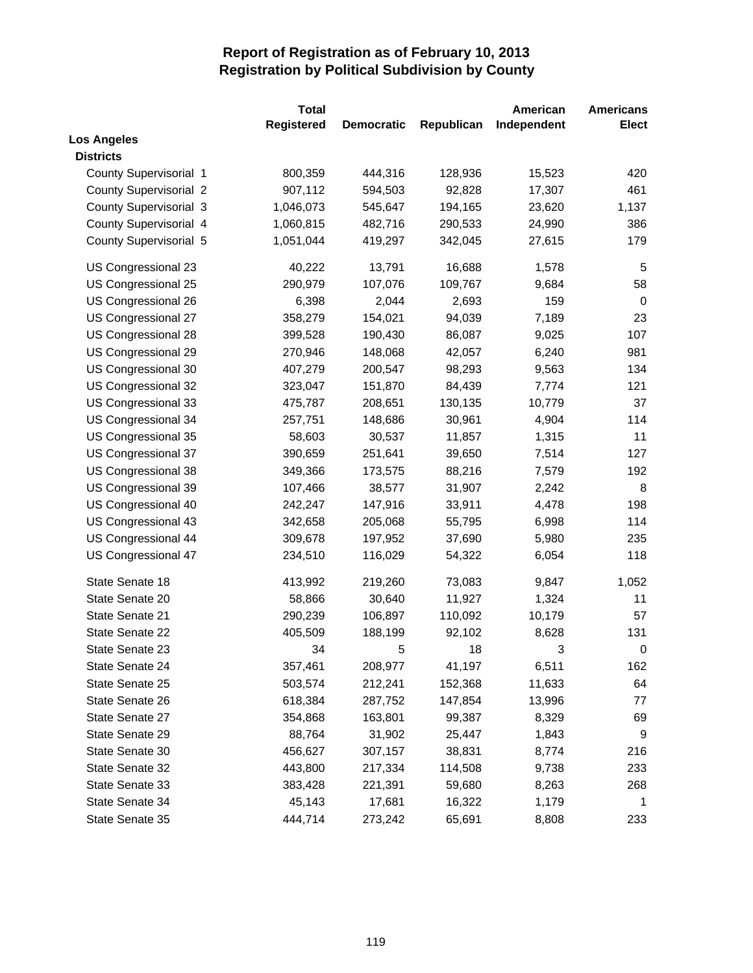|                               | <b>Total</b>      |                   |            | American    | <b>Americans</b> |
|-------------------------------|-------------------|-------------------|------------|-------------|------------------|
|                               | <b>Registered</b> | <b>Democratic</b> | Republican | Independent | <b>Elect</b>     |
| <b>Los Angeles</b>            |                   |                   |            |             |                  |
| <b>Districts</b>              |                   |                   |            |             |                  |
| County Supervisorial 1        | 800,359           | 444,316           | 128,936    | 15,523      | 420              |
| <b>County Supervisorial 2</b> | 907,112           | 594,503           | 92,828     | 17,307      | 461              |
| <b>County Supervisorial 3</b> | 1,046,073         | 545,647           | 194,165    | 23,620      | 1,137            |
| County Supervisorial 4        | 1,060,815         | 482,716           | 290,533    | 24,990      | 386              |
| County Supervisorial 5        | 1,051,044         | 419,297           | 342,045    | 27,615      | 179              |
| US Congressional 23           | 40,222            | 13,791            | 16,688     | 1,578       | 5                |
| US Congressional 25           | 290,979           | 107,076           | 109,767    | 9,684       | 58               |
| US Congressional 26           | 6,398             | 2,044             | 2,693      | 159         | 0                |
| US Congressional 27           | 358,279           | 154,021           | 94,039     | 7,189       | 23               |
| US Congressional 28           | 399,528           | 190,430           | 86,087     | 9,025       | 107              |
| US Congressional 29           | 270,946           | 148,068           | 42,057     | 6,240       | 981              |
| US Congressional 30           | 407,279           | 200,547           | 98,293     | 9,563       | 134              |
| US Congressional 32           | 323,047           | 151,870           | 84,439     | 7,774       | 121              |
| US Congressional 33           | 475,787           | 208,651           | 130,135    | 10,779      | 37               |
| US Congressional 34           | 257,751           | 148,686           | 30,961     | 4,904       | 114              |
| US Congressional 35           | 58,603            | 30,537            | 11,857     | 1,315       | 11               |
| US Congressional 37           | 390,659           | 251,641           | 39,650     | 7,514       | 127              |
| US Congressional 38           | 349,366           | 173,575           | 88,216     | 7,579       | 192              |
| US Congressional 39           | 107,466           | 38,577            | 31,907     | 2,242       | 8                |
| US Congressional 40           | 242,247           | 147,916           | 33,911     | 4,478       | 198              |
| US Congressional 43           | 342,658           | 205,068           | 55,795     | 6,998       | 114              |
| US Congressional 44           | 309,678           | 197,952           | 37,690     | 5,980       | 235              |
| US Congressional 47           | 234,510           | 116,029           | 54,322     | 6,054       | 118              |
| State Senate 18               | 413,992           | 219,260           | 73,083     | 9,847       | 1,052            |
| State Senate 20               | 58,866            | 30,640            | 11,927     | 1,324       | 11               |
| State Senate 21               | 290,239           | 106,897           | 110,092    | 10,179      | 57               |
| State Senate 22               | 405,509           | 188,199           | 92,102     | 8,628       | 131              |
| State Senate 23               | 34                | 5                 | 18         | 3           | $\pmb{0}$        |
| State Senate 24               | 357,461           | 208,977           | 41,197     | 6,511       | 162              |
| State Senate 25               | 503,574           | 212,241           | 152,368    | 11,633      | 64               |
| State Senate 26               | 618,384           | 287,752           | 147,854    | 13,996      | 77               |
| State Senate 27               | 354,868           | 163,801           | 99,387     | 8,329       | 69               |
| State Senate 29               | 88,764            | 31,902            | 25,447     | 1,843       | 9                |
| State Senate 30               | 456,627           | 307,157           | 38,831     | 8,774       | 216              |
| State Senate 32               | 443,800           | 217,334           | 114,508    | 9,738       | 233              |
| State Senate 33               | 383,428           | 221,391           | 59,680     | 8,263       | 268              |
| State Senate 34               | 45,143            | 17,681            | 16,322     | 1,179       | 1                |
| State Senate 35               | 444,714           | 273,242           | 65,691     | 8,808       | 233              |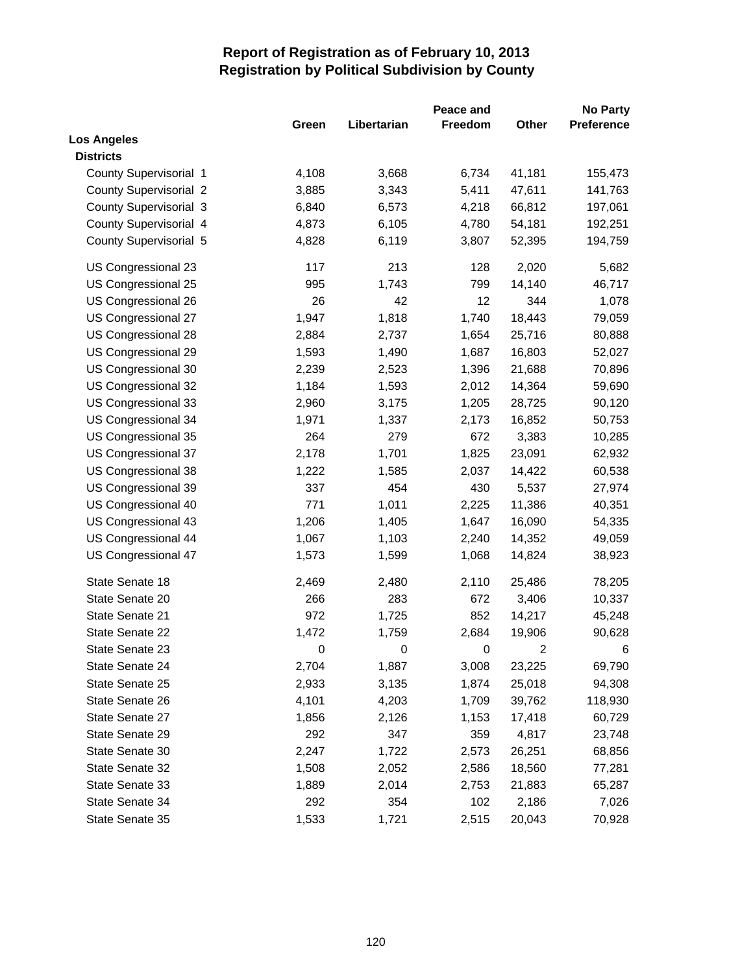|                               |                  |                  | Peace and |                | <b>No Party</b> |
|-------------------------------|------------------|------------------|-----------|----------------|-----------------|
|                               | Green            | Libertarian      | Freedom   | <b>Other</b>   | Preference      |
| <b>Los Angeles</b>            |                  |                  |           |                |                 |
| <b>Districts</b>              |                  |                  |           |                |                 |
| County Supervisorial 1        | 4,108            | 3,668            | 6,734     | 41,181         | 155,473         |
| <b>County Supervisorial 2</b> | 3,885            | 3,343            | 5,411     | 47,611         | 141,763         |
| <b>County Supervisorial 3</b> | 6,840            | 6,573            | 4,218     | 66,812         | 197,061         |
| County Supervisorial 4        | 4,873            | 6,105            | 4,780     | 54,181         | 192,251         |
| County Supervisorial 5        | 4,828            | 6,119            | 3,807     | 52,395         | 194,759         |
| US Congressional 23           | 117              | 213              | 128       | 2,020          | 5,682           |
| US Congressional 25           | 995              | 1,743            | 799       | 14,140         | 46,717          |
| US Congressional 26           | 26               | 42               | 12        | 344            | 1,078           |
| US Congressional 27           | 1,947            | 1,818            | 1,740     | 18,443         | 79,059          |
| US Congressional 28           | 2,884            | 2,737            | 1,654     | 25,716         | 80,888          |
| US Congressional 29           | 1,593            | 1,490            | 1,687     | 16,803         | 52,027          |
| US Congressional 30           | 2,239            | 2,523            | 1,396     | 21,688         | 70,896          |
| US Congressional 32           | 1,184            | 1,593            | 2,012     | 14,364         | 59,690          |
| US Congressional 33           | 2,960            | 3,175            | 1,205     | 28,725         | 90,120          |
| US Congressional 34           | 1,971            | 1,337            | 2,173     | 16,852         | 50,753          |
| US Congressional 35           | 264              | 279              | 672       | 3,383          | 10,285          |
| US Congressional 37           | 2,178            | 1,701            | 1,825     | 23,091         | 62,932          |
| US Congressional 38           | 1,222            | 1,585            | 2,037     | 14,422         | 60,538          |
| US Congressional 39           | 337              | 454              | 430       | 5,537          | 27,974          |
| US Congressional 40           | 771              | 1,011            | 2,225     | 11,386         | 40,351          |
| US Congressional 43           | 1,206            | 1,405            | 1,647     | 16,090         | 54,335          |
| US Congressional 44           | 1,067            | 1,103            | 2,240     | 14,352         | 49,059          |
| US Congressional 47           | 1,573            | 1,599            | 1,068     | 14,824         | 38,923          |
| State Senate 18               | 2,469            | 2,480            | 2,110     | 25,486         | 78,205          |
| State Senate 20               | 266              | 283              | 672       | 3,406          | 10,337          |
| State Senate 21               | 972              | 1,725            | 852       | 14,217         | 45,248          |
| State Senate 22               | 1,472            | 1,759            | 2,684     | 19,906         | 90,628          |
| State Senate 23               | $\boldsymbol{0}$ | $\boldsymbol{0}$ | 0         | $\overline{c}$ | 6               |
| State Senate 24               | 2,704            | 1,887            | 3,008     | 23,225         | 69,790          |
| State Senate 25               | 2,933            | 3,135            | 1,874     | 25,018         | 94,308          |
| State Senate 26               | 4,101            | 4,203            | 1,709     | 39,762         | 118,930         |
| State Senate 27               | 1,856            | 2,126            | 1,153     | 17,418         | 60,729          |
| State Senate 29               | 292              | 347              | 359       | 4,817          | 23,748          |
| State Senate 30               | 2,247            | 1,722            | 2,573     | 26,251         | 68,856          |
| State Senate 32               | 1,508            | 2,052            | 2,586     | 18,560         | 77,281          |
| State Senate 33               | 1,889            | 2,014            | 2,753     | 21,883         | 65,287          |
| State Senate 34               | 292              | 354              | 102       | 2,186          | 7,026           |
| State Senate 35               | 1,533            | 1,721            | 2,515     | 20,043         | 70,928          |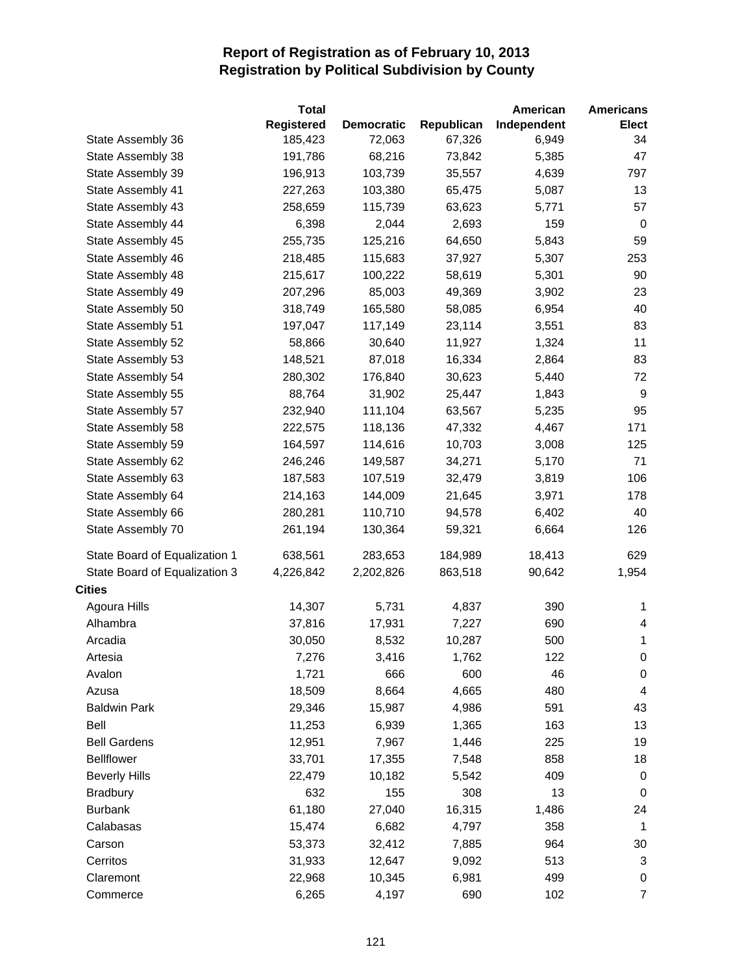|                               | <b>Total</b> |                   |            | American    | <b>Americans</b>         |
|-------------------------------|--------------|-------------------|------------|-------------|--------------------------|
|                               | Registered   | <b>Democratic</b> | Republican | Independent | <b>Elect</b>             |
| State Assembly 36             | 185,423      | 72,063            | 67,326     | 6,949       | 34                       |
| State Assembly 38             | 191,786      | 68,216            | 73,842     | 5,385       | 47                       |
| State Assembly 39             | 196,913      | 103,739           | 35,557     | 4,639       | 797                      |
| State Assembly 41             | 227,263      | 103,380           | 65,475     | 5,087       | 13                       |
| State Assembly 43             | 258,659      | 115,739           | 63,623     | 5,771       | 57                       |
| State Assembly 44             | 6,398        | 2,044             | 2,693      | 159         | 0                        |
| State Assembly 45             | 255,735      | 125,216           | 64,650     | 5,843       | 59                       |
| State Assembly 46             | 218,485      | 115,683           | 37,927     | 5,307       | 253                      |
| State Assembly 48             | 215,617      | 100,222           | 58,619     | 5,301       | 90                       |
| State Assembly 49             | 207,296      | 85,003            | 49,369     | 3,902       | 23                       |
| State Assembly 50             | 318,749      | 165,580           | 58,085     | 6,954       | 40                       |
| State Assembly 51             | 197,047      | 117,149           | 23,114     | 3,551       | 83                       |
| State Assembly 52             | 58,866       | 30,640            | 11,927     | 1,324       | 11                       |
| State Assembly 53             | 148,521      | 87,018            | 16,334     | 2,864       | 83                       |
| State Assembly 54             | 280,302      | 176,840           | 30,623     | 5,440       | 72                       |
| State Assembly 55             | 88,764       | 31,902            | 25,447     | 1,843       | 9                        |
| State Assembly 57             | 232,940      | 111,104           | 63,567     | 5,235       | 95                       |
| State Assembly 58             | 222,575      | 118,136           | 47,332     | 4,467       | 171                      |
| State Assembly 59             | 164,597      | 114,616           | 10,703     | 3,008       | 125                      |
| State Assembly 62             | 246,246      | 149,587           | 34,271     | 5,170       | 71                       |
| State Assembly 63             | 187,583      | 107,519           | 32,479     | 3,819       | 106                      |
| State Assembly 64             | 214,163      | 144,009           | 21,645     | 3,971       | 178                      |
| State Assembly 66             | 280,281      | 110,710           | 94,578     | 6,402       | 40                       |
| State Assembly 70             | 261,194      | 130,364           | 59,321     | 6,664       | 126                      |
| State Board of Equalization 1 | 638,561      | 283,653           | 184,989    | 18,413      | 629                      |
| State Board of Equalization 3 | 4,226,842    | 2,202,826         | 863,518    | 90,642      | 1,954                    |
| <b>Cities</b>                 |              |                   |            |             |                          |
| Agoura Hills                  | 14,307       | 5,731             | 4,837      | 390         | 1                        |
| Alhambra                      | 37,816       | 17,931            | 7,227      | 690         | 4                        |
| Arcadia                       | 30,050       | 8,532             | 10,287     | 500         | $\mathbf{1}$             |
| Artesia                       | 7,276        | 3,416             | 1,762      | 122         | $\mathbf 0$              |
| Avalon                        | 1,721        | 666               | 600        | 46          | $\pmb{0}$                |
| Azusa                         | 18,509       | 8,664             | 4,665      | 480         | $\overline{\mathcal{A}}$ |
| <b>Baldwin Park</b>           | 29,346       | 15,987            | 4,986      | 591         | 43                       |
| Bell                          | 11,253       | 6,939             | 1,365      | 163         | 13                       |
| <b>Bell Gardens</b>           | 12,951       | 7,967             | 1,446      | 225         | 19                       |
| <b>Bellflower</b>             | 33,701       | 17,355            | 7,548      | 858         | 18                       |
| <b>Beverly Hills</b>          | 22,479       | 10,182            | 5,542      | 409         | $\pmb{0}$                |
| <b>Bradbury</b>               | 632          | 155               | 308        | 13          | 0                        |
| <b>Burbank</b>                | 61,180       | 27,040            | 16,315     | 1,486       | 24                       |
| Calabasas                     | 15,474       | 6,682             | 4,797      | 358         | $\mathbf{1}$             |
| Carson                        | 53,373       | 32,412            | 7,885      | 964         | 30                       |
| Cerritos                      | 31,933       | 12,647            | 9,092      | 513         | $\sqrt{3}$               |
| Claremont                     | 22,968       | 10,345            | 6,981      | 499         | 0                        |
| Commerce                      | 6,265        | 4,197             | 690        | 102         | $\overline{7}$           |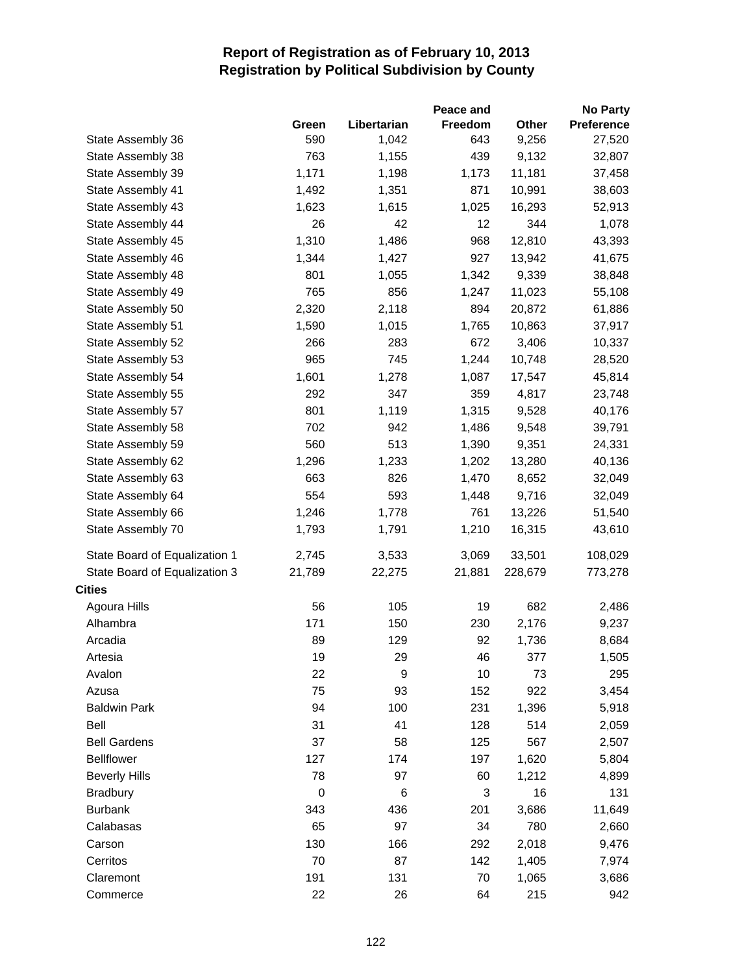|                               |                  |             | Peace and |         | <b>No Party</b> |
|-------------------------------|------------------|-------------|-----------|---------|-----------------|
|                               | Green            | Libertarian | Freedom   | Other   | Preference      |
| State Assembly 36             | 590              | 1,042       | 643       | 9,256   | 27,520          |
| State Assembly 38             | 763              | 1,155       | 439       | 9,132   | 32,807          |
| State Assembly 39             | 1,171            | 1,198       | 1,173     | 11,181  | 37,458          |
| State Assembly 41             | 1,492            | 1,351       | 871       | 10,991  | 38,603          |
| State Assembly 43             | 1,623            | 1,615       | 1,025     | 16,293  | 52,913          |
| State Assembly 44             | 26               | 42          | 12        | 344     | 1,078           |
| State Assembly 45             | 1,310            | 1,486       | 968       | 12,810  | 43,393          |
| State Assembly 46             | 1,344            | 1,427       | 927       | 13,942  | 41,675          |
| State Assembly 48             | 801              | 1,055       | 1,342     | 9,339   | 38,848          |
| State Assembly 49             | 765              | 856         | 1,247     | 11,023  | 55,108          |
| State Assembly 50             | 2,320            | 2,118       | 894       | 20,872  | 61,886          |
| State Assembly 51             | 1,590            | 1,015       | 1,765     | 10,863  | 37,917          |
| State Assembly 52             | 266              | 283         | 672       | 3,406   | 10,337          |
| State Assembly 53             | 965              | 745         | 1,244     | 10,748  | 28,520          |
| State Assembly 54             | 1,601            | 1,278       | 1,087     | 17,547  | 45,814          |
| State Assembly 55             | 292              | 347         | 359       | 4,817   | 23,748          |
| State Assembly 57             | 801              | 1,119       | 1,315     | 9,528   | 40,176          |
| State Assembly 58             | 702              | 942         | 1,486     | 9,548   | 39,791          |
| State Assembly 59             | 560              | 513         | 1,390     | 9,351   | 24,331          |
| State Assembly 62             | 1,296            | 1,233       | 1,202     | 13,280  | 40,136          |
| State Assembly 63             | 663              | 826         | 1,470     | 8,652   | 32,049          |
| State Assembly 64             | 554              | 593         | 1,448     | 9,716   | 32,049          |
| State Assembly 66             | 1,246            | 1,778       | 761       | 13,226  | 51,540          |
| State Assembly 70             | 1,793            | 1,791       | 1,210     | 16,315  | 43,610          |
| State Board of Equalization 1 | 2,745            | 3,533       | 3,069     | 33,501  | 108,029         |
| State Board of Equalization 3 | 21,789           | 22,275      | 21,881    | 228,679 | 773,278         |
| <b>Cities</b>                 |                  |             |           |         |                 |
| Agoura Hills                  | 56               | 105         | 19        | 682     | 2,486           |
| Alhambra                      | 171              | 150         | 230       | 2,176   | 9,237           |
| Arcadia                       | 89               | 129         | 92        | 1,736   | 8,684           |
| Artesia                       | 19               | 29          | 46        | 377     | 1,505           |
| Avalon                        | 22               | 9           | 10        | 73      | 295             |
| Azusa                         | 75               | 93          | 152       | 922     | 3,454           |
| <b>Baldwin Park</b>           | 94               | 100         | 231       | 1,396   | 5,918           |
| Bell                          | 31               | 41          | 128       | 514     | 2,059           |
| <b>Bell Gardens</b>           | 37               | 58          | 125       | 567     | 2,507           |
| <b>Bellflower</b>             | 127              | 174         | 197       | 1,620   | 5,804           |
| <b>Beverly Hills</b>          | 78               | 97          | 60        | 1,212   | 4,899           |
| <b>Bradbury</b>               | $\boldsymbol{0}$ | 6           | 3         | 16      | 131             |
| <b>Burbank</b>                | 343              | 436         | 201       | 3,686   | 11,649          |
| Calabasas                     | 65               | 97          | 34        | 780     | 2,660           |
| Carson                        | 130              | 166         | 292       | 2,018   | 9,476           |
| Cerritos                      | 70               | 87          | 142       | 1,405   | 7,974           |
| Claremont                     | 191              | 131         | 70        | 1,065   | 3,686           |
| Commerce                      | 22               | 26          | 64        | 215     | 942             |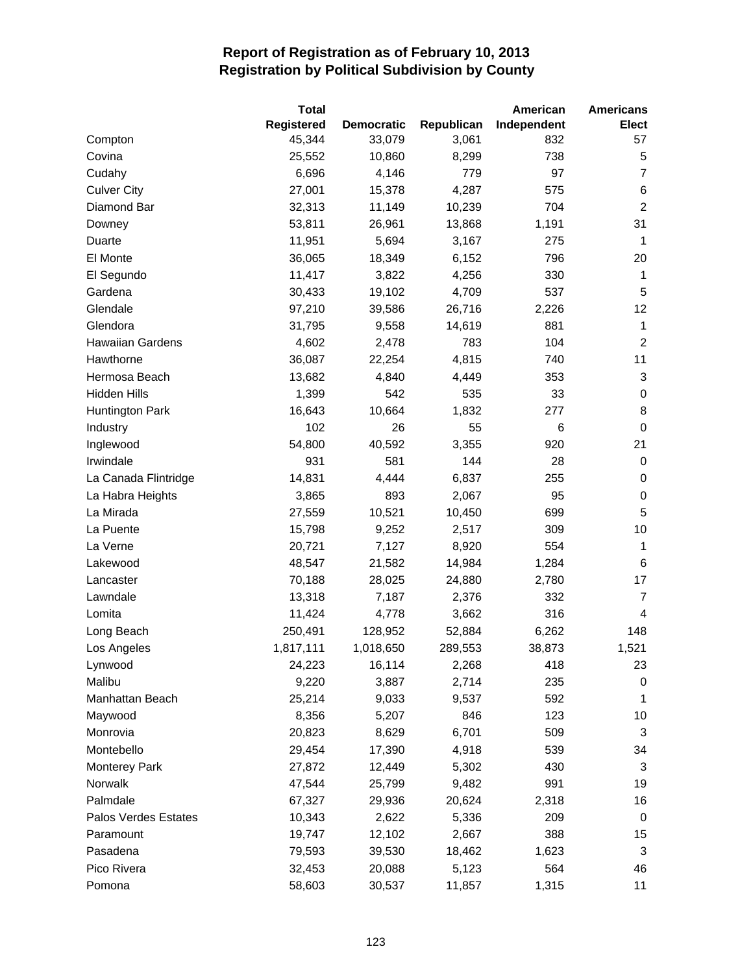|                         | <b>Total</b>      |                   |            | American    | <b>Americans</b> |
|-------------------------|-------------------|-------------------|------------|-------------|------------------|
|                         | <b>Registered</b> | <b>Democratic</b> | Republican | Independent | <b>Elect</b>     |
| Compton                 | 45,344            | 33,079            | 3,061      | 832         | 57               |
| Covina                  | 25,552            | 10,860            | 8,299      | 738         | 5                |
| Cudahy                  | 6,696             | 4,146             | 779        | 97          | 7                |
| <b>Culver City</b>      | 27,001            | 15,378            | 4,287      | 575         | 6                |
| Diamond Bar             | 32,313            | 11,149            | 10,239     | 704         | $\overline{c}$   |
| Downey                  | 53,811            | 26,961            | 13,868     | 1,191       | 31               |
| Duarte                  | 11,951            | 5,694             | 3,167      | 275         | 1                |
| El Monte                | 36,065            | 18,349            | 6,152      | 796         | 20               |
| El Segundo              | 11,417            | 3,822             | 4,256      | 330         | 1                |
| Gardena                 | 30,433            | 19,102            | 4,709      | 537         | 5                |
| Glendale                | 97,210            | 39,586            | 26,716     | 2,226       | 12               |
| Glendora                | 31,795            | 9,558             | 14,619     | 881         | 1                |
| <b>Hawaiian Gardens</b> | 4,602             | 2,478             | 783        | 104         | $\overline{2}$   |
| Hawthorne               | 36,087            | 22,254            | 4,815      | 740         | 11               |
| Hermosa Beach           | 13,682            | 4,840             | 4,449      | 353         | 3                |
| <b>Hidden Hills</b>     | 1,399             | 542               | 535        | 33          | 0                |
| <b>Huntington Park</b>  | 16,643            | 10,664            | 1,832      | 277         | 8                |
| Industry                | 102               | 26                | 55         | 6           | $\boldsymbol{0}$ |
| Inglewood               | 54,800            | 40,592            | 3,355      | 920         | 21               |
| Irwindale               | 931               | 581               | 144        | 28          | 0                |
| La Canada Flintridge    | 14,831            | 4,444             | 6,837      | 255         | 0                |
| La Habra Heights        | 3,865             | 893               | 2,067      | 95          | 0                |
| La Mirada               | 27,559            | 10,521            | 10,450     | 699         | 5                |
| La Puente               | 15,798            | 9,252             | 2,517      | 309         | 10               |
| La Verne                | 20,721            | 7,127             | 8,920      | 554         | 1                |
| Lakewood                | 48,547            | 21,582            | 14,984     | 1,284       | 6                |
| Lancaster               | 70,188            | 28,025            | 24,880     | 2,780       | 17               |
| Lawndale                | 13,318            | 7,187             | 2,376      | 332         | $\overline{7}$   |
| Lomita                  | 11,424            | 4,778             | 3,662      | 316         | 4                |
| Long Beach              | 250,491           | 128,952           | 52,884     | 6,262       | 148              |
| Los Angeles             | 1,817,111         | 1,018,650         | 289,553    | 38,873      | 1,521            |
| Lynwood                 | 24,223            | 16,114            | 2,268      | 418         | 23               |
| Malibu                  | 9,220             | 3,887             | 2,714      | 235         | 0                |
| Manhattan Beach         | 25,214            | 9,033             | 9,537      | 592         | 1                |
| Maywood                 | 8,356             | 5,207             | 846        | 123         | 10               |
| Monrovia                | 20,823            | 8,629             | 6,701      | 509         | 3                |
| Montebello              | 29,454            | 17,390            | 4,918      | 539         | 34               |
| <b>Monterey Park</b>    | 27,872            | 12,449            | 5,302      | 430         | 3                |
| Norwalk                 | 47,544            | 25,799            | 9,482      | 991         | 19               |
| Palmdale                | 67,327            | 29,936            | 20,624     | 2,318       | 16               |
| Palos Verdes Estates    | 10,343            | 2,622             | 5,336      | 209         | 0                |
| Paramount               | 19,747            | 12,102            | 2,667      | 388         | 15               |
| Pasadena                | 79,593            | 39,530            | 18,462     | 1,623       | 3                |
| Pico Rivera             | 32,453            | 20,088            | 5,123      | 564         | 46               |
| Pomona                  | 58,603            | 30,537            | 11,857     | 1,315       | 11               |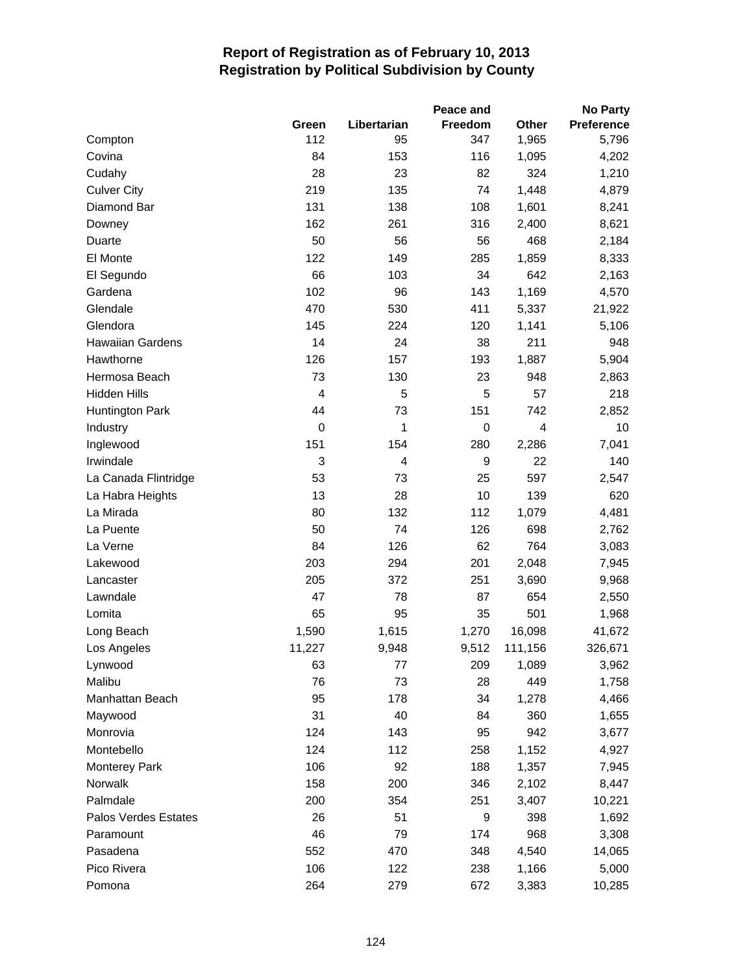|                         |                |             | Peace and   |                | <b>No Party</b>   |
|-------------------------|----------------|-------------|-------------|----------------|-------------------|
|                         | Green          | Libertarian | Freedom     | Other          | <b>Preference</b> |
| Compton                 | 112            | 95          | 347         | 1,965          | 5,796             |
| Covina                  | 84             | 153         | 116         | 1,095          | 4,202             |
| Cudahy                  | 28             | 23          | 82          | 324            | 1,210             |
| <b>Culver City</b>      | 219            | 135         | 74          | 1,448          | 4,879             |
| Diamond Bar             | 131            | 138         | 108         | 1,601          | 8,241             |
| Downey                  | 162            | 261         | 316         | 2,400          | 8,621             |
| Duarte                  | 50             | 56          | 56          | 468            | 2,184             |
| El Monte                | 122            | 149         | 285         | 1,859          | 8,333             |
| El Segundo              | 66             | 103         | 34          | 642            | 2,163             |
| Gardena                 | 102            | 96          | 143         | 1,169          | 4,570             |
| Glendale                | 470            | 530         | 411         | 5,337          | 21,922            |
| Glendora                | 145            | 224         | 120         | 1,141          | 5,106             |
| <b>Hawaiian Gardens</b> | 14             | 24          | 38          | 211            | 948               |
| Hawthorne               | 126            | 157         | 193         | 1,887          | 5,904             |
| Hermosa Beach           | 73             | 130         | 23          | 948            | 2,863             |
| <b>Hidden Hills</b>     | $\overline{4}$ | 5           | 5           | 57             | 218               |
| <b>Huntington Park</b>  | 44             | 73          | 151         | 742            | 2,852             |
| Industry                | $\mathbf 0$    | 1           | $\mathbf 0$ | $\overline{4}$ | 10                |
| Inglewood               | 151            | 154         | 280         | 2,286          | 7,041             |
| Irwindale               | 3              | 4           | 9           | 22             | 140               |
| La Canada Flintridge    | 53             | 73          | 25          | 597            | 2,547             |
| La Habra Heights        | 13             | 28          | 10          | 139            | 620               |
| La Mirada               | 80             | 132         | 112         | 1,079          | 4,481             |
| La Puente               | 50             | 74          | 126         | 698            | 2,762             |
| La Verne                | 84             | 126         | 62          | 764            | 3,083             |
| Lakewood                | 203            | 294         | 201         | 2,048          | 7,945             |
| Lancaster               | 205            | 372         | 251         | 3,690          | 9,968             |
| Lawndale                | 47             | 78          | 87          | 654            | 2,550             |
| Lomita                  | 65             | 95          | 35          | 501            | 1,968             |
| Long Beach              | 1,590          | 1,615       | 1,270       | 16,098         | 41,672            |
| Los Angeles             | 11,227         | 9,948       | 9,512       | 111,156        | 326,671           |
| Lynwood                 | 63             | 77          | 209         | 1,089          | 3,962             |
| Malibu                  | 76             | 73          | 28          | 449            | 1,758             |
| Manhattan Beach         | 95             | 178         | 34          | 1,278          | 4,466             |
| Maywood                 | 31             | 40          | 84          | 360            | 1,655             |
| Monrovia                | 124            | 143         | 95          | 942            | 3,677             |
| Montebello              | 124            | 112         | 258         | 1,152          | 4,927             |
| <b>Monterey Park</b>    | 106            | 92          | 188         | 1,357          | 7,945             |
| Norwalk                 | 158            | 200         | 346         | 2,102          | 8,447             |
| Palmdale                | 200            | 354         | 251         | 3,407          | 10,221            |
| Palos Verdes Estates    | 26             | 51          | 9           | 398            | 1,692             |
| Paramount               | 46             | 79          | 174         | 968            | 3,308             |
| Pasadena                | 552            | 470         | 348         | 4,540          | 14,065            |
| Pico Rivera             | 106            | 122         | 238         | 1,166          | 5,000             |
| Pomona                  | 264            | 279         | 672         | 3,383          | 10,285            |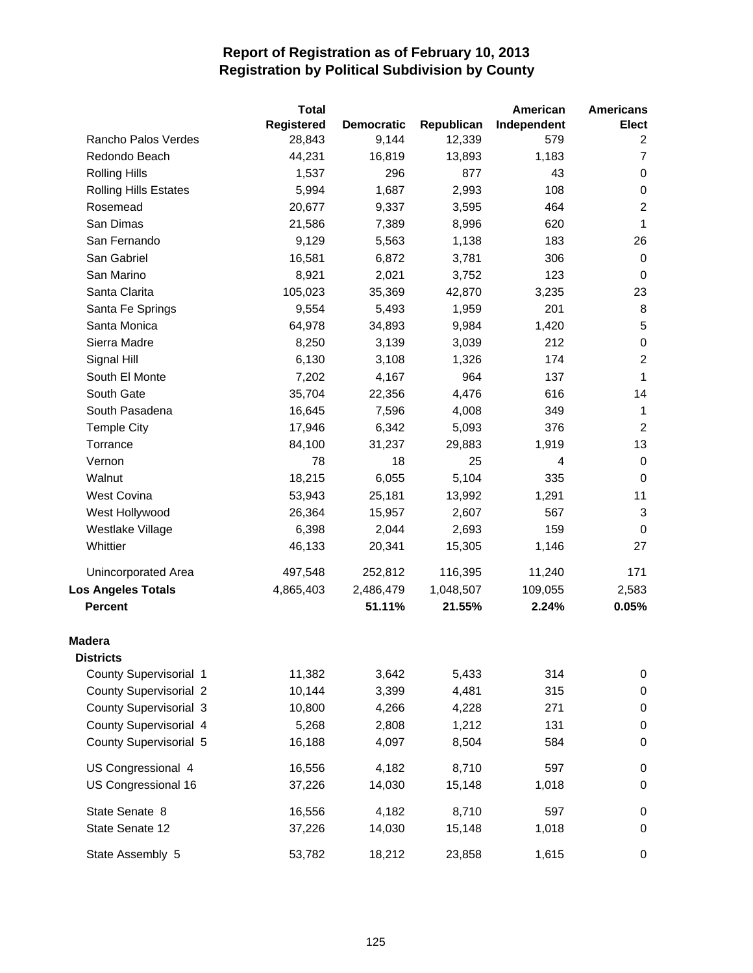|                               | <b>Total</b>      |                   |            | American    | <b>Americans</b> |
|-------------------------------|-------------------|-------------------|------------|-------------|------------------|
|                               | <b>Registered</b> | <b>Democratic</b> | Republican | Independent | <b>Elect</b>     |
| Rancho Palos Verdes           | 28,843            | 9,144             | 12,339     | 579         | 2                |
| Redondo Beach                 | 44,231            | 16,819            | 13,893     | 1,183       | $\overline{7}$   |
| <b>Rolling Hills</b>          | 1,537             | 296               | 877        | 43          | 0                |
| <b>Rolling Hills Estates</b>  | 5,994             | 1,687             | 2,993      | 108         | 0                |
| Rosemead                      | 20,677            | 9,337             | 3,595      | 464         | $\boldsymbol{2}$ |
| San Dimas                     | 21,586            | 7,389             | 8,996      | 620         | 1                |
| San Fernando                  | 9,129             | 5,563             | 1,138      | 183         | 26               |
| San Gabriel                   | 16,581            | 6,872             | 3,781      | 306         | 0                |
| San Marino                    | 8,921             | 2,021             | 3,752      | 123         | $\mathbf 0$      |
| Santa Clarita                 | 105,023           | 35,369            | 42,870     | 3,235       | 23               |
| Santa Fe Springs              | 9,554             | 5,493             | 1,959      | 201         | 8                |
| Santa Monica                  | 64,978            | 34,893            | 9,984      | 1,420       | $\sqrt{5}$       |
| Sierra Madre                  | 8,250             | 3,139             | 3,039      | 212         | $\,0\,$          |
| Signal Hill                   | 6,130             | 3,108             | 1,326      | 174         | $\overline{2}$   |
| South El Monte                | 7,202             | 4,167             | 964        | 137         | 1                |
| South Gate                    | 35,704            | 22,356            | 4,476      | 616         | 14               |
| South Pasadena                | 16,645            | 7,596             | 4,008      | 349         | $\mathbf{1}$     |
| <b>Temple City</b>            | 17,946            | 6,342             | 5,093      | 376         | $\overline{2}$   |
| Torrance                      | 84,100            | 31,237            | 29,883     | 1,919       | 13               |
| Vernon                        | 78                | 18                | 25         | 4           | $\pmb{0}$        |
| Walnut                        | 18,215            | 6,055             | 5,104      | 335         | $\pmb{0}$        |
| West Covina                   | 53,943            | 25,181            | 13,992     | 1,291       | 11               |
| West Hollywood                | 26,364            | 15,957            | 2,607      | 567         | $\mathbf{3}$     |
| Westlake Village              | 6,398             | 2,044             | 2,693      | 159         | $\mathbf 0$      |
| Whittier                      | 46,133            | 20,341            | 15,305     | 1,146       | 27               |
| Unincorporated Area           | 497,548           | 252,812           | 116,395    | 11,240      | 171              |
| <b>Los Angeles Totals</b>     | 4,865,403         | 2,486,479         | 1,048,507  | 109,055     | 2,583            |
| <b>Percent</b>                |                   | 51.11%            | 21.55%     | 2.24%       | 0.05%            |
| <b>Madera</b>                 |                   |                   |            |             |                  |
| <b>Districts</b>              |                   |                   |            |             |                  |
| County Supervisorial 1        | 11,382            | 3,642             | 5,433      | 314         | $\pmb{0}$        |
| <b>County Supervisorial 2</b> | 10,144            | 3,399             | 4,481      | 315         | $\pmb{0}$        |
| <b>County Supervisorial 3</b> | 10,800            | 4,266             | 4,228      | 271         | $\pmb{0}$        |
| County Supervisorial 4        | 5,268             | 2,808             | 1,212      | 131         | $\pmb{0}$        |
| County Supervisorial 5        | 16,188            | 4,097             | 8,504      | 584         | $\,0\,$          |
| US Congressional 4            | 16,556            | 4,182             | 8,710      | 597         | $\pmb{0}$        |
| US Congressional 16           | 37,226            | 14,030            | 15,148     | 1,018       | $\pmb{0}$        |
| State Senate 8                | 16,556            | 4,182             | 8,710      | 597         | $\,0\,$          |
| State Senate 12               | 37,226            | 14,030            | 15,148     | 1,018       | 0                |
| State Assembly 5              | 53,782            | 18,212            | 23,858     | 1,615       | 0                |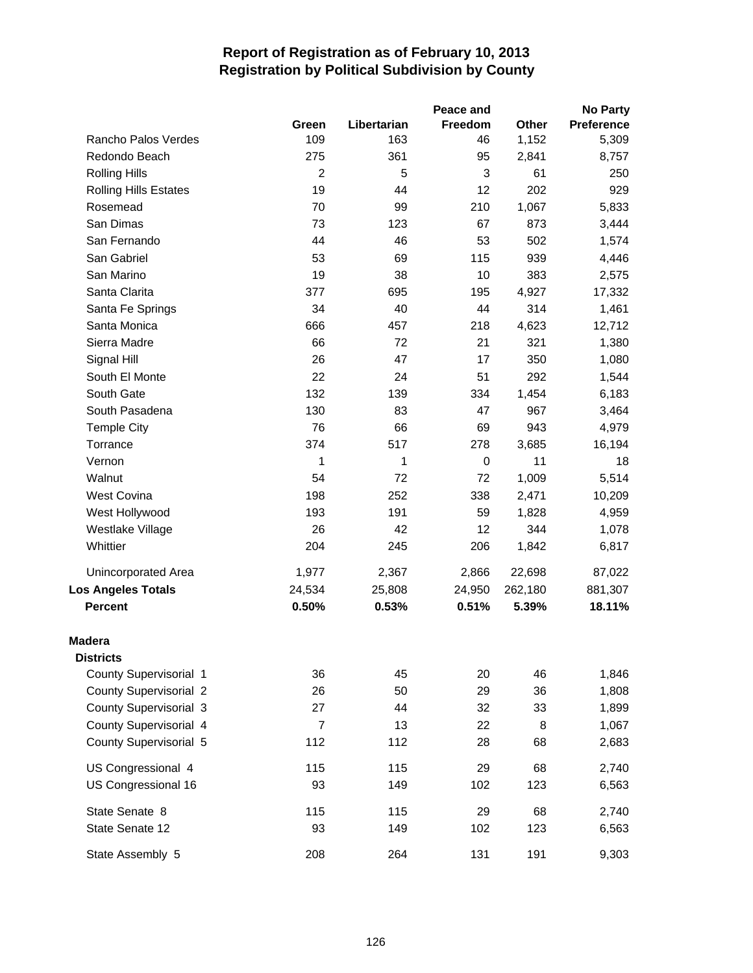|                               |                |             | Peace and |         | <b>No Party</b>   |
|-------------------------------|----------------|-------------|-----------|---------|-------------------|
|                               | Green          | Libertarian | Freedom   | Other   | <b>Preference</b> |
| Rancho Palos Verdes           | 109            | 163         | 46        | 1,152   | 5,309             |
| Redondo Beach                 | 275            | 361         | 95        | 2,841   | 8,757             |
| <b>Rolling Hills</b>          | $\overline{2}$ | 5           | 3         | 61      | 250               |
| <b>Rolling Hills Estates</b>  | 19             | 44          | 12        | 202     | 929               |
| Rosemead                      | 70             | 99          | 210       | 1,067   | 5,833             |
| San Dimas                     | 73             | 123         | 67        | 873     | 3,444             |
| San Fernando                  | 44             | 46          | 53        | 502     | 1,574             |
| San Gabriel                   | 53             | 69          | 115       | 939     | 4,446             |
| San Marino                    | 19             | 38          | 10        | 383     | 2,575             |
| Santa Clarita                 | 377            | 695         | 195       | 4,927   | 17,332            |
| Santa Fe Springs              | 34             | 40          | 44        | 314     | 1,461             |
| Santa Monica                  | 666            | 457         | 218       | 4,623   | 12,712            |
| Sierra Madre                  | 66             | 72          | 21        | 321     | 1,380             |
| Signal Hill                   | 26             | 47          | 17        | 350     | 1,080             |
| South El Monte                | 22             | 24          | 51        | 292     | 1,544             |
| South Gate                    | 132            | 139         | 334       | 1,454   | 6,183             |
| South Pasadena                | 130            | 83          | 47        | 967     | 3,464             |
| <b>Temple City</b>            | 76             | 66          | 69        | 943     | 4,979             |
| Torrance                      | 374            | 517         | 278       | 3,685   | 16,194            |
| Vernon                        | 1              | 1           | 0         | 11      | 18                |
| Walnut                        | 54             | 72          | 72        | 1,009   | 5,514             |
| <b>West Covina</b>            | 198            | 252         | 338       | 2,471   | 10,209            |
| West Hollywood                | 193            | 191         | 59        | 1,828   | 4,959             |
| Westlake Village              | 26             | 42          | 12        | 344     | 1,078             |
| Whittier                      | 204            | 245         | 206       | 1,842   | 6,817             |
| <b>Unincorporated Area</b>    | 1,977          | 2,367       | 2,866     | 22,698  | 87,022            |
| <b>Los Angeles Totals</b>     | 24,534         | 25,808      | 24,950    | 262,180 | 881,307           |
| <b>Percent</b>                | 0.50%          | 0.53%       | 0.51%     | 5.39%   | 18.11%            |
| <b>Madera</b>                 |                |             |           |         |                   |
| <b>Districts</b>              |                |             |           |         |                   |
| County Supervisorial 1        | 36             | 45          | 20        | 46      | 1,846             |
| <b>County Supervisorial 2</b> | 26             | 50          | 29        | 36      | 1,808             |
| <b>County Supervisorial 3</b> | 27             | 44          | 32        | 33      | 1,899             |
| County Supervisorial 4        | $\overline{7}$ | 13          | 22        | 8       | 1,067             |
| County Supervisorial 5        | 112            | 112         | 28        | 68      | 2,683             |
| US Congressional 4            | 115            | 115         | 29        | 68      | 2,740             |
| US Congressional 16           | 93             | 149         | 102       | 123     | 6,563             |
| State Senate 8                | 115            | 115         | 29        | 68      | 2,740             |
| State Senate 12               | 93             | 149         | 102       | 123     | 6,563             |
| State Assembly 5              | 208            | 264         | 131       | 191     | 9,303             |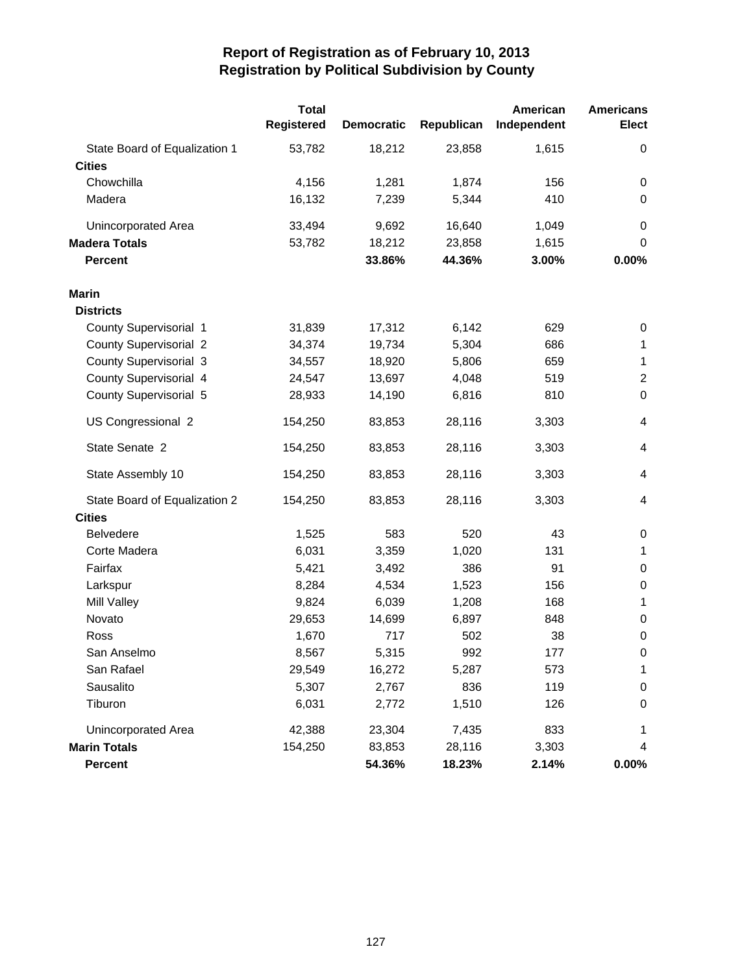|                               | <b>Total</b><br>Registered | <b>Democratic</b> | Republican | American<br>Independent | <b>Americans</b><br><b>Elect</b> |
|-------------------------------|----------------------------|-------------------|------------|-------------------------|----------------------------------|
| State Board of Equalization 1 | 53,782                     | 18,212            | 23,858     | 1,615                   | 0                                |
| <b>Cities</b>                 |                            |                   |            |                         |                                  |
| Chowchilla                    | 4,156                      | 1,281             | 1,874      | 156                     | 0                                |
| Madera                        | 16,132                     | 7,239             | 5,344      | 410                     | 0                                |
| Unincorporated Area           | 33,494                     | 9,692             | 16,640     | 1,049                   | 0                                |
| <b>Madera Totals</b>          | 53,782                     | 18,212            | 23,858     | 1,615                   | 0                                |
| <b>Percent</b>                |                            | 33.86%            | 44.36%     | 3.00%                   | 0.00%                            |
| <b>Marin</b>                  |                            |                   |            |                         |                                  |
| <b>Districts</b>              |                            |                   |            |                         |                                  |
| County Supervisorial 1        | 31,839                     | 17,312            | 6,142      | 629                     | 0                                |
| County Supervisorial 2        | 34,374                     | 19,734            | 5,304      | 686                     | $\mathbf 1$                      |
| <b>County Supervisorial 3</b> | 34,557                     | 18,920            | 5,806      | 659                     | $\mathbf{1}$                     |
| County Supervisorial 4        | 24,547                     | 13,697            | 4,048      | 519                     | $\overline{2}$                   |
| County Supervisorial 5        | 28,933                     | 14,190            | 6,816      | 810                     | $\pmb{0}$                        |
| US Congressional 2            | 154,250                    | 83,853            | 28,116     | 3,303                   | $\overline{\mathcal{A}}$         |
| State Senate 2                | 154,250                    | 83,853            | 28,116     | 3,303                   | 4                                |
| State Assembly 10             | 154,250                    | 83,853            | 28,116     | 3,303                   | 4                                |
| State Board of Equalization 2 | 154,250                    | 83,853            | 28,116     | 3,303                   | 4                                |
| <b>Cities</b>                 |                            |                   |            |                         |                                  |
| <b>Belvedere</b>              | 1,525                      | 583               | 520        | 43                      | $\pmb{0}$                        |
| Corte Madera                  | 6,031                      | 3,359             | 1,020      | 131                     | $\mathbf{1}$                     |
| Fairfax                       | 5,421                      | 3,492             | 386        | 91                      | 0                                |
| Larkspur                      | 8,284                      | 4,534             | 1,523      | 156                     | $\pmb{0}$                        |
| Mill Valley                   | 9,824                      | 6,039             | 1,208      | 168                     | 1                                |
| Novato                        | 29,653                     | 14,699            | 6,897      | 848                     | 0                                |
| Ross                          | 1,670                      | 717               | 502        | 38                      | $\boldsymbol{0}$                 |
| San Anselmo                   | 8,567                      | 5,315             | 992        | 177                     | $\pmb{0}$                        |
| San Rafael                    | 29,549                     | 16,272            | 5,287      | 573                     | 1                                |
| Sausalito                     | 5,307                      | 2,767             | 836        | 119                     | 0                                |
| Tiburon                       | 6,031                      | 2,772             | 1,510      | 126                     | 0                                |
| Unincorporated Area           | 42,388                     | 23,304            | 7,435      | 833                     | 1                                |
| <b>Marin Totals</b>           | 154,250                    | 83,853            | 28,116     | 3,303                   | 4                                |
| <b>Percent</b>                |                            | 54.36%            | 18.23%     | 2.14%                   | $0.00\%$                         |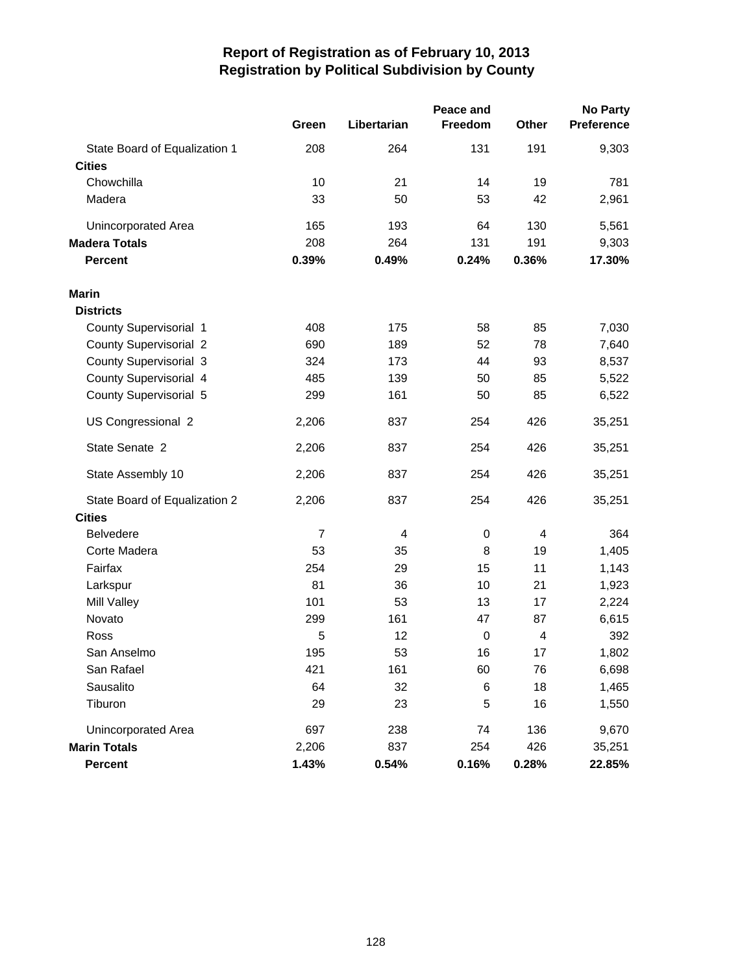|                               |                | <b>No Party</b> |             |       |            |
|-------------------------------|----------------|-----------------|-------------|-------|------------|
|                               | Green          | Libertarian     | Freedom     | Other | Preference |
| State Board of Equalization 1 | 208            | 264             | 131         | 191   | 9,303      |
| <b>Cities</b>                 |                |                 |             |       |            |
| Chowchilla                    | 10             | 21              | 14          | 19    | 781        |
| Madera                        | 33             | 50              | 53          | 42    | 2,961      |
| Unincorporated Area           | 165            | 193             | 64          | 130   | 5,561      |
| <b>Madera Totals</b>          | 208            | 264             | 131         | 191   | 9,303      |
| <b>Percent</b>                | 0.39%          | 0.49%           | 0.24%       | 0.36% | 17.30%     |
| <b>Marin</b>                  |                |                 |             |       |            |
| <b>Districts</b>              |                |                 |             |       |            |
| County Supervisorial 1        | 408            | 175             | 58          | 85    | 7,030      |
| <b>County Supervisorial 2</b> | 690            | 189             | 52          | 78    | 7,640      |
| County Supervisorial 3        | 324            | 173             | 44          | 93    | 8,537      |
| County Supervisorial 4        | 485            | 139             | 50          | 85    | 5,522      |
| County Supervisorial 5        | 299            | 161             | 50          | 85    | 6,522      |
| US Congressional 2            | 2,206          | 837             | 254         | 426   | 35,251     |
| State Senate 2                | 2,206          | 837             | 254         | 426   | 35,251     |
| State Assembly 10             | 2,206          | 837             | 254         | 426   | 35,251     |
| State Board of Equalization 2 | 2,206          | 837             | 254         | 426   | 35,251     |
| <b>Cities</b>                 |                |                 |             |       |            |
| <b>Belvedere</b>              | $\overline{7}$ | 4               | $\pmb{0}$   | 4     | 364        |
| Corte Madera                  | 53             | 35              | 8           | 19    | 1,405      |
| Fairfax                       | 254            | 29              | 15          | 11    | 1,143      |
| Larkspur                      | 81             | 36              | 10          | 21    | 1,923      |
| Mill Valley                   | 101            | 53              | 13          | 17    | 2,224      |
| Novato                        | 299            | 161             | 47          | 87    | 6,615      |
| Ross                          | 5              | 12              | $\mathbf 0$ | 4     | 392        |
| San Anselmo                   | 195            | 53              | 16          | 17    | 1,802      |
| San Rafael                    | 421            | 161             | 60          | 76    | 6,698      |
| Sausalito                     | 64             | 32              | 6           | 18    | 1,465      |
| Tiburon                       | 29             | 23              | 5           | 16    | 1,550      |
| Unincorporated Area           | 697            | 238             | 74          | 136   | 9,670      |
| <b>Marin Totals</b>           | 2,206          | 837             | 254         | 426   | 35,251     |
| Percent                       | 1.43%          | 0.54%           | 0.16%       | 0.28% | 22.85%     |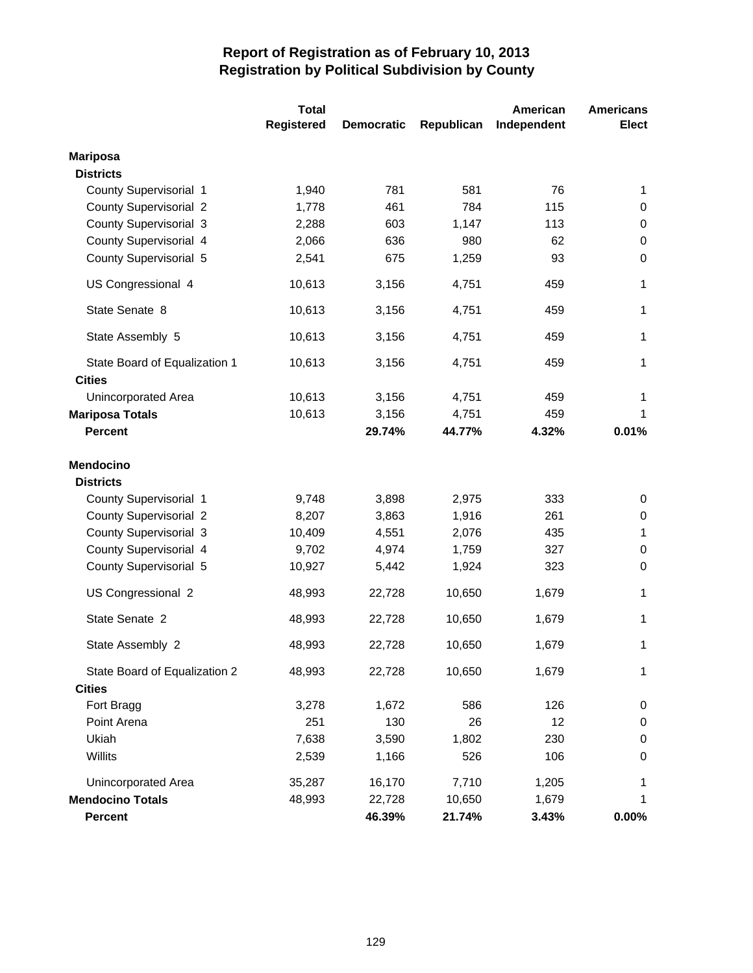|                               | <b>Total</b>      |                   |            | American    | <b>Americans</b> |
|-------------------------------|-------------------|-------------------|------------|-------------|------------------|
|                               | <b>Registered</b> | <b>Democratic</b> | Republican | Independent | <b>Elect</b>     |
| <b>Mariposa</b>               |                   |                   |            |             |                  |
| <b>Districts</b>              |                   |                   |            |             |                  |
| County Supervisorial 1        | 1,940             | 781               | 581        | 76          | 1                |
| <b>County Supervisorial 2</b> | 1,778             | 461               | 784        | 115         | 0                |
| <b>County Supervisorial 3</b> | 2,288             | 603               | 1,147      | 113         | 0                |
| County Supervisorial 4        | 2,066             | 636               | 980        | 62          | $\boldsymbol{0}$ |
| County Supervisorial 5        | 2,541             | 675               | 1,259      | 93          | $\boldsymbol{0}$ |
| US Congressional 4            | 10,613            | 3,156             | 4,751      | 459         | 1                |
| State Senate 8                | 10,613            | 3,156             | 4,751      | 459         | 1                |
| State Assembly 5              | 10,613            | 3,156             | 4,751      | 459         | $\mathbf{1}$     |
| State Board of Equalization 1 | 10,613            | 3,156             | 4,751      | 459         | 1                |
| <b>Cities</b>                 |                   |                   |            |             |                  |
| Unincorporated Area           | 10,613            | 3,156             | 4,751      | 459         | 1                |
| <b>Mariposa Totals</b>        | 10,613            | 3,156             | 4,751      | 459         | 1                |
| <b>Percent</b>                |                   | 29.74%            | 44.77%     | 4.32%       | 0.01%            |
| <b>Mendocino</b>              |                   |                   |            |             |                  |
| <b>Districts</b>              |                   |                   |            |             |                  |
| County Supervisorial 1        | 9,748             | 3,898             | 2,975      | 333         | 0                |
| <b>County Supervisorial 2</b> | 8,207             | 3,863             | 1,916      | 261         | 0                |
| <b>County Supervisorial 3</b> | 10,409            | 4,551             | 2,076      | 435         | 1                |
| County Supervisorial 4        | 9,702             | 4,974             | 1,759      | 327         | $\pmb{0}$        |
| County Supervisorial 5        | 10,927            | 5,442             | 1,924      | 323         | $\boldsymbol{0}$ |
| US Congressional 2            | 48,993            | 22,728            | 10,650     | 1,679       | 1                |
| State Senate 2                | 48,993            | 22,728            | 10,650     | 1,679       | 1                |
| State Assembly 2              | 48,993            | 22,728            | 10,650     | 1,679       | 1                |
| State Board of Equalization 2 | 48,993            | 22,728            | 10,650     | 1,679       | 1                |
| <b>Cities</b>                 |                   |                   |            |             |                  |
| Fort Bragg                    | 3,278             | 1,672             | 586        | 126         | 0                |
| Point Arena                   | 251               | 130               | 26         | 12          | $\pmb{0}$        |
| Ukiah                         | 7,638             | 3,590             | 1,802      | 230         | 0                |
| Willits                       | 2,539             | 1,166             | 526        | 106         | $\,0\,$          |
| <b>Unincorporated Area</b>    | 35,287            | 16,170            | 7,710      | 1,205       | 1                |
| <b>Mendocino Totals</b>       | 48,993            | 22,728            | 10,650     | 1,679       | 1                |
| <b>Percent</b>                |                   | 46.39%            | 21.74%     | 3.43%       | $0.00\%$         |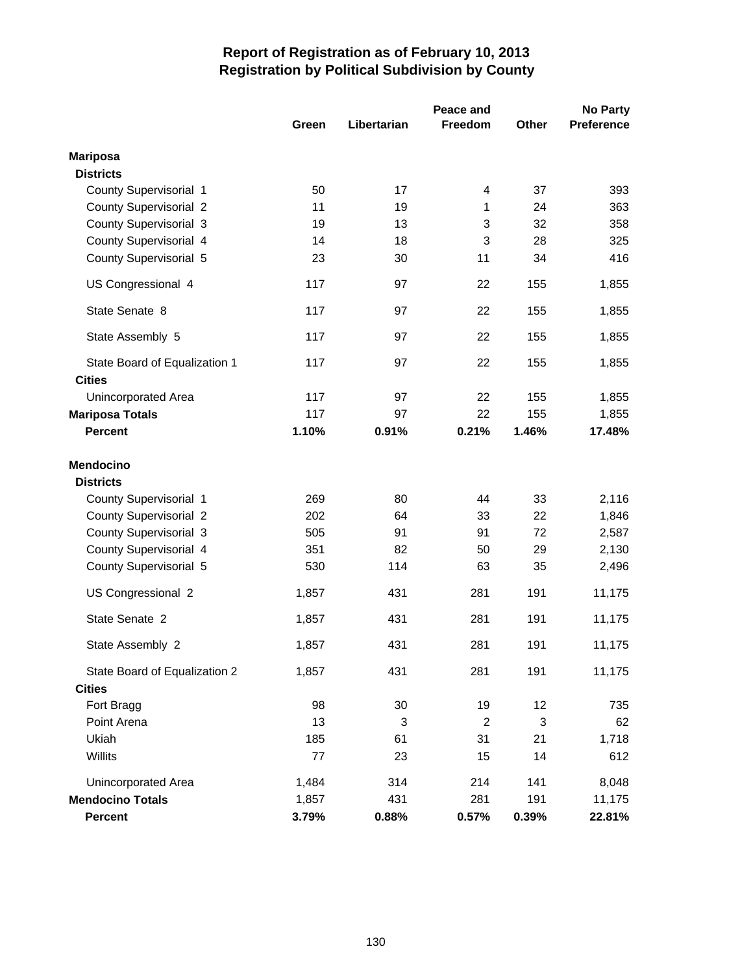|                                                | Peace and |             |                |       | <b>No Party</b>   |
|------------------------------------------------|-----------|-------------|----------------|-------|-------------------|
|                                                | Green     | Libertarian | <b>Freedom</b> | Other | <b>Preference</b> |
| <b>Mariposa</b>                                |           |             |                |       |                   |
| <b>Districts</b>                               |           |             |                |       |                   |
| County Supervisorial 1                         | 50        | 17          | 4              | 37    | 393               |
| <b>County Supervisorial 2</b>                  | 11        | 19          | 1              | 24    | 363               |
| County Supervisorial 3                         | 19        | 13          | 3              | 32    | 358               |
| County Supervisorial 4                         | 14        | 18          | 3              | 28    | 325               |
| County Supervisorial 5                         | 23        | 30          | 11             | 34    | 416               |
| US Congressional 4                             | 117       | 97          | 22             | 155   | 1,855             |
| State Senate 8                                 | 117       | 97          | 22             | 155   | 1,855             |
| State Assembly 5                               | 117       | 97          | 22             | 155   | 1,855             |
| State Board of Equalization 1<br><b>Cities</b> | 117       | 97          | 22             | 155   | 1,855             |
| Unincorporated Area                            | 117       | 97          | 22             | 155   | 1,855             |
| <b>Mariposa Totals</b>                         | 117       | 97          | 22             | 155   | 1,855             |
| <b>Percent</b>                                 | 1.10%     | 0.91%       | 0.21%          | 1.46% | 17.48%            |
| <b>Mendocino</b><br><b>Districts</b>           |           |             |                |       |                   |
| County Supervisorial 1                         | 269       | 80          | 44             | 33    | 2,116             |
| <b>County Supervisorial 2</b>                  | 202       | 64          | 33             | 22    | 1,846             |
| County Supervisorial 3                         | 505       | 91          | 91             | 72    | 2,587             |
| County Supervisorial 4                         | 351       | 82          | 50             | 29    | 2,130             |
| County Supervisorial 5                         | 530       | 114         | 63             | 35    | 2,496             |
| US Congressional 2                             | 1,857     | 431         | 281            | 191   | 11,175            |
| State Senate 2                                 | 1,857     | 431         | 281            | 191   | 11,175            |
| State Assembly 2                               | 1,857     | 431         | 281            | 191   | 11,175            |
| State Board of Equalization 2                  | 1,857     | 431         | 281            | 191   | 11,175            |
| <b>Cities</b>                                  |           |             |                |       |                   |
| Fort Bragg                                     | 98        | 30          | 19             | 12    | 735               |
| Point Arena                                    | 13        | 3           | $\sqrt{2}$     | 3     | 62                |
| Ukiah<br>Willits                               | 185<br>77 | 61          | 31             | 21    | 1,718             |
|                                                |           | 23          | 15             | 14    | 612               |
| Unincorporated Area                            | 1,484     | 314         | 214            | 141   | 8,048             |
| <b>Mendocino Totals</b>                        | 1,857     | 431         | 281            | 191   | 11,175            |
| Percent                                        | 3.79%     | 0.88%       | 0.57%          | 0.39% | 22.81%            |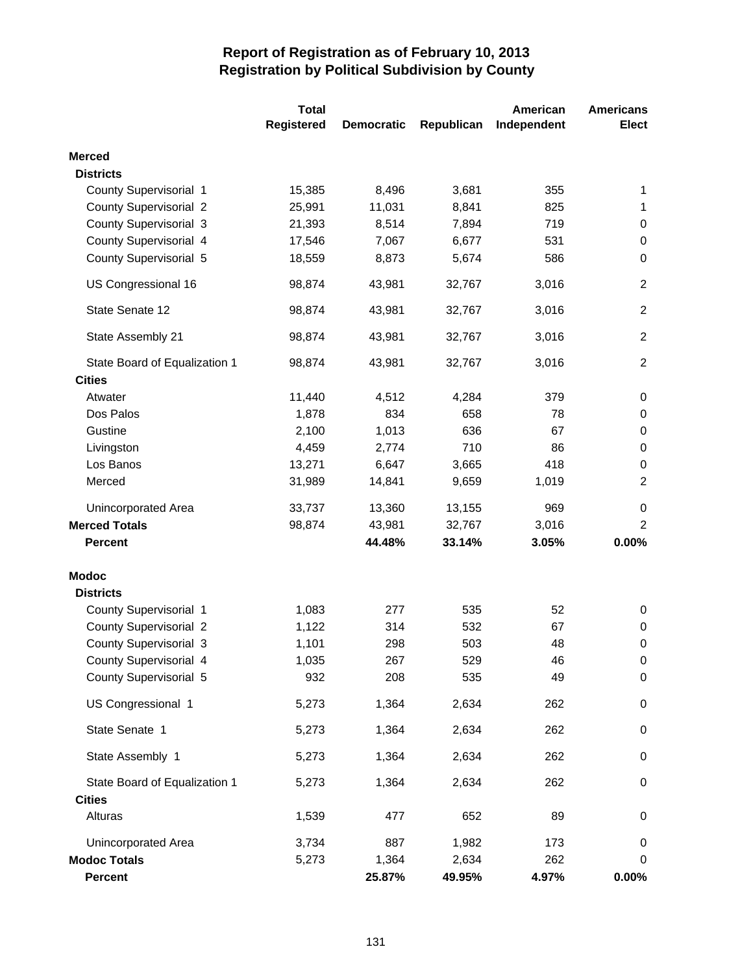|                               | <b>Total</b> |                   |            | American    | <b>Americans</b> |
|-------------------------------|--------------|-------------------|------------|-------------|------------------|
|                               | Registered   | <b>Democratic</b> | Republican | Independent | <b>Elect</b>     |
| <b>Merced</b>                 |              |                   |            |             |                  |
| <b>Districts</b>              |              |                   |            |             |                  |
| County Supervisorial 1        | 15,385       | 8,496             | 3,681      | 355         | 1                |
| <b>County Supervisorial 2</b> | 25,991       | 11,031            | 8,841      | 825         | 1                |
| <b>County Supervisorial 3</b> | 21,393       | 8,514             | 7,894      | 719         | $\boldsymbol{0}$ |
| County Supervisorial 4        | 17,546       | 7,067             | 6,677      | 531         | $\,0\,$          |
| County Supervisorial 5        | 18,559       | 8,873             | 5,674      | 586         | $\boldsymbol{0}$ |
| US Congressional 16           | 98,874       | 43,981            | 32,767     | 3,016       | $\overline{2}$   |
| State Senate 12               | 98,874       | 43,981            | 32,767     | 3,016       | $\overline{2}$   |
| State Assembly 21             | 98,874       | 43,981            | 32,767     | 3,016       | $\overline{2}$   |
| State Board of Equalization 1 | 98,874       | 43,981            | 32,767     | 3,016       | $\overline{2}$   |
| <b>Cities</b>                 |              |                   |            |             |                  |
| Atwater                       | 11,440       | 4,512             | 4,284      | 379         | $\pmb{0}$        |
| Dos Palos                     | 1,878        | 834               | 658        | 78          | 0                |
| Gustine                       | 2,100        | 1,013             | 636        | 67          | 0                |
| Livingston                    | 4,459        | 2,774             | 710        | 86          | $\boldsymbol{0}$ |
| Los Banos                     | 13,271       | 6,647             | 3,665      | 418         | $\,0\,$          |
| Merced                        | 31,989       | 14,841            | 9,659      | 1,019       | $\overline{2}$   |
| Unincorporated Area           | 33,737       | 13,360            | 13,155     | 969         | 0                |
| <b>Merced Totals</b>          | 98,874       | 43,981            | 32,767     | 3,016       | $\overline{2}$   |
| <b>Percent</b>                |              | 44.48%            | 33.14%     | 3.05%       | 0.00%            |
| <b>Modoc</b>                  |              |                   |            |             |                  |
| <b>Districts</b>              |              |                   |            |             |                  |
| County Supervisorial 1        | 1,083        | 277               | 535        | 52          | 0                |
| <b>County Supervisorial 2</b> | 1,122        | 314               | 532        | 67          | 0                |
| <b>County Supervisorial 3</b> | 1,101        | 298               | 503        | 48          | $\boldsymbol{0}$ |
| County Supervisorial 4        | 1,035        | 267               | 529        | 46          | 0                |
| County Supervisorial 5        | 932          | 208               | 535        | 49          | $\boldsymbol{0}$ |
| US Congressional 1            | 5,273        | 1,364             | 2,634      | 262         | 0                |
| State Senate 1                | 5,273        | 1,364             | 2,634      | 262         | $\,0\,$          |
| State Assembly 1              | 5,273        | 1,364             | 2,634      | 262         | 0                |
| State Board of Equalization 1 | 5,273        | 1,364             | 2,634      | 262         | 0                |
| <b>Cities</b><br>Alturas      | 1,539        | 477               | 652        | 89          | $\pmb{0}$        |
| Unincorporated Area           | 3,734        | 887               | 1,982      | 173         | 0                |
| <b>Modoc Totals</b>           | 5,273        | 1,364             | 2,634      | 262         | 0                |
| Percent                       |              | 25.87%            | 49.95%     | 4.97%       | $0.00\%$         |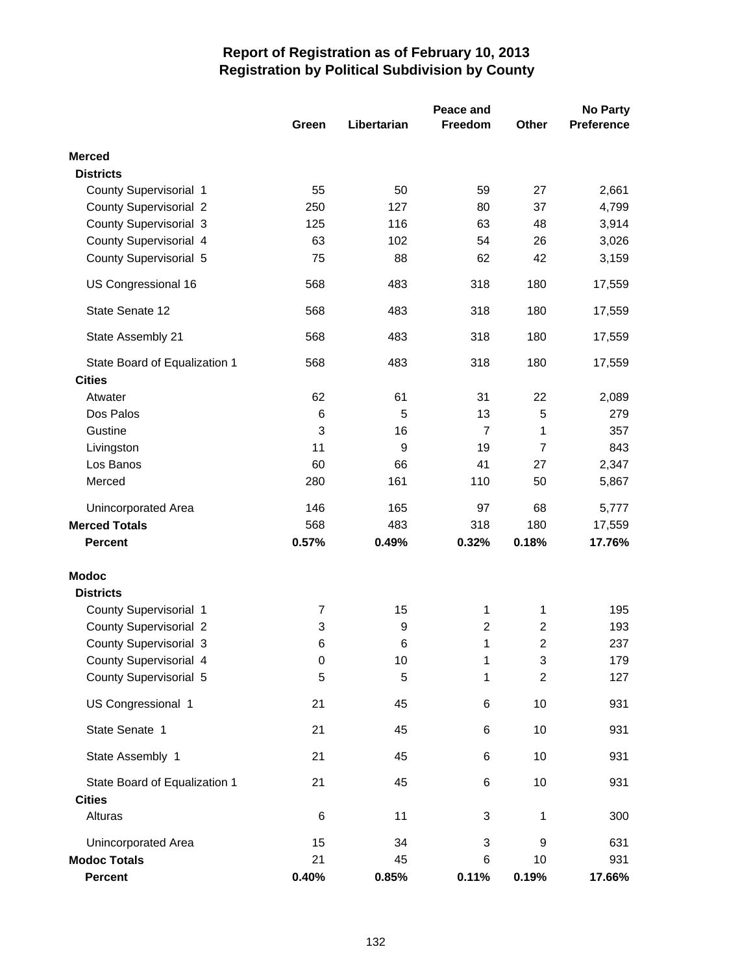|                               | Peace and      |             |                  |                | <b>No Party</b>   |
|-------------------------------|----------------|-------------|------------------|----------------|-------------------|
|                               | Green          | Libertarian | Freedom          | Other          | <b>Preference</b> |
| <b>Merced</b>                 |                |             |                  |                |                   |
| <b>Districts</b>              |                |             |                  |                |                   |
| County Supervisorial 1        | 55             | 50          | 59               | 27             | 2,661             |
| <b>County Supervisorial 2</b> | 250            | 127         | 80               | 37             | 4,799             |
| <b>County Supervisorial 3</b> | 125            | 116         | 63               | 48             | 3,914             |
| County Supervisorial 4        | 63             | 102         | 54               | 26             | 3,026             |
| County Supervisorial 5        | 75             | 88          | 62               | 42             | 3,159             |
| US Congressional 16           | 568            | 483         | 318              | 180            | 17,559            |
| State Senate 12               | 568            | 483         | 318              | 180            | 17,559            |
| State Assembly 21             | 568            | 483         | 318              | 180            | 17,559            |
| State Board of Equalization 1 | 568            | 483         | 318              | 180            | 17,559            |
| <b>Cities</b>                 |                |             |                  |                |                   |
| Atwater                       | 62             | 61          | 31               | 22             | 2,089             |
| Dos Palos                     | 6              | 5           | 13               | 5              | 279               |
| Gustine                       | 3              | 16          | $\overline{7}$   | 1              | 357               |
| Livingston                    | 11             | 9           | 19               | $\overline{7}$ | 843               |
| Los Banos                     | 60             | 66          | 41               | 27             | 2,347             |
| Merced                        | 280            | 161         | 110              | 50             | 5,867             |
| <b>Unincorporated Area</b>    | 146            | 165         | 97               | 68             | 5,777             |
| <b>Merced Totals</b>          | 568            | 483         | 318              | 180            | 17,559            |
| <b>Percent</b>                | 0.57%          | 0.49%       | 0.32%            | 0.18%          | 17.76%            |
| <b>Modoc</b>                  |                |             |                  |                |                   |
| <b>Districts</b>              |                |             |                  |                |                   |
| County Supervisorial 1        | $\overline{7}$ | 15          | 1                | 1              | 195               |
| <b>County Supervisorial 2</b> | 3              | 9           | $\boldsymbol{2}$ | $\overline{c}$ | 193               |
| <b>County Supervisorial 3</b> | 6              | 6           | $\mathbf 1$      | $\overline{c}$ | 237               |
| County Supervisorial 4        | 0              | 10          | 1                | 3              | 179               |
| County Supervisorial 5        | 5              | 5           | 1                | $\overline{c}$ | 127               |
| US Congressional 1            | 21             | 45          | 6                | 10             | 931               |
| State Senate 1                | 21             | 45          | 6                | 10             | 931               |
| State Assembly 1              | 21             | 45          | 6                | 10             | 931               |
| State Board of Equalization 1 | 21             | 45          | 6                | 10             | 931               |
| <b>Cities</b>                 |                |             |                  |                |                   |
| Alturas                       | 6              | 11          | 3                | 1              | 300               |
| <b>Unincorporated Area</b>    | 15             | 34          | 3                | 9              | 631               |
| <b>Modoc Totals</b>           | 21             | 45          | 6                | 10             | 931               |
| <b>Percent</b>                | 0.40%          | 0.85%       | 0.11%            | 0.19%          | 17.66%            |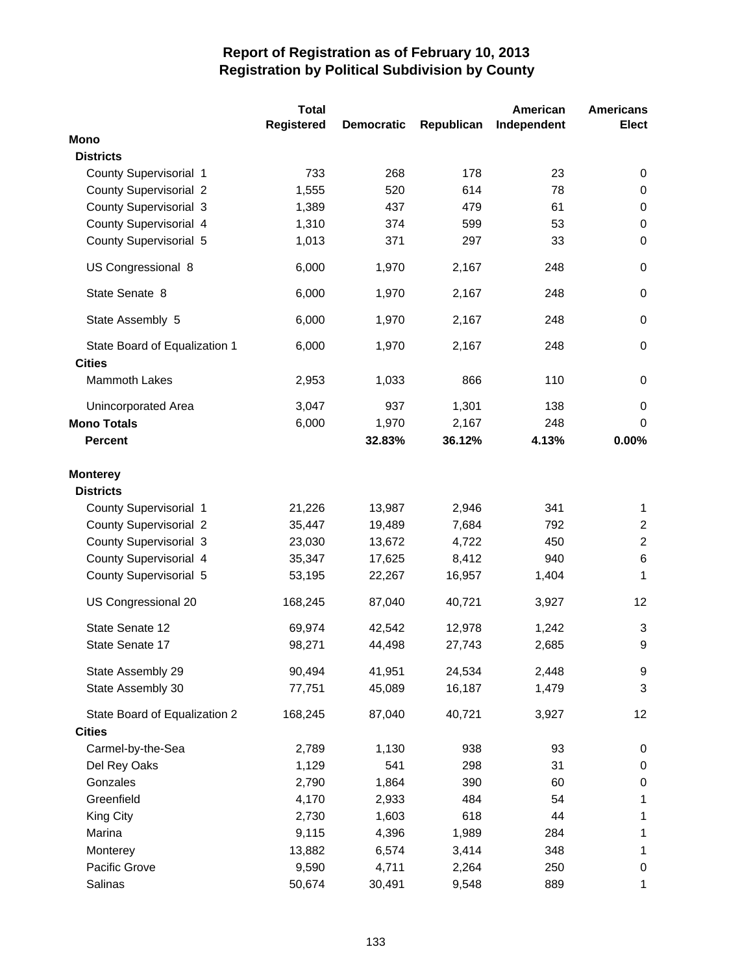|                               | <b>Total</b>      |                   |            | American    | <b>Americans</b> |
|-------------------------------|-------------------|-------------------|------------|-------------|------------------|
|                               | <b>Registered</b> | <b>Democratic</b> | Republican | Independent | <b>Elect</b>     |
| <b>Mono</b>                   |                   |                   |            |             |                  |
| <b>Districts</b>              |                   |                   |            |             |                  |
| County Supervisorial 1        | 733               | 268               | 178        | 23          | 0                |
| <b>County Supervisorial 2</b> | 1,555             | 520               | 614        | 78          | 0                |
| <b>County Supervisorial 3</b> | 1,389             | 437               | 479        | 61          | $\pmb{0}$        |
| County Supervisorial 4        | 1,310             | 374               | 599        | 53          | 0                |
| County Supervisorial 5        | 1,013             | 371               | 297        | 33          | $\mathbf 0$      |
| US Congressional 8            | 6,000             | 1,970             | 2,167      | 248         | 0                |
| State Senate 8                | 6,000             | 1,970             | 2,167      | 248         | $\boldsymbol{0}$ |
| State Assembly 5              | 6,000             | 1,970             | 2,167      | 248         | 0                |
| State Board of Equalization 1 | 6,000             | 1,970             | 2,167      | 248         | 0                |
| <b>Cities</b>                 |                   |                   |            |             |                  |
| <b>Mammoth Lakes</b>          | 2,953             | 1,033             | 866        | 110         | 0                |
| Unincorporated Area           | 3,047             | 937               | 1,301      | 138         | 0                |
| <b>Mono Totals</b>            | 6,000             | 1,970             | 2,167      | 248         | 0                |
| <b>Percent</b>                |                   | 32.83%            | 36.12%     | 4.13%       | 0.00%            |
| <b>Monterey</b>               |                   |                   |            |             |                  |
| <b>Districts</b>              |                   |                   |            |             |                  |
| County Supervisorial 1        | 21,226            | 13,987            | 2,946      | 341         | $\mathbf 1$      |
| <b>County Supervisorial 2</b> | 35,447            | 19,489            | 7,684      | 792         | $\overline{c}$   |
| <b>County Supervisorial 3</b> | 23,030            | 13,672            | 4,722      | 450         | $\overline{2}$   |
| County Supervisorial 4        | 35,347            | 17,625            | 8,412      | 940         | 6                |
| County Supervisorial 5        | 53,195            | 22,267            | 16,957     | 1,404       | 1                |
| US Congressional 20           | 168,245           | 87,040            | 40,721     | 3,927       | 12               |
| State Senate 12               | 69,974            | 42,542            | 12,978     | 1,242       | 3                |
| State Senate 17               | 98,271            | 44,498            | 27,743     | 2,685       | 9                |
| State Assembly 29             | 90,494            | 41,951            | 24,534     | 2,448       | 9                |
| State Assembly 30             | 77,751            | 45,089            | 16,187     | 1,479       | 3                |
| State Board of Equalization 2 | 168,245           | 87,040            | 40,721     | 3,927       | 12               |
| <b>Cities</b>                 |                   |                   |            |             |                  |
| Carmel-by-the-Sea             | 2,789             | 1,130             | 938        | 93          | 0                |
| Del Rey Oaks                  | 1,129             | 541               | 298        | 31          | $\pmb{0}$        |
| Gonzales                      | 2,790             | 1,864             | 390        | 60          | 0                |
| Greenfield                    | 4,170             | 2,933             | 484        | 54          | 1                |
| <b>King City</b>              | 2,730             | 1,603             | 618        | 44          | $\mathbf 1$      |
| Marina                        | 9,115             | 4,396             | 1,989      | 284         | 1                |
| Monterey                      | 13,882            | 6,574             | 3,414      | 348         | 1                |
| Pacific Grove                 | 9,590             | 4,711             | 2,264      | 250         | 0                |
| Salinas                       | 50,674            | 30,491            | 9,548      | 889         | 1                |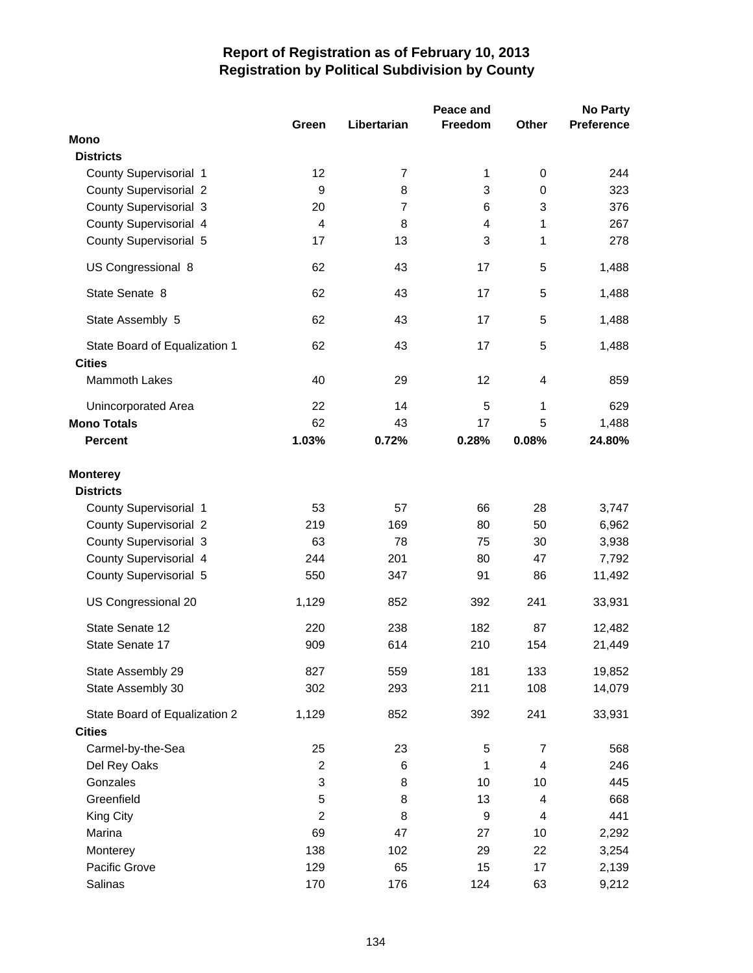|                                       |                |                | Peace and   |                | <b>No Party</b>   |
|---------------------------------------|----------------|----------------|-------------|----------------|-------------------|
|                                       | Green          | Libertarian    | Freedom     | Other          | <b>Preference</b> |
| <b>Mono</b>                           |                |                |             |                |                   |
| <b>Districts</b>                      |                |                |             |                |                   |
| County Supervisorial 1                | 12             | $\overline{7}$ | 1           | 0              | 244               |
| <b>County Supervisorial 2</b>         | 9              | 8              | 3           | 0              | 323               |
| <b>County Supervisorial 3</b>         | 20             | 7              | 6           | 3              | 376               |
| County Supervisorial 4                | 4              | 8              | 4           | 1              | 267               |
| County Supervisorial 5                | 17             | 13             | 3           | 1              | 278               |
| US Congressional 8                    | 62             | 43             | 17          | 5              | 1,488             |
| State Senate 8                        | 62             | 43             | 17          | 5              | 1,488             |
| State Assembly 5                      | 62             | 43             | 17          | 5              | 1,488             |
| State Board of Equalization 1         | 62             | 43             | 17          | 5              | 1,488             |
| <b>Cities</b><br><b>Mammoth Lakes</b> | 40             | 29             | 12          | 4              | 859               |
| <b>Unincorporated Area</b>            | 22             | 14             | 5           | 1              | 629               |
| <b>Mono Totals</b>                    | 62             | 43             | 17          | 5              | 1,488             |
| <b>Percent</b>                        | 1.03%          | 0.72%          | 0.28%       | 0.08%          | 24.80%            |
| <b>Monterey</b><br><b>Districts</b>   |                |                |             |                |                   |
| County Supervisorial 1                | 53             | 57             | 66          | 28             | 3,747             |
| <b>County Supervisorial 2</b>         | 219            | 169            | 80          | 50             | 6,962             |
| <b>County Supervisorial 3</b>         | 63             | 78             | 75          | 30             | 3,938             |
| County Supervisorial 4                | 244            | 201            | 80          | 47             | 7,792             |
| County Supervisorial 5                | 550            | 347            | 91          | 86             | 11,492            |
| US Congressional 20                   | 1,129          | 852            | 392         | 241            | 33,931            |
| State Senate 12                       | 220            | 238            | 182         | 87             | 12,482            |
| State Senate 17                       | 909            | 614            | 210         | 154            | 21,449            |
| State Assembly 29                     | 827            | 559            | 181         | 133            | 19,852            |
| State Assembly 30                     | 302            | 293            | 211         | 108            | 14,079            |
| State Board of Equalization 2         | 1,129          | 852            | 392         | 241            | 33,931            |
| <b>Cities</b>                         |                |                |             |                |                   |
| Carmel-by-the-Sea                     | 25             | 23             | $\mathbf 5$ | $\overline{7}$ | 568               |
| Del Rey Oaks                          | $\overline{2}$ | 6              | 1           | $\overline{4}$ | 246               |
| Gonzales                              | 3              | 8              | 10          | 10             | 445               |
| Greenfield                            | 5              | 8              | 13          | $\overline{4}$ | 668               |
| King City                             | $\overline{2}$ | 8              | 9           | $\overline{4}$ | 441               |
| Marina                                | 69             | 47             | 27          | 10             | 2,292             |
| Monterey                              | 138            | 102            | 29          | 22             | 3,254             |
| Pacific Grove                         | 129            | 65             | 15          | 17             | 2,139             |
| Salinas                               | 170            | 176            | 124         | 63             | 9,212             |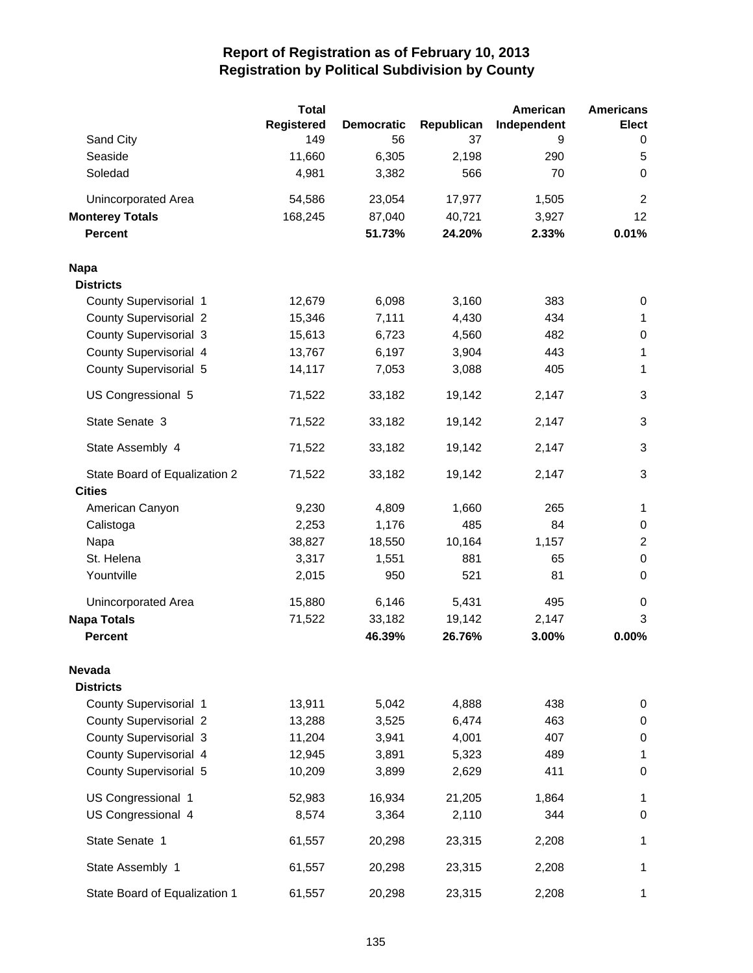|                               | <b>Total</b>      |                   |            | American    | <b>Americans</b> |
|-------------------------------|-------------------|-------------------|------------|-------------|------------------|
|                               | <b>Registered</b> | <b>Democratic</b> | Republican | Independent | <b>Elect</b>     |
| Sand City                     | 149               | 56                | 37         | 9           | 0                |
| Seaside                       | 11,660            | 6,305             | 2,198      | 290         | 5                |
| Soledad                       | 4,981             | 3,382             | 566        | 70          | 0                |
| Unincorporated Area           | 54,586            | 23,054            | 17,977     | 1,505       | $\overline{2}$   |
| <b>Monterey Totals</b>        | 168,245           | 87,040            | 40,721     | 3,927       | 12               |
| <b>Percent</b>                |                   | 51.73%            | 24.20%     | 2.33%       | 0.01%            |
| <b>Napa</b>                   |                   |                   |            |             |                  |
| <b>Districts</b>              |                   |                   |            |             |                  |
| County Supervisorial 1        | 12,679            | 6,098             | 3,160      | 383         | 0                |
| <b>County Supervisorial 2</b> | 15,346            | 7,111             | 4,430      | 434         | $\mathbf{1}$     |
| <b>County Supervisorial 3</b> | 15,613            | 6,723             | 4,560      | 482         | 0                |
| County Supervisorial 4        | 13,767            | 6,197             | 3,904      | 443         | 1                |
| County Supervisorial 5        | 14,117            | 7,053             | 3,088      | 405         | 1                |
| US Congressional 5            | 71,522            | 33,182            | 19,142     | 2,147       | $\mathbf{3}$     |
| State Senate 3                | 71,522            | 33,182            | 19,142     | 2,147       | $\mathbf{3}$     |
| State Assembly 4              | 71,522            | 33,182            | 19,142     | 2,147       | $\mathbf{3}$     |
| State Board of Equalization 2 | 71,522            | 33,182            | 19,142     | 2,147       | $\mathbf{3}$     |
| <b>Cities</b>                 |                   |                   |            |             |                  |
| American Canyon               | 9,230             | 4,809             | 1,660      | 265         | $\mathbf 1$      |
| Calistoga                     | 2,253             | 1,176             | 485        | 84          | 0                |
| Napa                          | 38,827            | 18,550            | 10,164     | 1,157       | $\overline{2}$   |
| St. Helena                    | 3,317             | 1,551             | 881        | 65          | $\pmb{0}$        |
| Yountville                    | 2,015             | 950               | 521        | 81          | $\pmb{0}$        |
| <b>Unincorporated Area</b>    | 15,880            | 6,146             | 5,431      | 495         | 0                |
| <b>Napa Totals</b>            | 71,522            | 33,182            | 19,142     | 2,147       | 3                |
| <b>Percent</b>                |                   | 46.39%            | 26.76%     | 3.00%       | 0.00%            |
| Nevada                        |                   |                   |            |             |                  |
| <b>Districts</b>              |                   |                   |            |             |                  |
| County Supervisorial 1        | 13,911            | 5,042             | 4,888      | 438         | 0                |
| <b>County Supervisorial 2</b> | 13,288            | 3,525             | 6,474      | 463         | 0                |
| County Supervisorial 3        | 11,204            | 3,941             | 4,001      | 407         | $\pmb{0}$        |
| County Supervisorial 4        | 12,945            | 3,891             | 5,323      | 489         | 1                |
| County Supervisorial 5        | 10,209            | 3,899             | 2,629      | 411         | 0                |
| US Congressional 1            | 52,983            | 16,934            | 21,205     | 1,864       | 1                |
| US Congressional 4            | 8,574             | 3,364             | 2,110      | 344         | 0                |
| State Senate 1                | 61,557            | 20,298            | 23,315     | 2,208       | 1                |
| State Assembly 1              | 61,557            | 20,298            | 23,315     | 2,208       | 1                |
| State Board of Equalization 1 | 61,557            | 20,298            | 23,315     | 2,208       | 1                |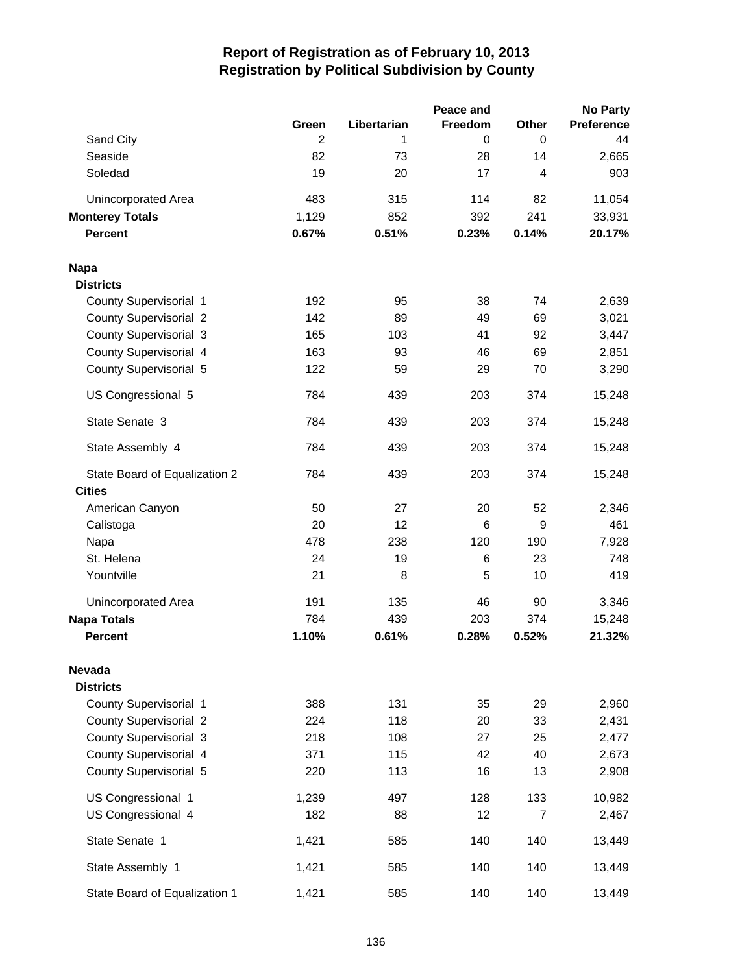|                               |                |             | Peace and |                | <b>No Party</b> |
|-------------------------------|----------------|-------------|-----------|----------------|-----------------|
|                               | Green          | Libertarian | Freedom   | Other          | Preference      |
| Sand City                     | $\overline{2}$ | 1           | 0         | $\mathbf 0$    | 44              |
| Seaside                       | 82             | 73          | 28        | 14             | 2,665           |
| Soledad                       | 19             | 20          | 17        | 4              | 903             |
| Unincorporated Area           | 483            | 315         | 114       | 82             | 11,054          |
| <b>Monterey Totals</b>        | 1,129          | 852         | 392       | 241            | 33,931          |
| <b>Percent</b>                | 0.67%          | 0.51%       | 0.23%     | 0.14%          | 20.17%          |
| <b>Napa</b>                   |                |             |           |                |                 |
| <b>Districts</b>              |                |             |           |                |                 |
| County Supervisorial 1        | 192            | 95          | 38        | 74             | 2,639           |
| <b>County Supervisorial 2</b> | 142            | 89          | 49        | 69             | 3,021           |
| <b>County Supervisorial 3</b> | 165            | 103         | 41        | 92             | 3,447           |
| County Supervisorial 4        | 163            | 93          | 46        | 69             | 2,851           |
| County Supervisorial 5        | 122            | 59          | 29        | 70             | 3,290           |
| US Congressional 5            | 784            | 439         | 203       | 374            | 15,248          |
| State Senate 3                | 784            | 439         | 203       | 374            | 15,248          |
| State Assembly 4              | 784            | 439         | 203       | 374            | 15,248          |
| State Board of Equalization 2 | 784            | 439         | 203       | 374            | 15,248          |
| <b>Cities</b>                 |                |             |           |                |                 |
| American Canyon               | 50             | 27          | 20        | 52             | 2,346           |
| Calistoga                     | 20             | 12          | 6         | 9              | 461             |
| Napa                          | 478            | 238         | 120       | 190            | 7,928           |
| St. Helena                    | 24             | 19          | 6         | 23             | 748             |
| Yountville                    | 21             | 8           | 5         | 10             | 419             |
| Unincorporated Area           | 191            | 135         | 46        | 90             | 3,346           |
| <b>Napa Totals</b>            | 784            | 439         | 203       | 374            | 15,248          |
| <b>Percent</b>                | 1.10%          | 0.61%       | 0.28%     | 0.52%          | 21.32%          |
| Nevada                        |                |             |           |                |                 |
| <b>Districts</b>              |                |             |           |                |                 |
| County Supervisorial 1        | 388            | 131         | 35        | 29             | 2,960           |
| <b>County Supervisorial 2</b> | 224            | 118         | 20        | 33             | 2,431           |
| County Supervisorial 3        | 218            | 108         | 27        | 25             | 2,477           |
| County Supervisorial 4        | 371            | 115         | 42        | 40             | 2,673           |
| County Supervisorial 5        | 220            | 113         | 16        | 13             | 2,908           |
| US Congressional 1            | 1,239          | 497         | 128       | 133            | 10,982          |
| US Congressional 4            | 182            | 88          | 12        | $\overline{7}$ | 2,467           |
| State Senate 1                | 1,421          | 585         | 140       | 140            | 13,449          |
| State Assembly 1              | 1,421          | 585         | 140       | 140            | 13,449          |
| State Board of Equalization 1 | 1,421          | 585         | 140       | 140            | 13,449          |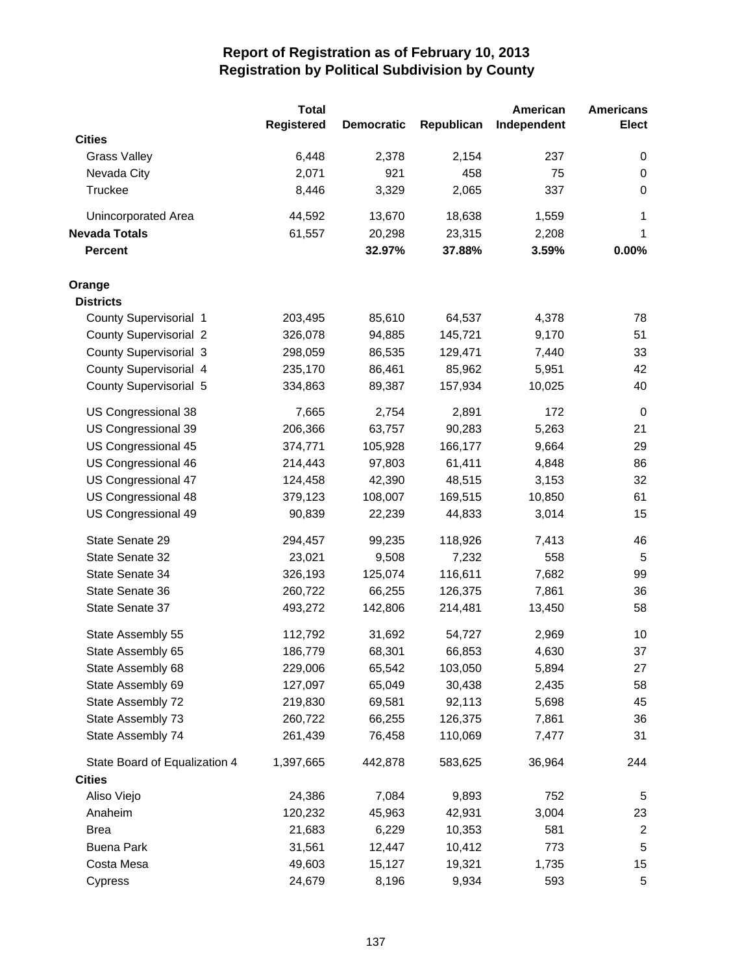|                               | <b>Total</b>      |                   |            | American    | <b>Americans</b> |
|-------------------------------|-------------------|-------------------|------------|-------------|------------------|
|                               | <b>Registered</b> | <b>Democratic</b> | Republican | Independent | <b>Elect</b>     |
| <b>Cities</b>                 |                   |                   |            |             |                  |
| <b>Grass Valley</b>           | 6,448             | 2,378             | 2,154      | 237         | 0                |
| Nevada City                   | 2,071             | 921               | 458        | 75          | 0                |
| Truckee                       | 8,446             | 3,329             | 2,065      | 337         | 0                |
| <b>Unincorporated Area</b>    | 44,592            | 13,670            | 18,638     | 1,559       | 1                |
| <b>Nevada Totals</b>          | 61,557            | 20,298            | 23,315     | 2,208       | 1                |
| <b>Percent</b>                |                   | 32.97%            | 37.88%     | 3.59%       | 0.00%            |
| Orange                        |                   |                   |            |             |                  |
| <b>Districts</b>              |                   |                   |            |             |                  |
| County Supervisorial 1        | 203,495           | 85,610            | 64,537     | 4,378       | 78               |
| <b>County Supervisorial 2</b> | 326,078           | 94,885            | 145,721    | 9,170       | 51               |
| <b>County Supervisorial 3</b> | 298,059           | 86,535            | 129,471    | 7,440       | 33               |
| County Supervisorial 4        | 235,170           | 86,461            | 85,962     | 5,951       | 42               |
| County Supervisorial 5        | 334,863           | 89,387            | 157,934    | 10,025      | 40               |
| US Congressional 38           | 7,665             | 2,754             | 2,891      | 172         | 0                |
| US Congressional 39           | 206,366           | 63,757            | 90,283     | 5,263       | 21               |
| US Congressional 45           | 374,771           | 105,928           | 166,177    | 9,664       | 29               |
| US Congressional 46           | 214,443           | 97,803            | 61,411     | 4,848       | 86               |
| US Congressional 47           | 124,458           | 42,390            | 48,515     | 3,153       | 32               |
| US Congressional 48           | 379,123           | 108,007           | 169,515    | 10,850      | 61               |
| US Congressional 49           | 90,839            | 22,239            | 44,833     | 3,014       | 15               |
| State Senate 29               | 294,457           | 99,235            | 118,926    | 7,413       | 46               |
| State Senate 32               | 23,021            | 9,508             | 7,232      | 558         | $\sqrt{5}$       |
| State Senate 34               | 326,193           | 125,074           | 116,611    | 7,682       | 99               |
| State Senate 36               | 260,722           | 66,255            | 126,375    | 7,861       | 36               |
| State Senate 37               | 493,272           | 142,806           | 214,481    | 13,450      | 58               |
| State Assembly 55             | 112,792           | 31,692            | 54,727     | 2,969       | 10               |
| State Assembly 65             | 186,779           | 68,301            | 66,853     | 4,630       | 37               |
| State Assembly 68             | 229,006           | 65,542            | 103,050    | 5,894       | 27               |
| State Assembly 69             | 127,097           | 65,049            | 30,438     | 2,435       | 58               |
| State Assembly 72             | 219,830           | 69,581            | 92,113     | 5,698       | 45               |
| State Assembly 73             | 260,722           | 66,255            | 126,375    | 7,861       | 36               |
| State Assembly 74             | 261,439           | 76,458            | 110,069    | 7,477       | 31               |
| State Board of Equalization 4 | 1,397,665         | 442,878           | 583,625    | 36,964      | 244              |
| <b>Cities</b>                 |                   |                   |            |             |                  |
| Aliso Viejo                   | 24,386            | 7,084             | 9,893      | 752         | 5                |
| Anaheim                       | 120,232           | 45,963            | 42,931     | 3,004       | 23               |
| <b>Brea</b>                   | 21,683            | 6,229             | 10,353     | 581         | $\overline{c}$   |
| <b>Buena Park</b>             | 31,561            | 12,447            | 10,412     | 773         | 5                |
| Costa Mesa                    | 49,603            | 15,127            | 19,321     | 1,735       | 15               |
| Cypress                       | 24,679            | 8,196             | 9,934      | 593         | 5                |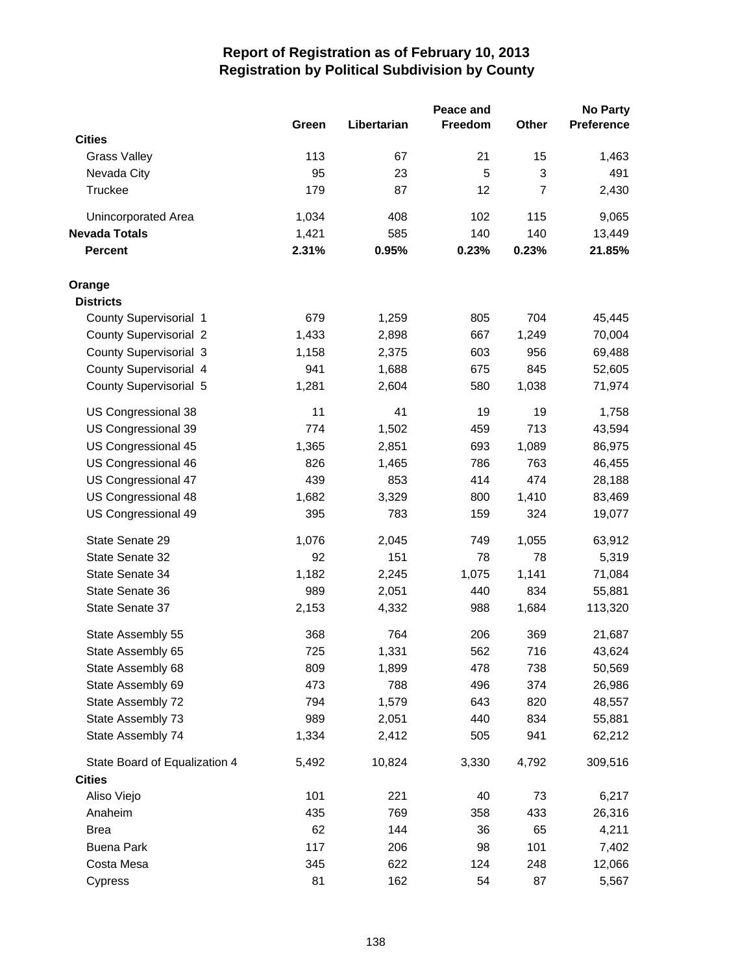|                               |       |             | Peace and      |                | <b>No Party</b> |
|-------------------------------|-------|-------------|----------------|----------------|-----------------|
|                               | Green | Libertarian | <b>Freedom</b> | <b>Other</b>   | Preference      |
| <b>Cities</b>                 |       |             |                |                |                 |
| <b>Grass Valley</b>           | 113   | 67          | 21             | 15             | 1,463           |
| Nevada City                   | 95    | 23          | 5              | 3              | 491             |
| <b>Truckee</b>                | 179   | 87          | 12             | $\overline{7}$ | 2,430           |
| Unincorporated Area           | 1,034 | 408         | 102            | 115            | 9,065           |
| <b>Nevada Totals</b>          | 1,421 | 585         | 140            | 140            | 13,449          |
| <b>Percent</b>                | 2.31% | 0.95%       | 0.23%          | 0.23%          | 21.85%          |
| Orange                        |       |             |                |                |                 |
| <b>Districts</b>              |       |             |                |                |                 |
| County Supervisorial 1        | 679   | 1,259       | 805            | 704            | 45,445          |
| <b>County Supervisorial 2</b> | 1,433 | 2,898       | 667            | 1,249          | 70,004          |
| <b>County Supervisorial 3</b> | 1,158 | 2,375       | 603            | 956            | 69,488          |
| County Supervisorial 4        | 941   | 1,688       | 675            | 845            | 52,605          |
| County Supervisorial 5        | 1,281 | 2,604       | 580            | 1,038          | 71,974          |
| US Congressional 38           | 11    | 41          | 19             | 19             | 1,758           |
| US Congressional 39           | 774   | 1,502       | 459            | 713            | 43,594          |
| US Congressional 45           | 1,365 | 2,851       | 693            | 1,089          | 86,975          |
| US Congressional 46           | 826   | 1,465       | 786            | 763            | 46,455          |
| US Congressional 47           | 439   | 853         | 414            | 474            | 28,188          |
| US Congressional 48           | 1,682 | 3,329       | 800            | 1,410          | 83,469          |
| US Congressional 49           | 395   | 783         | 159            | 324            | 19,077          |
| State Senate 29               | 1,076 | 2,045       | 749            | 1,055          | 63,912          |
| State Senate 32               | 92    | 151         | 78             | 78             | 5,319           |
| State Senate 34               | 1,182 | 2,245       | 1,075          | 1,141          | 71,084          |
| State Senate 36               | 989   | 2,051       | 440            | 834            | 55,881          |
| State Senate 37               | 2,153 | 4,332       | 988            | 1,684          | 113,320         |
| State Assembly 55             | 368   | 764         | 206            | 369            | 21,687          |
| State Assembly 65             | 725   | 1,331       | 562            | 716            | 43,624          |
| State Assembly 68             | 809   | 1,899       | 478            | 738            | 50,569          |
| State Assembly 69             | 473   | 788         | 496            | 374            | 26,986          |
| State Assembly 72             | 794   | 1,579       | 643            | 820            | 48,557          |
| State Assembly 73             | 989   | 2,051       | 440            | 834            | 55,881          |
| State Assembly 74             | 1,334 | 2,412       | 505            | 941            | 62,212          |
| State Board of Equalization 4 | 5,492 | 10,824      | 3,330          | 4,792          | 309,516         |
| <b>Cities</b>                 |       |             |                |                |                 |
| Aliso Viejo                   | 101   | 221         | 40             | 73             | 6,217           |
| Anaheim                       | 435   | 769         | 358            | 433            | 26,316          |
| <b>Brea</b>                   | 62    | 144         | 36             | 65             | 4,211           |
| <b>Buena Park</b>             | 117   | 206         | 98             | 101            | 7,402           |
| Costa Mesa                    | 345   | 622         | 124            | 248            | 12,066          |
| Cypress                       | 81    | 162         | 54             | 87             | 5,567           |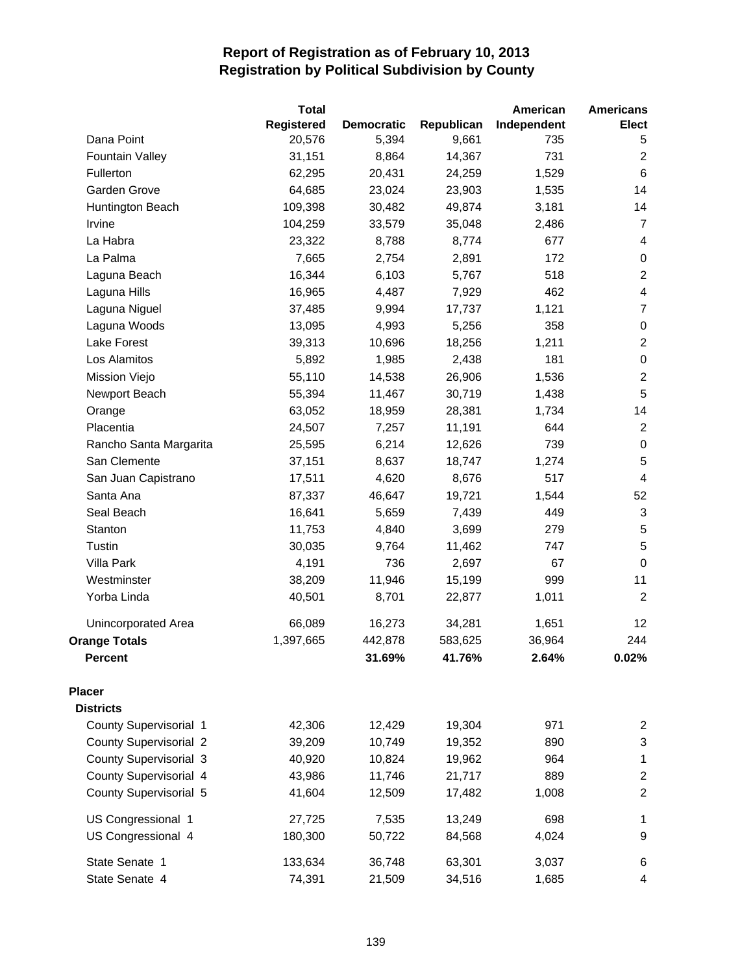|                               | <b>Total</b>      |                   |            | American    | <b>Americans</b>        |
|-------------------------------|-------------------|-------------------|------------|-------------|-------------------------|
|                               | <b>Registered</b> | <b>Democratic</b> | Republican | Independent | <b>Elect</b>            |
| Dana Point                    | 20,576            | 5,394             | 9,661      | 735         | 5                       |
| <b>Fountain Valley</b>        | 31,151            | 8,864             | 14,367     | 731         | 2                       |
| Fullerton                     | 62,295            | 20,431            | 24,259     | 1,529       | $\,6\,$                 |
| Garden Grove                  | 64,685            | 23,024            | 23,903     | 1,535       | 14                      |
| Huntington Beach              | 109,398           | 30,482            | 49,874     | 3,181       | 14                      |
| Irvine                        | 104,259           | 33,579            | 35,048     | 2,486       | $\overline{7}$          |
| La Habra                      | 23,322            | 8,788             | 8,774      | 677         | 4                       |
| La Palma                      | 7,665             | 2,754             | 2,891      | 172         | $\pmb{0}$               |
| Laguna Beach                  | 16,344            | 6,103             | 5,767      | 518         | $\overline{2}$          |
| Laguna Hills                  | 16,965            | 4,487             | 7,929      | 462         | $\overline{\mathbf{4}}$ |
| Laguna Niguel                 | 37,485            | 9,994             | 17,737     | 1,121       | $\overline{7}$          |
| Laguna Woods                  | 13,095            | 4,993             | 5,256      | 358         | $\pmb{0}$               |
| Lake Forest                   | 39,313            | 10,696            | 18,256     | 1,211       | $\overline{2}$          |
| Los Alamitos                  | 5,892             | 1,985             | 2,438      | 181         | $\,0\,$                 |
| Mission Viejo                 | 55,110            | 14,538            | 26,906     | 1,536       | $\overline{2}$          |
| Newport Beach                 | 55,394            | 11,467            | 30,719     | 1,438       | 5                       |
| Orange                        | 63,052            | 18,959            | 28,381     | 1,734       | 14                      |
| Placentia                     | 24,507            | 7,257             | 11,191     | 644         | $\overline{c}$          |
| Rancho Santa Margarita        | 25,595            | 6,214             | 12,626     | 739         | $\boldsymbol{0}$        |
| San Clemente                  | 37,151            | 8,637             | 18,747     | 1,274       | 5                       |
| San Juan Capistrano           | 17,511            | 4,620             | 8,676      | 517         | $\overline{\mathbf{4}}$ |
| Santa Ana                     | 87,337            | 46,647            | 19,721     | 1,544       | 52                      |
| Seal Beach                    | 16,641            | 5,659             | 7,439      | 449         | $\sqrt{3}$              |
| Stanton                       | 11,753            | 4,840             | 3,699      | 279         | $\sqrt{5}$              |
| Tustin                        | 30,035            | 9,764             | 11,462     | 747         | $\sqrt{5}$              |
| Villa Park                    | 4,191             | 736               | 2,697      | 67          | $\pmb{0}$               |
| Westminster                   | 38,209            | 11,946            | 15,199     | 999         | 11                      |
| Yorba Linda                   | 40,501            | 8,701             | 22,877     | 1,011       | $\overline{2}$          |
| <b>Unincorporated Area</b>    | 66,089            | 16,273            | 34,281     | 1,651       | 12                      |
| <b>Orange Totals</b>          | 1,397,665         | 442,878           | 583,625    | 36,964      | 244                     |
| <b>Percent</b>                |                   | 31.69%            | 41.76%     | 2.64%       | 0.02%                   |
| <b>Placer</b>                 |                   |                   |            |             |                         |
| <b>Districts</b>              |                   |                   |            |             |                         |
| County Supervisorial 1        | 42,306            | 12,429            | 19,304     | 971         | 2                       |
| <b>County Supervisorial 2</b> | 39,209            | 10,749            | 19,352     | 890         | 3                       |
| County Supervisorial 3        | 40,920            | 10,824            | 19,962     | 964         | $\mathbf{1}$            |
| County Supervisorial 4        | 43,986            | 11,746            | 21,717     | 889         | $\boldsymbol{2}$        |
| County Supervisorial 5        | 41,604            | 12,509            | 17,482     | 1,008       | $\boldsymbol{2}$        |
| US Congressional 1            | 27,725            | 7,535             | 13,249     | 698         | 1                       |
| US Congressional 4            | 180,300           | 50,722            | 84,568     | 4,024       | 9                       |
| State Senate 1                | 133,634           | 36,748            | 63,301     | 3,037       | 6                       |
| State Senate 4                | 74,391            | 21,509            | 34,516     | 1,685       | 4                       |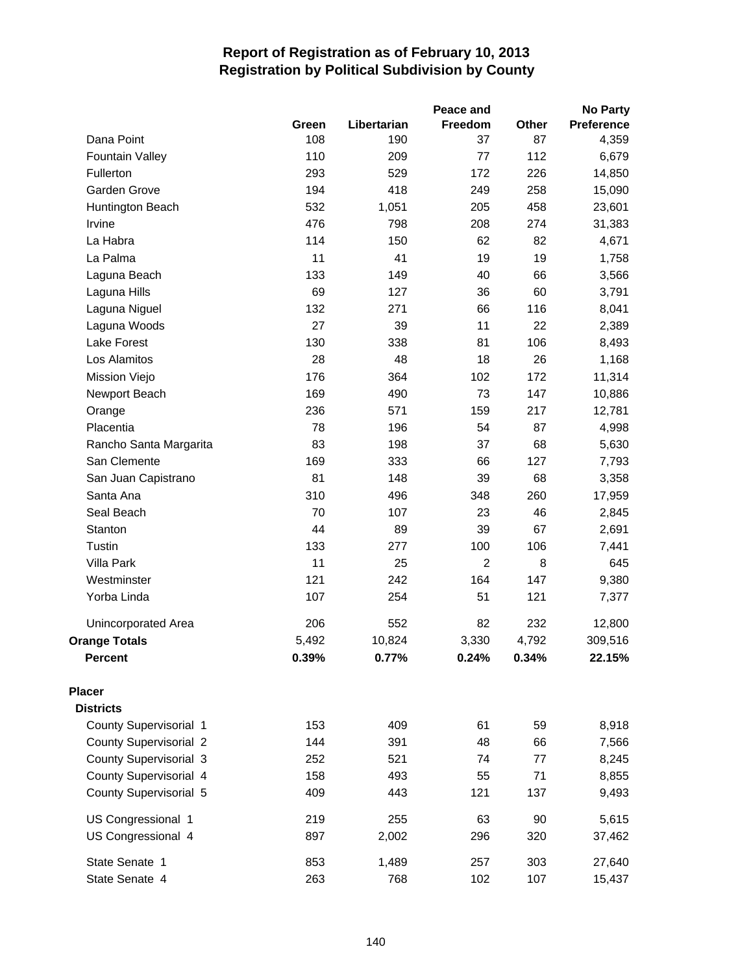|                               |       |             | Peace and      |       | <b>No Party</b> |
|-------------------------------|-------|-------------|----------------|-------|-----------------|
|                               | Green | Libertarian | Freedom        | Other | Preference      |
| Dana Point                    | 108   | 190         | 37             | 87    | 4,359           |
| <b>Fountain Valley</b>        | 110   | 209         | 77             | 112   | 6,679           |
| Fullerton                     | 293   | 529         | 172            | 226   | 14,850          |
| Garden Grove                  | 194   | 418         | 249            | 258   | 15,090          |
| Huntington Beach              | 532   | 1,051       | 205            | 458   | 23,601          |
| Irvine                        | 476   | 798         | 208            | 274   | 31,383          |
| La Habra                      | 114   | 150         | 62             | 82    | 4,671           |
| La Palma                      | 11    | 41          | 19             | 19    | 1,758           |
| Laguna Beach                  | 133   | 149         | 40             | 66    | 3,566           |
| Laguna Hills                  | 69    | 127         | 36             | 60    | 3,791           |
| Laguna Niguel                 | 132   | 271         | 66             | 116   | 8,041           |
| Laguna Woods                  | 27    | 39          | 11             | 22    | 2,389           |
| Lake Forest                   | 130   | 338         | 81             | 106   | 8,493           |
| Los Alamitos                  | 28    | 48          | 18             | 26    | 1,168           |
| Mission Viejo                 | 176   | 364         | 102            | 172   | 11,314          |
| Newport Beach                 | 169   | 490         | 73             | 147   | 10,886          |
| Orange                        | 236   | 571         | 159            | 217   | 12,781          |
| Placentia                     | 78    | 196         | 54             | 87    | 4,998           |
| Rancho Santa Margarita        | 83    | 198         | 37             | 68    | 5,630           |
| San Clemente                  | 169   | 333         | 66             | 127   | 7,793           |
| San Juan Capistrano           | 81    | 148         | 39             | 68    | 3,358           |
| Santa Ana                     | 310   | 496         | 348            | 260   | 17,959          |
| Seal Beach                    | 70    | 107         | 23             | 46    | 2,845           |
| Stanton                       | 44    | 89          | 39             | 67    | 2,691           |
| Tustin                        | 133   | 277         | 100            | 106   | 7,441           |
| Villa Park                    | 11    | 25          | $\overline{2}$ | 8     | 645             |
| Westminster                   | 121   | 242         | 164            | 147   | 9,380           |
| Yorba Linda                   | 107   | 254         | 51             | 121   | 7,377           |
| Unincorporated Area           | 206   | 552         | 82             | 232   | 12,800          |
| <b>Orange Totals</b>          | 5,492 | 10,824      | 3,330          | 4,792 | 309,516         |
| <b>Percent</b>                | 0.39% | 0.77%       | 0.24%          | 0.34% | 22.15%          |
| <b>Placer</b>                 |       |             |                |       |                 |
| <b>Districts</b>              |       |             |                |       |                 |
| County Supervisorial 1        | 153   | 409         | 61             | 59    | 8,918           |
| <b>County Supervisorial 2</b> | 144   | 391         | 48             | 66    | 7,566           |
| County Supervisorial 3        | 252   | 521         | 74             | 77    | 8,245           |
| County Supervisorial 4        | 158   | 493         | 55             | 71    | 8,855           |
| County Supervisorial 5        | 409   | 443         | 121            | 137   | 9,493           |
| US Congressional 1            | 219   | 255         | 63             | 90    | 5,615           |
| US Congressional 4            | 897   | 2,002       | 296            | 320   | 37,462          |
| State Senate 1                | 853   | 1,489       | 257            | 303   | 27,640          |
| State Senate 4                | 263   | 768         | 102            | 107   | 15,437          |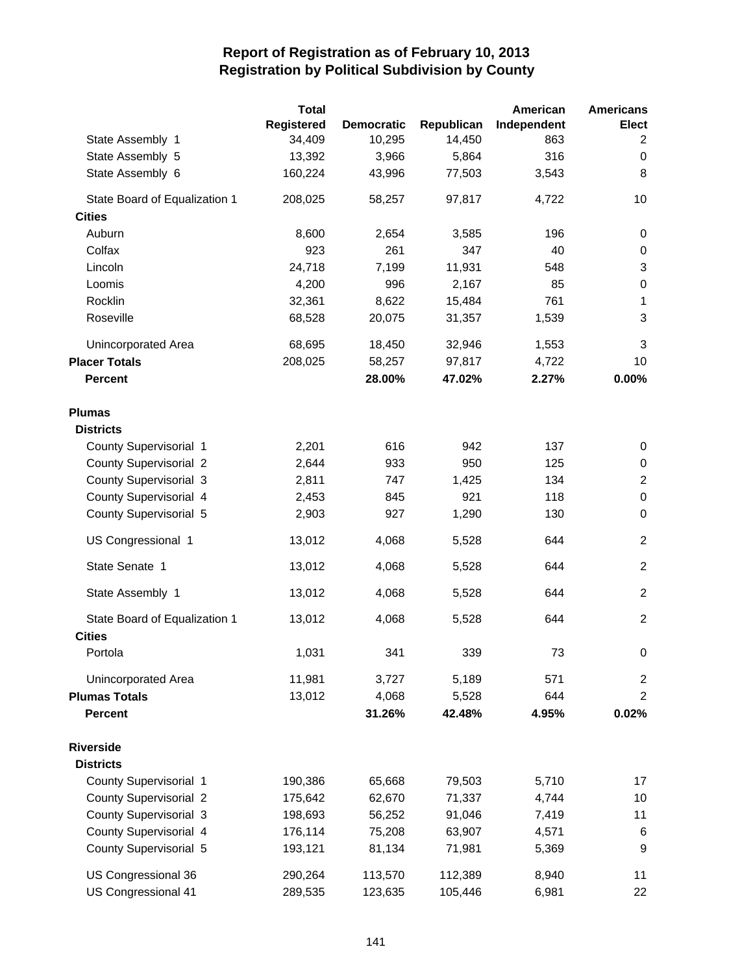|                               | <b>Total</b> |                   |            | American    | <b>Americans</b> |
|-------------------------------|--------------|-------------------|------------|-------------|------------------|
|                               | Registered   | <b>Democratic</b> | Republican | Independent | <b>Elect</b>     |
| State Assembly 1              | 34,409       | 10,295            | 14,450     | 863         | 2                |
| State Assembly 5              | 13,392       | 3,966             | 5,864      | 316         | 0                |
| State Assembly 6              | 160,224      | 43,996            | 77,503     | 3,543       | 8                |
| State Board of Equalization 1 | 208,025      | 58,257            | 97,817     | 4,722       | 10               |
| <b>Cities</b>                 |              |                   |            |             |                  |
| Auburn                        | 8,600        | 2,654             | 3,585      | 196         | 0                |
| Colfax                        | 923          | 261               | 347        | 40          | 0                |
| Lincoln                       | 24,718       | 7,199             | 11,931     | 548         | 3                |
| Loomis                        | 4,200        | 996               | 2,167      | 85          | 0                |
| Rocklin                       | 32,361       | 8,622             | 15,484     | 761         | $\mathbf{1}$     |
| Roseville                     | 68,528       | 20,075            | 31,357     | 1,539       | $\mathbf{3}$     |
| <b>Unincorporated Area</b>    | 68,695       | 18,450            | 32,946     | 1,553       | $\mathbf{3}$     |
| <b>Placer Totals</b>          | 208,025      | 58,257            | 97,817     | 4,722       | 10               |
| <b>Percent</b>                |              | 28.00%            | 47.02%     | 2.27%       | 0.00%            |
| <b>Plumas</b>                 |              |                   |            |             |                  |
| <b>Districts</b>              |              |                   |            |             |                  |
| County Supervisorial 1        | 2,201        | 616               | 942        | 137         | 0                |
| <b>County Supervisorial 2</b> | 2,644        | 933               | 950        | 125         | 0                |
| <b>County Supervisorial 3</b> | 2,811        | 747               | 1,425      | 134         | $\overline{2}$   |
| County Supervisorial 4        | 2,453        | 845               | 921        | 118         | $\pmb{0}$        |
| County Supervisorial 5        | 2,903        | 927               | 1,290      | 130         | $\mathbf 0$      |
| US Congressional 1            | 13,012       | 4,068             | 5,528      | 644         | $\overline{2}$   |
| State Senate 1                | 13,012       | 4,068             | 5,528      | 644         | $\overline{2}$   |
| State Assembly 1              | 13,012       | 4,068             | 5,528      | 644         | 2                |
| State Board of Equalization 1 | 13,012       | 4,068             | 5,528      | 644         | $\overline{2}$   |
| <b>Cities</b>                 |              |                   |            |             |                  |
| Portola                       | 1,031        | 341               | 339        | 73          | 0                |
| Unincorporated Area           | 11,981       | 3,727             | 5,189      | 571         | $\overline{2}$   |
| <b>Plumas Totals</b>          | 13,012       | 4,068             | 5,528      | 644         | 2                |
| <b>Percent</b>                |              | 31.26%            | 42.48%     | 4.95%       | 0.02%            |
| <b>Riverside</b>              |              |                   |            |             |                  |
| <b>Districts</b>              |              |                   |            |             |                  |
| County Supervisorial 1        | 190,386      | 65,668            | 79,503     | 5,710       | 17               |
| <b>County Supervisorial 2</b> | 175,642      | 62,670            | 71,337     | 4,744       | 10               |
| <b>County Supervisorial 3</b> | 198,693      | 56,252            | 91,046     | 7,419       | 11               |
| County Supervisorial 4        | 176,114      | 75,208            | 63,907     | 4,571       | 6                |
| County Supervisorial 5        | 193,121      | 81,134            | 71,981     | 5,369       | 9                |
| US Congressional 36           | 290,264      | 113,570           | 112,389    | 8,940       | 11               |
| US Congressional 41           | 289,535      | 123,635           | 105,446    | 6,981       | 22               |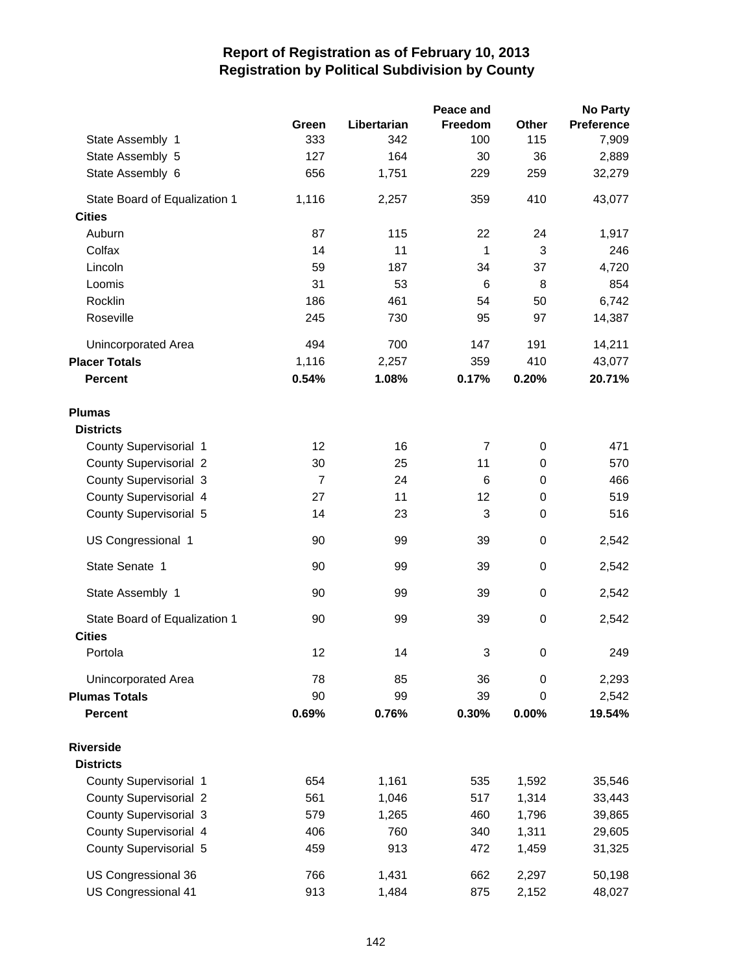|                                                | Green          | Libertarian | Peace and<br>Freedom | Other       | <b>No Party</b><br><b>Preference</b> |
|------------------------------------------------|----------------|-------------|----------------------|-------------|--------------------------------------|
| State Assembly 1                               | 333            | 342         | 100                  | 115         | 7,909                                |
| State Assembly 5                               | 127            | 164         | 30                   | 36          | 2,889                                |
| State Assembly 6                               | 656            | 1,751       | 229                  | 259         | 32,279                               |
| State Board of Equalization 1<br><b>Cities</b> | 1,116          | 2,257       | 359                  | 410         | 43,077                               |
| Auburn                                         | 87             | 115         | 22                   | 24          | 1,917                                |
| Colfax                                         | 14             | 11          | $\mathbf{1}$         | 3           | 246                                  |
| Lincoln                                        | 59             | 187         | 34                   | 37          | 4,720                                |
| Loomis                                         | 31             | 53          | 6                    | 8           | 854                                  |
| Rocklin                                        | 186            | 461         | 54                   | 50          | 6,742                                |
| Roseville                                      | 245            | 730         | 95                   | 97          | 14,387                               |
| Unincorporated Area                            | 494            | 700         | 147                  | 191         | 14,211                               |
| <b>Placer Totals</b>                           | 1,116          | 2,257       | 359                  | 410         | 43,077                               |
| <b>Percent</b>                                 | 0.54%          | 1.08%       | 0.17%                | 0.20%       | 20.71%                               |
| <b>Plumas</b>                                  |                |             |                      |             |                                      |
| <b>Districts</b>                               |                |             |                      |             |                                      |
| County Supervisorial 1                         | 12             | 16          | $\overline{7}$       | $\mathbf 0$ | 471                                  |
| <b>County Supervisorial 2</b>                  | 30             | 25          | 11                   | 0           | 570                                  |
| <b>County Supervisorial 3</b>                  | $\overline{7}$ | 24          | 6                    | $\mathbf 0$ | 466                                  |
| County Supervisorial 4                         | 27             | 11          | 12                   | $\mathbf 0$ | 519                                  |
| County Supervisorial 5                         | 14             | 23          | 3                    | 0           | 516                                  |
| US Congressional 1                             | 90             | 99          | 39                   | 0           | 2,542                                |
| State Senate 1                                 | 90             | 99          | 39                   | 0           | 2,542                                |
| State Assembly 1                               | 90             | 99          | 39                   | 0           | 2,542                                |
| State Board of Equalization 1                  | 90             | 99          | 39                   | $\mathbf 0$ | 2,542                                |
| <b>Cities</b><br>Portola                       | 12             | 14          | 3                    | 0           | 249                                  |
|                                                |                |             |                      |             |                                      |
| Unincorporated Area                            | 78             | 85          | 36                   | 0           | 2,293                                |
| <b>Plumas Totals</b>                           | 90             | 99          | 39                   | $\mathbf 0$ | 2,542                                |
| <b>Percent</b>                                 | 0.69%          | 0.76%       | 0.30%                | 0.00%       | 19.54%                               |
| <b>Riverside</b><br><b>Districts</b>           |                |             |                      |             |                                      |
| County Supervisorial 1                         | 654            | 1,161       | 535                  | 1,592       | 35,546                               |
| <b>County Supervisorial 2</b>                  | 561            | 1,046       | 517                  | 1,314       | 33,443                               |
| County Supervisorial 3                         | 579            | 1,265       | 460                  | 1,796       | 39,865                               |
| County Supervisorial 4                         | 406            | 760         | 340                  | 1,311       | 29,605                               |
| County Supervisorial 5                         | 459            | 913         | 472                  | 1,459       | 31,325                               |
| US Congressional 36                            | 766            | 1,431       | 662                  | 2,297       | 50,198                               |
| US Congressional 41                            | 913            | 1,484       | 875                  | 2,152       | 48,027                               |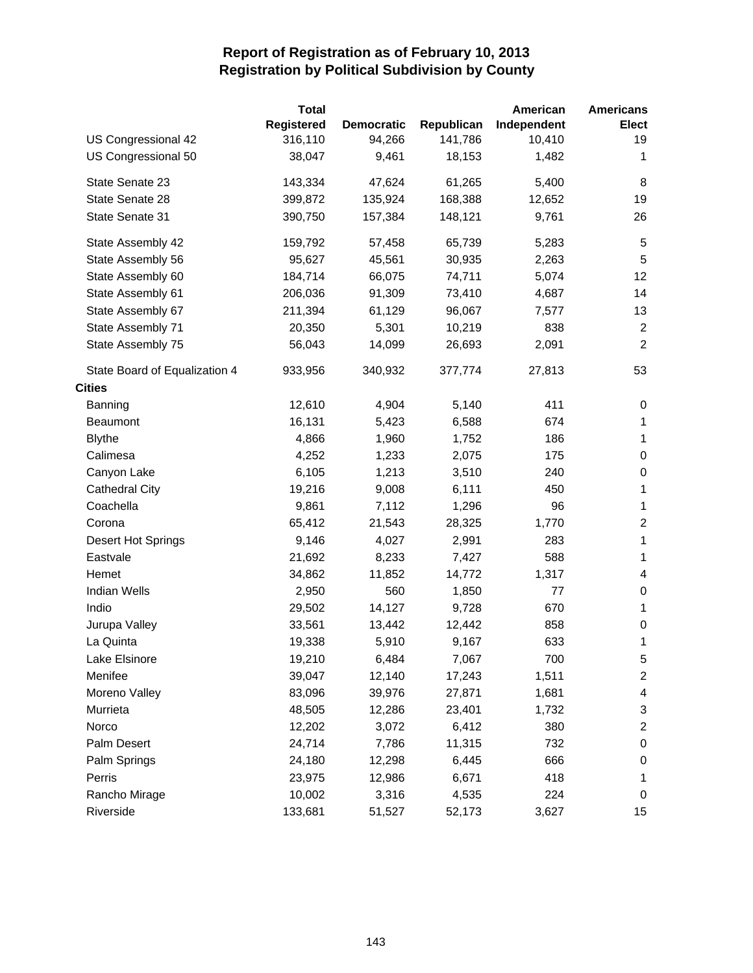|                               | <b>Total</b>      |                   |            | American    | <b>Americans</b>         |
|-------------------------------|-------------------|-------------------|------------|-------------|--------------------------|
|                               | <b>Registered</b> | <b>Democratic</b> | Republican | Independent | <b>Elect</b>             |
| US Congressional 42           | 316,110           | 94,266            | 141,786    | 10,410      | 19                       |
| US Congressional 50           | 38,047            | 9,461             | 18,153     | 1,482       | $\mathbf{1}$             |
| State Senate 23               | 143,334           | 47,624            | 61,265     | 5,400       | 8                        |
| State Senate 28               | 399,872           | 135,924           | 168,388    | 12,652      | 19                       |
| State Senate 31               | 390,750           | 157,384           | 148,121    | 9,761       | 26                       |
| State Assembly 42             | 159,792           | 57,458            | 65,739     | 5,283       | 5                        |
| State Assembly 56             | 95,627            | 45,561            | 30,935     | 2,263       | 5                        |
| State Assembly 60             | 184,714           | 66,075            | 74,711     | 5,074       | 12                       |
| State Assembly 61             | 206,036           | 91,309            | 73,410     | 4,687       | 14                       |
| State Assembly 67             | 211,394           | 61,129            | 96,067     | 7,577       | 13                       |
| State Assembly 71             | 20,350            | 5,301             | 10,219     | 838         | $\overline{c}$           |
| State Assembly 75             | 56,043            | 14,099            | 26,693     | 2,091       | $\overline{2}$           |
| State Board of Equalization 4 | 933,956           | 340,932           | 377,774    | 27,813      | 53                       |
| <b>Cities</b>                 |                   |                   |            |             |                          |
| Banning                       | 12,610            | 4,904             | 5,140      | 411         | 0                        |
| <b>Beaumont</b>               | 16,131            | 5,423             | 6,588      | 674         | $\mathbf{1}$             |
| <b>Blythe</b>                 | 4,866             | 1,960             | 1,752      | 186         | $\mathbf{1}$             |
| Calimesa                      | 4,252             | 1,233             | 2,075      | 175         | 0                        |
| Canyon Lake                   | 6,105             | 1,213             | 3,510      | 240         | $\pmb{0}$                |
| <b>Cathedral City</b>         | 19,216            | 9,008             | 6,111      | 450         | $\mathbf{1}$             |
| Coachella                     | 9,861             | 7,112             | 1,296      | 96          | $\mathbf{1}$             |
| Corona                        | 65,412            | 21,543            | 28,325     | 1,770       | $\overline{2}$           |
| Desert Hot Springs            | 9,146             | 4,027             | 2,991      | 283         | $\mathbf{1}$             |
| Eastvale                      | 21,692            | 8,233             | 7,427      | 588         | $\mathbf 1$              |
| Hemet                         | 34,862            | 11,852            | 14,772     | 1,317       | 4                        |
| <b>Indian Wells</b>           | 2,950             | 560               | 1,850      | 77          | 0                        |
| Indio                         | 29,502            | 14,127            | 9,728      | 670         | 1                        |
| Jurupa Valley                 | 33,561            | 13,442            | 12,442     | 858         | $\pmb{0}$                |
| La Quinta                     | 19,338            | 5,910             | 9,167      | 633         | 1                        |
| Lake Elsinore                 | 19,210            | 6,484             | 7,067      | 700         | 5                        |
| Menifee                       | 39,047            | 12,140            | 17,243     | 1,511       | $\overline{c}$           |
| Moreno Valley                 | 83,096            | 39,976            | 27,871     | 1,681       | $\overline{\mathcal{A}}$ |
| Murrieta                      | 48,505            | 12,286            | 23,401     | 1,732       | 3                        |
| Norco                         | 12,202            | 3,072             | 6,412      | 380         | $\overline{c}$           |
| Palm Desert                   | 24,714            | 7,786             | 11,315     | 732         | $\pmb{0}$                |
| Palm Springs                  | 24,180            | 12,298            | 6,445      | 666         | 0                        |
| Perris                        | 23,975            | 12,986            | 6,671      | 418         | 1                        |
| Rancho Mirage                 | 10,002            | 3,316             | 4,535      | 224         | 0                        |
| Riverside                     | 133,681           | 51,527            | 52,173     | 3,627       | 15                       |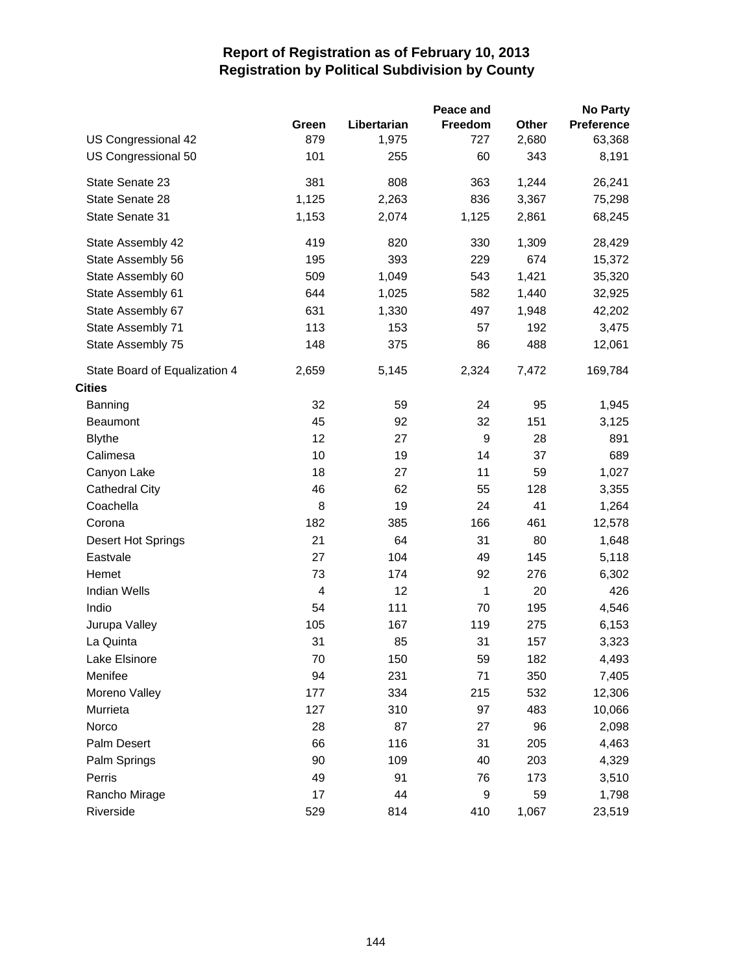|                               |                          |             | Peace and |       | <b>No Party</b> |
|-------------------------------|--------------------------|-------------|-----------|-------|-----------------|
|                               | Green                    | Libertarian | Freedom   | Other | Preference      |
| US Congressional 42           | 879                      | 1,975       | 727       | 2,680 | 63,368          |
| US Congressional 50           | 101                      | 255         | 60        | 343   | 8,191           |
| State Senate 23               | 381                      | 808         | 363       | 1,244 | 26,241          |
| State Senate 28               | 1,125                    | 2,263       | 836       | 3,367 | 75,298          |
| State Senate 31               | 1,153                    | 2,074       | 1,125     | 2,861 | 68,245          |
| State Assembly 42             | 419                      | 820         | 330       | 1,309 | 28,429          |
| State Assembly 56             | 195                      | 393         | 229       | 674   | 15,372          |
| State Assembly 60             | 509                      | 1,049       | 543       | 1,421 | 35,320          |
| State Assembly 61             | 644                      | 1,025       | 582       | 1,440 | 32,925          |
| State Assembly 67             | 631                      | 1,330       | 497       | 1,948 | 42,202          |
| State Assembly 71             | 113                      | 153         | 57        | 192   | 3,475           |
| State Assembly 75             | 148                      | 375         | 86        | 488   | 12,061          |
| State Board of Equalization 4 | 2,659                    | 5,145       | 2,324     | 7,472 | 169,784         |
| <b>Cities</b>                 |                          |             |           |       |                 |
| Banning                       | 32                       | 59          | 24        | 95    | 1,945           |
| <b>Beaumont</b>               | 45                       | 92          | 32        | 151   | 3,125           |
| <b>Blythe</b>                 | 12                       | 27          | 9         | 28    | 891             |
| Calimesa                      | 10                       | 19          | 14        | 37    | 689             |
| Canyon Lake                   | 18                       | 27          | 11        | 59    | 1,027           |
| <b>Cathedral City</b>         | 46                       | 62          | 55        | 128   | 3,355           |
| Coachella                     | 8                        | 19          | 24        | 41    | 1,264           |
| Corona                        | 182                      | 385         | 166       | 461   | 12,578          |
| Desert Hot Springs            | 21                       | 64          | 31        | 80    | 1,648           |
| Eastvale                      | 27                       | 104         | 49        | 145   | 5,118           |
| Hemet                         | 73                       | 174         | 92        | 276   | 6,302           |
| <b>Indian Wells</b>           | $\overline{\mathcal{A}}$ | 12          | 1         | 20    | 426             |
| Indio                         | 54                       | 111         | 70        | 195   | 4,546           |
| Jurupa Valley                 | 105                      | 167         | 119       | 275   | 6,153           |
| La Quinta                     | 31                       | 85          | 31        | 157   | 3,323           |
| Lake Elsinore                 | 70                       | 150         | 59        | 182   | 4,493           |
| Menifee                       | 94                       | 231         | 71        | 350   | 7,405           |
| Moreno Valley                 | 177                      | 334         | 215       | 532   | 12,306          |
| Murrieta                      | 127                      | 310         | 97        | 483   | 10,066          |
| Norco                         | 28                       | 87          | 27        | 96    | 2,098           |
| Palm Desert                   | 66                       | 116         | 31        | 205   | 4,463           |
| Palm Springs                  | 90                       | 109         | 40        | 203   | 4,329           |
| Perris                        | 49                       | 91          | 76        | 173   | 3,510           |
| Rancho Mirage                 | 17                       | 44          | 9         | 59    | 1,798           |
| Riverside                     | 529                      | 814         | 410       | 1,067 | 23,519          |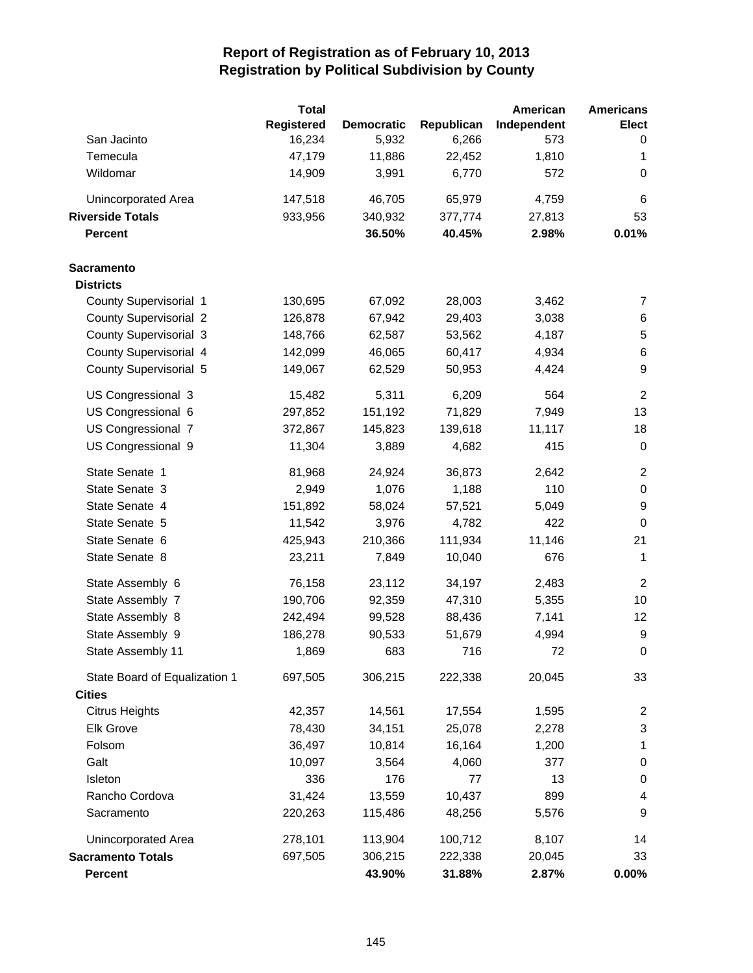|                               | <b>Total</b> |                   |            | American    | <b>Americans</b> |
|-------------------------------|--------------|-------------------|------------|-------------|------------------|
|                               | Registered   | <b>Democratic</b> | Republican | Independent | <b>Elect</b>     |
| San Jacinto                   | 16,234       | 5,932             | 6,266      | 573         | 0                |
| Temecula                      | 47,179       | 11,886            | 22,452     | 1,810       | 1                |
| Wildomar                      | 14,909       | 3,991             | 6,770      | 572         | 0                |
| Unincorporated Area           | 147,518      | 46,705            | 65,979     | 4,759       | 6                |
| <b>Riverside Totals</b>       | 933,956      | 340,932           | 377,774    | 27,813      | 53               |
| <b>Percent</b>                |              | 36.50%            | 40.45%     | 2.98%       | 0.01%            |
| <b>Sacramento</b>             |              |                   |            |             |                  |
| <b>Districts</b>              |              |                   |            |             |                  |
| County Supervisorial 1        | 130,695      | 67,092            | 28,003     | 3,462       | 7                |
| <b>County Supervisorial 2</b> | 126,878      | 67,942            | 29,403     | 3,038       | 6                |
| <b>County Supervisorial 3</b> | 148,766      | 62,587            | 53,562     | 4,187       | 5                |
| County Supervisorial 4        | 142,099      | 46,065            | 60,417     | 4,934       | 6                |
| County Supervisorial 5        | 149,067      | 62,529            | 50,953     | 4,424       | 9                |
| US Congressional 3            | 15,482       | 5,311             | 6,209      | 564         | $\overline{2}$   |
| US Congressional 6            | 297,852      | 151,192           | 71,829     | 7,949       | 13               |
| US Congressional 7            | 372,867      | 145,823           | 139,618    | 11,117      | 18               |
| US Congressional 9            | 11,304       | 3,889             | 4,682      | 415         | 0                |
| State Senate 1                | 81,968       | 24,924            | 36,873     | 2,642       | $\overline{c}$   |
| State Senate 3                | 2,949        | 1,076             | 1,188      | 110         | $\pmb{0}$        |
| State Senate 4                | 151,892      | 58,024            | 57,521     | 5,049       | $\boldsymbol{9}$ |
| State Senate 5                | 11,542       | 3,976             | 4,782      | 422         | $\boldsymbol{0}$ |
| State Senate 6                | 425,943      | 210,366           | 111,934    | 11,146      | 21               |
| State Senate 8                | 23,211       | 7,849             | 10,040     | 676         | $\mathbf{1}$     |
| State Assembly 6              | 76,158       | 23,112            | 34,197     | 2,483       | $\overline{2}$   |
| State Assembly 7              | 190,706      | 92,359            | 47,310     | 5,355       | 10               |
| State Assembly 8              | 242,494      | 99,528            | 88,436     | 7,141       | 12               |
| State Assembly 9              | 186,278      | 90,533            | 51,679     | 4,994       | $\boldsymbol{9}$ |
| State Assembly 11             | 1,869        | 683               | 716        | 72          | 0                |
| State Board of Equalization 1 | 697,505      | 306,215           | 222,338    | 20,045      | 33               |
| <b>Cities</b>                 |              |                   |            |             |                  |
| <b>Citrus Heights</b>         | 42,357       | 14,561            | 17,554     | 1,595       | 2                |
| Elk Grove                     | 78,430       | 34,151            | 25,078     | 2,278       | 3                |
| Folsom                        | 36,497       | 10,814            | 16,164     | 1,200       | $\mathbf{1}$     |
| Galt                          | 10,097       | 3,564             | 4,060      | 377         | 0                |
| Isleton                       | 336          | 176               | 77         | 13          | $\boldsymbol{0}$ |
| Rancho Cordova                | 31,424       | 13,559            | 10,437     | 899         | 4                |
| Sacramento                    | 220,263      | 115,486           | 48,256     | 5,576       | 9                |
| Unincorporated Area           | 278,101      | 113,904           | 100,712    | 8,107       | 14               |
| <b>Sacramento Totals</b>      | 697,505      | 306,215           | 222,338    | 20,045      | 33               |
| Percent                       |              | 43.90%            | 31.88%     | 2.87%       | $0.00\%$         |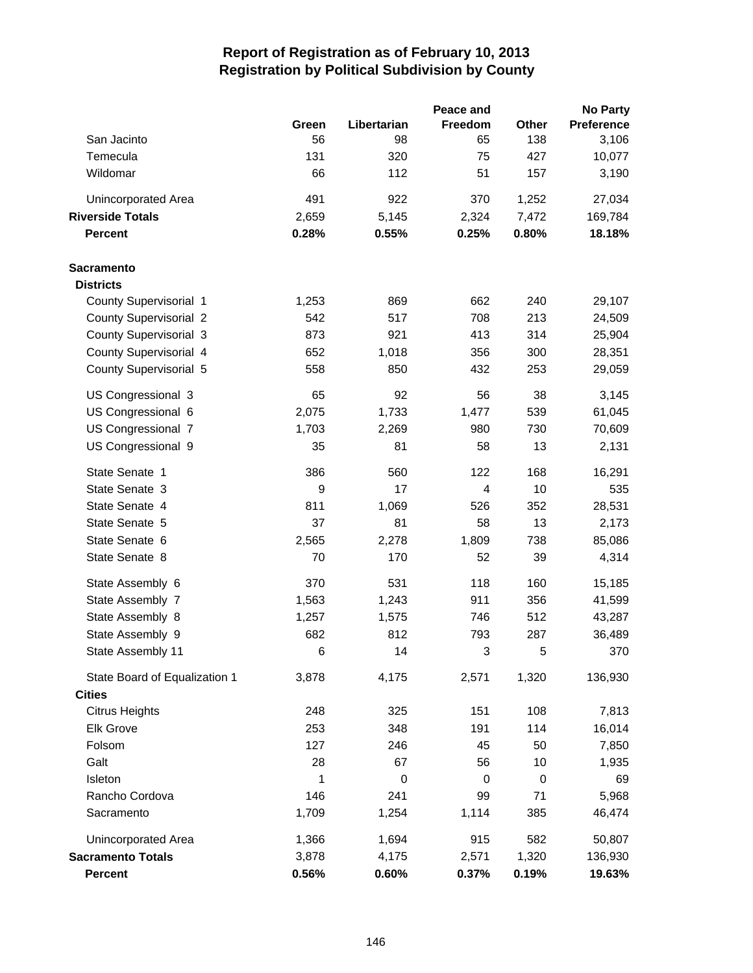|                               |       |             | Peace and |             | <b>No Party</b>   |
|-------------------------------|-------|-------------|-----------|-------------|-------------------|
|                               | Green | Libertarian | Freedom   | Other       | <b>Preference</b> |
| San Jacinto                   | 56    | 98          | 65        | 138         | 3,106             |
| Temecula                      | 131   | 320         | 75        | 427         | 10,077            |
| Wildomar                      | 66    | 112         | 51        | 157         | 3,190             |
| Unincorporated Area           | 491   | 922         | 370       | 1,252       | 27,034            |
| <b>Riverside Totals</b>       | 2,659 | 5,145       | 2,324     | 7,472       | 169,784           |
| <b>Percent</b>                | 0.28% | 0.55%       | 0.25%     | 0.80%       | 18.18%            |
| <b>Sacramento</b>             |       |             |           |             |                   |
| <b>Districts</b>              |       |             |           |             |                   |
| County Supervisorial 1        | 1,253 | 869         | 662       | 240         | 29,107            |
| <b>County Supervisorial 2</b> | 542   | 517         | 708       | 213         | 24,509            |
| <b>County Supervisorial 3</b> | 873   | 921         | 413       | 314         | 25,904            |
| County Supervisorial 4        | 652   | 1,018       | 356       | 300         | 28,351            |
| County Supervisorial 5        | 558   | 850         | 432       | 253         | 29,059            |
| US Congressional 3            | 65    | 92          | 56        | 38          | 3,145             |
| US Congressional 6            | 2,075 | 1,733       | 1,477     | 539         | 61,045            |
| US Congressional 7            | 1,703 | 2,269       | 980       | 730         | 70,609            |
| US Congressional 9            | 35    | 81          | 58        | 13          | 2,131             |
| State Senate 1                | 386   | 560         | 122       | 168         | 16,291            |
| State Senate 3                | 9     | 17          | 4         | 10          | 535               |
| State Senate 4                | 811   | 1,069       | 526       | 352         | 28,531            |
| State Senate 5                | 37    | 81          | 58        | 13          | 2,173             |
| State Senate 6                | 2,565 | 2,278       | 1,809     | 738         | 85,086            |
| State Senate 8                | 70    | 170         | 52        | 39          | 4,314             |
| State Assembly 6              | 370   | 531         | 118       | 160         | 15,185            |
| State Assembly 7              | 1,563 | 1,243       | 911       | 356         | 41,599            |
| State Assembly 8              | 1,257 | 1,575       | 746       | 512         | 43,287            |
| State Assembly 9              | 682   | 812         | 793       | 287         | 36,489            |
| State Assembly 11             | 6     | 14          | 3         | 5           | 370               |
| State Board of Equalization 1 | 3,878 | 4,175       | 2,571     | 1,320       | 136,930           |
| <b>Cities</b>                 |       |             |           |             |                   |
| <b>Citrus Heights</b>         | 248   | 325         | 151       | 108         | 7,813             |
| Elk Grove                     | 253   | 348         | 191       | 114         | 16,014            |
| Folsom                        | 127   | 246         | 45        | 50          | 7,850             |
| Galt                          | 28    | 67          | 56        | 10          | 1,935             |
| Isleton                       | 1     | 0           | 0         | $\mathbf 0$ | 69                |
| Rancho Cordova                | 146   | 241         | 99        | 71          | 5,968             |
| Sacramento                    | 1,709 | 1,254       | 1,114     | 385         | 46,474            |
| Unincorporated Area           | 1,366 | 1,694       | 915       | 582         | 50,807            |
| <b>Sacramento Totals</b>      | 3,878 | 4,175       | 2,571     | 1,320       | 136,930           |
| <b>Percent</b>                | 0.56% | 0.60%       | 0.37%     | 0.19%       | 19.63%            |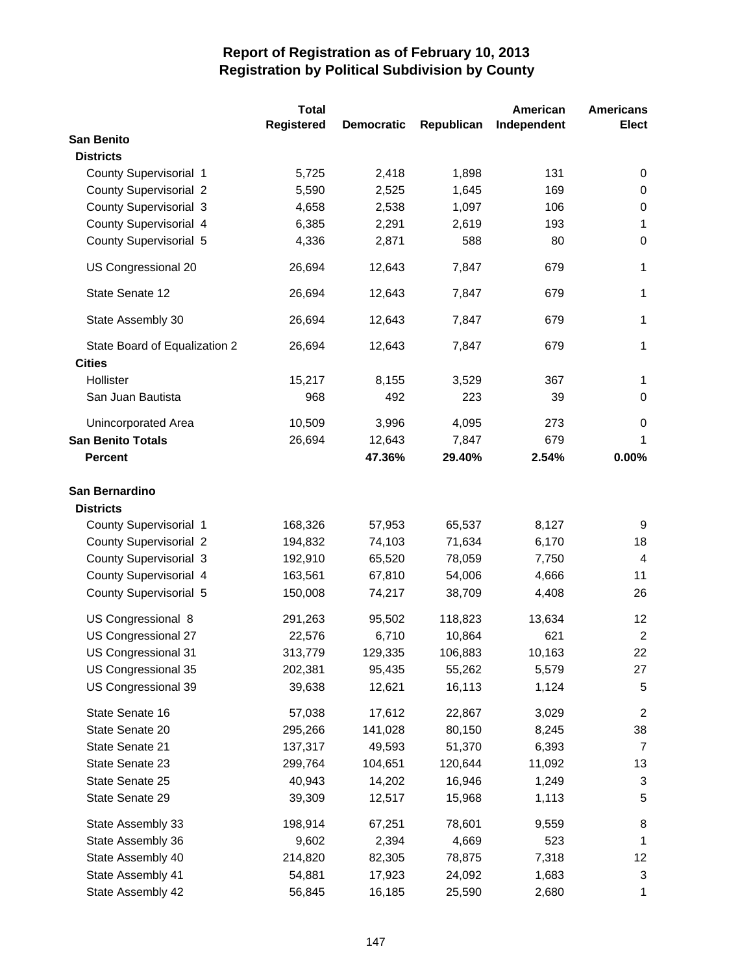|                               | <b>Total</b>      |                   |            | American    | <b>Americans</b> |
|-------------------------------|-------------------|-------------------|------------|-------------|------------------|
|                               | <b>Registered</b> | <b>Democratic</b> | Republican | Independent | Elect            |
| <b>San Benito</b>             |                   |                   |            |             |                  |
| <b>Districts</b>              |                   |                   |            |             |                  |
| County Supervisorial 1        | 5,725             | 2,418             | 1,898      | 131         | 0                |
| <b>County Supervisorial 2</b> | 5,590             | 2,525             | 1,645      | 169         | 0                |
| <b>County Supervisorial 3</b> | 4,658             | 2,538             | 1,097      | 106         | 0                |
| County Supervisorial 4        | 6,385             | 2,291             | 2,619      | 193         | $\mathbf 1$      |
| County Supervisorial 5        | 4,336             | 2,871             | 588        | 80          | $\mathbf 0$      |
| US Congressional 20           | 26,694            | 12,643            | 7,847      | 679         | 1                |
| State Senate 12               | 26,694            | 12,643            | 7,847      | 679         | $\mathbf{1}$     |
| State Assembly 30             | 26,694            | 12,643            | 7,847      | 679         | $\mathbf{1}$     |
| State Board of Equalization 2 | 26,694            | 12,643            | 7,847      | 679         | 1                |
| <b>Cities</b>                 |                   |                   |            |             |                  |
| Hollister                     | 15,217            | 8,155             | 3,529      | 367         | 1                |
| San Juan Bautista             | 968               | 492               | 223        | 39          | 0                |
| <b>Unincorporated Area</b>    | 10,509            | 3,996             | 4,095      | 273         | 0                |
| <b>San Benito Totals</b>      | 26,694            | 12,643            | 7,847      | 679         | 1                |
| <b>Percent</b>                |                   | 47.36%            | 29.40%     | 2.54%       | 0.00%            |
| San Bernardino                |                   |                   |            |             |                  |
| <b>Districts</b>              |                   |                   |            |             |                  |
| County Supervisorial 1        | 168,326           | 57,953            | 65,537     | 8,127       | 9                |
| <b>County Supervisorial 2</b> | 194,832           | 74,103            | 71,634     | 6,170       | 18               |
| <b>County Supervisorial 3</b> | 192,910           | 65,520            | 78,059     | 7,750       | $\overline{4}$   |
| County Supervisorial 4        | 163,561           | 67,810            | 54,006     | 4,666       | 11               |
| County Supervisorial 5        | 150,008           | 74,217            | 38,709     | 4,408       | 26               |
| US Congressional 8            | 291,263           | 95,502            | 118,823    | 13,634      | 12               |
| US Congressional 27           | 22,576            | 6,710             | 10,864     | 621         | $\overline{2}$   |
| US Congressional 31           | 313,779           | 129,335           | 106,883    | 10,163      | 22               |
| US Congressional 35           | 202,381           | 95,435            | 55,262     | 5,579       | 27               |
| US Congressional 39           | 39,638            | 12,621            | 16,113     | 1,124       | 5                |
| State Senate 16               | 57,038            | 17,612            | 22,867     | 3,029       | 2                |
| State Senate 20               | 295,266           | 141,028           | 80,150     | 8,245       | 38               |
| State Senate 21               | 137,317           | 49,593            | 51,370     | 6,393       | $\overline{7}$   |
| State Senate 23               | 299,764           | 104,651           | 120,644    | 11,092      | 13               |
| State Senate 25               | 40,943            | 14,202            | 16,946     | 1,249       | 3                |
| State Senate 29               | 39,309            | 12,517            | 15,968     | 1,113       | 5                |
| State Assembly 33             | 198,914           | 67,251            | 78,601     | 9,559       | 8                |
| State Assembly 36             | 9,602             | 2,394             | 4,669      | 523         | $\mathbf 1$      |
| State Assembly 40             | 214,820           | 82,305            | 78,875     | 7,318       | 12               |
| State Assembly 41             | 54,881            | 17,923            | 24,092     | 1,683       | 3                |
| State Assembly 42             | 56,845            | 16,185            | 25,590     | 2,680       | 1                |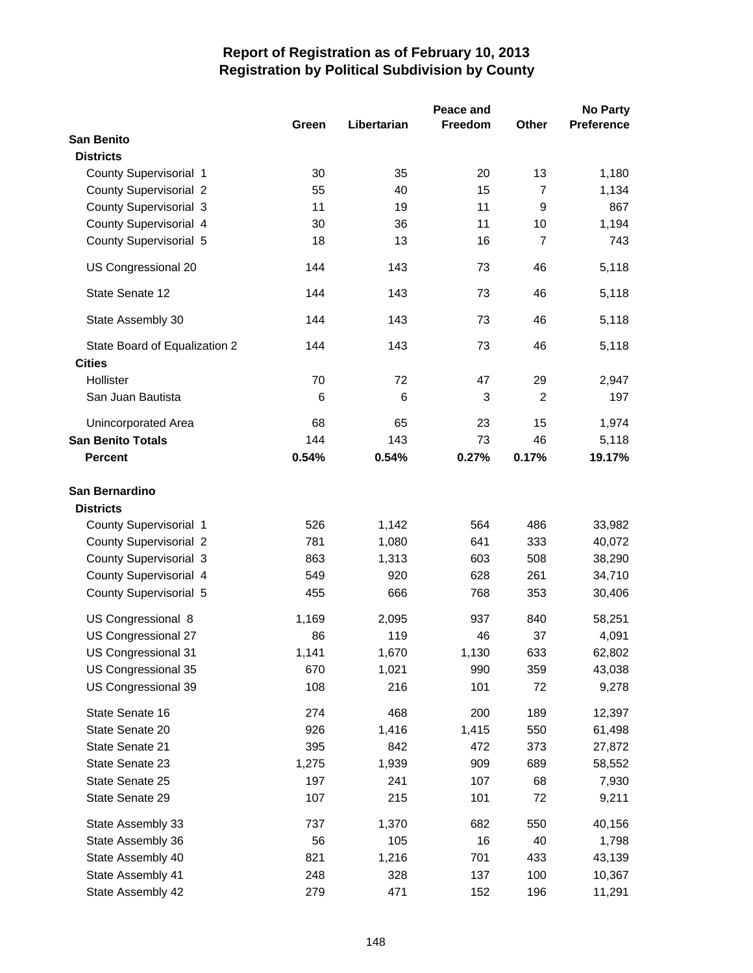|                               | Green | Libertarian | Peace and<br>Freedom | Other          | <b>No Party</b><br><b>Preference</b> |
|-------------------------------|-------|-------------|----------------------|----------------|--------------------------------------|
| <b>San Benito</b>             |       |             |                      |                |                                      |
| <b>Districts</b>              |       |             |                      |                |                                      |
| County Supervisorial 1        | 30    | 35          | 20                   | 13             | 1,180                                |
| <b>County Supervisorial 2</b> | 55    | 40          | 15                   | 7              | 1,134                                |
| <b>County Supervisorial 3</b> | 11    | 19          | 11                   | 9              | 867                                  |
| County Supervisorial 4        | 30    | 36          | 11                   | 10             | 1,194                                |
| County Supervisorial 5        | 18    | 13          | 16                   | $\overline{7}$ | 743                                  |
| US Congressional 20           | 144   | 143         | 73                   | 46             | 5,118                                |
| State Senate 12               | 144   | 143         | 73                   | 46             | 5,118                                |
| State Assembly 30             | 144   | 143         | 73                   | 46             | 5,118                                |
| State Board of Equalization 2 | 144   | 143         | 73                   | 46             | 5,118                                |
| <b>Cities</b>                 |       |             |                      |                |                                      |
| Hollister                     | 70    | 72          | 47                   | 29             | 2,947                                |
| San Juan Bautista             | 6     | 6           | 3                    | $\overline{2}$ | 197                                  |
| Unincorporated Area           | 68    | 65          | 23                   | 15             | 1,974                                |
| <b>San Benito Totals</b>      | 144   | 143         | 73                   | 46             | 5,118                                |
| <b>Percent</b>                | 0.54% | 0.54%       | 0.27%                | 0.17%          | 19.17%                               |
| San Bernardino                |       |             |                      |                |                                      |
| <b>Districts</b>              |       |             |                      |                |                                      |
| County Supervisorial 1        | 526   | 1,142       | 564                  | 486            | 33,982                               |
| <b>County Supervisorial 2</b> | 781   | 1,080       | 641                  | 333            | 40,072                               |
| <b>County Supervisorial 3</b> | 863   | 1,313       | 603                  | 508            | 38,290                               |
| County Supervisorial 4        | 549   | 920         | 628                  | 261            | 34,710                               |
| County Supervisorial 5        | 455   | 666         | 768                  | 353            | 30,406                               |
| US Congressional 8            | 1,169 | 2,095       | 937                  | 840            | 58,251                               |
| US Congressional 27           | 86    | 119         | 46                   | 37             | 4,091                                |
| US Congressional 31           | 1,141 | 1,670       | 1,130                | 633            | 62,802                               |
| US Congressional 35           | 670   | 1,021       | 990                  | 359            | 43,038                               |
| US Congressional 39           | 108   | 216         | 101                  | 72             | 9,278                                |
| State Senate 16               | 274   | 468         | 200                  | 189            | 12,397                               |
| State Senate 20               | 926   | 1,416       | 1,415                | 550            | 61,498                               |
| State Senate 21               | 395   | 842         | 472                  | 373            | 27,872                               |
| State Senate 23               | 1,275 | 1,939       | 909                  | 689            | 58,552                               |
| State Senate 25               | 197   | 241         | 107                  | 68             | 7,930                                |
| State Senate 29               | 107   | 215         | 101                  | 72             | 9,211                                |
| State Assembly 33             | 737   | 1,370       | 682                  | 550            | 40,156                               |
| State Assembly 36             | 56    | 105         | 16                   | 40             | 1,798                                |
| State Assembly 40             | 821   | 1,216       | 701                  | 433            | 43,139                               |
| State Assembly 41             | 248   | 328         | 137                  | 100            | 10,367                               |
| State Assembly 42             | 279   | 471         | 152                  | 196            | 11,291                               |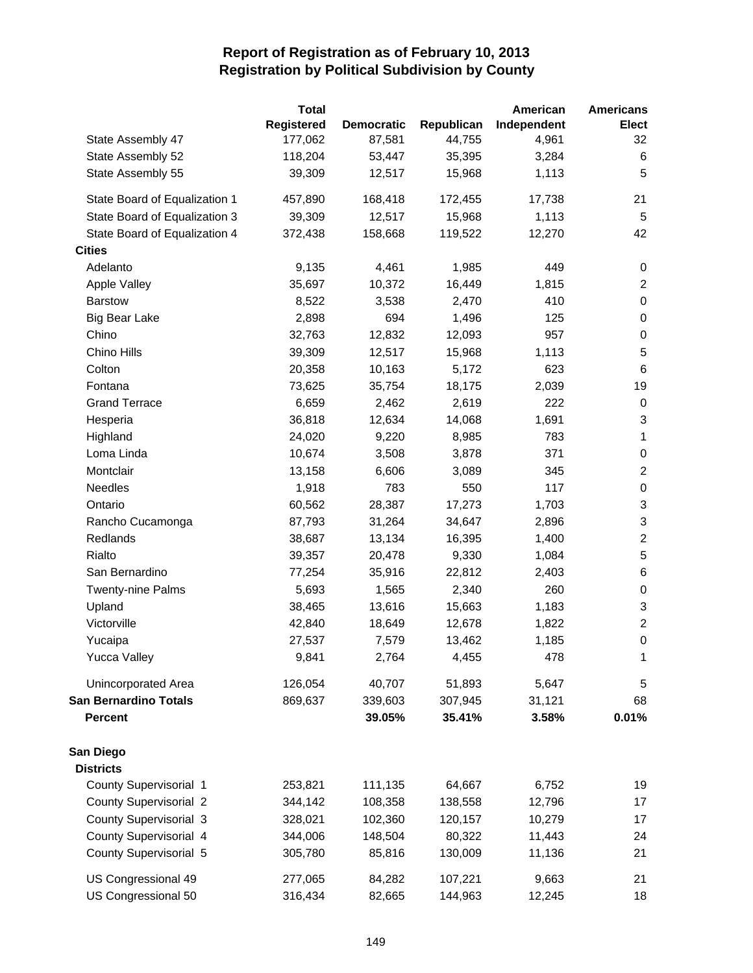|                               | <b>Total</b>      |                   |            | American    | <b>Americans</b>          |
|-------------------------------|-------------------|-------------------|------------|-------------|---------------------------|
|                               | <b>Registered</b> | <b>Democratic</b> | Republican | Independent | <b>Elect</b>              |
| State Assembly 47             | 177,062           | 87,581            | 44,755     | 4,961       | 32                        |
| State Assembly 52             | 118,204           | 53,447            | 35,395     | 3,284       | 6                         |
| State Assembly 55             | 39,309            | 12,517            | 15,968     | 1,113       | 5                         |
| State Board of Equalization 1 | 457,890           | 168,418           | 172,455    | 17,738      | 21                        |
| State Board of Equalization 3 | 39,309            | 12,517            | 15,968     | 1,113       | $\overline{5}$            |
| State Board of Equalization 4 | 372,438           | 158,668           | 119,522    | 12,270      | 42                        |
| <b>Cities</b>                 |                   |                   |            |             |                           |
| Adelanto                      | 9,135             | 4,461             | 1,985      | 449         | 0                         |
| Apple Valley                  | 35,697            | 10,372            | 16,449     | 1,815       | $\overline{c}$            |
| <b>Barstow</b>                | 8,522             | 3,538             | 2,470      | 410         | $\,0\,$                   |
| <b>Big Bear Lake</b>          | 2,898             | 694               | 1,496      | 125         | $\pmb{0}$                 |
| Chino                         | 32,763            | 12,832            | 12,093     | 957         | $\boldsymbol{0}$          |
| Chino Hills                   | 39,309            | 12,517            | 15,968     | 1,113       | $\sqrt{5}$                |
| Colton                        | 20,358            | 10,163            | 5,172      | 623         | $\,6\,$                   |
| Fontana                       | 73,625            | 35,754            | 18,175     | 2,039       | 19                        |
| <b>Grand Terrace</b>          | 6,659             | 2,462             | 2,619      | 222         | 0                         |
| Hesperia                      | 36,818            | 12,634            | 14,068     | 1,691       | 3                         |
| Highland                      | 24,020            | 9,220             | 8,985      | 783         | $\mathbf{1}$              |
| Loma Linda                    | 10,674            | 3,508             | 3,878      | 371         | $\,0\,$                   |
| Montclair                     | 13,158            | 6,606             | 3,089      | 345         | $\overline{2}$            |
| Needles                       | 1,918             | 783               | 550        | 117         | $\boldsymbol{0}$          |
| Ontario                       | 60,562            | 28,387            | 17,273     | 1,703       | $\ensuremath{\mathsf{3}}$ |
| Rancho Cucamonga              | 87,793            | 31,264            | 34,647     | 2,896       | 3                         |
| Redlands                      | 38,687            | 13,134            | 16,395     | 1,400       | $\overline{c}$            |
| Rialto                        | 39,357            | 20,478            | 9,330      | 1,084       | 5                         |
| San Bernardino                | 77,254            | 35,916            | 22,812     | 2,403       | 6                         |
| <b>Twenty-nine Palms</b>      | 5,693             | 1,565             | 2,340      | 260         | $\pmb{0}$                 |
| Upland                        | 38,465            | 13,616            | 15,663     | 1,183       | $\sqrt{3}$                |
| Victorville                   | 42,840            | 18,649            | 12,678     | 1,822       | $\boldsymbol{2}$          |
| Yucaipa                       | 27,537            | 7,579             | 13,462     | 1,185       | $\boldsymbol{0}$          |
| <b>Yucca Valley</b>           | 9,841             | 2,764             | 4,455      | 478         | 1                         |
| Unincorporated Area           | 126,054           | 40,707            | 51,893     | 5,647       | 5                         |
| <b>San Bernardino Totals</b>  | 869,637           | 339,603           | 307,945    | 31,121      | 68                        |
| <b>Percent</b>                |                   | 39.05%            | 35.41%     | 3.58%       | 0.01%                     |
| San Diego<br><b>Districts</b> |                   |                   |            |             |                           |
| County Supervisorial 1        | 253,821           | 111,135           | 64,667     | 6,752       | 19                        |
| <b>County Supervisorial 2</b> | 344,142           | 108,358           | 138,558    | 12,796      | 17                        |
| <b>County Supervisorial 3</b> | 328,021           | 102,360           | 120,157    | 10,279      | 17                        |
| County Supervisorial 4        | 344,006           | 148,504           | 80,322     | 11,443      | 24                        |
| County Supervisorial 5        | 305,780           | 85,816            | 130,009    | 11,136      | 21                        |
|                               |                   |                   |            |             |                           |
| US Congressional 49           | 277,065           | 84,282            | 107,221    | 9,663       | 21                        |
| US Congressional 50           | 316,434           | 82,665            | 144,963    | 12,245      | 18                        |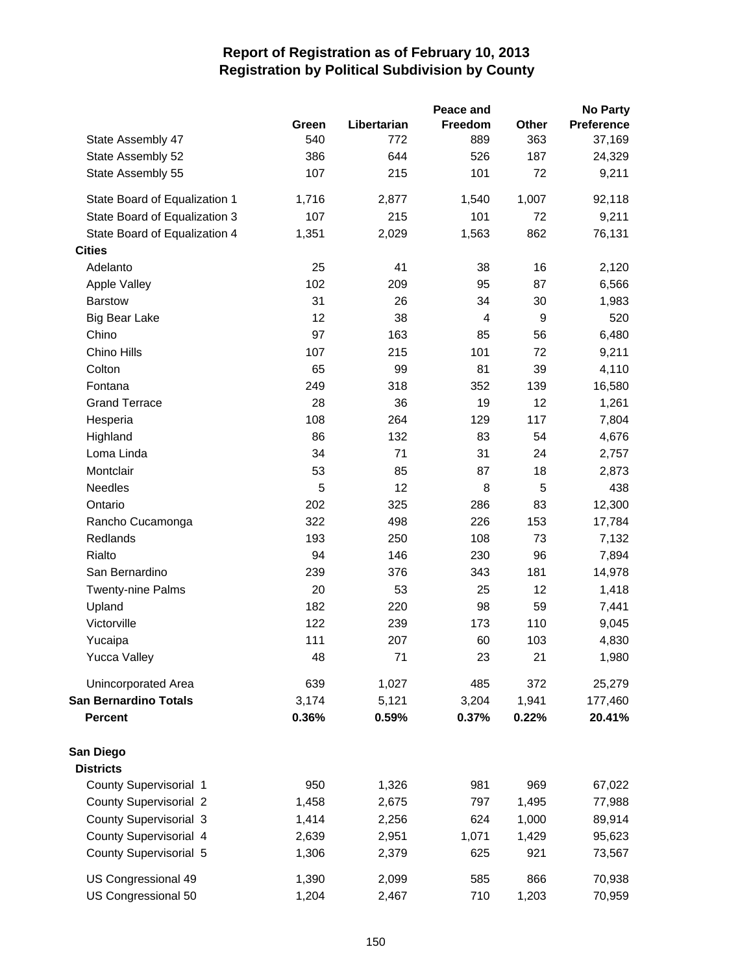|                               |       |             | Peace and                |       | <b>No Party</b>   |
|-------------------------------|-------|-------------|--------------------------|-------|-------------------|
|                               | Green | Libertarian | Freedom                  | Other | <b>Preference</b> |
| State Assembly 47             | 540   | 772         | 889                      | 363   | 37,169            |
| State Assembly 52             | 386   | 644         | 526                      | 187   | 24,329            |
| State Assembly 55             | 107   | 215         | 101                      | 72    | 9,211             |
| State Board of Equalization 1 | 1,716 | 2,877       | 1,540                    | 1,007 | 92,118            |
| State Board of Equalization 3 | 107   | 215         | 101                      | 72    | 9,211             |
| State Board of Equalization 4 | 1,351 | 2,029       | 1,563                    | 862   | 76,131            |
| <b>Cities</b>                 |       |             |                          |       |                   |
| Adelanto                      | 25    | 41          | 38                       | 16    | 2,120             |
| Apple Valley                  | 102   | 209         | 95                       | 87    | 6,566             |
| <b>Barstow</b>                | 31    | 26          | 34                       | 30    | 1,983             |
| <b>Big Bear Lake</b>          | 12    | 38          | $\overline{\mathcal{A}}$ | 9     | 520               |
| Chino                         | 97    | 163         | 85                       | 56    | 6,480             |
| Chino Hills                   | 107   | 215         | 101                      | 72    | 9,211             |
| Colton                        | 65    | 99          | 81                       | 39    | 4,110             |
| Fontana                       | 249   | 318         | 352                      | 139   | 16,580            |
| <b>Grand Terrace</b>          | 28    | 36          | 19                       | 12    | 1,261             |
| Hesperia                      | 108   | 264         | 129                      | 117   | 7,804             |
| Highland                      | 86    | 132         | 83                       | 54    | 4,676             |
| Loma Linda                    | 34    | 71          | 31                       | 24    | 2,757             |
| Montclair                     | 53    | 85          | 87                       | 18    | 2,873             |
| Needles                       | 5     | 12          | 8                        | 5     | 438               |
| Ontario                       | 202   | 325         | 286                      | 83    | 12,300            |
| Rancho Cucamonga              | 322   | 498         | 226                      | 153   | 17,784            |
| Redlands                      | 193   | 250         | 108                      | 73    | 7,132             |
| Rialto                        | 94    | 146         | 230                      | 96    | 7,894             |
| San Bernardino                | 239   | 376         | 343                      | 181   | 14,978            |
| <b>Twenty-nine Palms</b>      | 20    | 53          | 25                       | 12    | 1,418             |
| Upland                        | 182   | 220         | 98                       | 59    | 7,441             |
| Victorville                   | 122   | 239         | 173                      | 110   | 9,045             |
| Yucaipa                       | 111   | 207         | 60                       | 103   | 4,830             |
| Yucca Valley                  | 48    | 71          | 23                       | 21    | 1,980             |
| Unincorporated Area           | 639   | 1,027       | 485                      | 372   | 25,279            |
| <b>San Bernardino Totals</b>  | 3,174 | 5,121       | 3,204                    | 1,941 | 177,460           |
| <b>Percent</b>                | 0.36% | 0.59%       | 0.37%                    | 0.22% | 20.41%            |
| San Diego                     |       |             |                          |       |                   |
| <b>Districts</b>              |       |             |                          |       |                   |
| County Supervisorial 1        | 950   | 1,326       | 981                      | 969   | 67,022            |
| <b>County Supervisorial 2</b> | 1,458 | 2,675       | 797                      | 1,495 | 77,988            |
| County Supervisorial 3        | 1,414 | 2,256       | 624                      | 1,000 | 89,914            |
| County Supervisorial 4        | 2,639 | 2,951       | 1,071                    | 1,429 | 95,623            |
| County Supervisorial 5        | 1,306 | 2,379       | 625                      | 921   | 73,567            |
| US Congressional 49           | 1,390 | 2,099       | 585                      | 866   | 70,938            |
| US Congressional 50           | 1,204 | 2,467       | 710                      | 1,203 | 70,959            |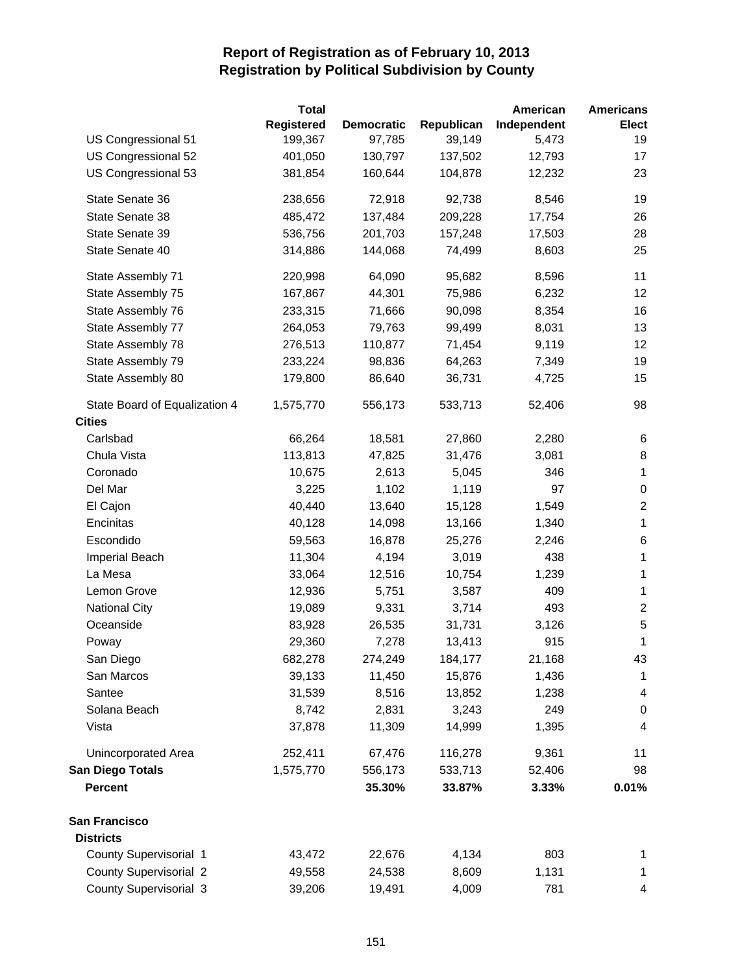|                               | <b>Total</b> |                   |            | American    | <b>Americans</b>        |
|-------------------------------|--------------|-------------------|------------|-------------|-------------------------|
|                               | Registered   | <b>Democratic</b> | Republican | Independent | <b>Elect</b>            |
| US Congressional 51           | 199,367      | 97,785            | 39,149     | 5,473       | 19                      |
| US Congressional 52           | 401,050      | 130,797           | 137,502    | 12,793      | 17                      |
| US Congressional 53           | 381,854      | 160,644           | 104,878    | 12,232      | 23                      |
| State Senate 36               | 238,656      | 72,918            | 92,738     | 8,546       | 19                      |
| State Senate 38               | 485,472      | 137,484           | 209,228    | 17,754      | 26                      |
| State Senate 39               | 536,756      | 201,703           | 157,248    | 17,503      | 28                      |
| State Senate 40               | 314,886      | 144,068           | 74,499     | 8,603       | 25                      |
| State Assembly 71             | 220,998      | 64,090            | 95,682     | 8,596       | 11                      |
| State Assembly 75             | 167,867      | 44,301            | 75,986     | 6,232       | 12                      |
| State Assembly 76             | 233,315      | 71,666            | 90,098     | 8,354       | 16                      |
| State Assembly 77             | 264,053      | 79,763            | 99,499     | 8,031       | 13                      |
| State Assembly 78             | 276,513      | 110,877           | 71,454     | 9,119       | 12                      |
| State Assembly 79             | 233,224      | 98,836            | 64,263     | 7,349       | 19                      |
| State Assembly 80             | 179,800      | 86,640            | 36,731     | 4,725       | 15                      |
| State Board of Equalization 4 | 1,575,770    | 556,173           | 533,713    | 52,406      | 98                      |
| <b>Cities</b>                 |              |                   |            |             |                         |
| Carlsbad                      | 66,264       | 18,581            | 27,860     | 2,280       | 6                       |
| Chula Vista                   | 113,813      | 47,825            | 31,476     | 3,081       | 8                       |
| Coronado                      | 10,675       | 2,613             | 5,045      | 346         | $\mathbf 1$             |
| Del Mar                       | 3,225        | 1,102             | 1,119      | 97          | $\boldsymbol{0}$        |
| El Cajon                      | 40,440       | 13,640            | 15,128     | 1,549       | $\boldsymbol{2}$        |
| Encinitas                     | 40,128       | 14,098            | 13,166     | 1,340       | $\mathbf 1$             |
| Escondido                     | 59,563       | 16,878            | 25,276     | 2,246       | 6                       |
| Imperial Beach                | 11,304       | 4,194             | 3,019      | 438         | $\mathbf 1$             |
| La Mesa                       | 33,064       | 12,516            | 10,754     | 1,239       | $\mathbf 1$             |
| Lemon Grove                   | 12,936       | 5,751             | 3,587      | 409         | $\mathbf 1$             |
| <b>National City</b>          | 19,089       | 9,331             | 3,714      | 493         | $\boldsymbol{2}$        |
| Oceanside                     | 83,928       | 26,535            | 31,731     | 3,126       | 5                       |
| Poway                         | 29,360       | 7,278             | 13,413     | 915         | $\mathbf 1$             |
| San Diego                     | 682,278      | 274,249           | 184,177    | 21,168      | 43                      |
| San Marcos                    | 39,133       | 11,450            | 15,876     | 1,436       | $\mathbf 1$             |
| Santee                        | 31,539       | 8,516             | 13,852     | 1,238       | 4                       |
| Solana Beach                  | 8,742        | 2,831             | 3,243      | 249         | 0                       |
| Vista                         | 37,878       | 11,309            | 14,999     | 1,395       | $\overline{\mathbf{4}}$ |
| Unincorporated Area           | 252,411      | 67,476            | 116,278    | 9,361       | 11                      |
| <b>San Diego Totals</b>       | 1,575,770    | 556,173           | 533,713    | 52,406      | 98                      |
| <b>Percent</b>                |              | 35.30%            | 33.87%     | 3.33%       | 0.01%                   |
| San Francisco                 |              |                   |            |             |                         |
| <b>Districts</b>              |              |                   |            |             |                         |
| County Supervisorial 1        | 43,472       | 22,676            | 4,134      | 803         | 1                       |
| <b>County Supervisorial 2</b> | 49,558       | 24,538            | 8,609      | 1,131       | 1                       |
| County Supervisorial 3        | 39,206       | 19,491            | 4,009      | 781         | 4                       |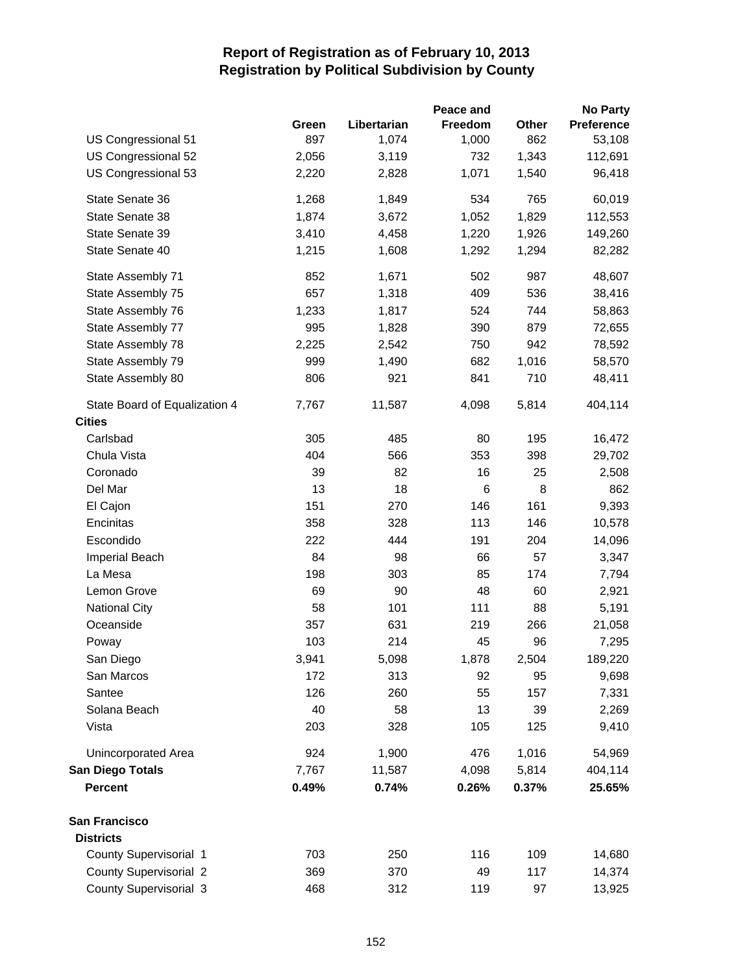|                               |       |             | Peace and |       | <b>No Party</b> |
|-------------------------------|-------|-------------|-----------|-------|-----------------|
|                               | Green | Libertarian | Freedom   | Other | Preference      |
| US Congressional 51           | 897   | 1,074       | 1,000     | 862   | 53,108          |
| US Congressional 52           | 2,056 | 3,119       | 732       | 1,343 | 112,691         |
| US Congressional 53           | 2,220 | 2,828       | 1,071     | 1,540 | 96,418          |
| State Senate 36               | 1,268 | 1,849       | 534       | 765   | 60,019          |
| State Senate 38               | 1,874 | 3,672       | 1,052     | 1,829 | 112,553         |
| State Senate 39               | 3,410 | 4,458       | 1,220     | 1,926 | 149,260         |
| State Senate 40               | 1,215 | 1,608       | 1,292     | 1,294 | 82,282          |
| State Assembly 71             | 852   | 1,671       | 502       | 987   | 48,607          |
| State Assembly 75             | 657   | 1,318       | 409       | 536   | 38,416          |
| State Assembly 76             | 1,233 | 1,817       | 524       | 744   | 58,863          |
| State Assembly 77             | 995   | 1,828       | 390       | 879   | 72,655          |
| State Assembly 78             | 2,225 | 2,542       | 750       | 942   | 78,592          |
| State Assembly 79             | 999   | 1,490       | 682       | 1,016 | 58,570          |
| State Assembly 80             | 806   | 921         | 841       | 710   | 48,411          |
| State Board of Equalization 4 | 7,767 | 11,587      | 4,098     | 5,814 | 404,114         |
| <b>Cities</b>                 |       |             |           |       |                 |
| Carlsbad                      | 305   | 485         | 80        | 195   | 16,472          |
| Chula Vista                   | 404   | 566         | 353       | 398   | 29,702          |
| Coronado                      | 39    | 82          | 16        | 25    | 2,508           |
| Del Mar                       | 13    | 18          | 6         | 8     | 862             |
| El Cajon                      | 151   | 270         | 146       | 161   | 9,393           |
| Encinitas                     | 358   | 328         | 113       | 146   | 10,578          |
| Escondido                     | 222   | 444         | 191       | 204   | 14,096          |
| Imperial Beach                | 84    | 98          | 66        | 57    | 3,347           |
| La Mesa                       | 198   | 303         | 85        | 174   | 7,794           |
| Lemon Grove                   | 69    | 90          | 48        | 60    | 2,921           |
| <b>National City</b>          | 58    | 101         | 111       | 88    | 5,191           |
| Oceanside                     | 357   | 631         | 219       | 266   | 21,058          |
| Poway                         | 103   | 214         | 45        | 96    | 7,295           |
| San Diego                     | 3,941 | 5,098       | 1,878     | 2,504 | 189,220         |
| San Marcos                    | 172   | 313         | 92        | 95    | 9,698           |
| Santee                        | 126   | 260         | 55        | 157   | 7,331           |
| Solana Beach                  | 40    | 58          | 13        | 39    | 2,269           |
| Vista                         | 203   | 328         | 105       | 125   | 9,410           |
| Unincorporated Area           | 924   | 1,900       | 476       | 1,016 | 54,969          |
| <b>San Diego Totals</b>       | 7,767 | 11,587      | 4,098     | 5,814 | 404,114         |
| <b>Percent</b>                | 0.49% | 0.74%       | 0.26%     | 0.37% | 25.65%          |
| San Francisco                 |       |             |           |       |                 |
| <b>Districts</b>              |       |             |           |       |                 |
| County Supervisorial 1        | 703   | 250         | 116       | 109   | 14,680          |
| <b>County Supervisorial 2</b> | 369   | 370         | 49        | 117   | 14,374          |
| County Supervisorial 3        | 468   | 312         | 119       | 97    | 13,925          |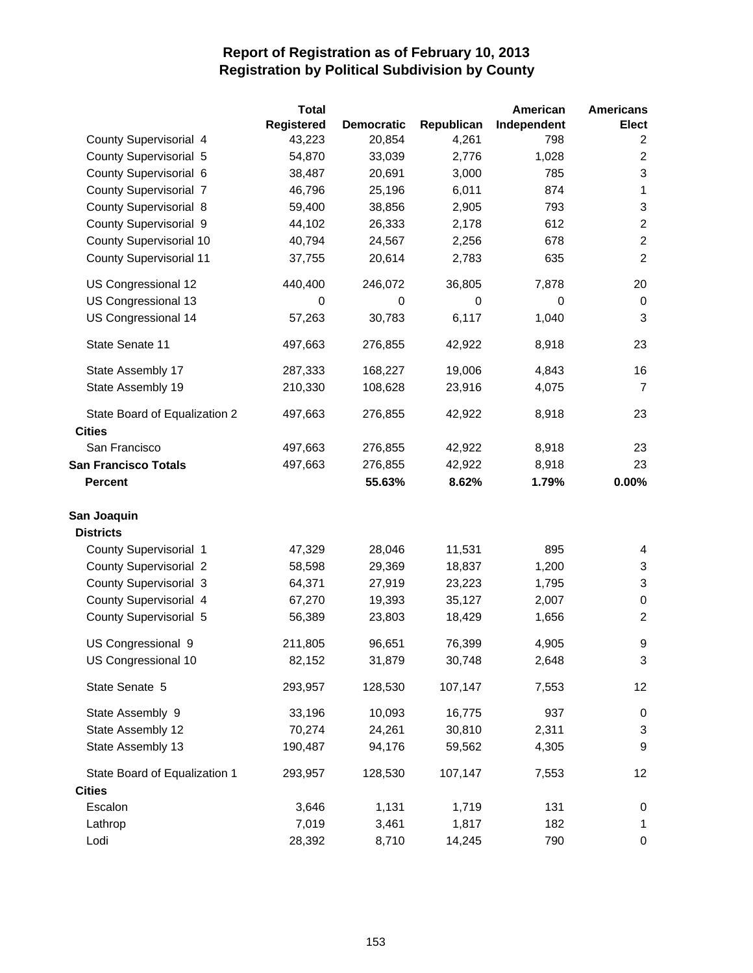|                                | <b>Total</b> |                   |            | American    | <b>Americans</b>          |
|--------------------------------|--------------|-------------------|------------|-------------|---------------------------|
|                                | Registered   | <b>Democratic</b> | Republican | Independent | <b>Elect</b>              |
| County Supervisorial 4         | 43,223       | 20,854            | 4,261      | 798         | 2                         |
| County Supervisorial 5         | 54,870       | 33,039            | 2,776      | 1,028       | $\overline{2}$            |
| County Supervisorial 6         | 38,487       | 20,691            | 3,000      | 785         | 3                         |
| <b>County Supervisorial 7</b>  | 46,796       | 25,196            | 6,011      | 874         | 1                         |
| <b>County Supervisorial 8</b>  | 59,400       | 38,856            | 2,905      | 793         | $\ensuremath{\mathsf{3}}$ |
| County Supervisorial 9         | 44,102       | 26,333            | 2,178      | 612         | $\overline{c}$            |
| County Supervisorial 10        | 40,794       | 24,567            | 2,256      | 678         | $\overline{2}$            |
| <b>County Supervisorial 11</b> | 37,755       | 20,614            | 2,783      | 635         | $\overline{2}$            |
| US Congressional 12            | 440,400      | 246,072           | 36,805     | 7,878       | 20                        |
| US Congressional 13            | 0            | 0                 | 0          | 0           | 0                         |
| US Congressional 14            | 57,263       | 30,783            | 6,117      | 1,040       | 3                         |
| State Senate 11                | 497,663      | 276,855           | 42,922     | 8,918       | 23                        |
| State Assembly 17              | 287,333      | 168,227           | 19,006     | 4,843       | 16                        |
| State Assembly 19              | 210,330      | 108,628           | 23,916     | 4,075       | $\overline{7}$            |
| State Board of Equalization 2  | 497,663      | 276,855           | 42,922     | 8,918       | 23                        |
| <b>Cities</b>                  |              |                   |            |             |                           |
| San Francisco                  | 497,663      | 276,855           | 42,922     | 8,918       | 23                        |
| <b>San Francisco Totals</b>    | 497,663      | 276,855           | 42,922     | 8,918       | 23                        |
| <b>Percent</b>                 |              | 55.63%            | 8.62%      | 1.79%       | 0.00%                     |
| San Joaquin                    |              |                   |            |             |                           |
| <b>Districts</b>               |              |                   |            |             |                           |
| County Supervisorial 1         | 47,329       | 28,046            | 11,531     | 895         | 4                         |
| <b>County Supervisorial 2</b>  | 58,598       | 29,369            | 18,837     | 1,200       | $\mathbf{3}$              |
| <b>County Supervisorial 3</b>  | 64,371       | 27,919            | 23,223     | 1,795       | 3                         |
| County Supervisorial 4         | 67,270       | 19,393            | 35,127     | 2,007       | $\mathbf 0$               |
| County Supervisorial 5         | 56,389       | 23,803            | 18,429     | 1,656       | $\overline{2}$            |
| US Congressional 9             | 211,805      | 96,651            | 76,399     | 4,905       | 9                         |
| US Congressional 10            | 82,152       | 31,879            | 30,748     | 2,648       | 3                         |
| State Senate 5                 | 293,957      | 128,530           | 107,147    | 7,553       | 12                        |
| State Assembly 9               | 33,196       | 10,093            | 16,775     | 937         | 0                         |
| State Assembly 12              | 70,274       | 24,261            | 30,810     | 2,311       | 3                         |
| State Assembly 13              | 190,487      | 94,176            | 59,562     | 4,305       | 9                         |
| State Board of Equalization 1  | 293,957      | 128,530           | 107,147    | 7,553       | 12                        |
| <b>Cities</b>                  |              |                   |            |             |                           |
| Escalon                        | 3,646        | 1,131             | 1,719      | 131         | 0                         |
| Lathrop                        | 7,019        | 3,461             | 1,817      | 182         | $\mathbf 1$               |
| Lodi                           | 28,392       | 8,710             | 14,245     | 790         | 0                         |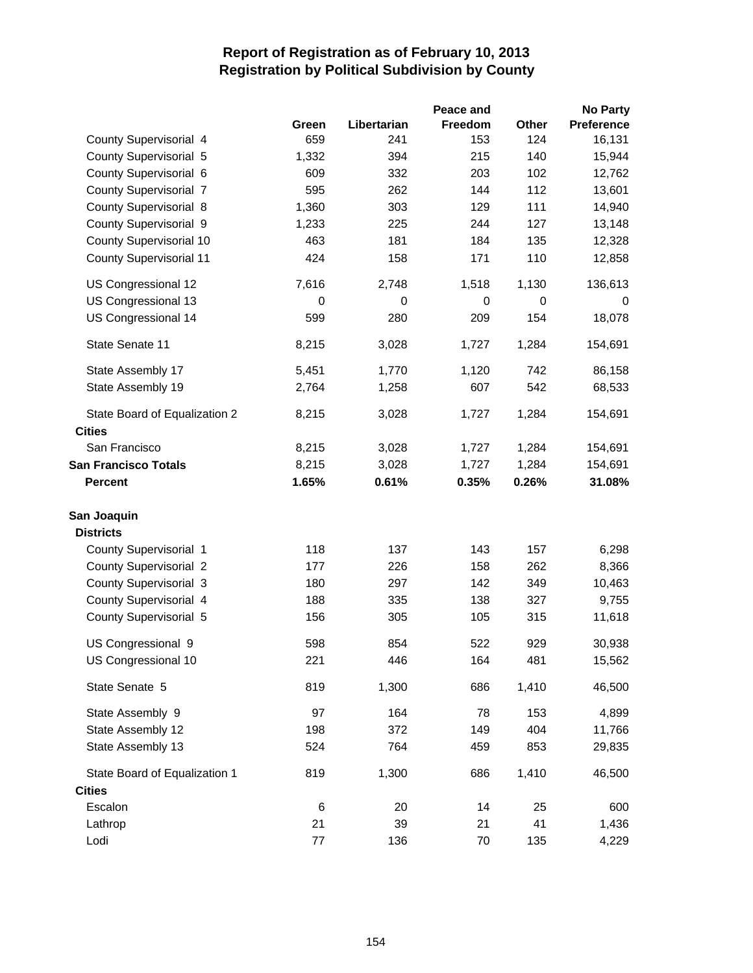|                                |         |             | Peace and |       | <b>No Party</b>   |
|--------------------------------|---------|-------------|-----------|-------|-------------------|
|                                | Green   | Libertarian | Freedom   | Other | <b>Preference</b> |
| County Supervisorial 4         | 659     | 241         | 153       | 124   | 16,131            |
| County Supervisorial 5         | 1,332   | 394         | 215       | 140   | 15,944            |
| County Supervisorial 6         | 609     | 332         | 203       | 102   | 12,762            |
| <b>County Supervisorial 7</b>  | 595     | 262         | 144       | 112   | 13,601            |
| County Supervisorial 8         | 1,360   | 303         | 129       | 111   | 14,940            |
| County Supervisorial 9         | 1,233   | 225         | 244       | 127   | 13,148            |
| <b>County Supervisorial 10</b> | 463     | 181         | 184       | 135   | 12,328            |
| County Supervisorial 11        | 424     | 158         | 171       | 110   | 12,858            |
| US Congressional 12            | 7,616   | 2,748       | 1,518     | 1,130 | 136,613           |
| US Congressional 13            | 0       | 0           | 0         | 0     | 0                 |
| US Congressional 14            | 599     | 280         | 209       | 154   | 18,078            |
| State Senate 11                | 8,215   | 3,028       | 1,727     | 1,284 | 154,691           |
| State Assembly 17              | 5,451   | 1,770       | 1,120     | 742   | 86,158            |
| State Assembly 19              | 2,764   | 1,258       | 607       | 542   | 68,533            |
| State Board of Equalization 2  | 8,215   | 3,028       | 1,727     | 1,284 | 154,691           |
| <b>Cities</b>                  |         |             |           |       |                   |
| San Francisco                  | 8,215   | 3,028       | 1,727     | 1,284 | 154,691           |
| <b>San Francisco Totals</b>    | 8,215   | 3,028       | 1,727     | 1,284 | 154,691           |
| <b>Percent</b>                 | 1.65%   | 0.61%       | 0.35%     | 0.26% | 31.08%            |
| San Joaquin                    |         |             |           |       |                   |
| <b>Districts</b>               |         |             |           |       |                   |
| County Supervisorial 1         | 118     | 137         | 143       | 157   | 6,298             |
| <b>County Supervisorial 2</b>  | 177     | 226         | 158       | 262   | 8,366             |
| County Supervisorial 3         | 180     | 297         | 142       | 349   | 10,463            |
| County Supervisorial 4         | 188     | 335         | 138       | 327   | 9,755             |
| County Supervisorial 5         | 156     | 305         | 105       | 315   | 11,618            |
| US Congressional 9             | 598     | 854         | 522       | 929   | 30,938            |
| US Congressional 10            | 221     | 446         | 164       | 481   | 15,562            |
| State Senate 5                 | 819     | 1,300       | 686       | 1,410 | 46,500            |
| State Assembly 9               | 97      | 164         | 78        | 153   | 4,899             |
| State Assembly 12              | 198     | 372         | 149       | 404   | 11,766            |
| State Assembly 13              | 524     | 764         | 459       | 853   | 29,835            |
| State Board of Equalization 1  | 819     | 1,300       | 686       | 1,410 | 46,500            |
| <b>Cities</b>                  |         |             |           |       |                   |
| Escalon                        | 6       | 20          | 14        | 25    | 600               |
| Lathrop                        | 21      | 39          | 21        | 41    | 1,436             |
| Lodi                           | $77 \,$ | 136         | 70        | 135   | 4,229             |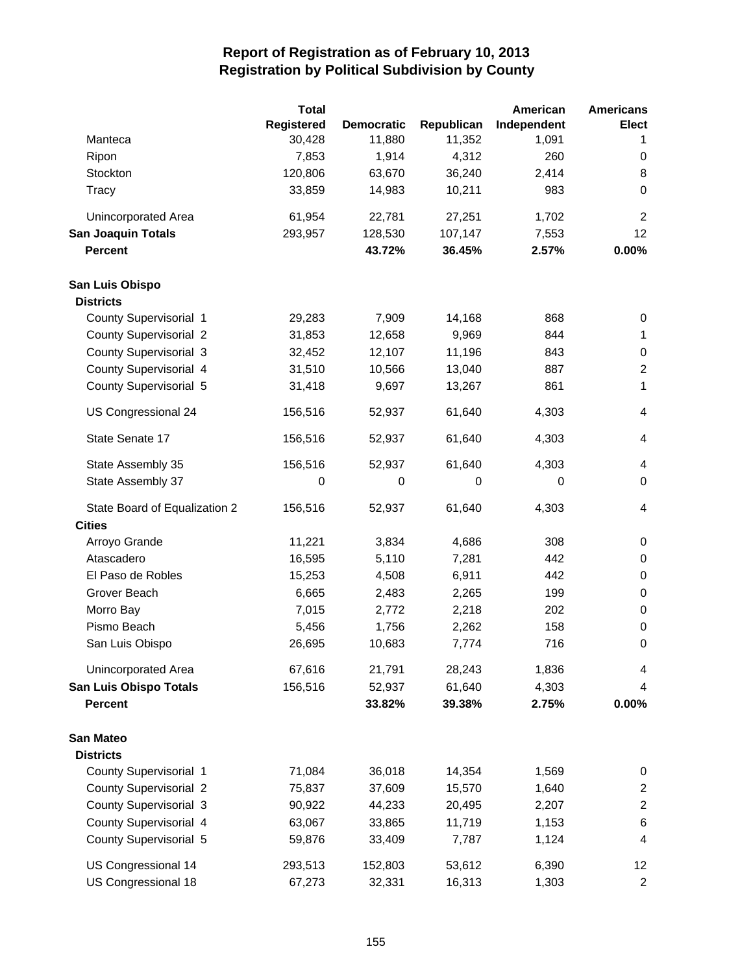|                               | <b>Total</b> |                   |             | American    | <b>Americans</b> |
|-------------------------------|--------------|-------------------|-------------|-------------|------------------|
|                               | Registered   | <b>Democratic</b> | Republican  | Independent | <b>Elect</b>     |
| Manteca                       | 30,428       | 11,880            | 11,352      | 1,091       | 1                |
| Ripon                         | 7,853        | 1,914             | 4,312       | 260         | 0                |
| Stockton                      | 120,806      | 63,670            | 36,240      | 2,414       | 8                |
| Tracy                         | 33,859       | 14,983            | 10,211      | 983         | $\pmb{0}$        |
| <b>Unincorporated Area</b>    | 61,954       | 22,781            | 27,251      | 1,702       | $\overline{2}$   |
| <b>San Joaquin Totals</b>     | 293,957      | 128,530           | 107,147     | 7,553       | 12               |
| <b>Percent</b>                |              | 43.72%            | 36.45%      | 2.57%       | 0.00%            |
| San Luis Obispo               |              |                   |             |             |                  |
| <b>Districts</b>              |              |                   |             |             |                  |
| County Supervisorial 1        | 29,283       | 7,909             | 14,168      | 868         | 0                |
| <b>County Supervisorial 2</b> | 31,853       | 12,658            | 9,969       | 844         | $\mathbf{1}$     |
| <b>County Supervisorial 3</b> | 32,452       | 12,107            | 11,196      | 843         | 0                |
| County Supervisorial 4        | 31,510       | 10,566            | 13,040      | 887         | $\overline{2}$   |
| County Supervisorial 5        | 31,418       | 9,697             | 13,267      | 861         | 1                |
| US Congressional 24           | 156,516      | 52,937            | 61,640      | 4,303       | $\overline{4}$   |
| State Senate 17               | 156,516      | 52,937            | 61,640      | 4,303       | $\overline{4}$   |
| State Assembly 35             | 156,516      | 52,937            | 61,640      | 4,303       | $\overline{4}$   |
| State Assembly 37             | 0            | 0                 | $\mathbf 0$ | 0           | $\mathbf 0$      |
| State Board of Equalization 2 | 156,516      | 52,937            | 61,640      | 4,303       | 4                |
| <b>Cities</b>                 |              |                   |             |             |                  |
| Arroyo Grande                 | 11,221       | 3,834             | 4,686       | 308         | 0                |
| Atascadero                    | 16,595       | 5,110             | 7,281       | 442         | 0                |
| El Paso de Robles             | 15,253       | 4,508             | 6,911       | 442         | 0                |
| Grover Beach                  | 6,665        | 2,483             | 2,265       | 199         | 0                |
| Morro Bay                     | 7,015        | 2,772             | 2,218       | 202         | 0                |
| Pismo Beach                   | 5,456        | 1,756             | 2,262       | 158         | 0                |
| San Luis Obispo               | 26,695       | 10,683            | 7,774       | 716         | 0                |
| Unincorporated Area           | 67,616       | 21,791            | 28,243      | 1,836       | 4                |
| <b>San Luis Obispo Totals</b> | 156,516      | 52,937            | 61,640      | 4,303       | 4                |
| <b>Percent</b>                |              | 33.82%            | 39.38%      | 2.75%       | 0.00%            |
| <b>San Mateo</b>              |              |                   |             |             |                  |
| <b>Districts</b>              |              |                   |             |             |                  |
| County Supervisorial 1        | 71,084       | 36,018            | 14,354      | 1,569       | 0                |
| <b>County Supervisorial 2</b> | 75,837       | 37,609            | 15,570      | 1,640       | $\overline{c}$   |
| <b>County Supervisorial 3</b> | 90,922       | 44,233            | 20,495      | 2,207       | $\overline{c}$   |
| County Supervisorial 4        | 63,067       | 33,865            | 11,719      | 1,153       | 6                |
| County Supervisorial 5        | 59,876       | 33,409            | 7,787       | 1,124       | 4                |
| US Congressional 14           | 293,513      | 152,803           | 53,612      | 6,390       | 12               |
| US Congressional 18           | 67,273       | 32,331            | 16,313      | 1,303       | $\overline{2}$   |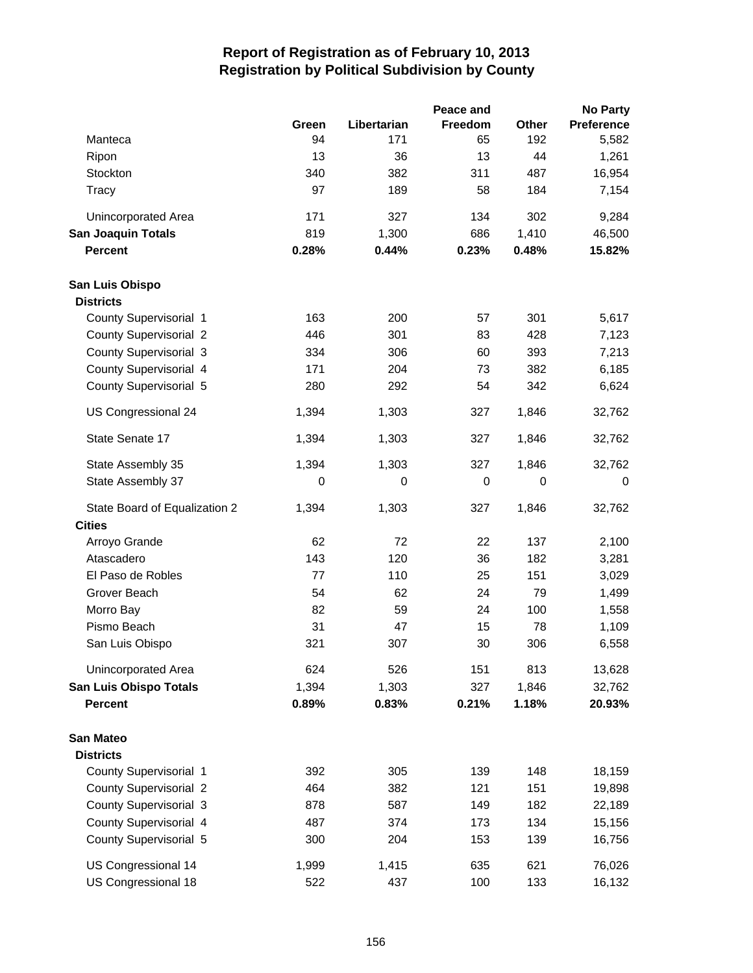|                               |       |             | Peace and      |             | <b>No Party</b>   |
|-------------------------------|-------|-------------|----------------|-------------|-------------------|
|                               | Green | Libertarian | <b>Freedom</b> | Other       | <b>Preference</b> |
| Manteca                       | 94    | 171         | 65             | 192         | 5,582             |
| Ripon                         | 13    | 36          | 13             | 44          | 1,261             |
| Stockton                      | 340   | 382         | 311            | 487         | 16,954            |
| <b>Tracy</b>                  | 97    | 189         | 58             | 184         | 7,154             |
| <b>Unincorporated Area</b>    | 171   | 327         | 134            | 302         | 9,284             |
| <b>San Joaquin Totals</b>     | 819   | 1,300       | 686            | 1,410       | 46,500            |
| <b>Percent</b>                | 0.28% | 0.44%       | 0.23%          | 0.48%       | 15.82%            |
| San Luis Obispo               |       |             |                |             |                   |
| <b>Districts</b>              |       |             |                |             |                   |
| County Supervisorial 1        | 163   | 200         | 57             | 301         | 5,617             |
| <b>County Supervisorial 2</b> | 446   | 301         | 83             | 428         | 7,123             |
| <b>County Supervisorial 3</b> | 334   | 306         | 60             | 393         | 7,213             |
| County Supervisorial 4        | 171   | 204         | 73             | 382         | 6,185             |
| County Supervisorial 5        | 280   | 292         | 54             | 342         | 6,624             |
| US Congressional 24           | 1,394 | 1,303       | 327            | 1,846       | 32,762            |
| State Senate 17               | 1,394 | 1,303       | 327            | 1,846       | 32,762            |
| State Assembly 35             | 1,394 | 1,303       | 327            | 1,846       | 32,762            |
| State Assembly 37             | 0     | 0           | 0              | $\mathbf 0$ | $\mathbf 0$       |
| State Board of Equalization 2 | 1,394 | 1,303       | 327            | 1,846       | 32,762            |
| <b>Cities</b>                 |       |             |                |             |                   |
| Arroyo Grande                 | 62    | 72          | 22             | 137         | 2,100             |
| Atascadero                    | 143   | 120         | 36             | 182         | 3,281             |
| El Paso de Robles             | 77    | 110         | 25             | 151         | 3,029             |
| Grover Beach                  | 54    | 62          | 24             | 79          | 1,499             |
| Morro Bay                     | 82    | 59          | 24             | 100         | 1,558             |
| Pismo Beach                   | 31    | 47          | 15             | 78          | 1,109             |
| San Luis Obispo               | 321   | 307         | 30             | 306         | 6,558             |
| Unincorporated Area           | 624   | 526         | 151            | 813         | 13,628            |
| <b>San Luis Obispo Totals</b> | 1,394 | 1,303       | 327            | 1,846       | 32,762            |
| <b>Percent</b>                | 0.89% | 0.83%       | 0.21%          | 1.18%       | 20.93%            |
| <b>San Mateo</b>              |       |             |                |             |                   |
| <b>Districts</b>              |       |             |                |             |                   |
| County Supervisorial 1        | 392   | 305         | 139            | 148         | 18,159            |
| <b>County Supervisorial 2</b> | 464   | 382         | 121            | 151         | 19,898            |
| <b>County Supervisorial 3</b> | 878   | 587         | 149            | 182         | 22,189            |
| County Supervisorial 4        | 487   | 374         | 173            | 134         | 15,156            |
| County Supervisorial 5        | 300   | 204         | 153            | 139         | 16,756            |
| US Congressional 14           | 1,999 | 1,415       | 635            | 621         | 76,026            |
| US Congressional 18           | 522   | 437         | 100            | 133         | 16,132            |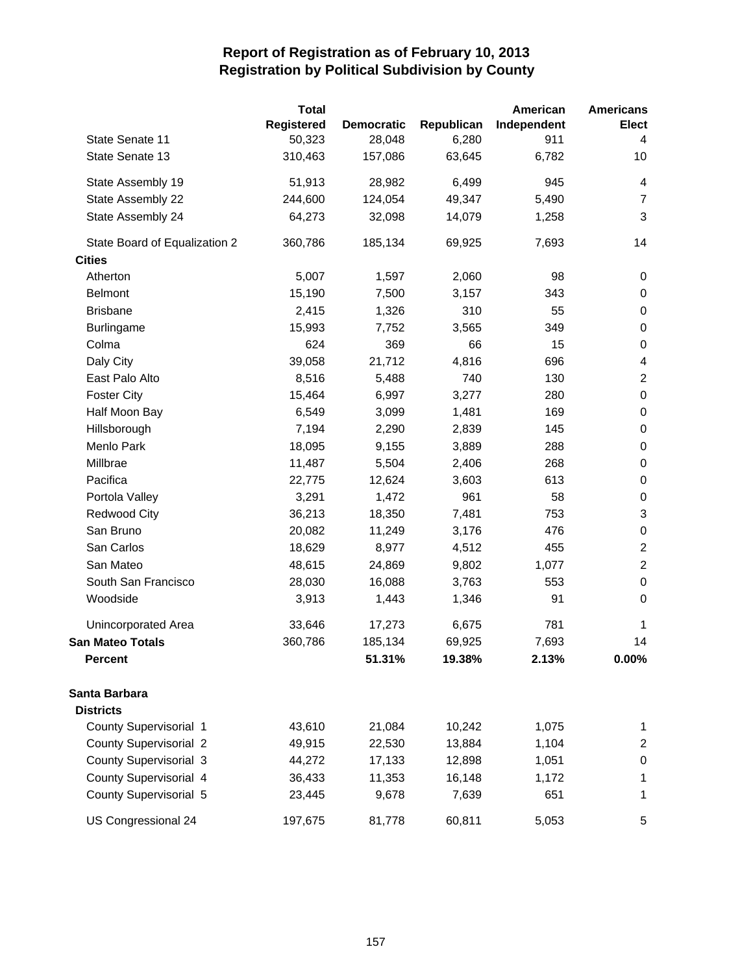|                               | <b>Total</b>      |                   |            | American    | <b>Americans</b>        |
|-------------------------------|-------------------|-------------------|------------|-------------|-------------------------|
|                               | <b>Registered</b> | <b>Democratic</b> | Republican | Independent | <b>Elect</b>            |
| State Senate 11               | 50,323            | 28,048            | 6,280      | 911         | 4                       |
| State Senate 13               | 310,463           | 157,086           | 63,645     | 6,782       | 10                      |
| State Assembly 19             | 51,913            | 28,982            | 6,499      | 945         | 4                       |
| State Assembly 22             | 244,600           | 124,054           | 49,347     | 5,490       | $\overline{7}$          |
| State Assembly 24             | 64,273            | 32,098            | 14,079     | 1,258       | 3                       |
| State Board of Equalization 2 | 360,786           | 185,134           | 69,925     | 7,693       | 14                      |
| <b>Cities</b>                 |                   |                   |            |             |                         |
| Atherton                      | 5,007             | 1,597             | 2,060      | 98          | 0                       |
| <b>Belmont</b>                | 15,190            | 7,500             | 3,157      | 343         | $\pmb{0}$               |
| <b>Brisbane</b>               | 2,415             | 1,326             | 310        | 55          | $\,0\,$                 |
| Burlingame                    | 15,993            | 7,752             | 3,565      | 349         | $\boldsymbol{0}$        |
| Colma                         | 624               | 369               | 66         | 15          | $\boldsymbol{0}$        |
| Daly City                     | 39,058            | 21,712            | 4,816      | 696         | $\overline{\mathbf{4}}$ |
| East Palo Alto                | 8,516             | 5,488             | 740        | 130         | $\overline{c}$          |
| <b>Foster City</b>            | 15,464            | 6,997             | 3,277      | 280         | $\boldsymbol{0}$        |
| Half Moon Bay                 | 6,549             | 3,099             | 1,481      | 169         | $\,0\,$                 |
| Hillsborough                  | 7,194             | 2,290             | 2,839      | 145         | $\boldsymbol{0}$        |
| Menlo Park                    | 18,095            | 9,155             | 3,889      | 288         | $\,0\,$                 |
| Millbrae                      | 11,487            | 5,504             | 2,406      | 268         | $\,0\,$                 |
| Pacifica                      | 22,775            | 12,624            | 3,603      | 613         | $\boldsymbol{0}$        |
| Portola Valley                | 3,291             | 1,472             | 961        | 58          | $\boldsymbol{0}$        |
| <b>Redwood City</b>           | 36,213            | 18,350            | 7,481      | 753         | 3                       |
| San Bruno                     | 20,082            | 11,249            | 3,176      | 476         | $\,0\,$                 |
| San Carlos                    | 18,629            | 8,977             | 4,512      | 455         | $\overline{c}$          |
| San Mateo                     | 48,615            | 24,869            | 9,802      | 1,077       | $\boldsymbol{2}$        |
| South San Francisco           | 28,030            | 16,088            | 3,763      | 553         | $\,0\,$                 |
| Woodside                      | 3,913             | 1,443             | 1,346      | 91          | $\mathbf 0$             |
| <b>Unincorporated Area</b>    | 33,646            | 17,273            | 6,675      | 781         | 1                       |
| <b>San Mateo Totals</b>       | 360,786           | 185,134           | 69,925     | 7,693       | 14                      |
| <b>Percent</b>                |                   | 51.31%            | 19.38%     | 2.13%       | $0.00\%$                |
| Santa Barbara                 |                   |                   |            |             |                         |
| <b>Districts</b>              |                   |                   |            |             |                         |
| County Supervisorial 1        | 43,610            | 21,084            | 10,242     | 1,075       | 1                       |
| <b>County Supervisorial 2</b> | 49,915            | 22,530            | 13,884     | 1,104       | $\overline{2}$          |
| County Supervisorial 3        | 44,272            | 17,133            | 12,898     | 1,051       | $\pmb{0}$               |
| County Supervisorial 4        | 36,433            | 11,353            | 16,148     | 1,172       | 1                       |
| County Supervisorial 5        | 23,445            | 9,678             | 7,639      | 651         | 1                       |
| US Congressional 24           | 197,675           | 81,778            | 60,811     | 5,053       | 5                       |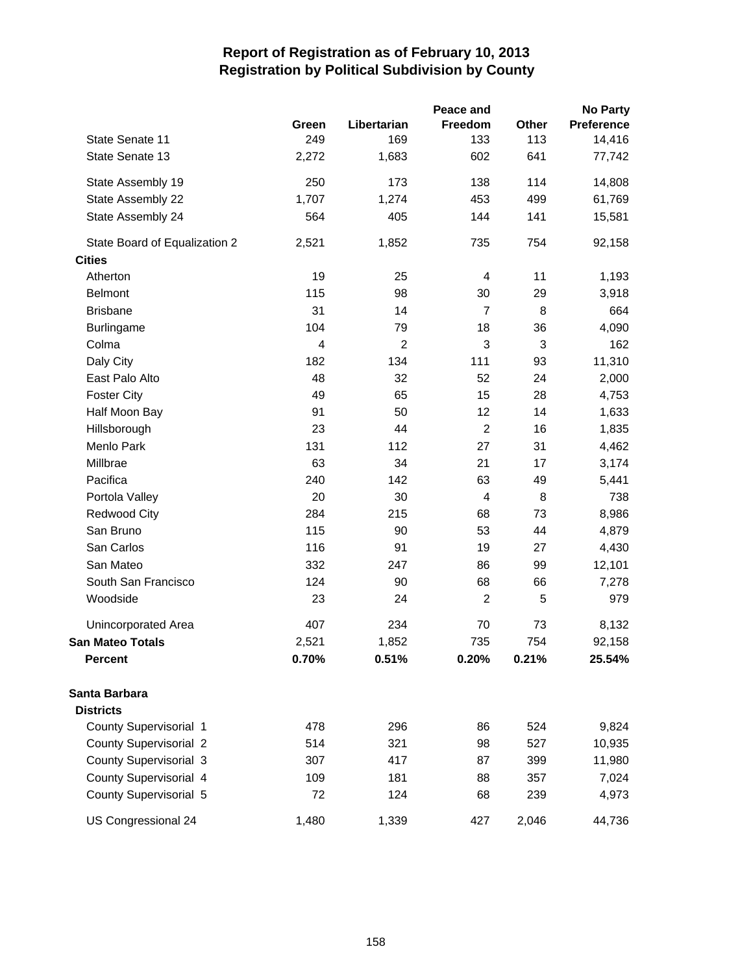|                               |       |                | Peace and                |       | <b>No Party</b> |
|-------------------------------|-------|----------------|--------------------------|-------|-----------------|
|                               | Green | Libertarian    | Freedom                  | Other | Preference      |
| State Senate 11               | 249   | 169            | 133                      | 113   | 14,416          |
| State Senate 13               | 2,272 | 1,683          | 602                      | 641   | 77,742          |
| State Assembly 19             | 250   | 173            | 138                      | 114   | 14,808          |
| State Assembly 22             | 1,707 | 1,274          | 453                      | 499   | 61,769          |
| State Assembly 24             | 564   | 405            | 144                      | 141   | 15,581          |
| State Board of Equalization 2 | 2,521 | 1,852          | 735                      | 754   | 92,158          |
| <b>Cities</b>                 |       |                |                          |       |                 |
| Atherton                      | 19    | 25             | $\overline{4}$           | 11    | 1,193           |
| <b>Belmont</b>                | 115   | 98             | 30                       | 29    | 3,918           |
| <b>Brisbane</b>               | 31    | 14             | $\overline{7}$           | 8     | 664             |
| <b>Burlingame</b>             | 104   | 79             | 18                       | 36    | 4,090           |
| Colma                         | 4     | $\overline{2}$ | 3                        | 3     | 162             |
| Daly City                     | 182   | 134            | 111                      | 93    | 11,310          |
| East Palo Alto                | 48    | 32             | 52                       | 24    | 2,000           |
| <b>Foster City</b>            | 49    | 65             | 15                       | 28    | 4,753           |
| Half Moon Bay                 | 91    | 50             | 12                       | 14    | 1,633           |
| Hillsborough                  | 23    | 44             | $\sqrt{2}$               | 16    | 1,835           |
| Menlo Park                    | 131   | 112            | 27                       | 31    | 4,462           |
| Millbrae                      | 63    | 34             | 21                       | 17    | 3,174           |
| Pacifica                      | 240   | 142            | 63                       | 49    | 5,441           |
| Portola Valley                | 20    | 30             | $\overline{\mathcal{L}}$ | 8     | 738             |
| <b>Redwood City</b>           | 284   | 215            | 68                       | 73    | 8,986           |
| San Bruno                     | 115   | 90             | 53                       | 44    | 4,879           |
| San Carlos                    | 116   | 91             | 19                       | 27    | 4,430           |
| San Mateo                     | 332   | 247            | 86                       | 99    | 12,101          |
| South San Francisco           | 124   | 90             | 68                       | 66    | 7,278           |
| Woodside                      | 23    | 24             | $\overline{c}$           | 5     | 979             |
| Unincorporated Area           | 407   | 234            | 70                       | 73    | 8,132           |
| <b>San Mateo Totals</b>       | 2,521 | 1,852          | 735                      | 754   | 92,158          |
| Percent                       | 0.70% | 0.51%          | 0.20%                    | 0.21% | 25.54%          |
| Santa Barbara                 |       |                |                          |       |                 |
| <b>Districts</b>              |       |                |                          |       |                 |
| County Supervisorial 1        | 478   | 296            | 86                       | 524   | 9,824           |
| <b>County Supervisorial 2</b> | 514   | 321            | 98                       | 527   | 10,935          |
| County Supervisorial 3        | 307   | 417            | 87                       | 399   | 11,980          |
| County Supervisorial 4        | 109   | 181            | 88                       | 357   | 7,024           |
| County Supervisorial 5        | 72    | 124            | 68                       | 239   | 4,973           |
| US Congressional 24           | 1,480 | 1,339          | 427                      | 2,046 | 44,736          |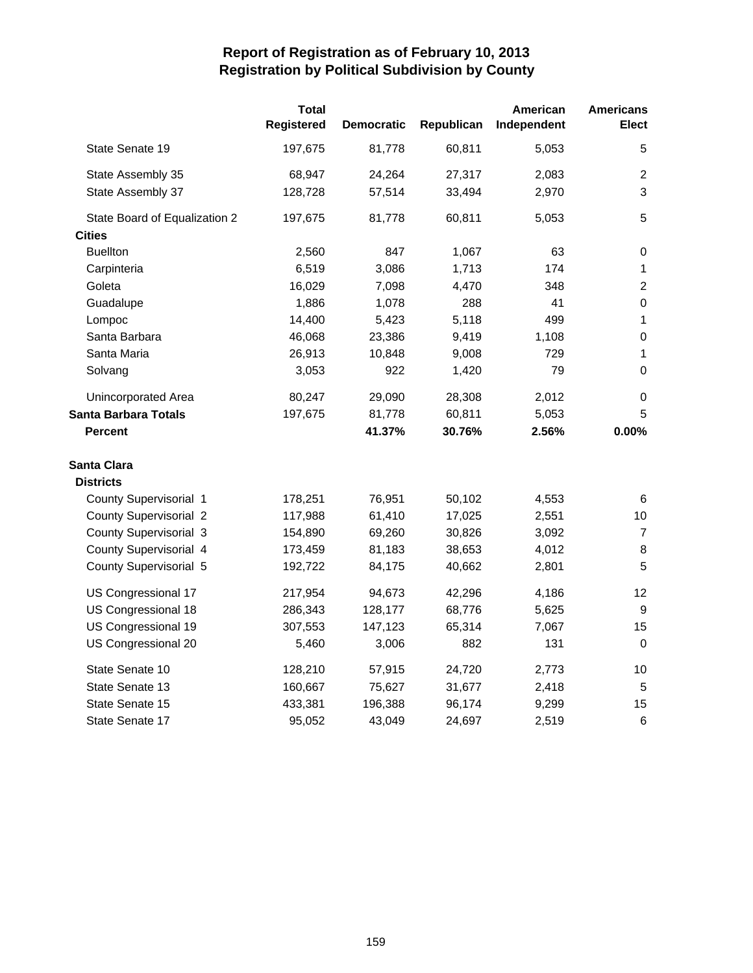|                               | <b>Total</b><br>Registered | <b>Democratic</b> | Republican | American<br>Independent | <b>Americans</b><br><b>Elect</b> |
|-------------------------------|----------------------------|-------------------|------------|-------------------------|----------------------------------|
|                               |                            |                   |            |                         |                                  |
| State Senate 19               | 197,675                    | 81,778            | 60,811     | 5,053                   | 5                                |
| State Assembly 35             | 68,947                     | 24,264            | 27,317     | 2,083                   | $\overline{2}$                   |
| State Assembly 37             | 128,728                    | 57,514            | 33,494     | 2,970                   | 3                                |
| State Board of Equalization 2 | 197,675                    | 81,778            | 60,811     | 5,053                   | 5                                |
| <b>Cities</b>                 |                            |                   |            |                         |                                  |
| <b>Buellton</b>               | 2,560                      | 847               | 1,067      | 63                      | $\,0\,$                          |
| Carpinteria                   | 6,519                      | 3,086             | 1,713      | 174                     | $\mathbf{1}$                     |
| Goleta                        | 16,029                     | 7,098             | 4,470      | 348                     | $\boldsymbol{2}$                 |
| Guadalupe                     | 1,886                      | 1,078             | 288        | 41                      | $\boldsymbol{0}$                 |
| Lompoc                        | 14,400                     | 5,423             | 5,118      | 499                     | $\mathbf{1}$                     |
| Santa Barbara                 | 46,068                     | 23,386            | 9,419      | 1,108                   | $\boldsymbol{0}$                 |
| Santa Maria                   | 26,913                     | 10,848            | 9,008      | 729                     | $\mathbf{1}$                     |
| Solvang                       | 3,053                      | 922               | 1,420      | 79                      | 0                                |
| <b>Unincorporated Area</b>    | 80,247                     | 29,090            | 28,308     | 2,012                   | 0                                |
| <b>Santa Barbara Totals</b>   | 197,675                    | 81,778            | 60,811     | 5,053                   | 5                                |
| <b>Percent</b>                |                            | 41.37%            | 30.76%     | 2.56%                   | 0.00%                            |
| <b>Santa Clara</b>            |                            |                   |            |                         |                                  |
| <b>Districts</b>              |                            |                   |            |                         |                                  |
| County Supervisorial 1        | 178,251                    | 76,951            | 50,102     | 4,553                   | 6                                |
| <b>County Supervisorial 2</b> | 117,988                    | 61,410            | 17,025     | 2,551                   | 10                               |
| County Supervisorial 3        | 154,890                    | 69,260            | 30,826     | 3,092                   | $\overline{7}$                   |
| County Supervisorial 4        | 173,459                    | 81,183            | 38,653     | 4,012                   | 8                                |
| County Supervisorial 5        | 192,722                    | 84,175            | 40,662     | 2,801                   | 5                                |
| US Congressional 17           | 217,954                    | 94,673            | 42,296     | 4,186                   | 12                               |
| US Congressional 18           | 286,343                    | 128,177           | 68,776     | 5,625                   | 9                                |
| US Congressional 19           | 307,553                    | 147,123           | 65,314     | 7,067                   | 15                               |
| US Congressional 20           | 5,460                      | 3,006             | 882        | 131                     | $\Omega$                         |
| State Senate 10               | 128,210                    | 57,915            | 24,720     | 2,773                   | 10                               |
| State Senate 13               | 160,667                    | 75,627            | 31,677     | 2,418                   | 5                                |
| State Senate 15               | 433,381                    | 196,388           | 96,174     | 9,299                   | 15                               |
| State Senate 17               | 95,052                     | 43,049            | 24,697     | 2,519                   | $\,6$                            |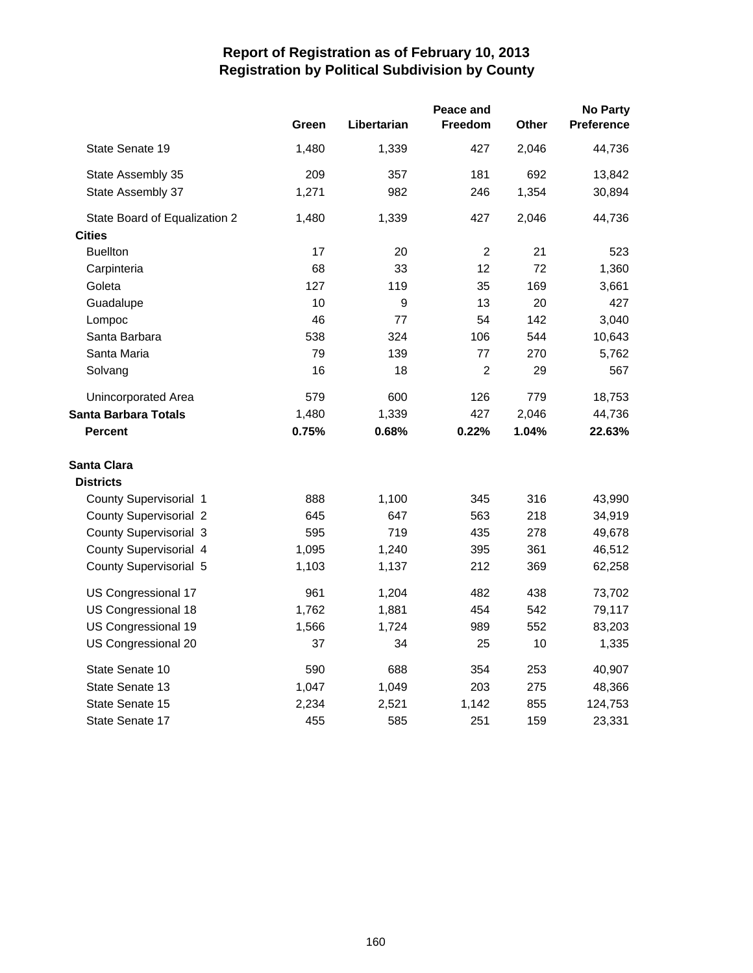|                               |       |             | Peace and      |       | <b>No Party</b>   |
|-------------------------------|-------|-------------|----------------|-------|-------------------|
|                               | Green | Libertarian | <b>Freedom</b> | Other | <b>Preference</b> |
| State Senate 19               | 1,480 | 1,339       | 427            | 2,046 | 44,736            |
| State Assembly 35             | 209   | 357         | 181            | 692   | 13,842            |
| State Assembly 37             | 1,271 | 982         | 246            | 1,354 | 30,894            |
| State Board of Equalization 2 | 1,480 | 1,339       | 427            | 2,046 | 44,736            |
| <b>Cities</b>                 |       |             |                |       |                   |
| <b>Buellton</b>               | 17    | 20          | $\overline{c}$ | 21    | 523               |
| Carpinteria                   | 68    | 33          | 12             | 72    | 1,360             |
| Goleta                        | 127   | 119         | 35             | 169   | 3,661             |
| Guadalupe                     | 10    | 9           | 13             | 20    | 427               |
| Lompoc                        | 46    | 77          | 54             | 142   | 3,040             |
| Santa Barbara                 | 538   | 324         | 106            | 544   | 10,643            |
| Santa Maria                   | 79    | 139         | 77             | 270   | 5,762             |
| Solvang                       | 16    | 18          | $\overline{2}$ | 29    | 567               |
| Unincorporated Area           | 579   | 600         | 126            | 779   | 18,753            |
| <b>Santa Barbara Totals</b>   | 1,480 | 1,339       | 427            | 2,046 | 44,736            |
| <b>Percent</b>                | 0.75% | 0.68%       | 0.22%          | 1.04% | 22.63%            |
| <b>Santa Clara</b>            |       |             |                |       |                   |
| <b>Districts</b>              |       |             |                |       |                   |
| County Supervisorial 1        | 888   | 1,100       | 345            | 316   | 43,990            |
| County Supervisorial 2        | 645   | 647         | 563            | 218   | 34,919            |
| County Supervisorial 3        | 595   | 719         | 435            | 278   | 49,678            |
| County Supervisorial 4        | 1,095 | 1,240       | 395            | 361   | 46,512            |
| County Supervisorial 5        | 1,103 | 1,137       | 212            | 369   | 62,258            |
| US Congressional 17           | 961   | 1,204       | 482            | 438   | 73,702            |
| US Congressional 18           | 1,762 | 1,881       | 454            | 542   | 79,117            |
| US Congressional 19           | 1,566 | 1,724       | 989            | 552   | 83,203            |
| US Congressional 20           | 37    | 34          | 25             | 10    | 1,335             |
| State Senate 10               | 590   | 688         | 354            | 253   | 40,907            |
| State Senate 13               | 1,047 | 1,049       | 203            | 275   | 48,366            |
| State Senate 15               | 2,234 | 2,521       | 1,142          | 855   | 124,753           |
| State Senate 17               | 455   | 585         | 251            | 159   | 23,331            |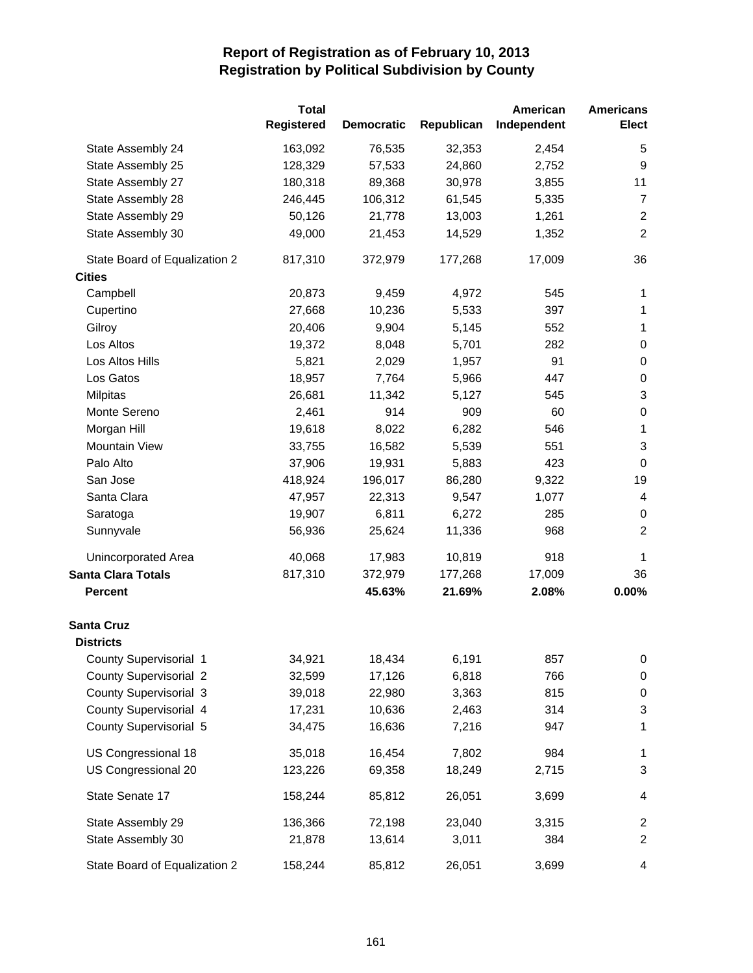|                               | <b>Total</b>      |                   |            | American    | <b>Americans</b> |
|-------------------------------|-------------------|-------------------|------------|-------------|------------------|
|                               | <b>Registered</b> | <b>Democratic</b> | Republican | Independent | <b>Elect</b>     |
| State Assembly 24             | 163,092           | 76,535            | 32,353     | 2,454       | 5                |
| State Assembly 25             | 128,329           | 57,533            | 24,860     | 2,752       | $\boldsymbol{9}$ |
| State Assembly 27             | 180,318           | 89,368            | 30,978     | 3,855       | 11               |
| State Assembly 28             | 246,445           | 106,312           | 61,545     | 5,335       | $\overline{7}$   |
| State Assembly 29             | 50,126            | 21,778            | 13,003     | 1,261       | $\overline{2}$   |
| State Assembly 30             | 49,000            | 21,453            | 14,529     | 1,352       | $\boldsymbol{2}$ |
| State Board of Equalization 2 | 817,310           | 372,979           | 177,268    | 17,009      | 36               |
| <b>Cities</b>                 |                   |                   |            |             |                  |
| Campbell                      | 20,873            | 9,459             | 4,972      | 545         | 1                |
| Cupertino                     | 27,668            | 10,236            | 5,533      | 397         | 1                |
| Gilroy                        | 20,406            | 9,904             | 5,145      | 552         | 1                |
| Los Altos                     | 19,372            | 8,048             | 5,701      | 282         | $\,0\,$          |
| Los Altos Hills               | 5,821             | 2,029             | 1,957      | 91          | $\boldsymbol{0}$ |
| Los Gatos                     | 18,957            | 7,764             | 5,966      | 447         | 0                |
| <b>Milpitas</b>               | 26,681            | 11,342            | 5,127      | 545         | 3                |
| Monte Sereno                  | 2,461             | 914               | 909        | 60          | $\boldsymbol{0}$ |
| Morgan Hill                   | 19,618            | 8,022             | 6,282      | 546         | $\mathbf 1$      |
| Mountain View                 | 33,755            | 16,582            | 5,539      | 551         | 3                |
| Palo Alto                     | 37,906            | 19,931            | 5,883      | 423         | $\mathbf 0$      |
| San Jose                      | 418,924           | 196,017           | 86,280     | 9,322       | 19               |
| Santa Clara                   | 47,957            | 22,313            | 9,547      | 1,077       | 4                |
| Saratoga                      | 19,907            | 6,811             | 6,272      | 285         | 0                |
| Sunnyvale                     | 56,936            | 25,624            | 11,336     | 968         | $\overline{2}$   |
| <b>Unincorporated Area</b>    | 40,068            | 17,983            | 10,819     | 918         | 1                |
| <b>Santa Clara Totals</b>     | 817,310           | 372,979           | 177,268    | 17,009      | 36               |
| <b>Percent</b>                |                   | 45.63%            | 21.69%     | 2.08%       | 0.00%            |
| <b>Santa Cruz</b>             |                   |                   |            |             |                  |
| <b>Districts</b>              |                   |                   |            |             |                  |
| County Supervisorial 1        | 34,921            | 18,434            | 6,191      | 857         | 0                |
| <b>County Supervisorial 2</b> | 32,599            | 17,126            | 6,818      | 766         | 0                |
| County Supervisorial 3        | 39,018            | 22,980            | 3,363      | 815         | $\pmb{0}$        |
| County Supervisorial 4        | 17,231            | 10,636            | 2,463      | 314         | 3                |
| County Supervisorial 5        | 34,475            | 16,636            | 7,216      | 947         | 1                |
| US Congressional 18           | 35,018            | 16,454            | 7,802      | 984         | 1                |
| US Congressional 20           | 123,226           | 69,358            | 18,249     | 2,715       | 3                |
| State Senate 17               | 158,244           | 85,812            | 26,051     | 3,699       | 4                |
| State Assembly 29             | 136,366           | 72,198            | 23,040     | 3,315       | 2                |
| State Assembly 30             | 21,878            | 13,614            | 3,011      | 384         | $\overline{c}$   |
| State Board of Equalization 2 | 158,244           | 85,812            | 26,051     | 3,699       | 4                |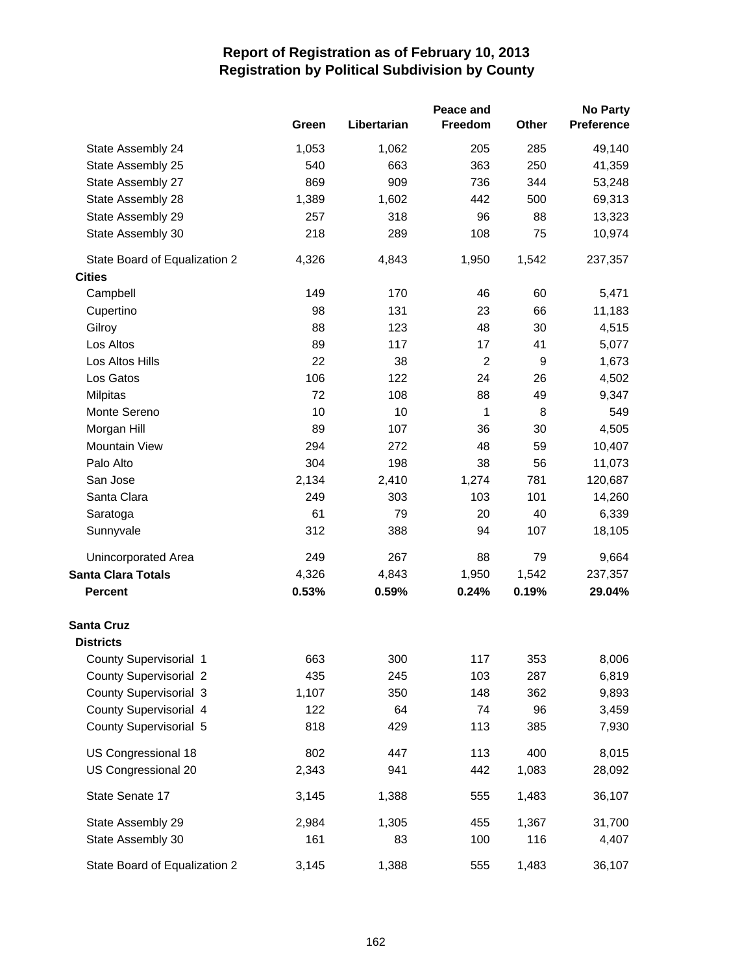|                                       |       | Peace and   |                |       | <b>No Party</b> |  |
|---------------------------------------|-------|-------------|----------------|-------|-----------------|--|
|                                       | Green | Libertarian | Freedom        | Other | Preference      |  |
| State Assembly 24                     | 1,053 | 1,062       | 205            | 285   | 49,140          |  |
| State Assembly 25                     | 540   | 663         | 363            | 250   | 41,359          |  |
| State Assembly 27                     | 869   | 909         | 736            | 344   | 53,248          |  |
| State Assembly 28                     | 1,389 | 1,602       | 442            | 500   | 69,313          |  |
| State Assembly 29                     | 257   | 318         | 96             | 88    | 13,323          |  |
| State Assembly 30                     | 218   | 289         | 108            | 75    | 10,974          |  |
| State Board of Equalization 2         | 4,326 | 4,843       | 1,950          | 1,542 | 237,357         |  |
| <b>Cities</b>                         |       |             |                |       |                 |  |
| Campbell                              | 149   | 170         | 46             | 60    | 5,471           |  |
| Cupertino                             | 98    | 131         | 23             | 66    | 11,183          |  |
| Gilroy                                | 88    | 123         | 48             | 30    | 4,515           |  |
| Los Altos                             | 89    | 117         | 17             | 41    | 5,077           |  |
| Los Altos Hills                       | 22    | 38          | $\overline{c}$ | 9     | 1,673           |  |
| Los Gatos                             | 106   | 122         | 24             | 26    | 4,502           |  |
| Milpitas                              | 72    | 108         | 88             | 49    | 9,347           |  |
| Monte Sereno                          | 10    | 10          | 1              | 8     | 549             |  |
| Morgan Hill                           | 89    | 107         | 36             | 30    | 4,505           |  |
| Mountain View                         | 294   | 272         | 48             | 59    | 10,407          |  |
| Palo Alto                             | 304   | 198         | 38             | 56    | 11,073          |  |
| San Jose                              | 2,134 | 2,410       | 1,274          | 781   | 120,687         |  |
| Santa Clara                           | 249   | 303         | 103            | 101   | 14,260          |  |
| Saratoga                              | 61    | 79          | 20             | 40    | 6,339           |  |
| Sunnyvale                             | 312   | 388         | 94             | 107   | 18,105          |  |
| <b>Unincorporated Area</b>            | 249   | 267         | 88             | 79    | 9,664           |  |
| <b>Santa Clara Totals</b>             | 4,326 | 4,843       | 1,950          | 1,542 | 237,357         |  |
| <b>Percent</b>                        | 0.53% | 0.59%       | 0.24%          | 0.19% | 29.04%          |  |
| <b>Santa Cruz</b><br><b>Districts</b> |       |             |                |       |                 |  |
| County Supervisorial 1                | 663   |             | 117            | 353   |                 |  |
| <b>County Supervisorial 2</b>         | 435   | 300<br>245  | 103            | 287   | 8,006<br>6,819  |  |
| County Supervisorial 3                | 1,107 | 350         | 148            | 362   | 9,893           |  |
| County Supervisorial 4                | 122   | 64          | 74             | 96    | 3,459           |  |
| County Supervisorial 5                | 818   | 429         | 113            | 385   | 7,930           |  |
|                                       |       |             |                |       |                 |  |
| US Congressional 18                   | 802   | 447         | 113            | 400   | 8,015           |  |
| US Congressional 20                   | 2,343 | 941         | 442            | 1,083 | 28,092          |  |
| State Senate 17                       | 3,145 | 1,388       | 555            | 1,483 | 36,107          |  |
| State Assembly 29                     | 2,984 | 1,305       | 455            | 1,367 | 31,700          |  |
| State Assembly 30                     | 161   | 83          | 100            | 116   | 4,407           |  |
| State Board of Equalization 2         | 3,145 | 1,388       | 555            | 1,483 | 36,107          |  |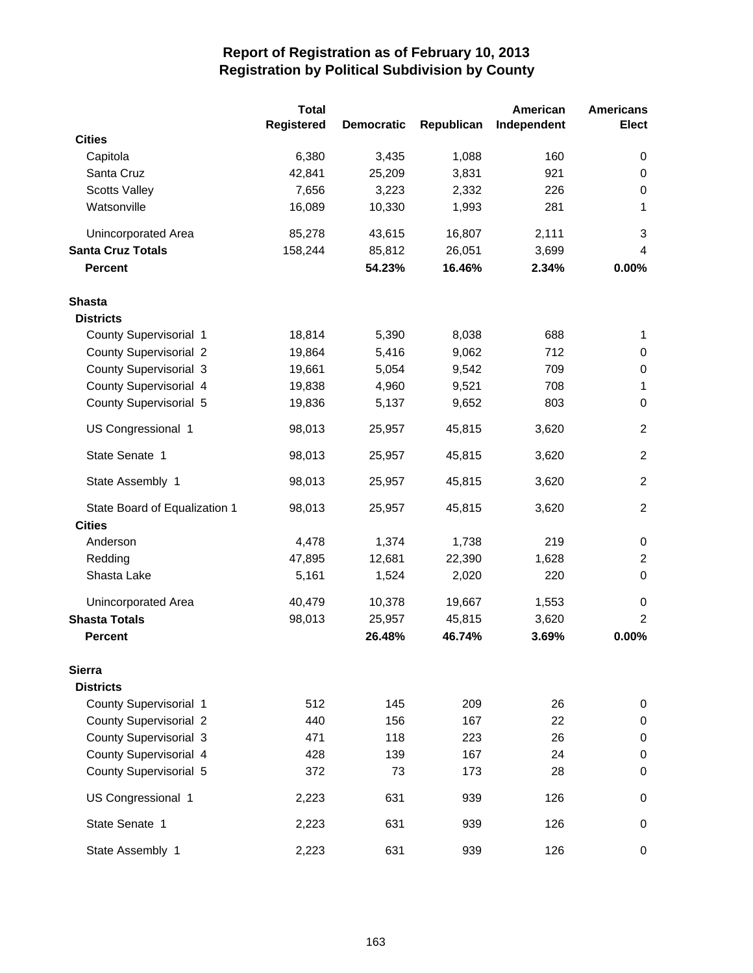|                               | <b>Total</b>      |                   |            | American    | <b>Americans</b> |
|-------------------------------|-------------------|-------------------|------------|-------------|------------------|
|                               | <b>Registered</b> | <b>Democratic</b> | Republican | Independent | <b>Elect</b>     |
| <b>Cities</b>                 |                   |                   |            |             |                  |
| Capitola                      | 6,380             | 3,435             | 1,088      | 160         | 0                |
| Santa Cruz                    | 42,841            | 25,209            | 3,831      | 921         | 0                |
| <b>Scotts Valley</b>          | 7,656             | 3,223             | 2,332      | 226         | $\pmb{0}$        |
| Watsonville                   | 16,089            | 10,330            | 1,993      | 281         | 1                |
| Unincorporated Area           | 85,278            | 43,615            | 16,807     | 2,111       | 3                |
| <b>Santa Cruz Totals</b>      | 158,244           | 85,812            | 26,051     | 3,699       | 4                |
| <b>Percent</b>                |                   | 54.23%            | 16.46%     | 2.34%       | 0.00%            |
| <b>Shasta</b>                 |                   |                   |            |             |                  |
| <b>Districts</b>              |                   |                   |            |             |                  |
| County Supervisorial 1        | 18,814            | 5,390             | 8,038      | 688         | 1                |
| <b>County Supervisorial 2</b> | 19,864            | 5,416             | 9,062      | 712         | 0                |
| County Supervisorial 3        | 19,661            | 5,054             | 9,542      | 709         | $\pmb{0}$        |
| County Supervisorial 4        | 19,838            | 4,960             | 9,521      | 708         | 1                |
| County Supervisorial 5        | 19,836            | 5,137             | 9,652      | 803         | $\mathbf 0$      |
| US Congressional 1            | 98,013            | 25,957            | 45,815     | 3,620       | $\overline{2}$   |
| State Senate 1                | 98,013            | 25,957            | 45,815     | 3,620       | $\overline{2}$   |
| State Assembly 1              | 98,013            | 25,957            | 45,815     | 3,620       | $\overline{2}$   |
| State Board of Equalization 1 | 98,013            | 25,957            | 45,815     | 3,620       | $\overline{2}$   |
| <b>Cities</b>                 |                   |                   |            |             |                  |
| Anderson                      | 4,478             | 1,374             | 1,738      | 219         | $\pmb{0}$        |
| Redding                       | 47,895            | 12,681            | 22,390     | 1,628       | $\overline{c}$   |
| Shasta Lake                   | 5,161             | 1,524             | 2,020      | 220         | $\mathbf 0$      |
| Unincorporated Area           | 40,479            | 10,378            | 19,667     | 1,553       | 0                |
| <b>Shasta Totals</b>          | 98,013            | 25,957            | 45,815     | 3,620       | $\overline{c}$   |
| <b>Percent</b>                |                   | 26.48%            | 46.74%     | 3.69%       | 0.00%            |
| <b>Sierra</b>                 |                   |                   |            |             |                  |
| <b>Districts</b>              |                   |                   |            |             |                  |
| County Supervisorial 1        | 512               | 145               | 209        | 26          | 0                |
| <b>County Supervisorial 2</b> | 440               | 156               | 167        | 22          | $\pmb{0}$        |
| County Supervisorial 3        | 471               | 118               | 223        | 26          | $\pmb{0}$        |
| County Supervisorial 4        | 428               | 139               | 167        | 24          | $\,0\,$          |
| County Supervisorial 5        | 372               | 73                | 173        | 28          | $\boldsymbol{0}$ |
| US Congressional 1            | 2,223             | 631               | 939        | 126         | 0                |
| State Senate 1                | 2,223             | 631               | 939        | 126         | $\boldsymbol{0}$ |
| State Assembly 1              | 2,223             | 631               | 939        | 126         | 0                |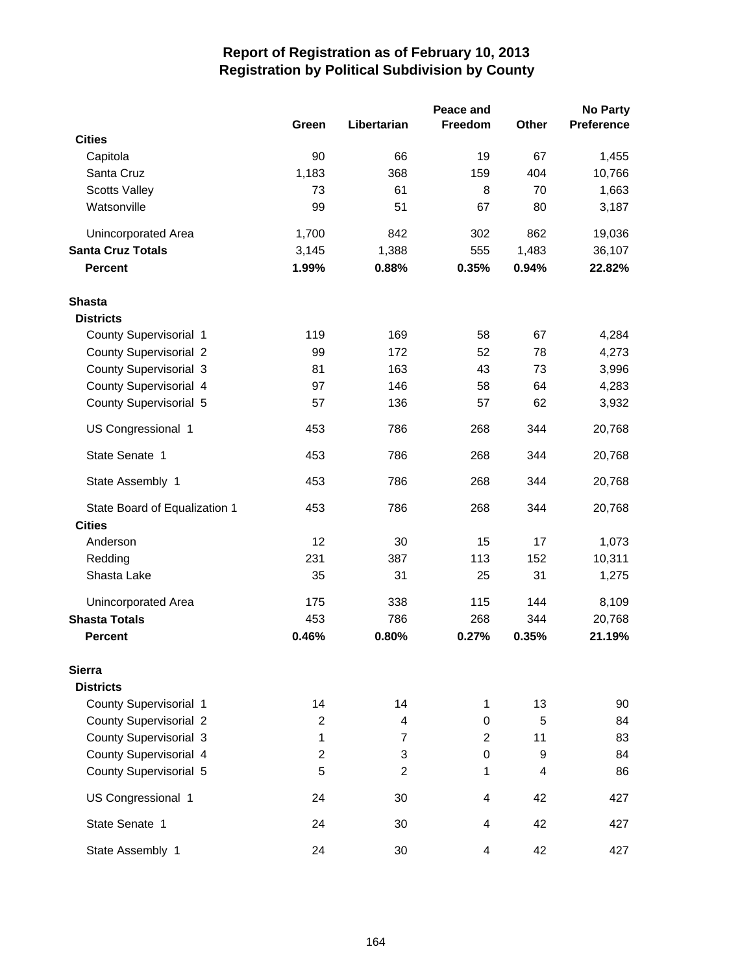|                               |                |                | Peace and      |       | <b>No Party</b>   |
|-------------------------------|----------------|----------------|----------------|-------|-------------------|
|                               | Green          | Libertarian    | Freedom        | Other | <b>Preference</b> |
| <b>Cities</b>                 |                |                |                |       |                   |
| Capitola                      | 90             | 66             | 19             | 67    | 1,455             |
| Santa Cruz                    | 1,183          | 368            | 159            | 404   | 10,766            |
| <b>Scotts Valley</b>          | 73             | 61             | 8              | 70    | 1,663             |
| Watsonville                   | 99             | 51             | 67             | 80    | 3,187             |
| Unincorporated Area           | 1,700          | 842            | 302            | 862   | 19,036            |
| <b>Santa Cruz Totals</b>      | 3,145          | 1,388          | 555            | 1,483 | 36,107            |
| <b>Percent</b>                | 1.99%          | 0.88%          | 0.35%          | 0.94% | 22.82%            |
| <b>Shasta</b>                 |                |                |                |       |                   |
| <b>Districts</b>              |                |                |                |       |                   |
| County Supervisorial 1        | 119            | 169            | 58             | 67    | 4,284             |
| <b>County Supervisorial 2</b> | 99             | 172            | 52             | 78    | 4,273             |
| <b>County Supervisorial 3</b> | 81             | 163            | 43             | 73    | 3,996             |
| County Supervisorial 4        | 97             | 146            | 58             | 64    | 4,283             |
| County Supervisorial 5        | 57             | 136            | 57             | 62    | 3,932             |
| US Congressional 1            | 453            | 786            | 268            | 344   | 20,768            |
| State Senate 1                | 453            | 786            | 268            | 344   | 20,768            |
| State Assembly 1              | 453            | 786            | 268            | 344   | 20,768            |
| State Board of Equalization 1 | 453            | 786            | 268            | 344   | 20,768            |
| <b>Cities</b>                 |                |                |                |       |                   |
| Anderson                      | 12             | 30             | 15             | 17    | 1,073             |
| Redding                       | 231            | 387            | 113            | 152   | 10,311            |
| Shasta Lake                   | 35             | 31             | 25             | 31    | 1,275             |
| Unincorporated Area           | 175            | 338            | 115            | 144   | 8,109             |
| <b>Shasta Totals</b>          | 453            | 786            | 268            | 344   | 20,768            |
| <b>Percent</b>                | 0.46%          | 0.80%          | 0.27%          | 0.35% | 21.19%            |
| <b>Sierra</b>                 |                |                |                |       |                   |
| <b>Districts</b>              |                |                |                |       |                   |
| County Supervisorial 1        | 14             | 14             | 1              | 13    | 90                |
| <b>County Supervisorial 2</b> | $\overline{c}$ | 4              | 0              | 5     | 84                |
| County Supervisorial 3        | 1              | $\overline{7}$ | $\overline{2}$ | 11    | 83                |
| County Supervisorial 4        | $\overline{c}$ | 3              | 0              | 9     | 84                |
| County Supervisorial 5        | 5              | $\overline{2}$ | 1              | 4     | 86                |
| US Congressional 1            | 24             | 30             | 4              | 42    | 427               |
| State Senate 1                | 24             | 30             | 4              | 42    | 427               |
| State Assembly 1              | 24             | 30             | 4              | 42    | 427               |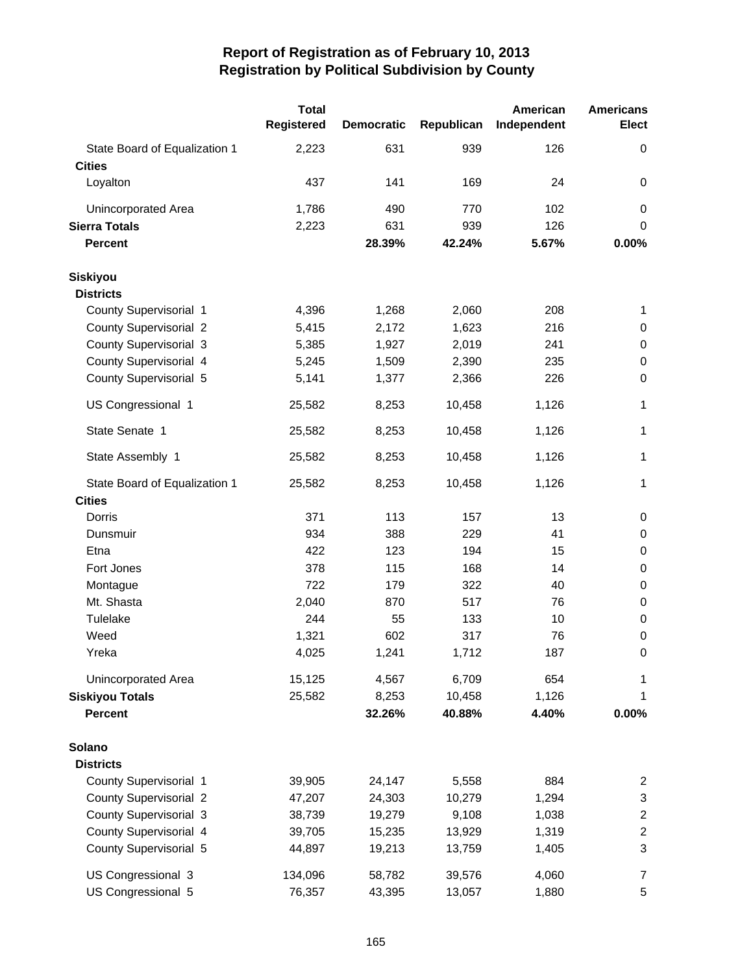|                                                | <b>Total</b> |                   |            | American    | <b>Americans</b> |
|------------------------------------------------|--------------|-------------------|------------|-------------|------------------|
|                                                | Registered   | <b>Democratic</b> | Republican | Independent | <b>Elect</b>     |
| State Board of Equalization 1<br><b>Cities</b> | 2,223        | 631               | 939        | 126         | 0                |
| Loyalton                                       | 437          | 141               | 169        | 24          | 0                |
| Unincorporated Area                            | 1,786        | 490               | 770        | 102         | 0                |
| <b>Sierra Totals</b>                           | 2,223        | 631               | 939        | 126         | 0                |
| <b>Percent</b>                                 |              | 28.39%            | 42.24%     | 5.67%       | 0.00%            |
| <b>Siskiyou</b>                                |              |                   |            |             |                  |
| <b>Districts</b>                               |              |                   |            |             |                  |
| County Supervisorial 1                         | 4,396        | 1,268             | 2,060      | 208         | 1                |
| <b>County Supervisorial 2</b>                  | 5,415        | 2,172             | 1,623      | 216         | $\pmb{0}$        |
| <b>County Supervisorial 3</b>                  | 5,385        | 1,927             | 2,019      | 241         | $\,0\,$          |
| County Supervisorial 4                         | 5,245        | 1,509             | 2,390      | 235         | $\,0\,$          |
| County Supervisorial 5                         | 5,141        | 1,377             | 2,366      | 226         | $\boldsymbol{0}$ |
| US Congressional 1                             | 25,582       | 8,253             | 10,458     | 1,126       | 1                |
| State Senate 1                                 | 25,582       | 8,253             | 10,458     | 1,126       | 1                |
| State Assembly 1                               | 25,582       | 8,253             | 10,458     | 1,126       | 1                |
| State Board of Equalization 1                  | 25,582       | 8,253             | 10,458     | 1,126       | 1                |
| <b>Cities</b>                                  |              |                   |            |             |                  |
| Dorris                                         | 371          | 113               | 157        | 13          | $\pmb{0}$        |
| Dunsmuir                                       | 934          | 388               | 229        | 41          | $\boldsymbol{0}$ |
| Etna                                           | 422          | 123               | 194        | 15          | $\boldsymbol{0}$ |
| Fort Jones                                     | 378          | 115               | 168        | 14          | $\boldsymbol{0}$ |
| Montague                                       | 722          | 179               | 322        | 40          | $\pmb{0}$        |
| Mt. Shasta                                     | 2,040        | 870               | 517        | 76          | $\,0\,$          |
| Tulelake                                       | 244          | 55                | 133        | 10          | $\,0\,$          |
| Weed                                           | 1,321        | 602               | 317        | 76          | $\boldsymbol{0}$ |
| Yreka                                          | 4,025        | 1,241             | 1,712      | 187         | 0                |
| Unincorporated Area                            | 15,125       | 4,567             | 6,709      | 654         | 1                |
| <b>Siskiyou Totals</b>                         | 25,582       | 8,253             | 10,458     | 1,126       | 1                |
| <b>Percent</b>                                 |              | 32.26%            | 40.88%     | 4.40%       | 0.00%            |
| Solano                                         |              |                   |            |             |                  |
| <b>Districts</b>                               |              |                   |            |             |                  |
| County Supervisorial 1                         | 39,905       | 24,147            | 5,558      | 884         | $\overline{2}$   |
| <b>County Supervisorial 2</b>                  | 47,207       | 24,303            | 10,279     | 1,294       | 3                |
| <b>County Supervisorial 3</b>                  | 38,739       | 19,279            | 9,108      | 1,038       | $\overline{c}$   |
| County Supervisorial 4                         | 39,705       | 15,235            | 13,929     | 1,319       | $\overline{c}$   |
| County Supervisorial 5                         | 44,897       | 19,213            | 13,759     | 1,405       | 3                |
| US Congressional 3                             | 134,096      | 58,782            | 39,576     | 4,060       | $\overline{7}$   |
| US Congressional 5                             | 76,357       | 43,395            | 13,057     | 1,880       | 5                |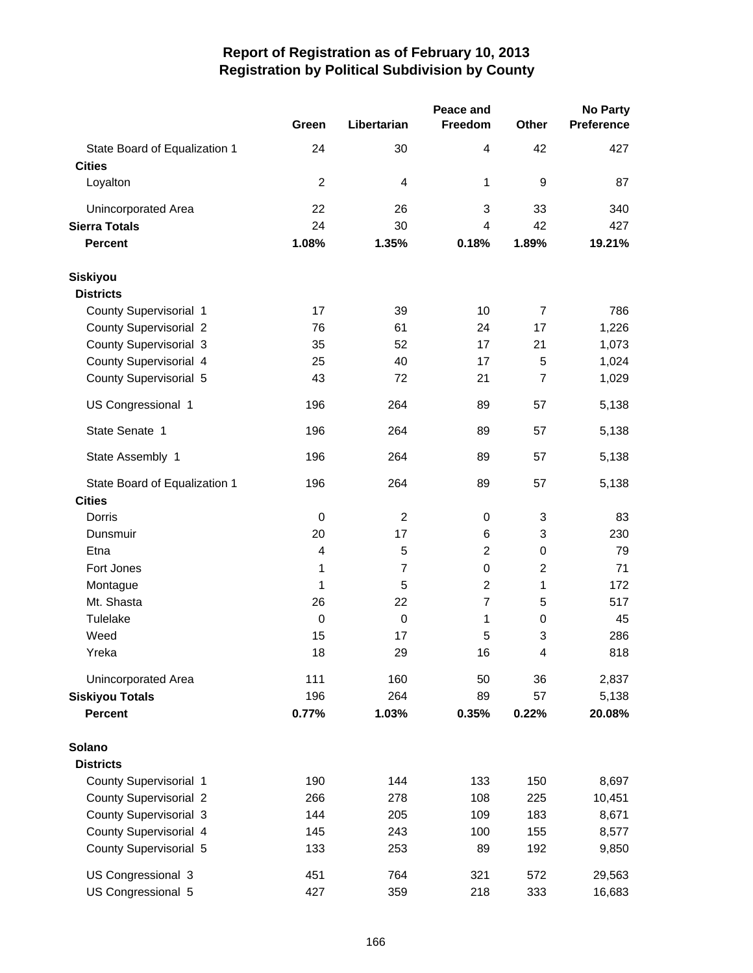|                                                |                  |                | Peace and      | <b>No Party</b>  |                   |  |
|------------------------------------------------|------------------|----------------|----------------|------------------|-------------------|--|
|                                                | Green            | Libertarian    | Freedom        | <b>Other</b>     | <b>Preference</b> |  |
| State Board of Equalization 1<br><b>Cities</b> | 24               | 30             | 4              | 42               | 427               |  |
| Loyalton                                       | $\overline{2}$   | $\overline{4}$ | 1              | 9                | 87                |  |
| Unincorporated Area                            | 22               | 26             | 3              | 33               | 340               |  |
| <b>Sierra Totals</b>                           | 24               | 30             | 4              | 42               | 427               |  |
| <b>Percent</b>                                 | 1.08%            | 1.35%          | 0.18%          | 1.89%            | 19.21%            |  |
| <b>Siskiyou</b>                                |                  |                |                |                  |                   |  |
| <b>Districts</b>                               |                  |                |                |                  |                   |  |
| County Supervisorial 1                         | 17               | 39             | 10             | $\overline{7}$   | 786               |  |
| <b>County Supervisorial 2</b>                  | 76               | 61             | 24             | 17               | 1,226             |  |
| County Supervisorial 3                         | 35               | 52             | 17             | 21               | 1,073             |  |
| County Supervisorial 4                         | 25               | 40             | 17             | 5                | 1,024             |  |
| County Supervisorial 5                         | 43               | 72             | 21             | $\overline{7}$   | 1,029             |  |
| US Congressional 1                             | 196              | 264            | 89             | 57               | 5,138             |  |
| State Senate 1                                 | 196              | 264            | 89             | 57               | 5,138             |  |
| State Assembly 1                               | 196              | 264            | 89             | 57               | 5,138             |  |
| State Board of Equalization 1                  | 196              | 264            | 89             | 57               | 5,138             |  |
| <b>Cities</b>                                  |                  |                |                |                  |                   |  |
| Dorris                                         | $\boldsymbol{0}$ | $\overline{2}$ | 0              | 3                | 83                |  |
| Dunsmuir                                       | 20               | 17             | 6              | 3                | 230               |  |
| Etna                                           | 4                | 5              | $\overline{c}$ | $\boldsymbol{0}$ | 79                |  |
| Fort Jones                                     | 1                | $\overline{7}$ | 0              | $\overline{2}$   | 71                |  |
| Montague                                       | 1                | 5              | $\overline{2}$ | 1                | 172               |  |
| Mt. Shasta                                     | 26               | 22             | $\overline{7}$ | 5                | 517               |  |
| Tulelake                                       | $\mathbf 0$      | $\mathbf 0$    | 1              | 0                | 45                |  |
| Weed                                           | 15               | 17             | 5              | 3                | 286               |  |
| Yreka                                          | 18               | 29             | 16             | 4                | 818               |  |
| Unincorporated Area                            | 111              | 160            | 50             | 36               | 2,837             |  |
| <b>Siskiyou Totals</b>                         | 196              | 264            | 89             | 57               | 5,138             |  |
| <b>Percent</b>                                 | 0.77%            | 1.03%          | 0.35%          | 0.22%            | 20.08%            |  |
| Solano                                         |                  |                |                |                  |                   |  |
| <b>Districts</b>                               |                  |                |                |                  |                   |  |
| County Supervisorial 1                         | 190              | 144            | 133            | 150              | 8,697             |  |
| <b>County Supervisorial 2</b>                  | 266              | 278            | 108            | 225              | 10,451            |  |
| <b>County Supervisorial 3</b>                  | 144              | 205            | 109            | 183              | 8,671             |  |
| County Supervisorial 4                         | 145              | 243            | 100            | 155              | 8,577             |  |
| County Supervisorial 5                         | 133              | 253            | 89             | 192              | 9,850             |  |
| US Congressional 3                             | 451              | 764            | 321            | 572              | 29,563            |  |
| US Congressional 5                             | 427              | 359            | 218            | 333              | 16,683            |  |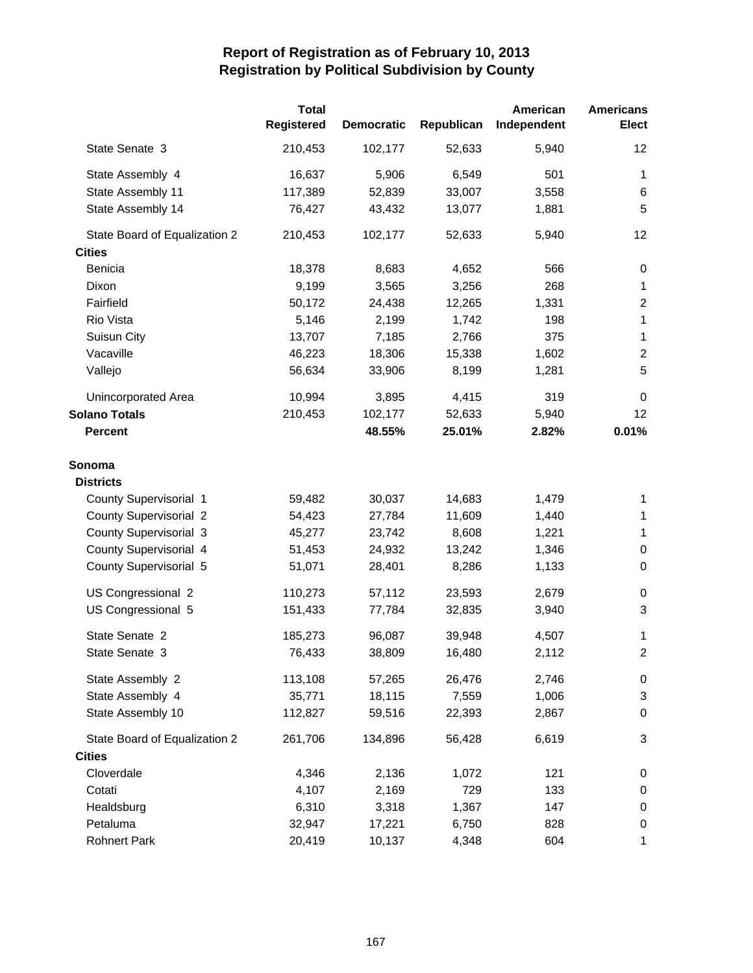|                               | <b>Total</b>      |                   |            | American    | <b>Americans</b> |
|-------------------------------|-------------------|-------------------|------------|-------------|------------------|
|                               | <b>Registered</b> | <b>Democratic</b> | Republican | Independent | <b>Elect</b>     |
| State Senate 3                | 210,453           | 102,177           | 52,633     | 5,940       | 12               |
| State Assembly 4              | 16,637            | 5,906             | 6,549      | 501         | $\mathbf{1}$     |
| State Assembly 11             | 117,389           | 52,839            | 33,007     | 3,558       | 6                |
| State Assembly 14             | 76,427            | 43,432            | 13,077     | 1,881       | 5                |
| State Board of Equalization 2 | 210,453           | 102,177           | 52,633     | 5,940       | 12               |
| <b>Cities</b>                 |                   |                   |            |             |                  |
| Benicia                       | 18,378            | 8,683             | 4,652      | 566         | $\pmb{0}$        |
| Dixon                         | 9,199             | 3,565             | 3,256      | 268         | $\mathbf 1$      |
| Fairfield                     | 50,172            | 24,438            | 12,265     | 1,331       | $\overline{c}$   |
| Rio Vista                     | 5,146             | 2,199             | 1,742      | 198         | $\mathbf{1}$     |
| Suisun City                   | 13,707            | 7,185             | 2,766      | 375         | $\mathbf 1$      |
| Vacaville                     | 46,223            | 18,306            | 15,338     | 1,602       | $\boldsymbol{2}$ |
| Vallejo                       | 56,634            | 33,906            | 8,199      | 1,281       | 5                |
| Unincorporated Area           | 10,994            | 3,895             | 4,415      | 319         | $\mathbf 0$      |
| <b>Solano Totals</b>          | 210,453           | 102,177           | 52,633     | 5,940       | 12               |
| <b>Percent</b>                |                   | 48.55%            | 25.01%     | 2.82%       | 0.01%            |
| Sonoma                        |                   |                   |            |             |                  |
| <b>Districts</b>              |                   |                   |            |             |                  |
| County Supervisorial 1        | 59,482            | 30,037            | 14,683     | 1,479       | 1                |
| <b>County Supervisorial 2</b> | 54,423            | 27,784            | 11,609     | 1,440       | $\mathbf 1$      |
| <b>County Supervisorial 3</b> | 45,277            | 23,742            | 8,608      | 1,221       | $\mathbf 1$      |
| County Supervisorial 4        | 51,453            | 24,932            | 13,242     | 1,346       | $\,0\,$          |
| County Supervisorial 5        | 51,071            | 28,401            | 8,286      | 1,133       | $\mathbf 0$      |
| US Congressional 2            | 110,273           | 57,112            | 23,593     | 2,679       | 0                |
| US Congressional 5            | 151,433           | 77,784            | 32,835     | 3,940       | 3                |
| State Senate 2                | 185,273           | 96,087            | 39,948     | 4,507       | 1                |
| State Senate 3                | 76,433            | 38,809            | 16,480     | 2,112       | $\overline{2}$   |
| State Assembly 2              | 113,108           | 57,265            | 26,476     | 2,746       | 0                |
| State Assembly 4              | 35,771            | 18,115            | 7,559      | 1,006       | $\mathfrak{S}$   |
| State Assembly 10             | 112,827           | 59,516            | 22,393     | 2,867       | $\boldsymbol{0}$ |
| State Board of Equalization 2 | 261,706           | 134,896           | 56,428     | 6,619       | 3                |
| <b>Cities</b>                 |                   |                   |            |             |                  |
| Cloverdale                    | 4,346             | 2,136             | 1,072      | 121         | 0                |
| Cotati                        | 4,107             | 2,169             | 729        | 133         | $\pmb{0}$        |
| Healdsburg                    | 6,310             | 3,318             | 1,367      | 147         | $\pmb{0}$        |
| Petaluma                      | 32,947            | 17,221            | 6,750      | 828         | $\pmb{0}$        |
| <b>Rohnert Park</b>           | 20,419            | 10,137            | 4,348      | 604         | 1                |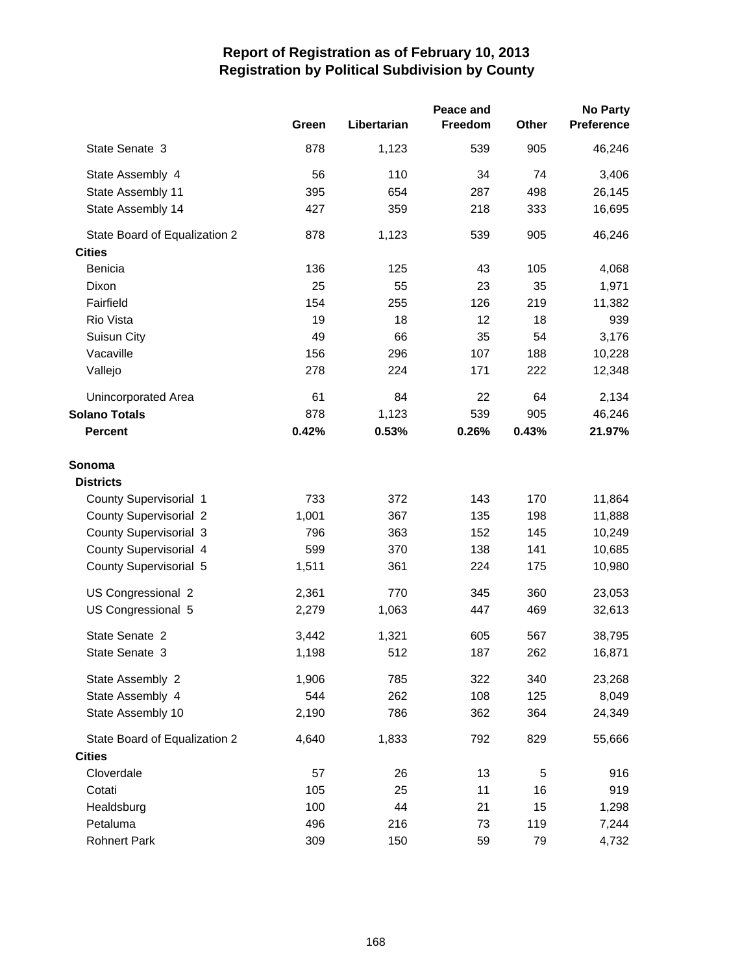|                               |       |             | Peace and      |       | <b>No Party</b>   |
|-------------------------------|-------|-------------|----------------|-------|-------------------|
|                               | Green | Libertarian | <b>Freedom</b> | Other | <b>Preference</b> |
| State Senate 3                | 878   | 1,123       | 539            | 905   | 46,246            |
| State Assembly 4              | 56    | 110         | 34             | 74    | 3,406             |
| State Assembly 11             | 395   | 654         | 287            | 498   | 26,145            |
| State Assembly 14             | 427   | 359         | 218            | 333   | 16,695            |
| State Board of Equalization 2 | 878   | 1,123       | 539            | 905   | 46,246            |
| <b>Cities</b>                 |       |             |                |       |                   |
| Benicia                       | 136   | 125         | 43             | 105   | 4,068             |
| Dixon                         | 25    | 55          | 23             | 35    | 1,971             |
| Fairfield                     | 154   | 255         | 126            | 219   | 11,382            |
| Rio Vista                     | 19    | 18          | 12             | 18    | 939               |
| Suisun City                   | 49    | 66          | 35             | 54    | 3,176             |
| Vacaville                     | 156   | 296         | 107            | 188   | 10,228            |
| Vallejo                       | 278   | 224         | 171            | 222   | 12,348            |
| Unincorporated Area           | 61    | 84          | 22             | 64    | 2,134             |
| <b>Solano Totals</b>          | 878   | 1,123       | 539            | 905   | 46,246            |
| <b>Percent</b>                | 0.42% | 0.53%       | 0.26%          | 0.43% | 21.97%            |
| Sonoma                        |       |             |                |       |                   |
| <b>Districts</b>              |       |             |                |       |                   |
| County Supervisorial 1        | 733   | 372         | 143            | 170   | 11,864            |
| <b>County Supervisorial 2</b> | 1,001 | 367         | 135            | 198   | 11,888            |
| <b>County Supervisorial 3</b> | 796   | 363         | 152            | 145   | 10,249            |
| County Supervisorial 4        | 599   | 370         | 138            | 141   | 10,685            |
| County Supervisorial 5        | 1,511 | 361         | 224            | 175   | 10,980            |
|                               |       |             |                |       |                   |
| US Congressional 2            | 2,361 | 770         | 345            | 360   | 23,053            |
| US Congressional 5            | 2,279 | 1,063       | 447            | 469   | 32,613            |
| State Senate 2                | 3,442 | 1,321       | 605            | 567   | 38,795            |
| State Senate 3                | 1,198 | 512         | 187            | 262   | 16,871            |
| State Assembly 2              | 1,906 | 785         | 322            | 340   | 23,268            |
| State Assembly 4              | 544   | 262         | 108            | 125   | 8,049             |
| State Assembly 10             | 2,190 | 786         | 362            | 364   | 24,349            |
| State Board of Equalization 2 | 4,640 | 1,833       | 792            | 829   | 55,666            |
| <b>Cities</b>                 |       |             |                |       |                   |
| Cloverdale                    | 57    | 26          | 13             | 5     | 916               |
| Cotati                        | 105   | 25          | 11             | 16    | 919               |
| Healdsburg                    | 100   | 44          | 21             | 15    | 1,298             |
| Petaluma                      | 496   | 216         | 73             | 119   | 7,244             |
| <b>Rohnert Park</b>           | 309   | 150         | 59             | 79    | 4,732             |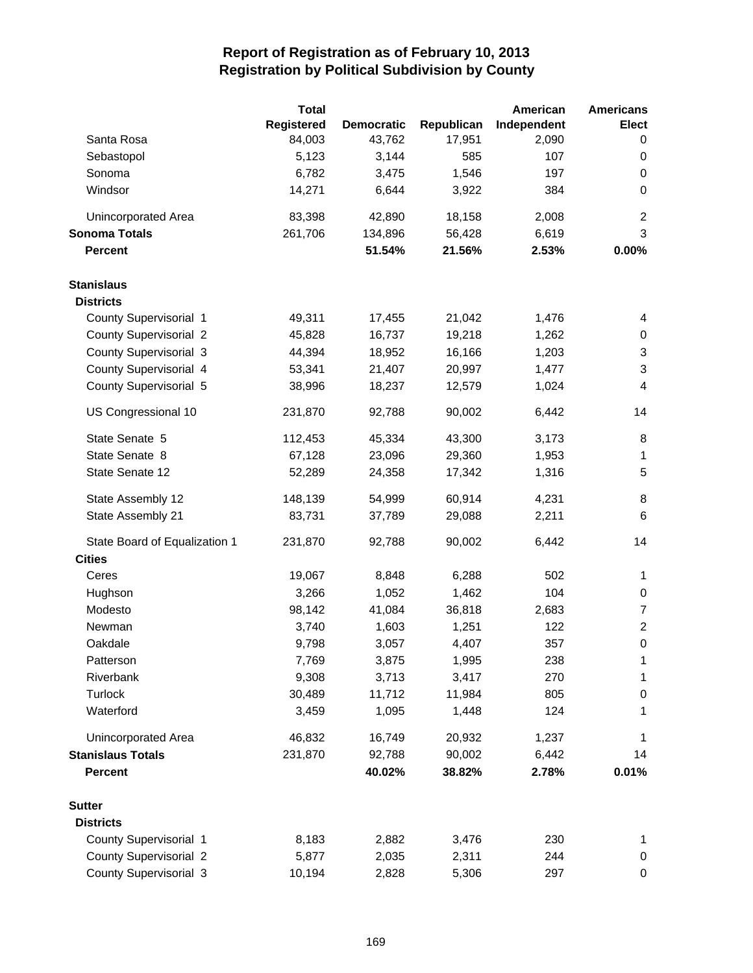|                               | <b>Total</b> |                   |            | American    | <b>Americans</b>          |
|-------------------------------|--------------|-------------------|------------|-------------|---------------------------|
|                               | Registered   | <b>Democratic</b> | Republican | Independent | <b>Elect</b>              |
| Santa Rosa                    | 84,003       | 43,762            | 17,951     | 2,090       | 0                         |
| Sebastopol                    | 5,123        | 3,144             | 585        | 107         | 0                         |
| Sonoma                        | 6,782        | 3,475             | 1,546      | 197         | 0                         |
| Windsor                       | 14,271       | 6,644             | 3,922      | 384         | $\pmb{0}$                 |
| Unincorporated Area           | 83,398       | 42,890            | 18,158     | 2,008       | $\overline{c}$            |
| <b>Sonoma Totals</b>          | 261,706      | 134,896           | 56,428     | 6,619       | 3                         |
| <b>Percent</b>                |              | 51.54%            | 21.56%     | 2.53%       | 0.00%                     |
| <b>Stanislaus</b>             |              |                   |            |             |                           |
| <b>Districts</b>              |              |                   |            |             |                           |
| County Supervisorial 1        | 49,311       | 17,455            | 21,042     | 1,476       | 4                         |
| <b>County Supervisorial 2</b> | 45,828       | 16,737            | 19,218     | 1,262       | 0                         |
| <b>County Supervisorial 3</b> | 44,394       | 18,952            | 16,166     | 1,203       | $\sqrt{3}$                |
| County Supervisorial 4        | 53,341       | 21,407            | 20,997     | 1,477       | $\ensuremath{\mathsf{3}}$ |
| County Supervisorial 5        | 38,996       | 18,237            | 12,579     | 1,024       | 4                         |
| US Congressional 10           | 231,870      | 92,788            | 90,002     | 6,442       | 14                        |
| State Senate 5                | 112,453      | 45,334            | 43,300     | 3,173       | 8                         |
| State Senate 8                | 67,128       | 23,096            | 29,360     | 1,953       | $\mathbf{1}$              |
| State Senate 12               | 52,289       | 24,358            | 17,342     | 1,316       | 5                         |
| State Assembly 12             | 148,139      | 54,999            | 60,914     | 4,231       | 8                         |
| State Assembly 21             | 83,731       | 37,789            | 29,088     | 2,211       | 6                         |
| State Board of Equalization 1 | 231,870      | 92,788            | 90,002     | 6,442       | 14                        |
| <b>Cities</b>                 |              |                   |            |             |                           |
| Ceres                         | 19,067       | 8,848             | 6,288      | 502         | 1                         |
| Hughson                       | 3,266        | 1,052             | 1,462      | 104         | 0                         |
| Modesto                       | 98,142       | 41,084            | 36,818     | 2,683       | $\overline{7}$            |
| Newman                        | 3,740        | 1,603             | 1,251      | 122         | $\overline{2}$            |
| Oakdale                       | 9,798        | 3,057             | 4,407      | 357         | $\boldsymbol{0}$          |
| Patterson                     | 7,769        | 3,875             | 1,995      | 238         | 1                         |
| Riverbank                     | 9,308        | 3,713             | 3,417      | 270         | 1                         |
| Turlock                       | 30,489       | 11,712            | 11,984     | 805         | 0                         |
| Waterford                     | 3,459        | 1,095             | 1,448      | 124         | 1                         |
| Unincorporated Area           | 46,832       | 16,749            | 20,932     | 1,237       | 1                         |
| <b>Stanislaus Totals</b>      | 231,870      | 92,788            | 90,002     | 6,442       | 14                        |
| <b>Percent</b>                |              | 40.02%            | 38.82%     | 2.78%       | 0.01%                     |
| <b>Sutter</b>                 |              |                   |            |             |                           |
| <b>Districts</b>              |              |                   |            |             |                           |
| County Supervisorial 1        | 8,183        | 2,882             | 3,476      | 230         | 1                         |
| <b>County Supervisorial 2</b> | 5,877        | 2,035             | 2,311      | 244         | 0                         |
| County Supervisorial 3        | 10,194       | 2,828             | 5,306      | 297         | 0                         |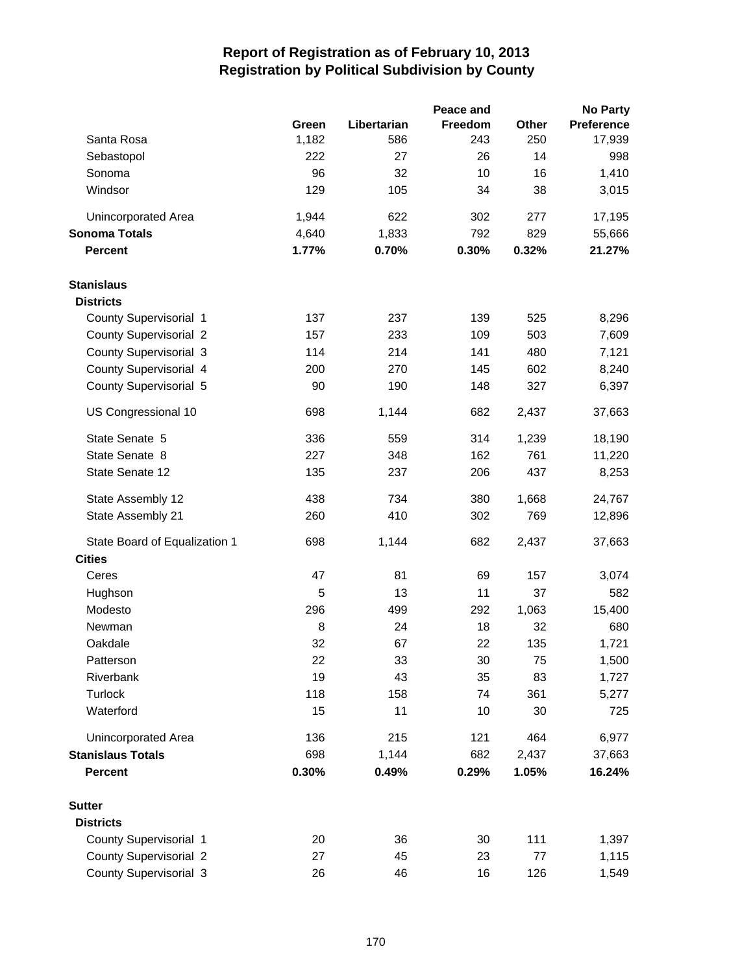|                                                |       |             | Peace and |       | <b>No Party</b> |
|------------------------------------------------|-------|-------------|-----------|-------|-----------------|
|                                                | Green | Libertarian | Freedom   | Other | Preference      |
| Santa Rosa                                     | 1,182 | 586         | 243       | 250   | 17,939          |
| Sebastopol                                     | 222   | 27          | 26        | 14    | 998             |
| Sonoma                                         | 96    | 32          | 10        | 16    | 1,410           |
| Windsor                                        | 129   | 105         | 34        | 38    | 3,015           |
| <b>Unincorporated Area</b>                     | 1,944 | 622         | 302       | 277   | 17,195          |
| <b>Sonoma Totals</b>                           | 4,640 | 1,833       | 792       | 829   | 55,666          |
| <b>Percent</b>                                 | 1.77% | 0.70%       | 0.30%     | 0.32% | 21.27%          |
| <b>Stanislaus</b>                              |       |             |           |       |                 |
| <b>Districts</b>                               |       |             |           |       |                 |
| County Supervisorial 1                         | 137   | 237         | 139       | 525   | 8,296           |
| <b>County Supervisorial 2</b>                  | 157   | 233         | 109       | 503   | 7,609           |
| <b>County Supervisorial 3</b>                  | 114   | 214         | 141       | 480   | 7,121           |
| County Supervisorial 4                         | 200   | 270         | 145       | 602   | 8,240           |
| County Supervisorial 5                         | 90    | 190         | 148       | 327   | 6,397           |
| US Congressional 10                            | 698   | 1,144       | 682       | 2,437 | 37,663          |
| State Senate 5                                 | 336   | 559         | 314       | 1,239 | 18,190          |
| State Senate 8                                 | 227   | 348         | 162       | 761   | 11,220          |
| State Senate 12                                | 135   | 237         | 206       | 437   | 8,253           |
| State Assembly 12                              | 438   | 734         | 380       | 1,668 | 24,767          |
| State Assembly 21                              | 260   | 410         | 302       | 769   | 12,896          |
| State Board of Equalization 1<br><b>Cities</b> | 698   | 1,144       | 682       | 2,437 | 37,663          |
| Ceres                                          | 47    | 81          | 69        | 157   | 3,074           |
| Hughson                                        | 5     | 13          | 11        | 37    | 582             |
| Modesto                                        | 296   | 499         | 292       | 1,063 | 15,400          |
| Newman                                         | 8     | 24          | 18        | 32    | 680             |
| Oakdale                                        | 32    | 67          | 22        | 135   | 1,721           |
| Patterson                                      | 22    | 33          | 30        | 75    | 1,500           |
| Riverbank                                      | 19    | 43          | 35        | 83    | 1,727           |
| <b>Turlock</b>                                 | 118   | 158         | 74        | 361   | 5,277           |
| Waterford                                      | 15    | 11          | 10        | 30    | 725             |
| Unincorporated Area                            | 136   | 215         | 121       | 464   | 6,977           |
| <b>Stanislaus Totals</b>                       | 698   | 1,144       | 682       | 2,437 | 37,663          |
| <b>Percent</b>                                 | 0.30% | 0.49%       | 0.29%     | 1.05% | 16.24%          |
| <b>Sutter</b>                                  |       |             |           |       |                 |
| <b>Districts</b>                               |       |             |           |       |                 |
| County Supervisorial 1                         | 20    | 36          | 30        | 111   | 1,397           |
| <b>County Supervisorial 2</b>                  | 27    | 45          | 23        | 77    | 1,115           |
| County Supervisorial 3                         | 26    | 46          | 16        | 126   | 1,549           |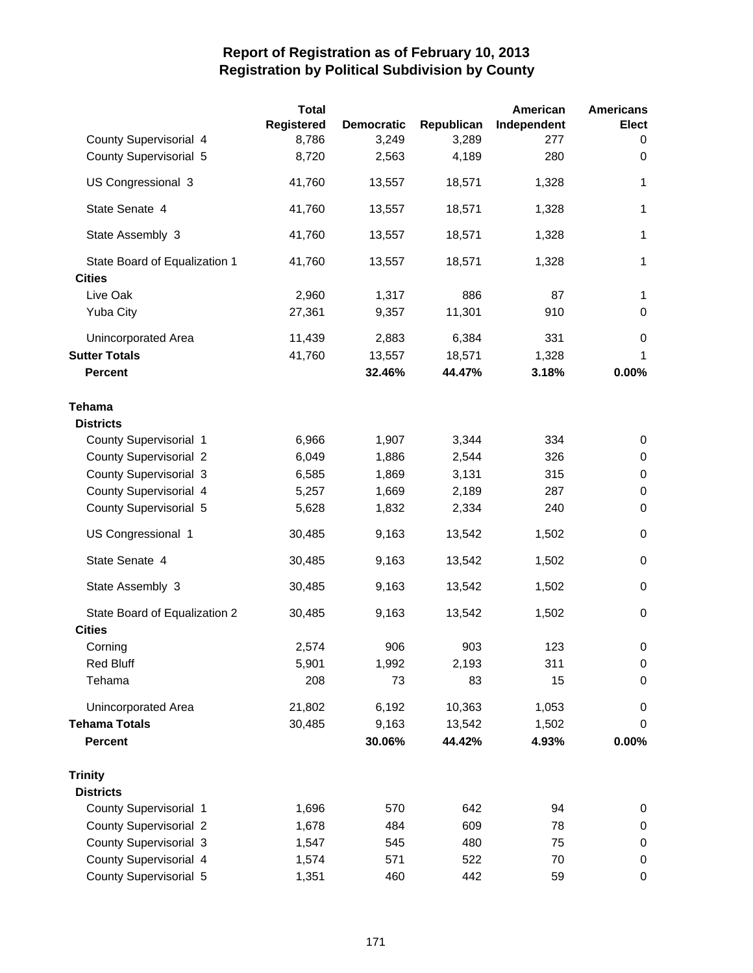|                               | <b>Total</b>      |                   |            | American    | <b>Americans</b> |
|-------------------------------|-------------------|-------------------|------------|-------------|------------------|
|                               | <b>Registered</b> | <b>Democratic</b> | Republican | Independent | <b>Elect</b>     |
| County Supervisorial 4        | 8,786             | 3,249             | 3,289      | 277         | 0                |
| County Supervisorial 5        | 8,720             | 2,563             | 4,189      | 280         | $\mathbf 0$      |
| US Congressional 3            | 41,760            | 13,557            | 18,571     | 1,328       | 1                |
| State Senate 4                | 41,760            | 13,557            | 18,571     | 1,328       | 1                |
| State Assembly 3              | 41,760            | 13,557            | 18,571     | 1,328       | 1                |
| State Board of Equalization 1 | 41,760            | 13,557            | 18,571     | 1,328       | 1                |
| <b>Cities</b>                 |                   |                   |            |             |                  |
| Live Oak                      | 2,960             | 1,317             | 886        | 87          | 1                |
| <b>Yuba City</b>              | 27,361            | 9,357             | 11,301     | 910         | 0                |
| Unincorporated Area           | 11,439            | 2,883             | 6,384      | 331         | 0                |
| <b>Sutter Totals</b>          | 41,760            | 13,557            | 18,571     | 1,328       | 1                |
| <b>Percent</b>                |                   | 32.46%            | 44.47%     | 3.18%       | 0.00%            |
| Tehama                        |                   |                   |            |             |                  |
| <b>Districts</b>              |                   |                   |            |             |                  |
| County Supervisorial 1        | 6,966             | 1,907             | 3,344      | 334         | 0                |
| <b>County Supervisorial 2</b> | 6,049             | 1,886             | 2,544      | 326         | 0                |
| <b>County Supervisorial 3</b> | 6,585             | 1,869             | 3,131      | 315         | $\pmb{0}$        |
| County Supervisorial 4        | 5,257             | 1,669             | 2,189      | 287         | 0                |
| County Supervisorial 5        | 5,628             | 1,832             | 2,334      | 240         | $\mathbf 0$      |
| US Congressional 1            | 30,485            | 9,163             | 13,542     | 1,502       | $\mathbf 0$      |
| State Senate 4                | 30,485            | 9,163             | 13,542     | 1,502       | $\pmb{0}$        |
| State Assembly 3              | 30,485            | 9,163             | 13,542     | 1,502       | 0                |
| State Board of Equalization 2 | 30,485            | 9,163             | 13,542     | 1,502       | 0                |
| <b>Cities</b>                 |                   |                   |            |             |                  |
| Corning                       | 2,574             | 906               | 903        | 123         | $\pmb{0}$        |
| <b>Red Bluff</b>              | 5,901             | 1,992             | 2,193      | 311         | 0                |
| Tehama                        | 208               | 73                | 83         | 15          | 0                |
| Unincorporated Area           | 21,802            | 6,192             | 10,363     | 1,053       | 0                |
| <b>Tehama Totals</b>          | 30,485            | 9,163             | 13,542     | 1,502       | 0                |
| <b>Percent</b>                |                   | 30.06%            | 44.42%     | 4.93%       | 0.00%            |
| <b>Trinity</b>                |                   |                   |            |             |                  |
| <b>Districts</b>              |                   |                   |            |             |                  |
| County Supervisorial 1        | 1,696             | 570               | 642        | 94          | 0                |
| <b>County Supervisorial 2</b> | 1,678             | 484               | 609        | 78          | 0                |
| <b>County Supervisorial 3</b> | 1,547             | 545               | 480        | 75          | 0                |
| County Supervisorial 4        | 1,574             | 571               | 522        | 70          | 0                |
| County Supervisorial 5        | 1,351             | 460               | 442        | 59          | 0                |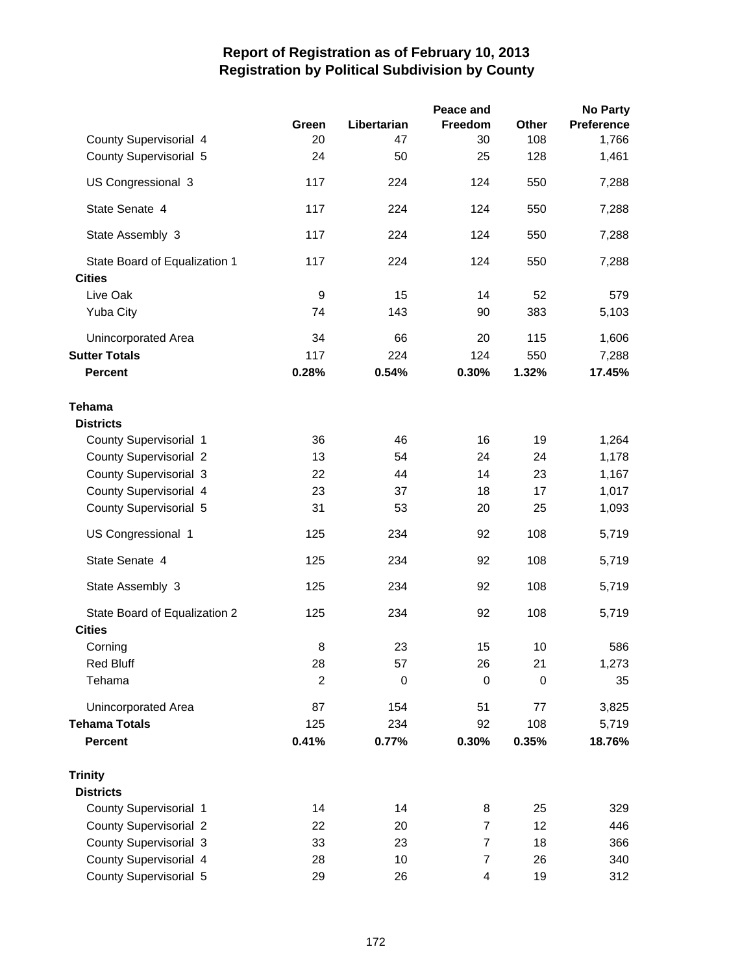|                               |                |             | Peace and      |             | <b>No Party</b>   |
|-------------------------------|----------------|-------------|----------------|-------------|-------------------|
|                               | Green          | Libertarian | Freedom        | Other       | <b>Preference</b> |
| County Supervisorial 4        | 20             | 47          | 30             | 108         | 1,766             |
| County Supervisorial 5        | 24             | 50          | 25             | 128         | 1,461             |
| US Congressional 3            | 117            | 224         | 124            | 550         | 7,288             |
| State Senate 4                | 117            | 224         | 124            | 550         | 7,288             |
| State Assembly 3              | 117            | 224         | 124            | 550         | 7,288             |
| State Board of Equalization 1 | 117            | 224         | 124            | 550         | 7,288             |
| <b>Cities</b>                 |                |             |                |             |                   |
| Live Oak                      | 9              | 15          | 14             | 52          | 579               |
| <b>Yuba City</b>              | 74             | 143         | 90             | 383         | 5,103             |
| Unincorporated Area           | 34             | 66          | 20             | 115         | 1,606             |
| <b>Sutter Totals</b>          | 117            | 224         | 124            | 550         | 7,288             |
| <b>Percent</b>                | 0.28%          | 0.54%       | 0.30%          | 1.32%       | 17.45%            |
| <b>Tehama</b>                 |                |             |                |             |                   |
| <b>Districts</b>              |                |             |                |             |                   |
| County Supervisorial 1        | 36             | 46          | 16             | 19          | 1,264             |
| <b>County Supervisorial 2</b> | 13             | 54          | 24             | 24          | 1,178             |
| <b>County Supervisorial 3</b> | 22             | 44          | 14             | 23          | 1,167             |
| County Supervisorial 4        | 23             | 37          | 18             | 17          | 1,017             |
| County Supervisorial 5        | 31             | 53          | 20             | 25          | 1,093             |
| US Congressional 1            | 125            | 234         | 92             | 108         | 5,719             |
| State Senate 4                | 125            | 234         | 92             | 108         | 5,719             |
| State Assembly 3              | 125            | 234         | 92             | 108         | 5,719             |
| State Board of Equalization 2 | 125            | 234         | 92             | 108         | 5,719             |
| <b>Cities</b>                 |                |             |                |             |                   |
| Corning                       | 8              | 23          | 15             | 10          | 586               |
| <b>Red Bluff</b>              | 28             | 57          | 26             | 21          | 1,273             |
| Tehama                        | $\overline{2}$ | $\mathbf 0$ | 0              | $\mathbf 0$ | 35                |
| Unincorporated Area           | 87             | 154         | 51             | 77          | 3,825             |
| <b>Tehama Totals</b>          | 125            | 234         | 92             | 108         | 5,719             |
| <b>Percent</b>                | 0.41%          | 0.77%       | 0.30%          | 0.35%       | 18.76%            |
| <b>Trinity</b>                |                |             |                |             |                   |
| <b>Districts</b>              |                |             |                |             |                   |
| County Supervisorial 1        | 14             | 14          | 8              | 25          | 329               |
| <b>County Supervisorial 2</b> | 22             | 20          | $\overline{7}$ | 12          | 446               |
| <b>County Supervisorial 3</b> | 33             | 23          | $\overline{7}$ | 18          | 366               |
| County Supervisorial 4        | 28             | 10          | 7              | 26          | 340               |
| County Supervisorial 5        | 29             | 26          | 4              | 19          | 312               |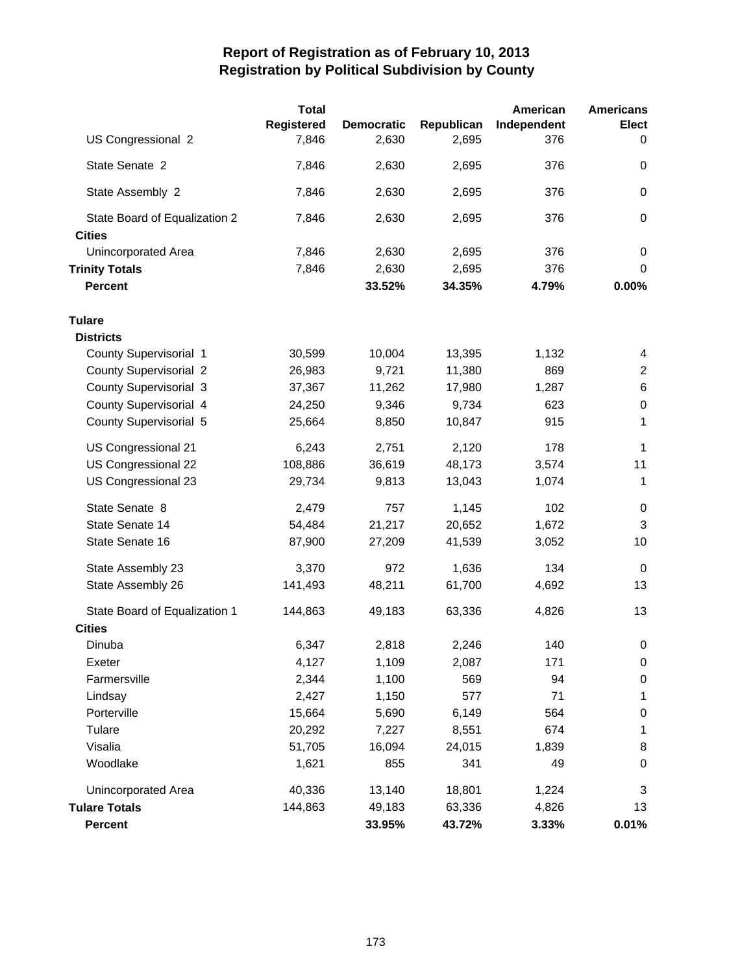|                               | <b>Total</b>      |                   |            | American    | <b>Americans</b> |
|-------------------------------|-------------------|-------------------|------------|-------------|------------------|
|                               | <b>Registered</b> | <b>Democratic</b> | Republican | Independent | <b>Elect</b>     |
| US Congressional 2            | 7,846             | 2,630             | 2,695      | 376         | 0                |
| State Senate 2                | 7,846             | 2,630             | 2,695      | 376         | $\mathbf 0$      |
| State Assembly 2              | 7,846             | 2,630             | 2,695      | 376         | $\pmb{0}$        |
| State Board of Equalization 2 | 7,846             | 2,630             | 2,695      | 376         | $\mathbf 0$      |
| <b>Cities</b>                 |                   |                   |            |             |                  |
| <b>Unincorporated Area</b>    | 7,846             | 2,630             | 2,695      | 376         | 0                |
| <b>Trinity Totals</b>         | 7,846             | 2,630             | 2,695      | 376         | $\mathbf 0$      |
| <b>Percent</b>                |                   | 33.52%            | 34.35%     | 4.79%       | 0.00%            |
| <b>Tulare</b>                 |                   |                   |            |             |                  |
| <b>Districts</b>              |                   |                   |            |             |                  |
| County Supervisorial 1        | 30,599            | 10,004            | 13,395     | 1,132       | 4                |
| <b>County Supervisorial 2</b> | 26,983            | 9,721             | 11,380     | 869         | $\overline{2}$   |
| <b>County Supervisorial 3</b> | 37,367            | 11,262            | 17,980     | 1,287       | $\,6$            |
| County Supervisorial 4        | 24,250            | 9,346             | 9,734      | 623         | $\,0\,$          |
| County Supervisorial 5        | 25,664            | 8,850             | 10,847     | 915         | 1                |
| US Congressional 21           | 6,243             | 2,751             | 2,120      | 178         | $\mathbf 1$      |
| US Congressional 22           | 108,886           | 36,619            | 48,173     | 3,574       | 11               |
| US Congressional 23           | 29,734            | 9,813             | 13,043     | 1,074       | $\mathbf{1}$     |
| State Senate 8                | 2,479             | 757               | 1,145      | 102         | 0                |
| State Senate 14               | 54,484            | 21,217            | 20,652     | 1,672       | 3                |
| State Senate 16               | 87,900            | 27,209            | 41,539     | 3,052       | 10               |
| State Assembly 23             | 3,370             | 972               | 1,636      | 134         | $\mathbf 0$      |
| State Assembly 26             | 141,493           | 48,211            | 61,700     | 4,692       | 13               |
| State Board of Equalization 1 | 144,863           | 49,183            | 63,336     | 4,826       | 13               |
| <b>Cities</b>                 |                   |                   |            |             |                  |
| Dinuba                        | 6,347             | 2,818             | 2,246      | 140         | 0                |
| Exeter                        | 4,127             | 1,109             | 2,087      | 171         | 0                |
| Farmersville                  | 2,344             | 1,100             | 569        | 94          | 0                |
| Lindsay                       | 2,427             | 1,150             | 577        | 71          | 1                |
| Porterville                   | 15,664            | 5,690             | 6,149      | 564         | $\pmb{0}$        |
| Tulare                        | 20,292            | 7,227             | 8,551      | 674         | 1                |
| Visalia                       | 51,705            | 16,094            | 24,015     | 1,839       | 8                |
| Woodlake                      | 1,621             | 855               | 341        | 49          | 0                |
| Unincorporated Area           | 40,336            | 13,140            | 18,801     | 1,224       | 3                |
| <b>Tulare Totals</b>          | 144,863           | 49,183            | 63,336     | 4,826       | 13               |
| <b>Percent</b>                |                   | 33.95%            | 43.72%     | 3.33%       | 0.01%            |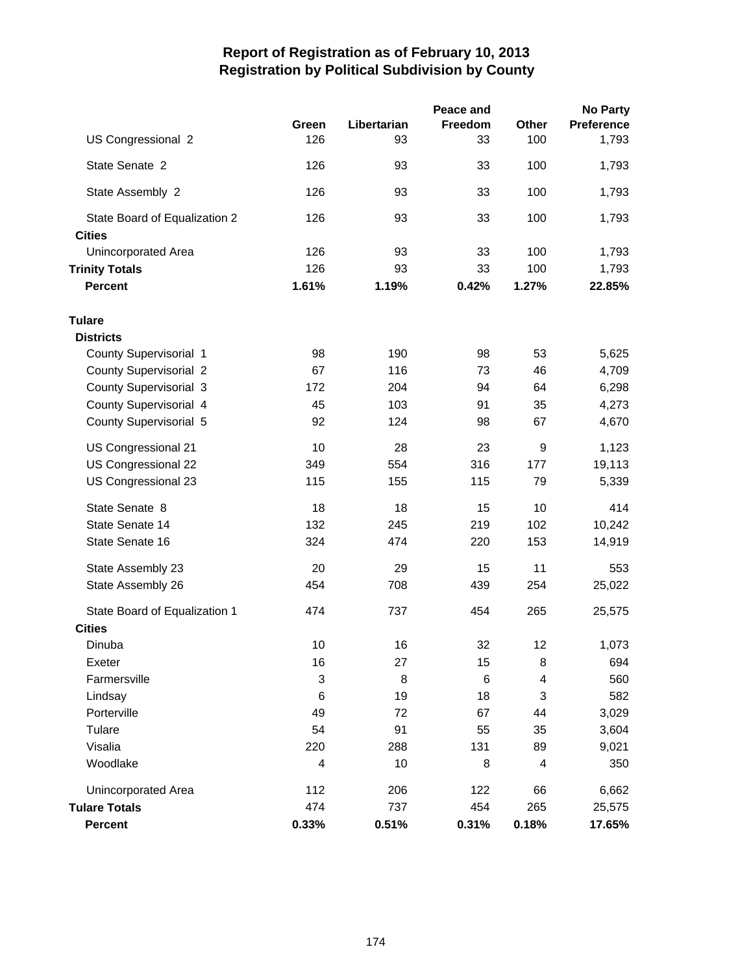|                               |       |             | Peace and |       | <b>No Party</b>   |
|-------------------------------|-------|-------------|-----------|-------|-------------------|
|                               | Green | Libertarian | Freedom   | Other | <b>Preference</b> |
| US Congressional 2            | 126   | 93          | 33        | 100   | 1,793             |
| State Senate 2                | 126   | 93          | 33        | 100   | 1,793             |
| State Assembly 2              | 126   | 93          | 33        | 100   | 1,793             |
| State Board of Equalization 2 | 126   | 93          | 33        | 100   | 1,793             |
| <b>Cities</b>                 |       |             |           |       |                   |
| <b>Unincorporated Area</b>    | 126   | 93          | 33        | 100   | 1,793             |
| <b>Trinity Totals</b>         | 126   | 93          | 33        | 100   | 1,793             |
| <b>Percent</b>                | 1.61% | 1.19%       | 0.42%     | 1.27% | 22.85%            |
| Tulare                        |       |             |           |       |                   |
| <b>Districts</b>              |       |             |           |       |                   |
| County Supervisorial 1        | 98    | 190         | 98        | 53    | 5,625             |
| <b>County Supervisorial 2</b> | 67    | 116         | 73        | 46    | 4,709             |
| <b>County Supervisorial 3</b> | 172   | 204         | 94        | 64    | 6,298             |
| County Supervisorial 4        | 45    | 103         | 91        | 35    | 4,273             |
| County Supervisorial 5        | 92    | 124         | 98        | 67    | 4,670             |
| US Congressional 21           | 10    | 28          | 23        | 9     | 1,123             |
| US Congressional 22           | 349   | 554         | 316       | 177   | 19,113            |
| US Congressional 23           | 115   | 155         | 115       | 79    | 5,339             |
| State Senate 8                | 18    | 18          | 15        | 10    | 414               |
| State Senate 14               | 132   | 245         | 219       | 102   | 10,242            |
| State Senate 16               | 324   | 474         | 220       | 153   | 14,919            |
| State Assembly 23             | 20    | 29          | 15        | 11    | 553               |
| State Assembly 26             | 454   | 708         | 439       | 254   | 25,022            |
| State Board of Equalization 1 | 474   | 737         | 454       | 265   | 25,575            |
| <b>Cities</b>                 |       |             |           |       |                   |
| Dinuba                        | 10    | 16          | 32        | 12    | 1,073             |
| Exeter                        | 16    | 27          | 15        | 8     | 694               |
| Farmersville                  | 3     | 8           | 6         | 4     | 560               |
| Lindsay                       | 6     | 19          | 18        | 3     | 582               |
| Porterville                   | 49    | 72          | 67        | 44    | 3,029             |
| Tulare                        | 54    | 91          | 55        | 35    | 3,604             |
| Visalia                       | 220   | 288         | 131       | 89    | 9,021             |
| Woodlake                      | 4     | 10          | 8         | 4     | 350               |
| <b>Unincorporated Area</b>    | 112   | 206         | 122       | 66    | 6,662             |
| <b>Tulare Totals</b>          | 474   | 737         | 454       | 265   | 25,575            |
| <b>Percent</b>                | 0.33% | 0.51%       | 0.31%     | 0.18% | 17.65%            |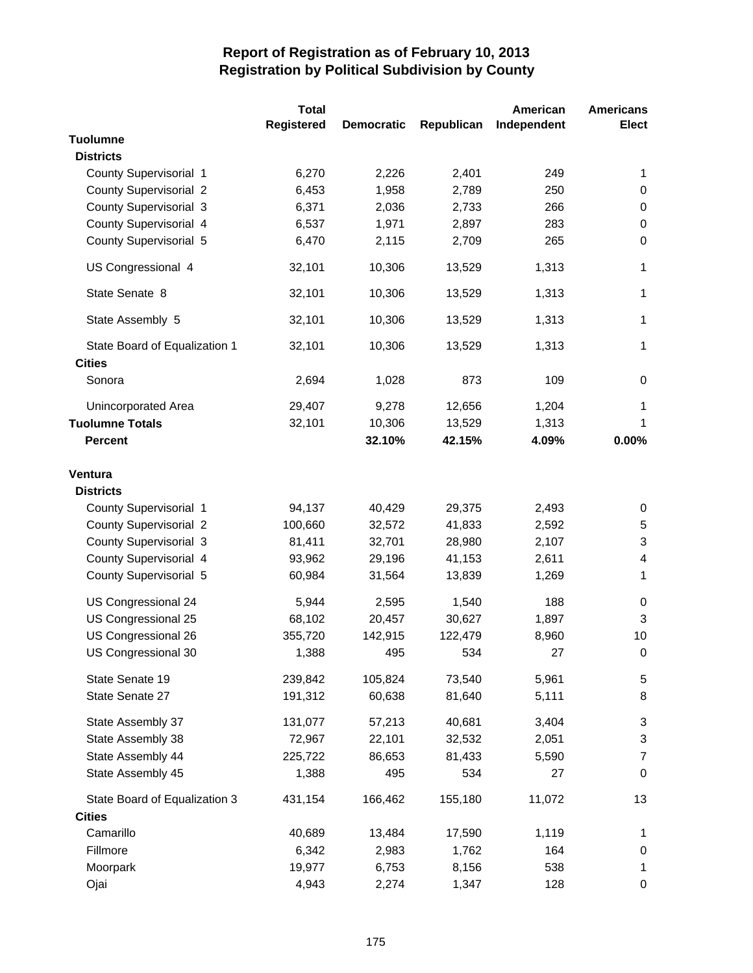|                                                | <b>Total</b>      |                   |            | American    | <b>Americans</b> |
|------------------------------------------------|-------------------|-------------------|------------|-------------|------------------|
|                                                | <b>Registered</b> | <b>Democratic</b> | Republican | Independent | <b>Elect</b>     |
| <b>Tuolumne</b>                                |                   |                   |            |             |                  |
| <b>Districts</b>                               |                   |                   |            |             |                  |
| County Supervisorial 1                         | 6,270             | 2,226             | 2,401      | 249         | 1                |
| <b>County Supervisorial 2</b>                  | 6,453             | 1,958             | 2,789      | 250         | 0                |
| <b>County Supervisorial 3</b>                  | 6,371             | 2,036             | 2,733      | 266         | 0                |
| County Supervisorial 4                         | 6,537             | 1,971             | 2,897      | 283         | 0                |
| County Supervisorial 5                         | 6,470             | 2,115             | 2,709      | 265         | 0                |
| US Congressional 4                             | 32,101            | 10,306            | 13,529     | 1,313       | $\mathbf 1$      |
| State Senate 8                                 | 32,101            | 10,306            | 13,529     | 1,313       | $\mathbf 1$      |
| State Assembly 5                               | 32,101            | 10,306            | 13,529     | 1,313       | $\mathbf{1}$     |
| State Board of Equalization 1<br><b>Cities</b> | 32,101            | 10,306            | 13,529     | 1,313       | $\mathbf{1}$     |
| Sonora                                         | 2,694             | 1,028             | 873        | 109         | 0                |
| Unincorporated Area                            | 29,407            | 9,278             | 12,656     | 1,204       | $\mathbf{1}$     |
| <b>Tuolumne Totals</b>                         | 32,101            | 10,306            | 13,529     | 1,313       | 1                |
| <b>Percent</b>                                 |                   | 32.10%            | 42.15%     | 4.09%       | 0.00%            |
|                                                |                   |                   |            |             |                  |
| Ventura                                        |                   |                   |            |             |                  |
| <b>Districts</b>                               |                   |                   |            |             |                  |
| County Supervisorial 1                         | 94,137            | 40,429            | 29,375     | 2,493       | 0                |
| <b>County Supervisorial 2</b>                  | 100,660           | 32,572            | 41,833     | 2,592       | 5                |
| <b>County Supervisorial 3</b>                  | 81,411            | 32,701            | 28,980     | 2,107       | 3                |
| County Supervisorial 4                         | 93,962            | 29,196            | 41,153     | 2,611       | 4                |
| County Supervisorial 5                         | 60,984            | 31,564            | 13,839     | 1,269       | $\mathbf{1}$     |
|                                                |                   |                   |            |             |                  |
| US Congressional 24                            | 5,944             | 2,595             | 1,540      | 188         | $\pmb{0}$        |
| US Congressional 25                            | 68,102            | 20,457            | 30,627     | 1,897       | 3                |
| US Congressional 26                            | 355,720           | 142,915           | 122,479    | 8,960       | 10               |
| US Congressional 30                            | 1,388             | 495               | 534        | 27          | 0                |
| State Senate 19                                | 239,842           | 105,824           | 73,540     | 5,961       | 5                |
| State Senate 27                                | 191,312           | 60,638            | 81,640     | 5,111       | 8                |
| State Assembly 37                              | 131,077           | 57,213            | 40,681     | 3,404       | 3                |
| State Assembly 38                              | 72,967            | 22,101            | 32,532     | 2,051       | 3                |
| State Assembly 44                              | 225,722           | 86,653            | 81,433     | 5,590       | $\overline{7}$   |
| State Assembly 45                              | 1,388             | 495               | 534        | 27          | $\boldsymbol{0}$ |
| State Board of Equalization 3                  | 431,154           | 166,462           | 155,180    | 11,072      | 13               |
| <b>Cities</b>                                  |                   |                   |            |             |                  |
| Camarillo                                      | 40,689            | 13,484            | 17,590     | 1,119       | 1                |
| Fillmore                                       | 6,342             | 2,983             | 1,762      | 164         | 0                |
| Moorpark                                       | 19,977            | 6,753             | 8,156      | 538         | $\mathbf 1$      |
| Ojai                                           | 4,943             | 2,274             | 1,347      | 128         | 0                |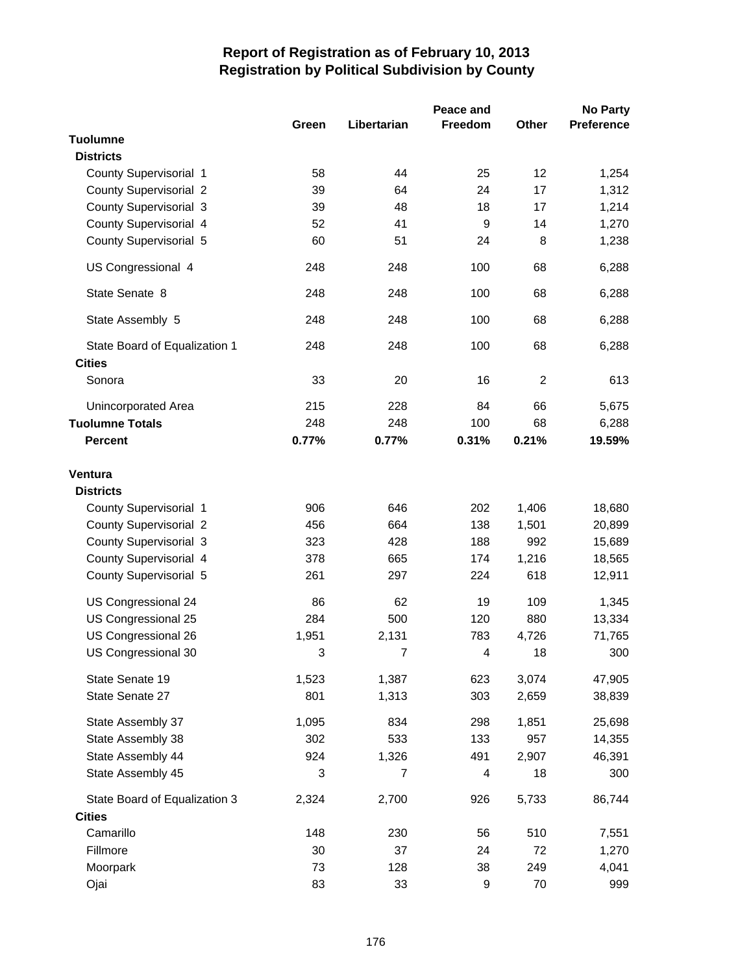|                                    | Green | Libertarian    | Peace and<br><b>Freedom</b> | Other          | <b>No Party</b><br><b>Preference</b> |
|------------------------------------|-------|----------------|-----------------------------|----------------|--------------------------------------|
| <b>Tuolumne</b>                    |       |                |                             |                |                                      |
| <b>Districts</b>                   |       |                |                             |                |                                      |
| County Supervisorial 1             | 58    | 44             | 25                          | 12             | 1,254                                |
| <b>County Supervisorial 2</b>      | 39    | 64             | 24                          | 17             | 1,312                                |
| <b>County Supervisorial 3</b>      | 39    | 48             | 18                          | 17             | 1,214                                |
| County Supervisorial 4             | 52    | 41             | $\boldsymbol{9}$            | 14             | 1,270                                |
| County Supervisorial 5             | 60    | 51             | 24                          | 8              | 1,238                                |
| US Congressional 4                 | 248   | 248            | 100                         | 68             | 6,288                                |
| State Senate 8                     | 248   | 248            | 100                         | 68             | 6,288                                |
| State Assembly 5                   | 248   | 248            | 100                         | 68             | 6,288                                |
| State Board of Equalization 1      | 248   | 248            | 100                         | 68             | 6,288                                |
| <b>Cities</b>                      |       |                |                             |                |                                      |
| Sonora                             | 33    | 20             | 16                          | $\overline{2}$ | 613                                  |
| <b>Unincorporated Area</b>         | 215   | 228            | 84                          | 66             | 5,675                                |
| <b>Tuolumne Totals</b>             | 248   | 248            | 100                         | 68             | 6,288                                |
| <b>Percent</b>                     | 0.77% | 0.77%          | 0.31%                       | 0.21%          | 19.59%                               |
| <b>Ventura</b><br><b>Districts</b> |       |                |                             |                |                                      |
| County Supervisorial 1             | 906   | 646            | 202                         | 1,406          | 18,680                               |
| <b>County Supervisorial 2</b>      | 456   | 664            | 138                         | 1,501          | 20,899                               |
| <b>County Supervisorial 3</b>      | 323   | 428            | 188                         | 992            | 15,689                               |
| County Supervisorial 4             | 378   | 665            | 174                         | 1,216          | 18,565                               |
| County Supervisorial 5             | 261   | 297            | 224                         | 618            | 12,911                               |
| US Congressional 24                | 86    | 62             | 19                          | 109            | 1,345                                |
| US Congressional 25                | 284   | 500            | 120                         | 880            | 13,334                               |
| US Congressional 26                | 1,951 | 2,131          | 783                         | 4,726          | 71,765                               |
| US Congressional 30                | 3     | $\overline{7}$ | $\overline{\mathbf{4}}$     | 18             | 300                                  |
| State Senate 19                    | 1,523 | 1,387          | 623                         | 3,074          | 47,905                               |
| State Senate 27                    | 801   | 1,313          | 303                         | 2,659          | 38,839                               |
| State Assembly 37                  | 1,095 | 834            | 298                         | 1,851          | 25,698                               |
| State Assembly 38                  | 302   | 533            | 133                         | 957            | 14,355                               |
| State Assembly 44                  | 924   | 1,326          | 491                         | 2,907          | 46,391                               |
| State Assembly 45                  | 3     | 7              | 4                           | 18             | 300                                  |
| State Board of Equalization 3      | 2,324 | 2,700          | 926                         | 5,733          | 86,744                               |
| <b>Cities</b>                      |       |                |                             |                |                                      |
| Camarillo                          | 148   | 230            | 56                          | 510            | 7,551                                |
| Fillmore                           | 30    | 37             | 24                          | 72             | 1,270                                |
| Moorpark                           | 73    | 128            | 38                          | 249            | 4,041                                |
| Ojai                               | 83    | 33             | 9                           | 70             | 999                                  |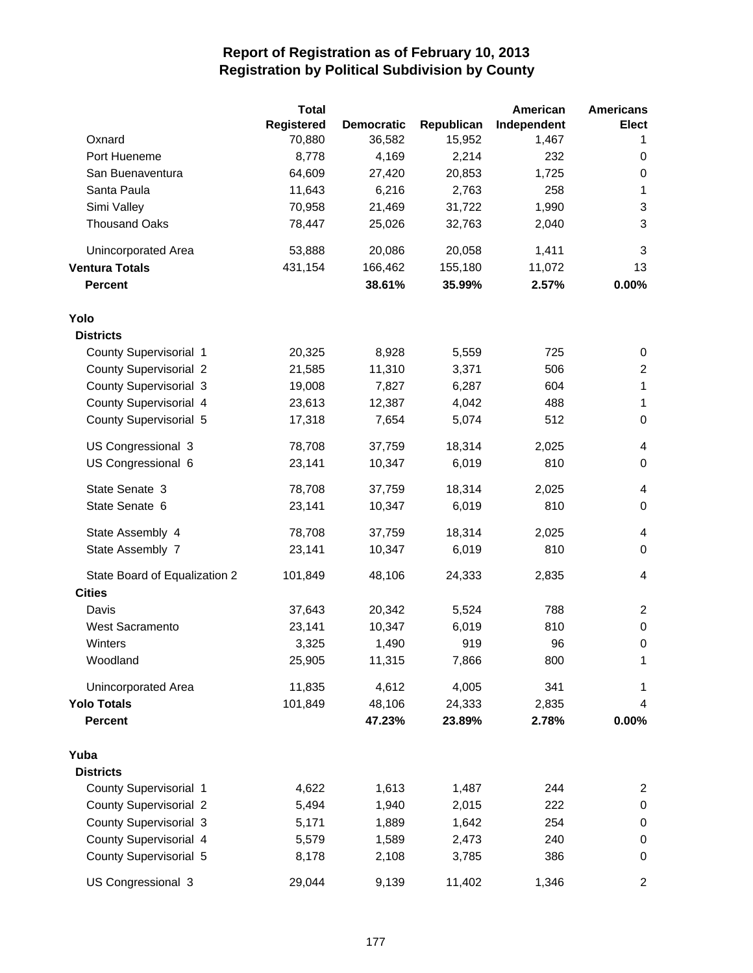|                               | <b>Total</b> |                   |            | American    | <b>Americans</b>         |
|-------------------------------|--------------|-------------------|------------|-------------|--------------------------|
|                               | Registered   | <b>Democratic</b> | Republican | Independent | Elect                    |
| Oxnard                        | 70,880       | 36,582            | 15,952     | 1,467       | 1                        |
| Port Hueneme                  | 8,778        | 4,169             | 2,214      | 232         | 0                        |
| San Buenaventura              | 64,609       | 27,420            | 20,853     | 1,725       | 0                        |
| Santa Paula                   | 11,643       | 6,216             | 2,763      | 258         | 1                        |
| Simi Valley                   | 70,958       | 21,469            | 31,722     | 1,990       | 3                        |
| <b>Thousand Oaks</b>          | 78,447       | 25,026            | 32,763     | 2,040       | 3                        |
| Unincorporated Area           | 53,888       | 20,086            | 20,058     | 1,411       | 3                        |
| <b>Ventura Totals</b>         | 431,154      | 166,462           | 155,180    | 11,072      | 13                       |
| <b>Percent</b>                |              | 38.61%            | 35.99%     | 2.57%       | 0.00%                    |
| Yolo                          |              |                   |            |             |                          |
| <b>Districts</b>              |              |                   |            |             |                          |
| County Supervisorial 1        | 20,325       | 8,928             | 5,559      | 725         | 0                        |
| <b>County Supervisorial 2</b> | 21,585       | 11,310            | 3,371      | 506         | $\overline{2}$           |
| <b>County Supervisorial 3</b> | 19,008       | 7,827             | 6,287      | 604         | $\mathbf{1}$             |
| County Supervisorial 4        | 23,613       | 12,387            | 4,042      | 488         | 1                        |
| County Supervisorial 5        | 17,318       | 7,654             | 5,074      | 512         | $\boldsymbol{0}$         |
| US Congressional 3            | 78,708       | 37,759            | 18,314     | 2,025       | 4                        |
| US Congressional 6            | 23,141       | 10,347            | 6,019      | 810         | $\mathbf 0$              |
| State Senate 3                | 78,708       | 37,759            | 18,314     | 2,025       | 4                        |
| State Senate 6                | 23,141       | 10,347            | 6,019      | 810         | $\mathbf 0$              |
| State Assembly 4              | 78,708       | 37,759            | 18,314     | 2,025       | 4                        |
| State Assembly 7              | 23,141       | 10,347            | 6,019      | 810         | $\mathbf 0$              |
| State Board of Equalization 2 | 101,849      | 48,106            | 24,333     | 2,835       | $\overline{\mathcal{A}}$ |
| <b>Cities</b>                 |              |                   |            |             |                          |
| Davis                         | 37,643       | 20,342            | 5,524      | 788         | 2                        |
| <b>West Sacramento</b>        | 23,141       | 10,347            | 6,019      | 810         | $\pmb{0}$                |
| Winters                       | 3,325        | 1,490             | 919        | 96          | $\boldsymbol{0}$         |
| Woodland                      | 25,905       | 11,315            | 7,866      | 800         | 1                        |
| <b>Unincorporated Area</b>    | 11,835       | 4,612             | 4,005      | 341         | 1                        |
| <b>Yolo Totals</b>            | 101,849      | 48,106            | 24,333     | 2,835       | 4                        |
| <b>Percent</b>                |              | 47.23%            | 23.89%     | 2.78%       | 0.00%                    |
| Yuba                          |              |                   |            |             |                          |
| <b>Districts</b>              |              |                   |            |             |                          |
| County Supervisorial 1        | 4,622        | 1,613             | 1,487      | 244         | $\overline{c}$           |
| <b>County Supervisorial 2</b> | 5,494        | 1,940             | 2,015      | 222         | $\pmb{0}$                |
| County Supervisorial 3        | 5,171        | 1,889             | 1,642      | 254         | $\pmb{0}$                |
| County Supervisorial 4        | 5,579        | 1,589             | 2,473      | 240         | $\pmb{0}$                |
| County Supervisorial 5        | 8,178        | 2,108             | 3,785      | 386         | 0                        |
| US Congressional 3            | 29,044       | 9,139             | 11,402     | 1,346       | $\overline{c}$           |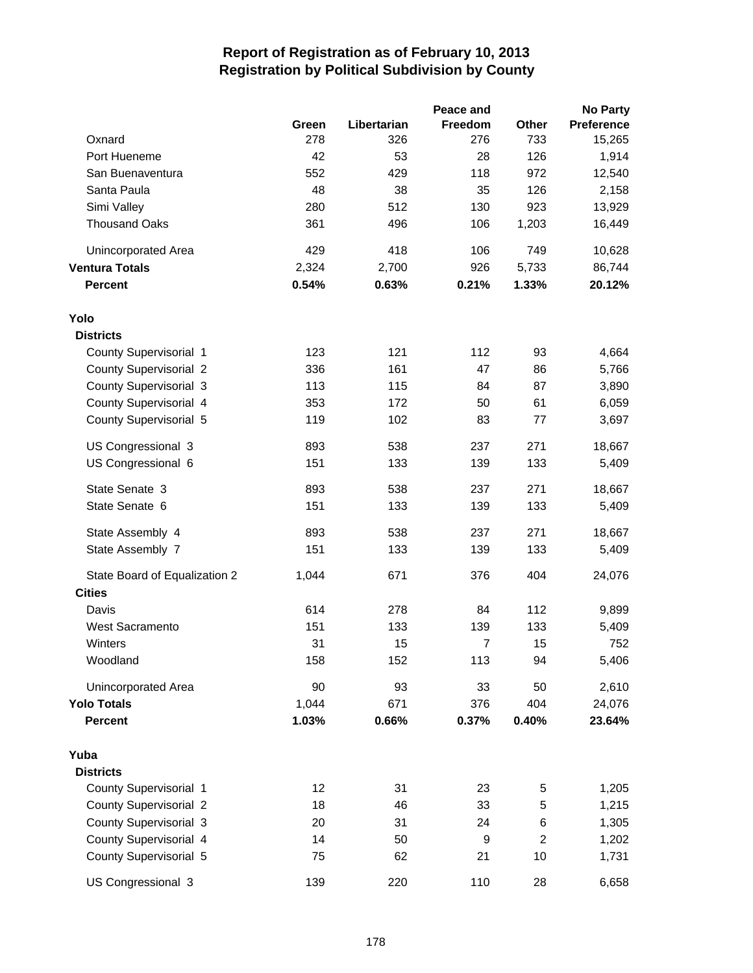|                               |       |             | Peace and      |                | <b>No Party</b>   |
|-------------------------------|-------|-------------|----------------|----------------|-------------------|
|                               | Green | Libertarian | <b>Freedom</b> | Other          | <b>Preference</b> |
| Oxnard                        | 278   | 326         | 276            | 733            | 15,265            |
| Port Hueneme                  | 42    | 53          | 28             | 126            | 1,914             |
| San Buenaventura              | 552   | 429         | 118            | 972            | 12,540            |
| Santa Paula                   | 48    | 38          | 35             | 126            | 2,158             |
| Simi Valley                   | 280   | 512         | 130            | 923            | 13,929            |
| <b>Thousand Oaks</b>          | 361   | 496         | 106            | 1,203          | 16,449            |
| Unincorporated Area           | 429   | 418         | 106            | 749            | 10,628            |
| <b>Ventura Totals</b>         | 2,324 | 2,700       | 926            | 5,733          | 86,744            |
| <b>Percent</b>                | 0.54% | 0.63%       | 0.21%          | 1.33%          | 20.12%            |
| Yolo                          |       |             |                |                |                   |
| <b>Districts</b>              |       |             |                |                |                   |
| County Supervisorial 1        | 123   | 121         | 112            | 93             | 4,664             |
| <b>County Supervisorial 2</b> | 336   | 161         | 47             | 86             | 5,766             |
| <b>County Supervisorial 3</b> | 113   | 115         | 84             | 87             | 3,890             |
| County Supervisorial 4        | 353   | 172         | 50             | 61             | 6,059             |
| County Supervisorial 5        | 119   | 102         | 83             | 77             | 3,697             |
| US Congressional 3            | 893   | 538         | 237            | 271            | 18,667            |
| US Congressional 6            | 151   | 133         | 139            | 133            | 5,409             |
| State Senate 3                | 893   | 538         | 237            | 271            | 18,667            |
| State Senate 6                | 151   | 133         | 139            | 133            | 5,409             |
| State Assembly 4              | 893   | 538         | 237            | 271            | 18,667            |
| State Assembly 7              | 151   | 133         | 139            | 133            | 5,409             |
| State Board of Equalization 2 | 1,044 | 671         | 376            | 404            | 24,076            |
| <b>Cities</b>                 |       |             |                |                |                   |
| Davis                         | 614   | 278         | 84             | 112            | 9,899             |
| <b>West Sacramento</b>        | 151   | 133         | 139            | 133            | 5,409             |
| Winters                       | 31    | 15          | $\overline{7}$ | 15             | 752               |
| Woodland                      | 158   | 152         | 113            | 94             | 5,406             |
| Unincorporated Area           | 90    | 93          | 33             | 50             | 2,610             |
| <b>Yolo Totals</b>            | 1,044 | 671         | 376            | 404            | 24,076            |
| <b>Percent</b>                | 1.03% | 0.66%       | 0.37%          | 0.40%          | 23.64%            |
| Yuba                          |       |             |                |                |                   |
| <b>Districts</b>              |       |             |                |                |                   |
| County Supervisorial 1        | 12    | 31          | 23             | 5              | 1,205             |
| <b>County Supervisorial 2</b> | 18    | 46          | 33             | 5              | 1,215             |
| <b>County Supervisorial 3</b> | 20    | 31          | 24             | 6              | 1,305             |
| County Supervisorial 4        | 14    | 50          | 9              | $\overline{c}$ | 1,202             |
| County Supervisorial 5        | 75    | 62          | 21             | 10             | 1,731             |
| US Congressional 3            | 139   | 220         | 110            | 28             | 6,658             |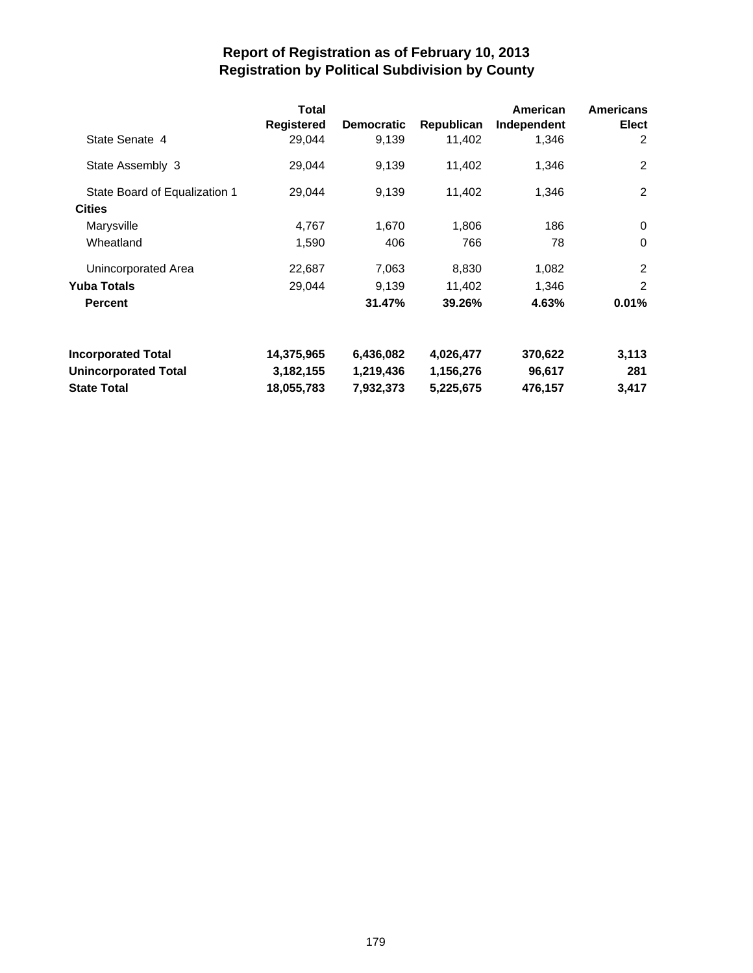|                               | <b>Total</b><br><b>Registered</b> | <b>Democratic</b> | Republican | American<br>Independent | <b>Americans</b><br><b>Elect</b> |
|-------------------------------|-----------------------------------|-------------------|------------|-------------------------|----------------------------------|
| State Senate 4                | 29,044                            | 9,139             | 11,402     | 1,346                   | 2                                |
| State Assembly 3              | 29,044                            | 9,139             | 11,402     | 1,346                   | 2                                |
| State Board of Equalization 1 | 29,044                            | 9,139             | 11,402     | 1,346                   | 2                                |
| <b>Cities</b>                 |                                   |                   |            |                         |                                  |
| Marysville                    | 4,767                             | 1,670             | 1,806      | 186                     | 0                                |
| Wheatland                     | 1,590                             | 406               | 766        | 78                      | $\Omega$                         |
| Unincorporated Area           | 22,687                            | 7,063             | 8,830      | 1,082                   | 2                                |
| <b>Yuba Totals</b>            | 29,044                            | 9,139             | 11,402     | 1,346                   | 2                                |
| <b>Percent</b>                |                                   | 31.47%            | 39.26%     | 4.63%                   | 0.01%                            |
| <b>Incorporated Total</b>     | 14,375,965                        | 6,436,082         | 4,026,477  | 370,622                 | 3,113                            |
| <b>Unincorporated Total</b>   | 3,182,155                         | 1,219,436         | 1,156,276  | 96,617                  | 281                              |
| <b>State Total</b>            | 18,055,783                        | 7,932,373         | 5,225,675  | 476,157                 | 3,417                            |